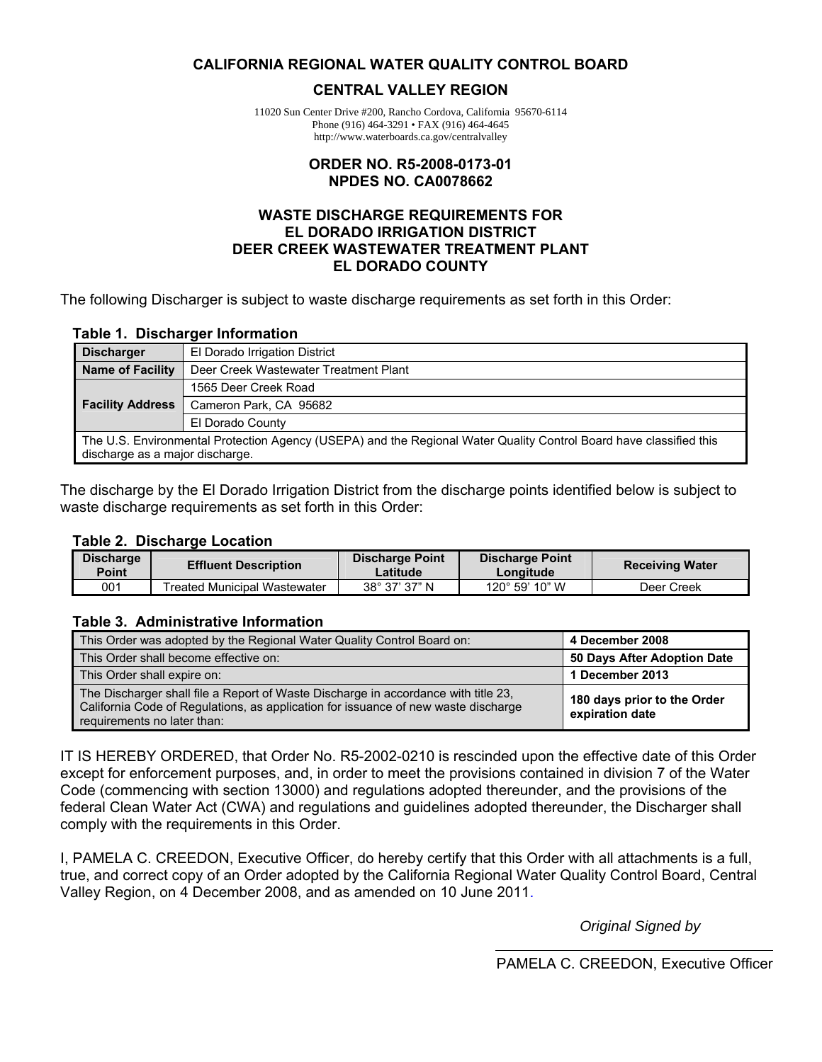#### **CALIFORNIA REGIONAL WATER QUALITY CONTROL BOARD**

#### **CENTRAL VALLEY REGION**

11020 Sun Center Drive #200, Rancho Cordova, California 95670-6114 Phone (916) 464-3291 • FAX (916) 464-4645 http://www.waterboards.ca.gov/centralvalley

#### **ORDER NO. R5-2008-0173-01 NPDES NO. CA0078662**

#### **WASTE DISCHARGE REQUIREMENTS FOR EL DORADO IRRIGATION DISTRICT DEER CREEK WASTEWATER TREATMENT PLANT EL DORADO COUNTY**

The following Discharger is subject to waste discharge requirements as set forth in this Order:

#### **Table 1. Discharger Information**

| <b>Discharger</b>                                                                                                                                     | El Dorado Irrigation District         |  |  |
|-------------------------------------------------------------------------------------------------------------------------------------------------------|---------------------------------------|--|--|
| <b>Name of Facility</b>                                                                                                                               | Deer Creek Wastewater Treatment Plant |  |  |
|                                                                                                                                                       | 1565 Deer Creek Road                  |  |  |
| <b>Facility Address</b>                                                                                                                               | Cameron Park, CA 95682                |  |  |
|                                                                                                                                                       | El Dorado County                      |  |  |
| The U.S. Environmental Protection Agency (USEPA) and the Regional Water Quality Control Board have classified this<br>discharge as a major discharge. |                                       |  |  |

The discharge by the El Dorado Irrigation District from the discharge points identified below is subject to waste discharge requirements as set forth in this Order:

#### **Table 2. Discharge Location**

| Discharge<br>Point | <b>Effluent Description</b>         | Discharge Point<br>Latitude | <b>Discharge Point</b><br>Longitude | <b>Receiving Water</b> |
|--------------------|-------------------------------------|-----------------------------|-------------------------------------|------------------------|
| 001                | <b>Treated Municipal Wastewater</b> | $38^{\circ}$ 37' 37" N      | $120^{\circ}$ 59' 10" W             | Deer Creek             |

#### **Table 3. Administrative Information**

| This Order was adopted by the Regional Water Quality Control Board on:                                                                                                                                  | 4 December 2008                                |
|---------------------------------------------------------------------------------------------------------------------------------------------------------------------------------------------------------|------------------------------------------------|
| This Order shall become effective on:                                                                                                                                                                   | 50 Days After Adoption Date                    |
| This Order shall expire on:                                                                                                                                                                             | 1 December 2013                                |
| The Discharger shall file a Report of Waste Discharge in accordance with title 23,<br>California Code of Regulations, as application for issuance of new waste discharge<br>requirements no later than: | 180 days prior to the Order<br>expiration date |

IT IS HEREBY ORDERED, that Order No. R5-2002-0210 is rescinded upon the effective date of this Order except for enforcement purposes, and, in order to meet the provisions contained in division 7 of the Water Code (commencing with section 13000) and regulations adopted thereunder, and the provisions of the federal Clean Water Act (CWA) and regulations and guidelines adopted thereunder, the Discharger shall comply with the requirements in this Order.

I, PAMELA C. CREEDON, Executive Officer, do hereby certify that this Order with all attachments is a full, true, and correct copy of an Order adopted by the California Regional Water Quality Control Board, Central Valley Region, on 4 December 2008, and as amended on 10 June 2011.

*Original Signed by* 

PAMELA C. CREEDON, Executive Officer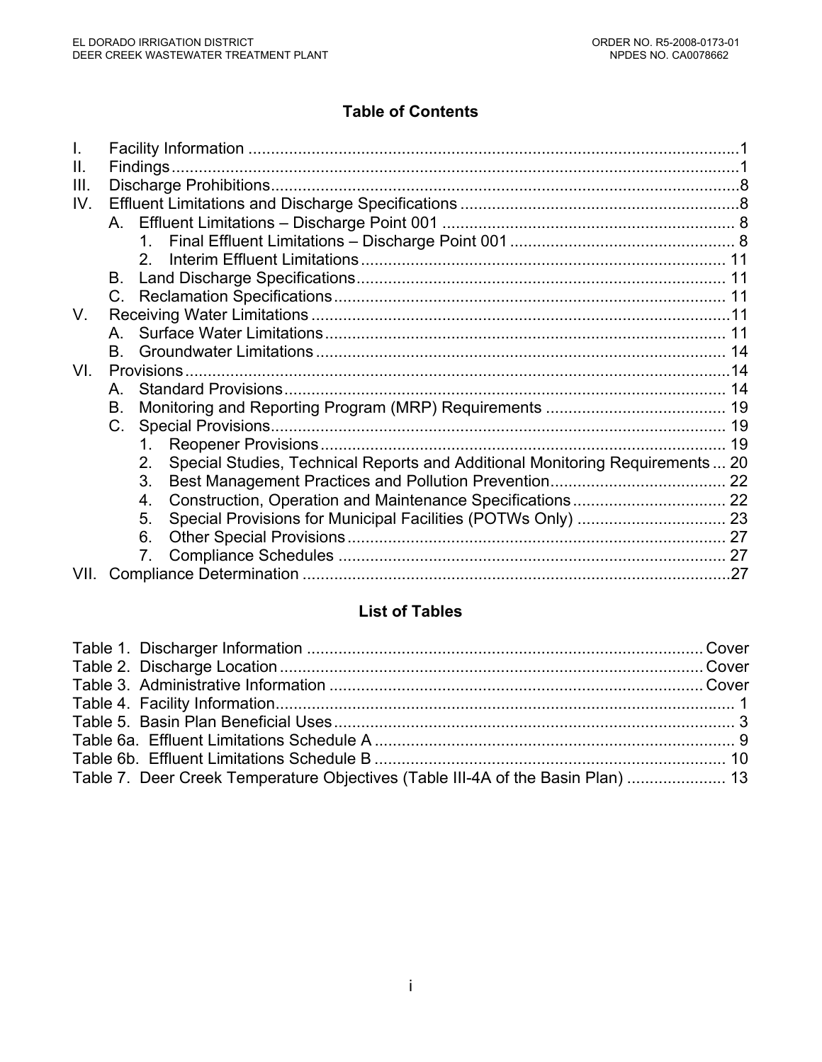# **Table of Contents**

| $\Pi$ . |         |                                                                                    |  |
|---------|---------|------------------------------------------------------------------------------------|--|
| III.    |         |                                                                                    |  |
| IV.     |         |                                                                                    |  |
|         |         |                                                                                    |  |
|         |         |                                                                                    |  |
|         |         |                                                                                    |  |
|         | B.      |                                                                                    |  |
|         | $C_{1}$ |                                                                                    |  |
| V.      |         |                                                                                    |  |
|         | A       |                                                                                    |  |
|         | B.      |                                                                                    |  |
| VI.     |         |                                                                                    |  |
|         | A       |                                                                                    |  |
|         | В.      |                                                                                    |  |
|         | C.      |                                                                                    |  |
|         |         | 1.                                                                                 |  |
|         |         | Special Studies, Technical Reports and Additional Monitoring Requirements 20<br>2. |  |
|         |         | 3.                                                                                 |  |
|         |         | 4.                                                                                 |  |
|         |         | 5.                                                                                 |  |
|         |         | 6.                                                                                 |  |
|         |         | 7.                                                                                 |  |
| VII.    |         |                                                                                    |  |

# **List of Tables**

| Table 7. Deer Creek Temperature Objectives (Table III-4A of the Basin Plan)  13 |  |
|---------------------------------------------------------------------------------|--|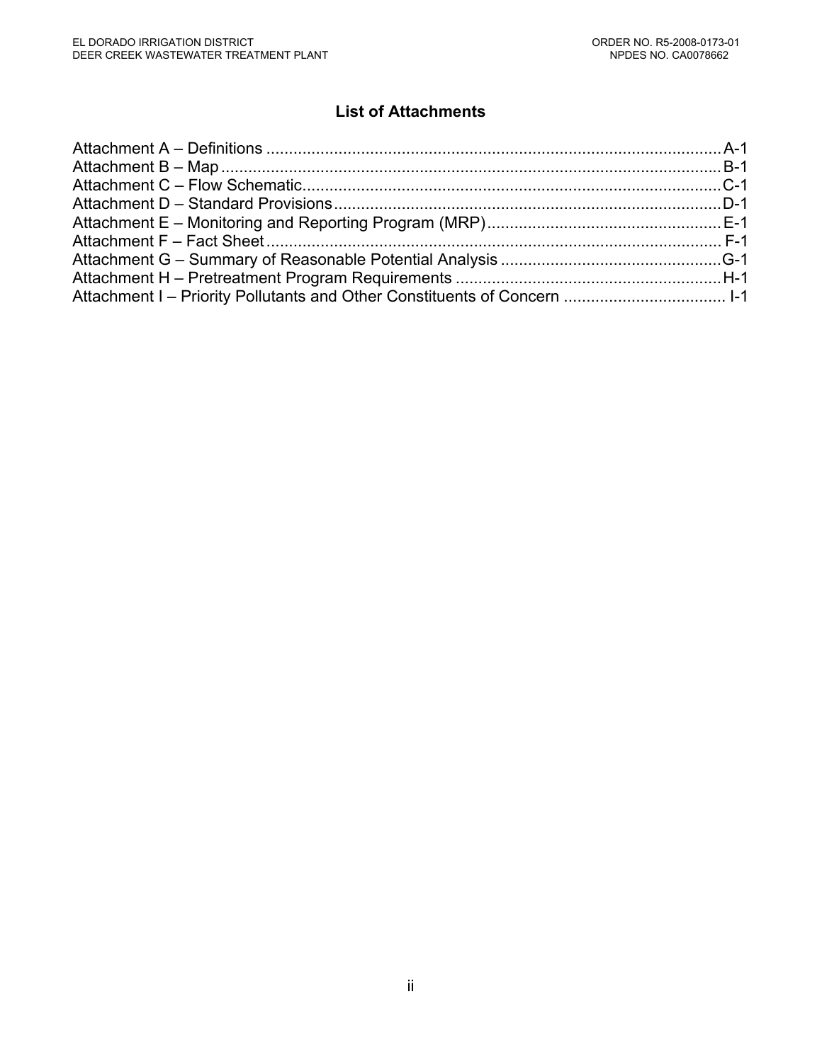# **List of Attachments**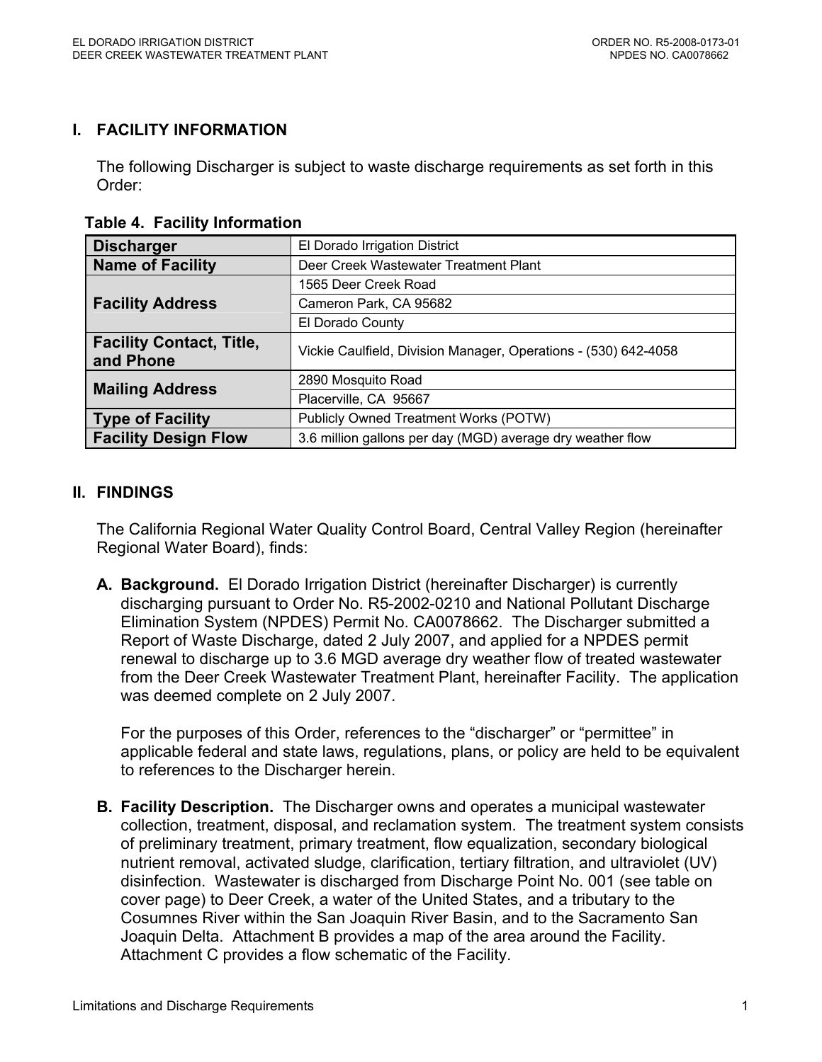## **I. FACILITY INFORMATION**

The following Discharger is subject to waste discharge requirements as set forth in this Order:

 **Table 4. Facility Information** 

| <b>Discharger</b>                            | El Dorado Irrigation District                                   |
|----------------------------------------------|-----------------------------------------------------------------|
| <b>Name of Facility</b>                      | Deer Creek Wastewater Treatment Plant                           |
|                                              | 1565 Deer Creek Road                                            |
| <b>Facility Address</b>                      | Cameron Park, CA 95682                                          |
|                                              | El Dorado County                                                |
| <b>Facility Contact, Title,</b><br>and Phone | Vickie Caulfield, Division Manager, Operations - (530) 642-4058 |
| <b>Mailing Address</b>                       | 2890 Mosquito Road                                              |
|                                              | Placerville, CA 95667                                           |
| <b>Type of Facility</b>                      | Publicly Owned Treatment Works (POTW)                           |
| <b>Facility Design Flow</b>                  | 3.6 million gallons per day (MGD) average dry weather flow      |

## **II. FINDINGS**

The California Regional Water Quality Control Board, Central Valley Region (hereinafter Regional Water Board), finds:

**A. Background.** El Dorado Irrigation District (hereinafter Discharger) is currently discharging pursuant to Order No. R5-2002-0210 and National Pollutant Discharge Elimination System (NPDES) Permit No. CA0078662. The Discharger submitted a Report of Waste Discharge, dated 2 July 2007, and applied for a NPDES permit renewal to discharge up to 3.6 MGD average dry weather flow of treated wastewater from the Deer Creek Wastewater Treatment Plant, hereinafter Facility. The application was deemed complete on 2 July 2007.

For the purposes of this Order, references to the "discharger" or "permittee" in applicable federal and state laws, regulations, plans, or policy are held to be equivalent to references to the Discharger herein.

**B. Facility Description.** The Discharger owns and operates a municipal wastewater collection, treatment, disposal, and reclamation system. The treatment system consists of preliminary treatment, primary treatment, flow equalization, secondary biological nutrient removal, activated sludge, clarification, tertiary filtration, and ultraviolet (UV) disinfection. Wastewater is discharged from Discharge Point No. 001 (see table on cover page) to Deer Creek, a water of the United States, and a tributary to the Cosumnes River within the San Joaquin River Basin, and to the Sacramento San Joaquin Delta. Attachment B provides a map of the area around the Facility. Attachment C provides a flow schematic of the Facility.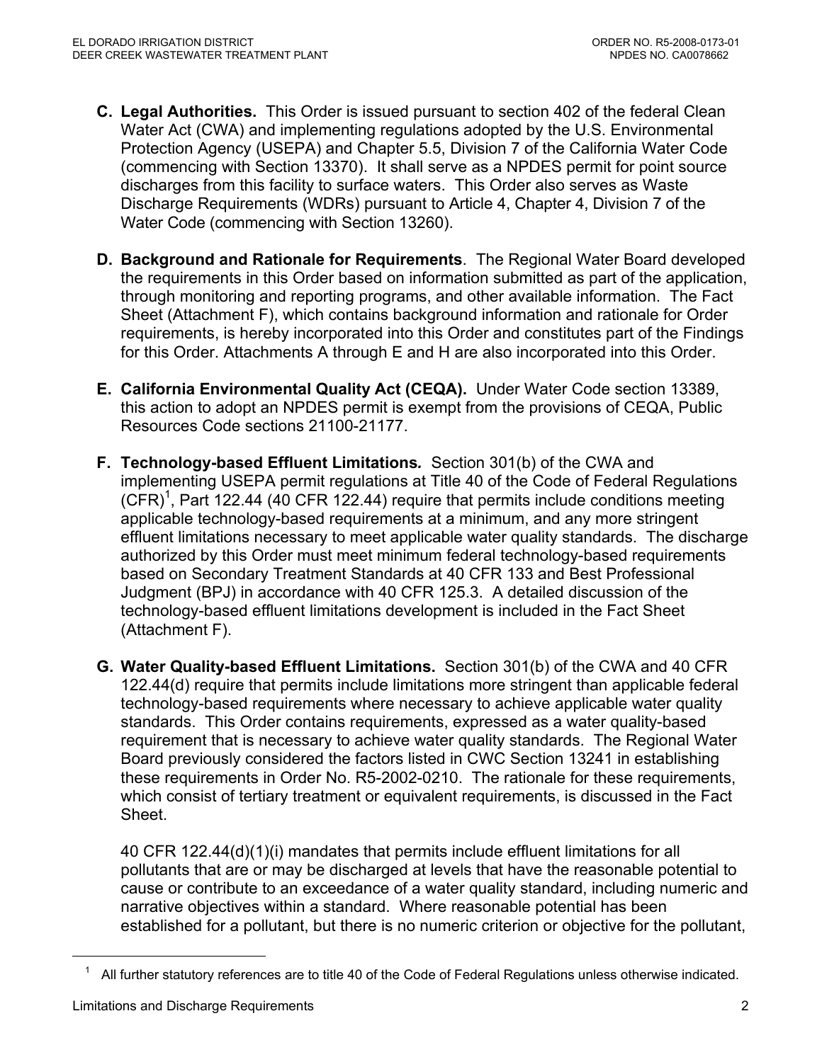- **C. Legal Authorities.** This Order is issued pursuant to section 402 of the federal Clean Water Act (CWA) and implementing regulations adopted by the U.S. Environmental Protection Agency (USEPA) and Chapter 5.5, Division 7 of the California Water Code (commencing with Section 13370). It shall serve as a NPDES permit for point source discharges from this facility to surface waters. This Order also serves as Waste Discharge Requirements (WDRs) pursuant to Article 4, Chapter 4, Division 7 of the Water Code (commencing with Section 13260).
- **D. Background and Rationale for Requirements**. The Regional Water Board developed the requirements in this Order based on information submitted as part of the application, through monitoring and reporting programs, and other available information. The Fact Sheet (Attachment F), which contains background information and rationale for Order requirements, is hereby incorporated into this Order and constitutes part of the Findings for this Order. Attachments A through E and H are also incorporated into this Order.
- **E. California Environmental Quality Act (CEQA).** Under Water Code section 13389, this action to adopt an NPDES permit is exempt from the provisions of CEQA, Public Resources Code sections 21100-21177.
- **F. Technology-based Effluent Limitations***.* Section 301(b) of the CWA and implementing USEPA permit regulations at Title 40 of the Code of Federal Regulations  $(CFR)^1$ , Part 122.44 (40 CFR 122.44) require that permits include conditions meeting applicable technology-based requirements at a minimum, and any more stringent effluent limitations necessary to meet applicable water quality standards. The discharge authorized by this Order must meet minimum federal technology-based requirements based on Secondary Treatment Standards at 40 CFR 133 and Best Professional Judgment (BPJ) in accordance with 40 CFR 125.3. A detailed discussion of the technology-based effluent limitations development is included in the Fact Sheet (Attachment F).
- **G. Water Quality-based Effluent Limitations.** Section 301(b) of the CWA and 40 CFR 122.44(d) require that permits include limitations more stringent than applicable federal technology-based requirements where necessary to achieve applicable water quality standards. This Order contains requirements, expressed as a water quality-based requirement that is necessary to achieve water quality standards. The Regional Water Board previously considered the factors listed in CWC Section 13241 in establishing these requirements in Order No. R5-2002-0210. The rationale for these requirements, which consist of tertiary treatment or equivalent requirements, is discussed in the Fact Sheet.

40 CFR 122.44(d)(1)(i) mandates that permits include effluent limitations for all pollutants that are or may be discharged at levels that have the reasonable potential to cause or contribute to an exceedance of a water quality standard, including numeric and narrative objectives within a standard. Where reasonable potential has been established for a pollutant, but there is no numeric criterion or objective for the pollutant,

 $\overline{a}$ 

 $1$  All further statutory references are to title 40 of the Code of Federal Regulations unless otherwise indicated.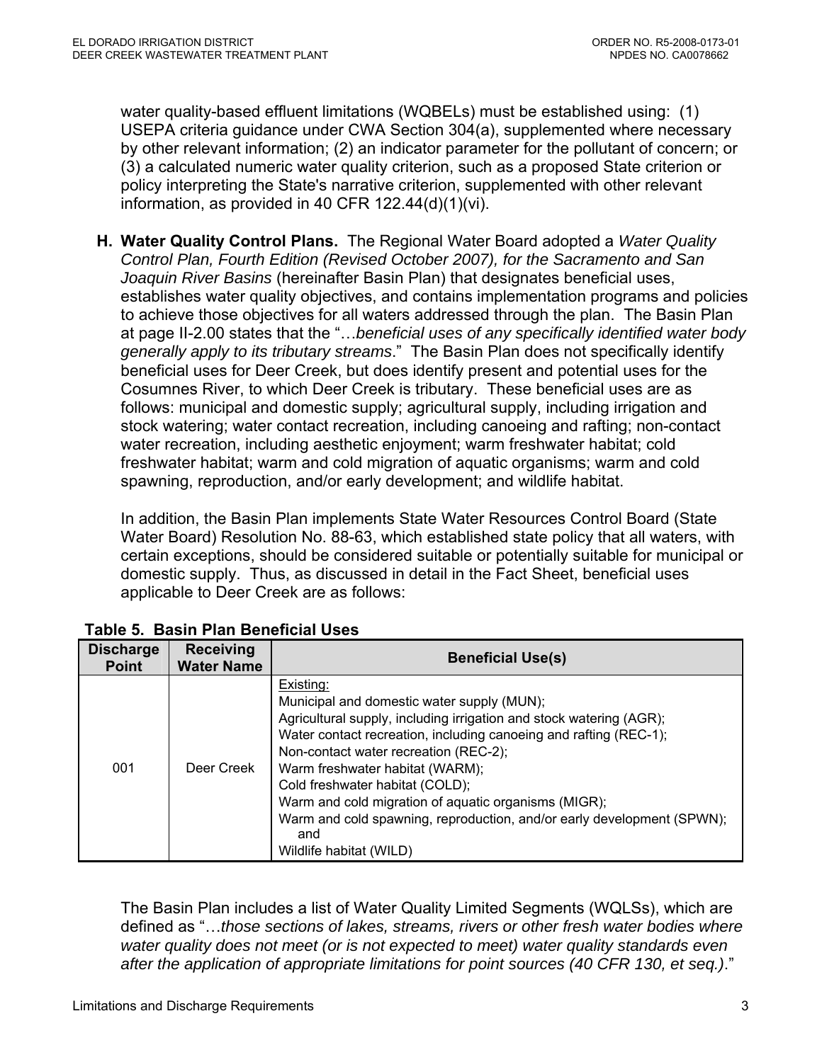water quality-based effluent limitations (WQBELs) must be established using: (1) USEPA criteria guidance under CWA Section 304(a), supplemented where necessary by other relevant information; (2) an indicator parameter for the pollutant of concern; or (3) a calculated numeric water quality criterion, such as a proposed State criterion or policy interpreting the State's narrative criterion, supplemented with other relevant information, as provided in 40 CFR 122.44(d)(1)(vi).

**H. Water Quality Control Plans.** The Regional Water Board adopted a *Water Quality Control Plan, Fourth Edition (Revised October 2007), for the Sacramento and San Joaquin River Basins* (hereinafter Basin Plan) that designates beneficial uses, establishes water quality objectives, and contains implementation programs and policies to achieve those objectives for all waters addressed through the plan. The Basin Plan at page II-2.00 states that the "…*beneficial uses of any specifically identified water body generally apply to its tributary streams*." The Basin Plan does not specifically identify beneficial uses for Deer Creek, but does identify present and potential uses for the Cosumnes River, to which Deer Creek is tributary. These beneficial uses are as follows: municipal and domestic supply; agricultural supply, including irrigation and stock watering; water contact recreation, including canoeing and rafting; non-contact water recreation, including aesthetic enjoyment; warm freshwater habitat; cold freshwater habitat; warm and cold migration of aquatic organisms; warm and cold spawning, reproduction, and/or early development; and wildlife habitat.

In addition, the Basin Plan implements State Water Resources Control Board (State Water Board) Resolution No. 88-63, which established state policy that all waters, with certain exceptions, should be considered suitable or potentially suitable for municipal or domestic supply. Thus, as discussed in detail in the Fact Sheet, beneficial uses applicable to Deer Creek are as follows:

| <b>Discharge</b><br><b>Point</b> | <b>Receiving</b><br><b>Water Name</b> | <b>Beneficial Use(s)</b>                                                                                                                                                                                                                                                                                                                                                                                                                                                               |  |  |  |  |
|----------------------------------|---------------------------------------|----------------------------------------------------------------------------------------------------------------------------------------------------------------------------------------------------------------------------------------------------------------------------------------------------------------------------------------------------------------------------------------------------------------------------------------------------------------------------------------|--|--|--|--|
| 001                              | Deer Creek                            | Existing:<br>Municipal and domestic water supply (MUN);<br>Agricultural supply, including irrigation and stock watering (AGR);<br>Water contact recreation, including canoeing and rafting (REC-1);<br>Non-contact water recreation (REC-2);<br>Warm freshwater habitat (WARM);<br>Cold freshwater habitat (COLD);<br>Warm and cold migration of aquatic organisms (MIGR);<br>Warm and cold spawning, reproduction, and/or early development (SPWN);<br>and<br>Wildlife habitat (WILD) |  |  |  |  |

## **Table 5. Basin Plan Beneficial Uses**

The Basin Plan includes a list of Water Quality Limited Segments (WQLSs), which are defined as "…*those sections of lakes, streams, rivers or other fresh water bodies where water quality does not meet (or is not expected to meet) water quality standards even after the application of appropriate limitations for point sources (40 CFR 130, et seq.)*."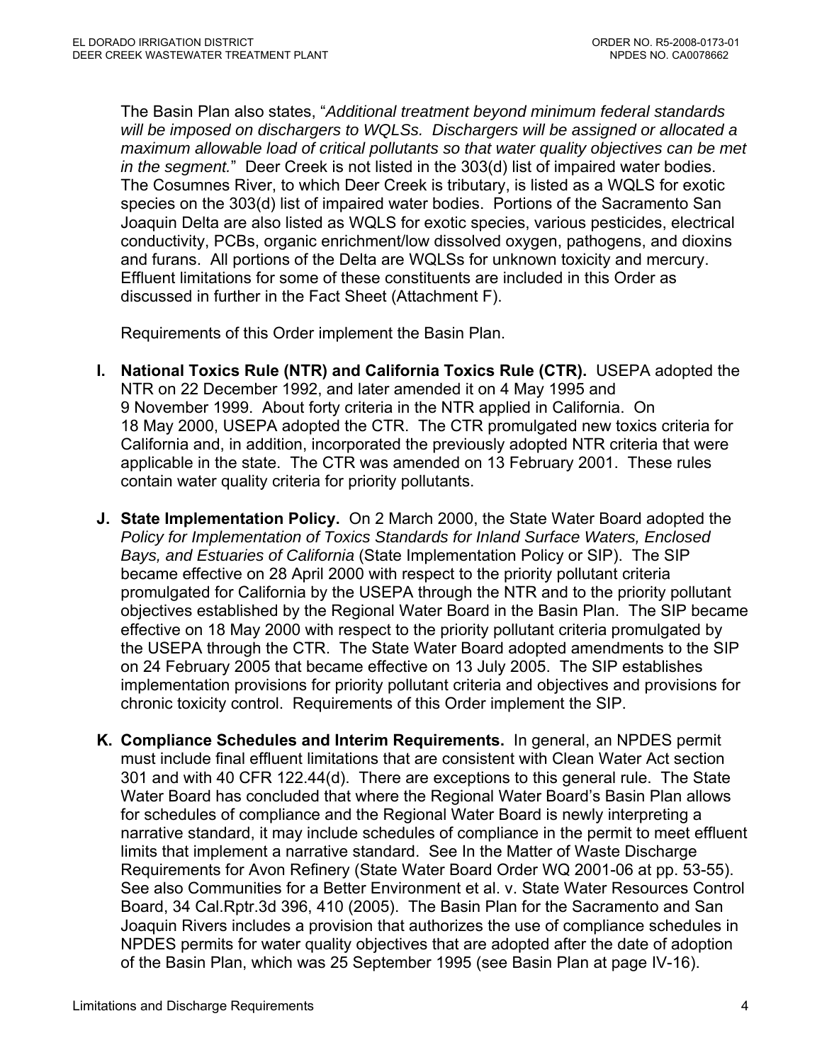The Basin Plan also states, "*Additional treatment beyond minimum federal standards will be imposed on dischargers to WQLSs. Dischargers will be assigned or allocated a maximum allowable load of critical pollutants so that water quality objectives can be met in the segment.*" Deer Creek is not listed in the 303(d) list of impaired water bodies. The Cosumnes River, to which Deer Creek is tributary, is listed as a WQLS for exotic species on the 303(d) list of impaired water bodies. Portions of the Sacramento San Joaquin Delta are also listed as WQLS for exotic species, various pesticides, electrical conductivity, PCBs, organic enrichment/low dissolved oxygen, pathogens, and dioxins and furans. All portions of the Delta are WQLSs for unknown toxicity and mercury. Effluent limitations for some of these constituents are included in this Order as discussed in further in the Fact Sheet (Attachment F).

Requirements of this Order implement the Basin Plan.

- **I. National Toxics Rule (NTR) and California Toxics Rule (CTR).** USEPA adopted the NTR on 22 December 1992, and later amended it on 4 May 1995 and 9 November 1999. About forty criteria in the NTR applied in California. On 18 May 2000, USEPA adopted the CTR. The CTR promulgated new toxics criteria for California and, in addition, incorporated the previously adopted NTR criteria that were applicable in the state. The CTR was amended on 13 February 2001. These rules contain water quality criteria for priority pollutants.
- **J. State Implementation Policy.** On 2 March 2000, the State Water Board adopted the *Policy for Implementation of Toxics Standards for Inland Surface Waters, Enclosed Bays, and Estuaries of California* (State Implementation Policy or SIP). The SIP became effective on 28 April 2000 with respect to the priority pollutant criteria promulgated for California by the USEPA through the NTR and to the priority pollutant objectives established by the Regional Water Board in the Basin Plan. The SIP became effective on 18 May 2000 with respect to the priority pollutant criteria promulgated by the USEPA through the CTR. The State Water Board adopted amendments to the SIP on 24 February 2005 that became effective on 13 July 2005. The SIP establishes implementation provisions for priority pollutant criteria and objectives and provisions for chronic toxicity control. Requirements of this Order implement the SIP.
- **K. Compliance Schedules and Interim Requirements.** In general, an NPDES permit must include final effluent limitations that are consistent with Clean Water Act section 301 and with 40 CFR 122.44(d). There are exceptions to this general rule. The State Water Board has concluded that where the Regional Water Board's Basin Plan allows for schedules of compliance and the Regional Water Board is newly interpreting a narrative standard, it may include schedules of compliance in the permit to meet effluent limits that implement a narrative standard. See In the Matter of Waste Discharge Requirements for Avon Refinery (State Water Board Order WQ 2001-06 at pp. 53-55). See also Communities for a Better Environment et al. v. State Water Resources Control Board, 34 Cal.Rptr.3d 396, 410 (2005). The Basin Plan for the Sacramento and San Joaquin Rivers includes a provision that authorizes the use of compliance schedules in NPDES permits for water quality objectives that are adopted after the date of adoption of the Basin Plan, which was 25 September 1995 (see Basin Plan at page IV-16).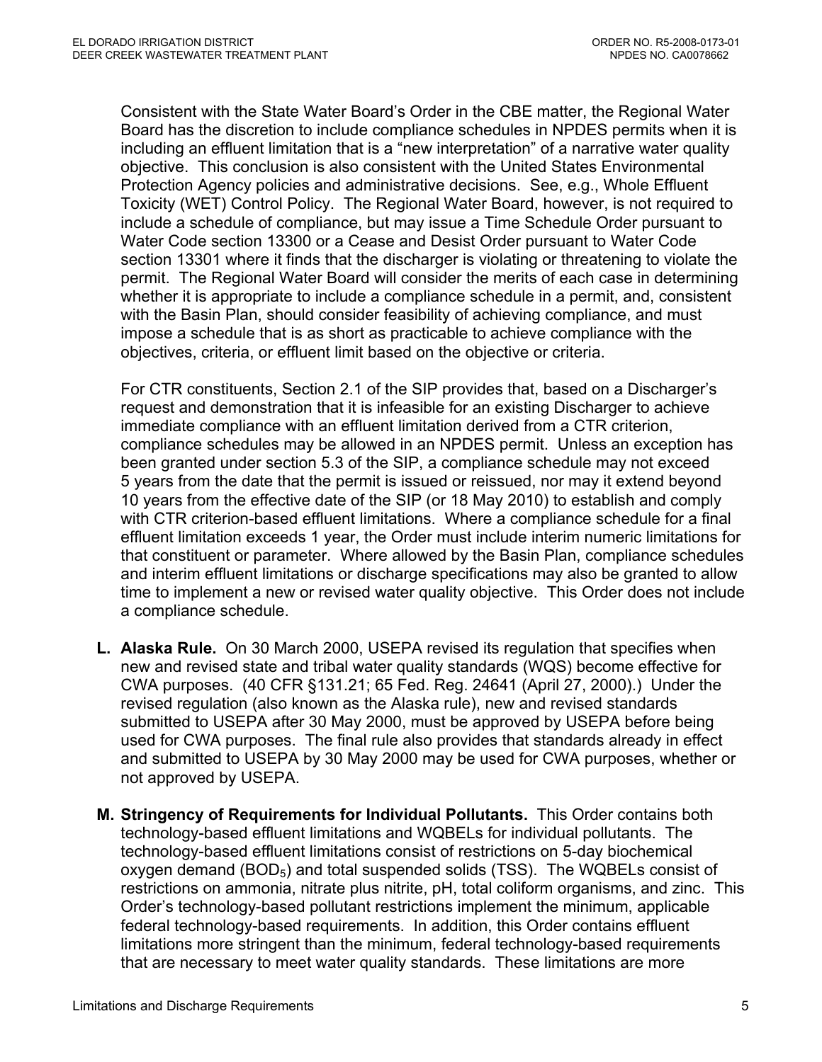Consistent with the State Water Board's Order in the CBE matter, the Regional Water Board has the discretion to include compliance schedules in NPDES permits when it is including an effluent limitation that is a "new interpretation" of a narrative water quality objective. This conclusion is also consistent with the United States Environmental Protection Agency policies and administrative decisions. See, e.g., Whole Effluent Toxicity (WET) Control Policy. The Regional Water Board, however, is not required to include a schedule of compliance, but may issue a Time Schedule Order pursuant to Water Code section 13300 or a Cease and Desist Order pursuant to Water Code section 13301 where it finds that the discharger is violating or threatening to violate the permit. The Regional Water Board will consider the merits of each case in determining whether it is appropriate to include a compliance schedule in a permit, and, consistent with the Basin Plan, should consider feasibility of achieving compliance, and must impose a schedule that is as short as practicable to achieve compliance with the objectives, criteria, or effluent limit based on the objective or criteria.

For CTR constituents, Section 2.1 of the SIP provides that, based on a Discharger's request and demonstration that it is infeasible for an existing Discharger to achieve immediate compliance with an effluent limitation derived from a CTR criterion, compliance schedules may be allowed in an NPDES permit. Unless an exception has been granted under section 5.3 of the SIP, a compliance schedule may not exceed 5 years from the date that the permit is issued or reissued, nor may it extend beyond 10 years from the effective date of the SIP (or 18 May 2010) to establish and comply with CTR criterion-based effluent limitations. Where a compliance schedule for a final effluent limitation exceeds 1 year, the Order must include interim numeric limitations for that constituent or parameter. Where allowed by the Basin Plan, compliance schedules and interim effluent limitations or discharge specifications may also be granted to allow time to implement a new or revised water quality objective. This Order does not include a compliance schedule.

- **L. Alaska Rule.** On 30 March 2000, USEPA revised its regulation that specifies when new and revised state and tribal water quality standards (WQS) become effective for CWA purposes. (40 CFR §131.21; 65 Fed. Reg. 24641 (April 27, 2000).) Under the revised regulation (also known as the Alaska rule), new and revised standards submitted to USEPA after 30 May 2000, must be approved by USEPA before being used for CWA purposes. The final rule also provides that standards already in effect and submitted to USEPA by 30 May 2000 may be used for CWA purposes, whether or not approved by USEPA.
- **M. Stringency of Requirements for Individual Pollutants.** This Order contains both technology-based effluent limitations and WQBELs for individual pollutants. The technology-based effluent limitations consist of restrictions on 5-day biochemical oxygen demand  $(BOD<sub>5</sub>)$  and total suspended solids (TSS). The WQBELs consist of restrictions on ammonia, nitrate plus nitrite, pH, total coliform organisms, and zinc. This Order's technology-based pollutant restrictions implement the minimum, applicable federal technology-based requirements. In addition, this Order contains effluent limitations more stringent than the minimum, federal technology-based requirements that are necessary to meet water quality standards. These limitations are more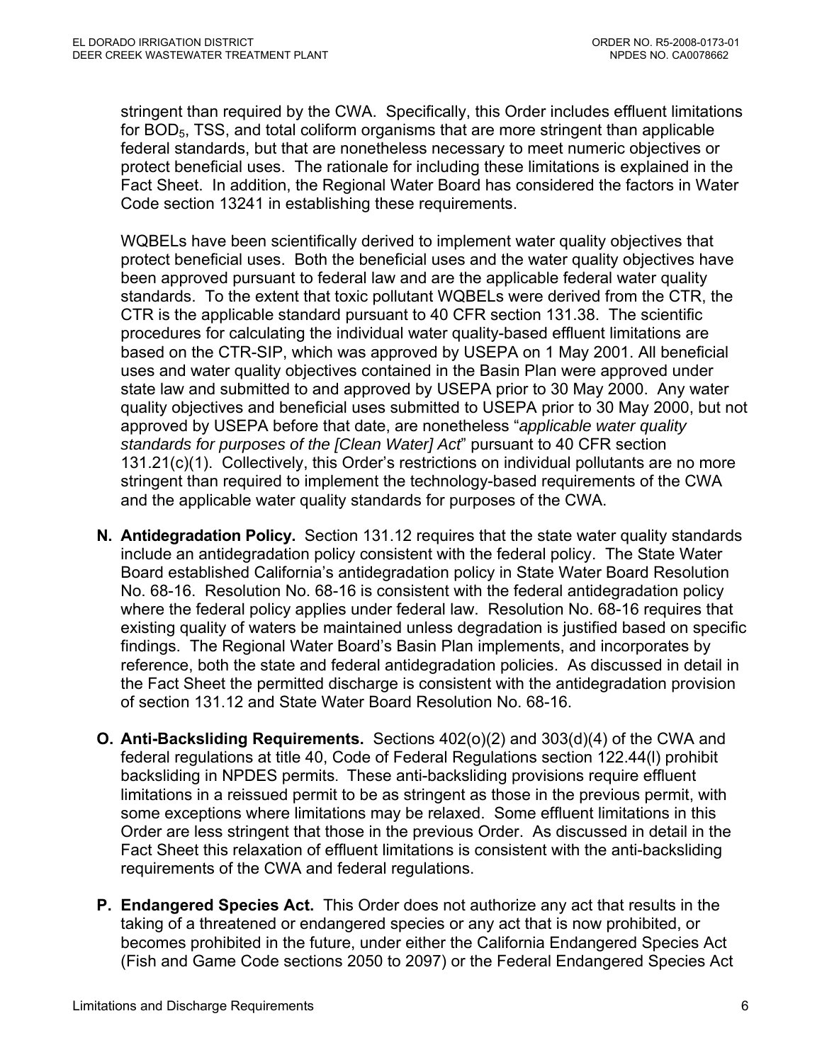stringent than required by the CWA. Specifically, this Order includes effluent limitations for  $BOD<sub>5</sub>$ , TSS, and total coliform organisms that are more stringent than applicable federal standards, but that are nonetheless necessary to meet numeric objectives or protect beneficial uses. The rationale for including these limitations is explained in the Fact Sheet. In addition, the Regional Water Board has considered the factors in Water Code section 13241 in establishing these requirements.

WQBELs have been scientifically derived to implement water quality objectives that protect beneficial uses. Both the beneficial uses and the water quality objectives have been approved pursuant to federal law and are the applicable federal water quality standards. To the extent that toxic pollutant WQBELs were derived from the CTR, the CTR is the applicable standard pursuant to 40 CFR section 131.38. The scientific procedures for calculating the individual water quality-based effluent limitations are based on the CTR-SIP, which was approved by USEPA on 1 May 2001. All beneficial uses and water quality objectives contained in the Basin Plan were approved under state law and submitted to and approved by USEPA prior to 30 May 2000. Any water quality objectives and beneficial uses submitted to USEPA prior to 30 May 2000, but not approved by USEPA before that date, are nonetheless "*applicable water quality standards for purposes of the [Clean Water] Act*" pursuant to 40 CFR section 131.21(c)(1). Collectively, this Order's restrictions on individual pollutants are no more stringent than required to implement the technology-based requirements of the CWA and the applicable water quality standards for purposes of the CWA.

- **N. Antidegradation Policy.** Section 131.12 requires that the state water quality standards include an antidegradation policy consistent with the federal policy. The State Water Board established California's antidegradation policy in State Water Board Resolution No. 68-16. Resolution No. 68-16 is consistent with the federal antidegradation policy where the federal policy applies under federal law. Resolution No. 68-16 requires that existing quality of waters be maintained unless degradation is justified based on specific findings. The Regional Water Board's Basin Plan implements, and incorporates by reference, both the state and federal antidegradation policies. As discussed in detail in the Fact Sheet the permitted discharge is consistent with the antidegradation provision of section 131.12 and State Water Board Resolution No. 68-16.
- **O. Anti-Backsliding Requirements.** Sections 402(o)(2) and 303(d)(4) of the CWA and federal regulations at title 40, Code of Federal Regulations section 122.44(l) prohibit backsliding in NPDES permits. These anti-backsliding provisions require effluent limitations in a reissued permit to be as stringent as those in the previous permit, with some exceptions where limitations may be relaxed. Some effluent limitations in this Order are less stringent that those in the previous Order. As discussed in detail in the Fact Sheet this relaxation of effluent limitations is consistent with the anti-backsliding requirements of the CWA and federal regulations.
- **P. Endangered Species Act.** This Order does not authorize any act that results in the taking of a threatened or endangered species or any act that is now prohibited, or becomes prohibited in the future, under either the California Endangered Species Act (Fish and Game Code sections 2050 to 2097) or the Federal Endangered Species Act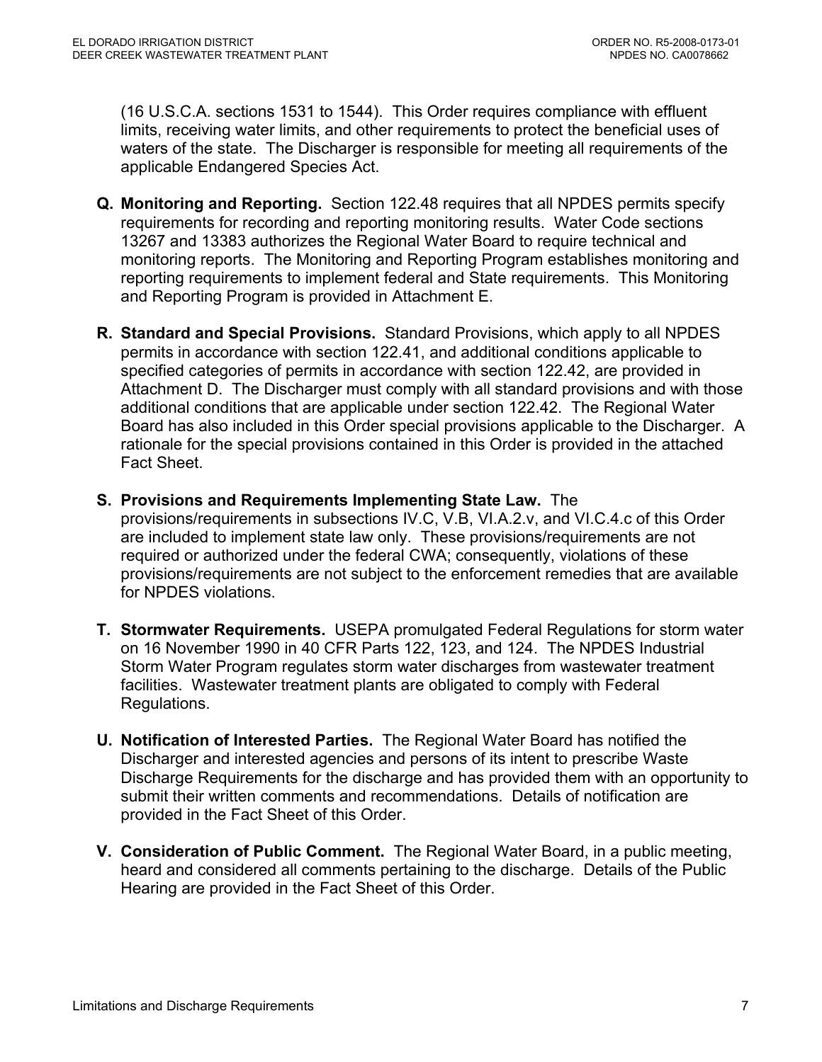(16 U.S.C.A. sections 1531 to 1544). This Order requires compliance with effluent limits, receiving water limits, and other requirements to protect the beneficial uses of waters of the state. The Discharger is responsible for meeting all requirements of the applicable Endangered Species Act.

- **Q. Monitoring and Reporting.** Section 122.48 requires that all NPDES permits specify requirements for recording and reporting monitoring results. Water Code sections 13267 and 13383 authorizes the Regional Water Board to require technical and monitoring reports. The Monitoring and Reporting Program establishes monitoring and reporting requirements to implement federal and State requirements. This Monitoring and Reporting Program is provided in Attachment E.
- **R. Standard and Special Provisions.** Standard Provisions, which apply to all NPDES permits in accordance with section 122.41, and additional conditions applicable to specified categories of permits in accordance with section 122.42, are provided in Attachment D. The Discharger must comply with all standard provisions and with those additional conditions that are applicable under section 122.42. The Regional Water Board has also included in this Order special provisions applicable to the Discharger. A rationale for the special provisions contained in this Order is provided in the attached Fact Sheet.
- **S. Provisions and Requirements Implementing State Law.** The provisions/requirements in subsections IV.C, V.B, VI.A.2.v, and VI.C.4.c of this Order are included to implement state law only. These provisions/requirements are not required or authorized under the federal CWA; consequently, violations of these provisions/requirements are not subject to the enforcement remedies that are available for NPDES violations.
- **T. Stormwater Requirements.** USEPA promulgated Federal Regulations for storm water on 16 November 1990 in 40 CFR Parts 122, 123, and 124. The NPDES Industrial Storm Water Program regulates storm water discharges from wastewater treatment facilities. Wastewater treatment plants are obligated to comply with Federal Regulations.
- **U. Notification of Interested Parties.** The Regional Water Board has notified the Discharger and interested agencies and persons of its intent to prescribe Waste Discharge Requirements for the discharge and has provided them with an opportunity to submit their written comments and recommendations. Details of notification are provided in the Fact Sheet of this Order.
- **V. Consideration of Public Comment.** The Regional Water Board, in a public meeting, heard and considered all comments pertaining to the discharge. Details of the Public Hearing are provided in the Fact Sheet of this Order.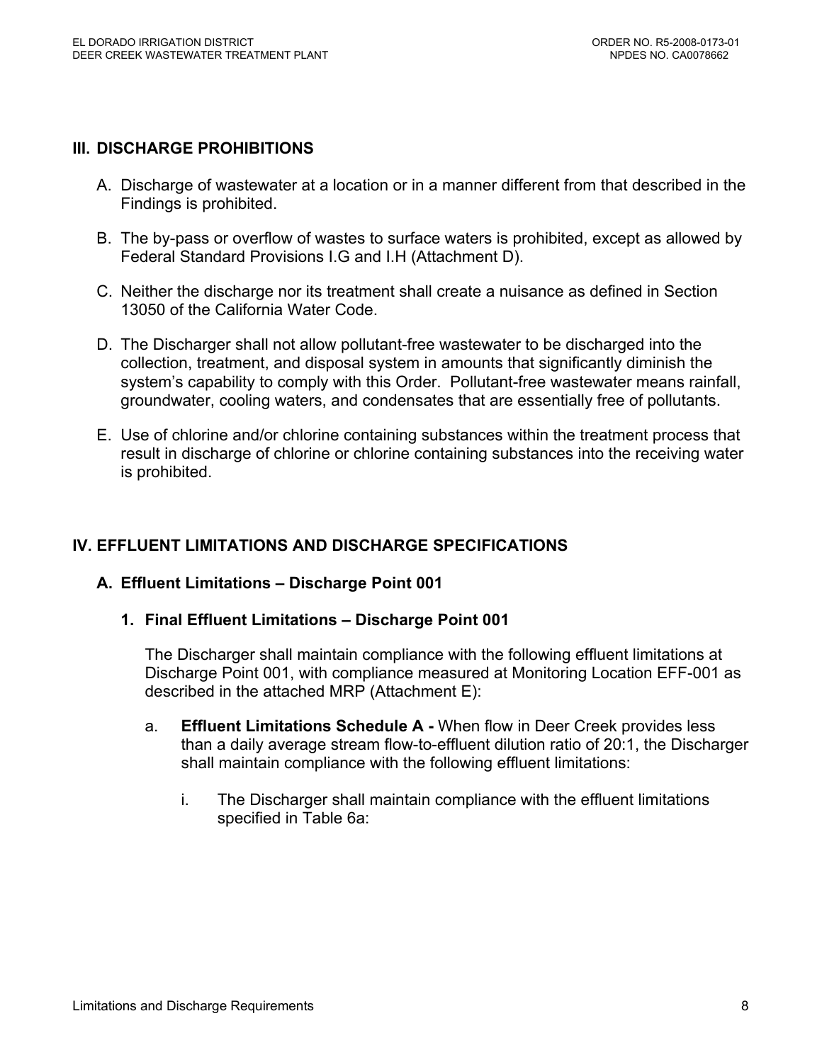### **III. DISCHARGE PROHIBITIONS**

- A. Discharge of wastewater at a location or in a manner different from that described in the Findings is prohibited.
- B. The by-pass or overflow of wastes to surface waters is prohibited, except as allowed by Federal Standard Provisions I.G and I.H (Attachment D).
- C. Neither the discharge nor its treatment shall create a nuisance as defined in Section 13050 of the California Water Code.
- D. The Discharger shall not allow pollutant-free wastewater to be discharged into the collection, treatment, and disposal system in amounts that significantly diminish the system's capability to comply with this Order. Pollutant-free wastewater means rainfall, groundwater, cooling waters, and condensates that are essentially free of pollutants.
- E. Use of chlorine and/or chlorine containing substances within the treatment process that result in discharge of chlorine or chlorine containing substances into the receiving water is prohibited.

## **IV. EFFLUENT LIMITATIONS AND DISCHARGE SPECIFICATIONS**

#### **A. Effluent Limitations – Discharge Point 001**

**1. Final Effluent Limitations – Discharge Point 001** 

The Discharger shall maintain compliance with the following effluent limitations at Discharge Point 001, with compliance measured at Monitoring Location EFF-001 as described in the attached MRP (Attachment E):

- a. **Effluent Limitations Schedule A** When flow in Deer Creek provides less than a daily average stream flow-to-effluent dilution ratio of 20:1, the Discharger shall maintain compliance with the following effluent limitations:
	- i. The Discharger shall maintain compliance with the effluent limitations specified in Table 6a: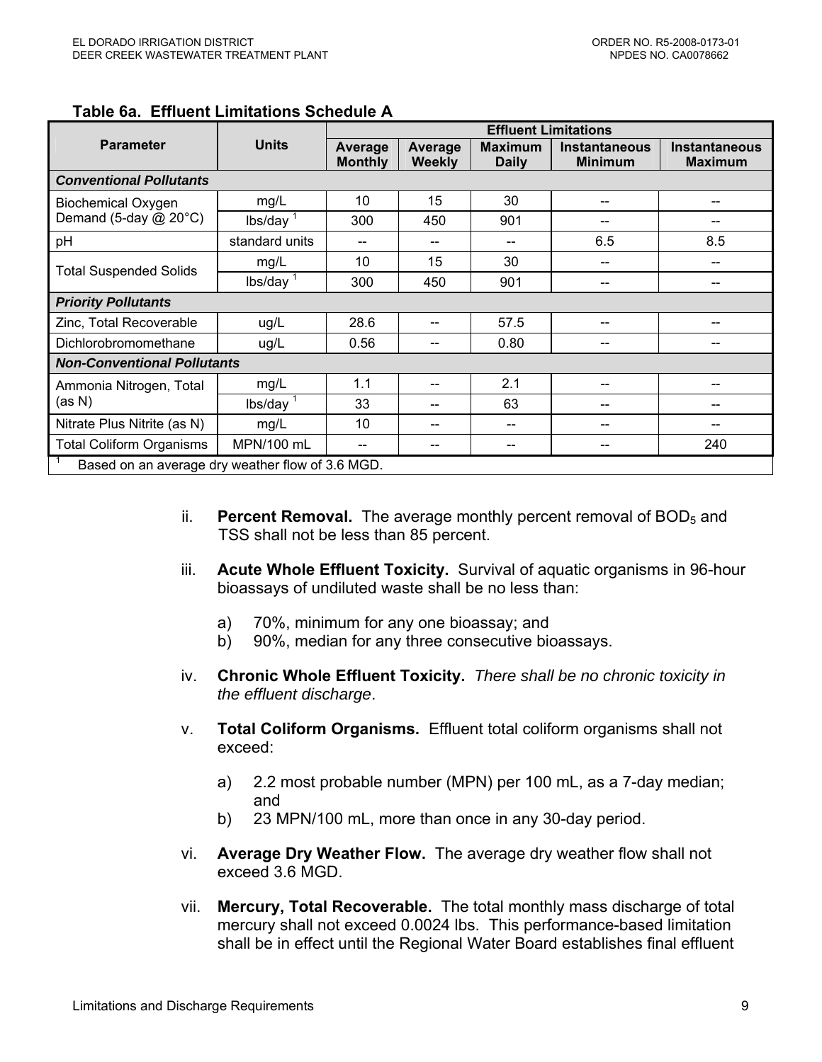|                                                  |                                    | <b>Effluent Limitations</b> |                   |                                |                                        |                                        |
|--------------------------------------------------|------------------------------------|-----------------------------|-------------------|--------------------------------|----------------------------------------|----------------------------------------|
| <b>Parameter</b>                                 | <b>Units</b>                       | Average<br><b>Monthly</b>   | Average<br>Weekly | <b>Maximum</b><br><b>Daily</b> | <b>Instantaneous</b><br><b>Minimum</b> | <b>Instantaneous</b><br><b>Maximum</b> |
| <b>Conventional Pollutants</b>                   |                                    |                             |                   |                                |                                        |                                        |
| <b>Biochemical Oxygen</b>                        | mg/L                               | 10                          | 15                | 30                             | --                                     | --                                     |
| Demand (5-day @ 20°C)                            | $lbs/day$ <sup>1</sup>             | 300                         | 450               | 901                            | --                                     | --                                     |
| pH                                               | standard units                     | --                          |                   |                                | 6.5                                    | 8.5                                    |
|                                                  | mg/L                               | 10                          | 15                | 30                             | --                                     |                                        |
| <b>Total Suspended Solids</b>                    | $lbs/day$ <sup>1</sup>             | 300                         | 450               | 901                            | --                                     | $- -$                                  |
| <b>Priority Pollutants</b>                       |                                    |                             |                   |                                |                                        |                                        |
| Zinc, Total Recoverable                          | ug/L                               | 28.6                        |                   | 57.5                           |                                        | --                                     |
| Dichlorobromomethane                             | ug/L                               | 0.56                        |                   | 0.80                           |                                        |                                        |
|                                                  | <b>Non-Conventional Pollutants</b> |                             |                   |                                |                                        |                                        |
| Ammonia Nitrogen, Total                          | mg/L                               | 1.1                         |                   | 2.1                            |                                        | --                                     |
| (as N)                                           | $lbs/day$ <sup>1</sup>             | 33                          |                   | 63                             | --                                     | --                                     |
| Nitrate Plus Nitrite (as N)                      | mg/L                               | 10                          |                   |                                |                                        |                                        |
| <b>Total Coliform Organisms</b>                  | MPN/100 mL                         | --                          |                   |                                |                                        | 240                                    |
| Based on an average dry weather flow of 3.6 MGD. |                                    |                             |                   |                                |                                        |                                        |

#### **Table 6a. Effluent Limitations Schedule A**

- ii. **Percent Removal.** The average monthly percent removal of BOD<sub>5</sub> and TSS shall not be less than 85 percent.
- iii. **Acute Whole Effluent Toxicity.** Survival of aquatic organisms in 96-hour bioassays of undiluted waste shall be no less than:
	- a) 70%, minimum for any one bioassay; and
	- b) 90%, median for any three consecutive bioassays.
- iv. **Chronic Whole Effluent Toxicity.** *There shall be no chronic toxicity in the effluent discharge*.
- v. **Total Coliform Organisms.** Effluent total coliform organisms shall not exceed:
	- a) 2.2 most probable number (MPN) per 100 mL, as a 7-day median; and
	- b) 23 MPN/100 mL, more than once in any 30-day period.
- vi. **Average Dry Weather Flow.** The average dry weather flow shall not exceed 3.6 MGD.
- vii. **Mercury, Total Recoverable.** The total monthly mass discharge of total mercury shall not exceed 0.0024 lbs. This performance-based limitation shall be in effect until the Regional Water Board establishes final effluent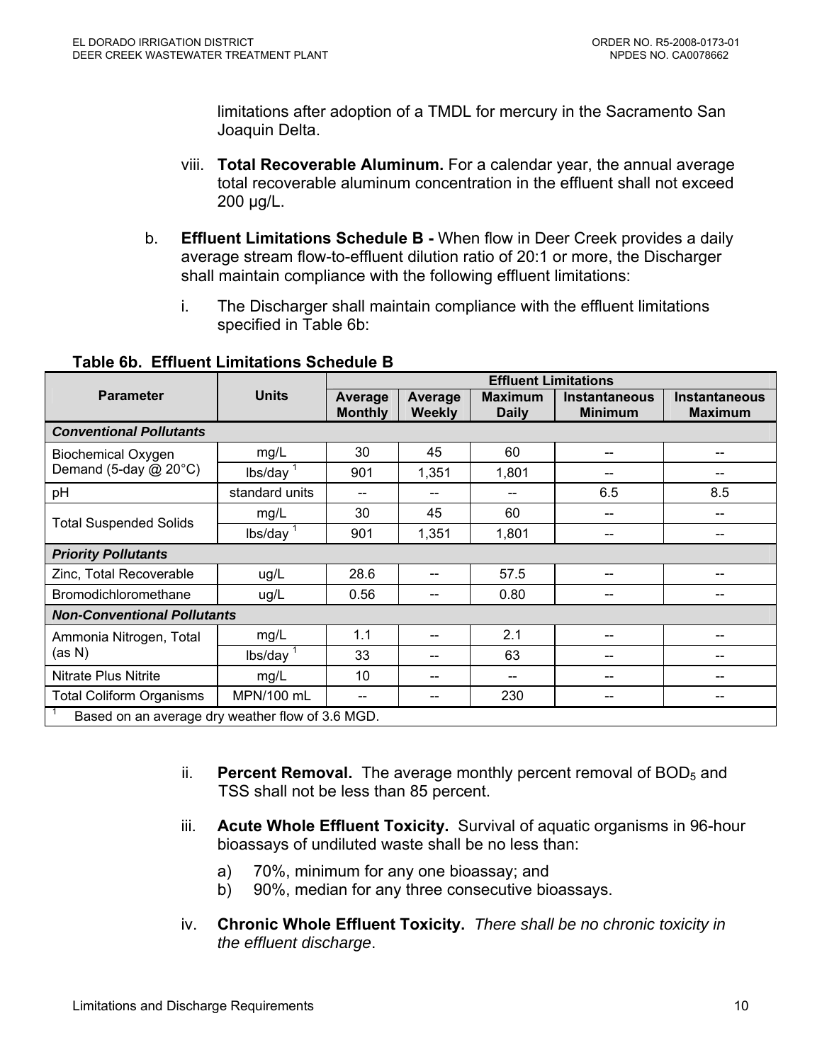limitations after adoption of a TMDL for mercury in the Sacramento San Joaquin Delta.

- viii. **Total Recoverable Aluminum.** For a calendar year, the annual average total recoverable aluminum concentration in the effluent shall not exceed 200 µg/L.
- b. **Effluent Limitations Schedule B** When flow in Deer Creek provides a daily average stream flow-to-effluent dilution ratio of 20:1 or more, the Discharger shall maintain compliance with the following effluent limitations:
	- i. The Discharger shall maintain compliance with the effluent limitations specified in Table 6b:

|                                                  |                                    | <b>Effluent Limitations</b> |                          |                                |                                        |                                        |
|--------------------------------------------------|------------------------------------|-----------------------------|--------------------------|--------------------------------|----------------------------------------|----------------------------------------|
| <b>Parameter</b>                                 | <b>Units</b>                       | Average<br><b>Monthly</b>   | Average<br><b>Weekly</b> | <b>Maximum</b><br><b>Daily</b> | <b>Instantaneous</b><br><b>Minimum</b> | <b>Instantaneous</b><br><b>Maximum</b> |
| <b>Conventional Pollutants</b>                   |                                    |                             |                          |                                |                                        |                                        |
| <b>Biochemical Oxygen</b>                        | mg/L                               | 30                          | 45                       | 60                             |                                        |                                        |
| Demand (5-day $@$ 20 $°C$ )                      | $lbs/day$ <sup>1</sup>             | 901                         | 1,351                    | 1,801                          |                                        |                                        |
| pH                                               | standard units                     | $-$                         |                          |                                | 6.5                                    | 8.5                                    |
|                                                  | mg/L                               | 30                          | 45                       | 60                             | --                                     | --                                     |
| <b>Total Suspended Solids</b>                    | $lbs/day$ <sup>1</sup>             | 901                         | 1,351                    | 1,801                          |                                        |                                        |
| <b>Priority Pollutants</b>                       |                                    |                             |                          |                                |                                        |                                        |
| Zinc, Total Recoverable                          | ug/L                               | 28.6                        |                          | 57.5                           |                                        |                                        |
| Bromodichloromethane                             | ug/L                               | 0.56                        |                          | 0.80                           |                                        |                                        |
|                                                  | <b>Non-Conventional Pollutants</b> |                             |                          |                                |                                        |                                        |
| Ammonia Nitrogen, Total                          | mg/L                               | 1.1                         |                          | 2.1                            |                                        |                                        |
| (as N)                                           | $lbs/day$ <sup>1</sup>             | 33                          |                          | 63                             |                                        | --                                     |
| Nitrate Plus Nitrite                             | mg/L                               | 10                          |                          |                                |                                        |                                        |
| <b>Total Coliform Organisms</b>                  | MPN/100 mL                         | --                          |                          | 230                            |                                        | --                                     |
| Based on an average dry weather flow of 3.6 MGD. |                                    |                             |                          |                                |                                        |                                        |

## **Table 6b. Effluent Limitations Schedule B**

- ii. **Percent Removal.** The average monthly percent removal of BOD<sub>5</sub> and TSS shall not be less than 85 percent.
- iii. **Acute Whole Effluent Toxicity.** Survival of aquatic organisms in 96-hour bioassays of undiluted waste shall be no less than:
	- a) 70%, minimum for any one bioassay; and
	- b) 90%, median for any three consecutive bioassays.
- iv. **Chronic Whole Effluent Toxicity.** *There shall be no chronic toxicity in the effluent discharge*.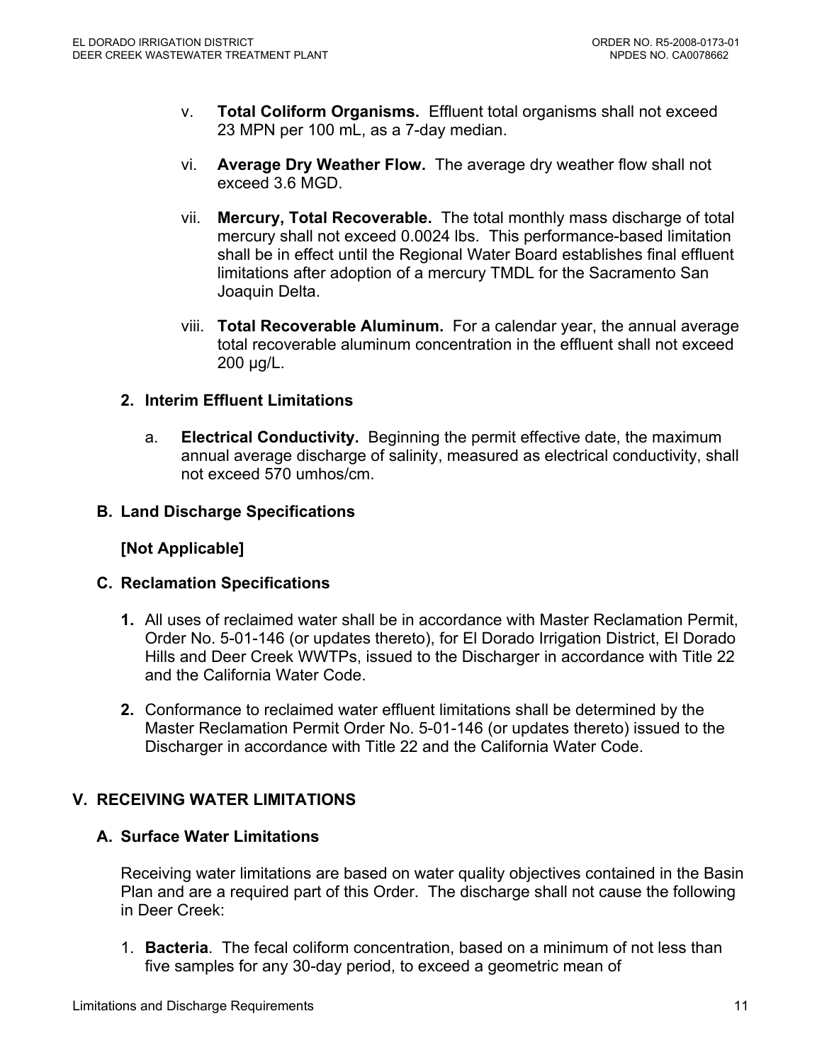- v. **Total Coliform Organisms.** Effluent total organisms shall not exceed 23 MPN per 100 mL, as a 7-day median.
- vi. **Average Dry Weather Flow.** The average dry weather flow shall not exceed 3.6 MGD.
- vii. **Mercury, Total Recoverable.** The total monthly mass discharge of total mercury shall not exceed 0.0024 lbs. This performance-based limitation shall be in effect until the Regional Water Board establishes final effluent limitations after adoption of a mercury TMDL for the Sacramento San Joaquin Delta.
- viii. **Total Recoverable Aluminum.** For a calendar year, the annual average total recoverable aluminum concentration in the effluent shall not exceed 200 µg/L.

## **2. Interim Effluent Limitations**

a. **Electrical Conductivity.** Beginning the permit effective date, the maximum annual average discharge of salinity, measured as electrical conductivity, shall not exceed 570 umhos/cm.

## **B. Land Discharge Specifications**

## **[Not Applicable]**

#### **C. Reclamation Specifications**

- **1.** All uses of reclaimed water shall be in accordance with Master Reclamation Permit, Order No. 5-01-146 (or updates thereto), for El Dorado Irrigation District, El Dorado Hills and Deer Creek WWTPs, issued to the Discharger in accordance with Title 22 and the California Water Code.
- **2.** Conformance to reclaimed water effluent limitations shall be determined by the Master Reclamation Permit Order No. 5-01-146 (or updates thereto) issued to the Discharger in accordance with Title 22 and the California Water Code.

## **V. RECEIVING WATER LIMITATIONS**

## **A. Surface Water Limitations**

Receiving water limitations are based on water quality objectives contained in the Basin Plan and are a required part of this Order. The discharge shall not cause the following in Deer Creek:

1. **Bacteria**. The fecal coliform concentration, based on a minimum of not less than five samples for any 30-day period, to exceed a geometric mean of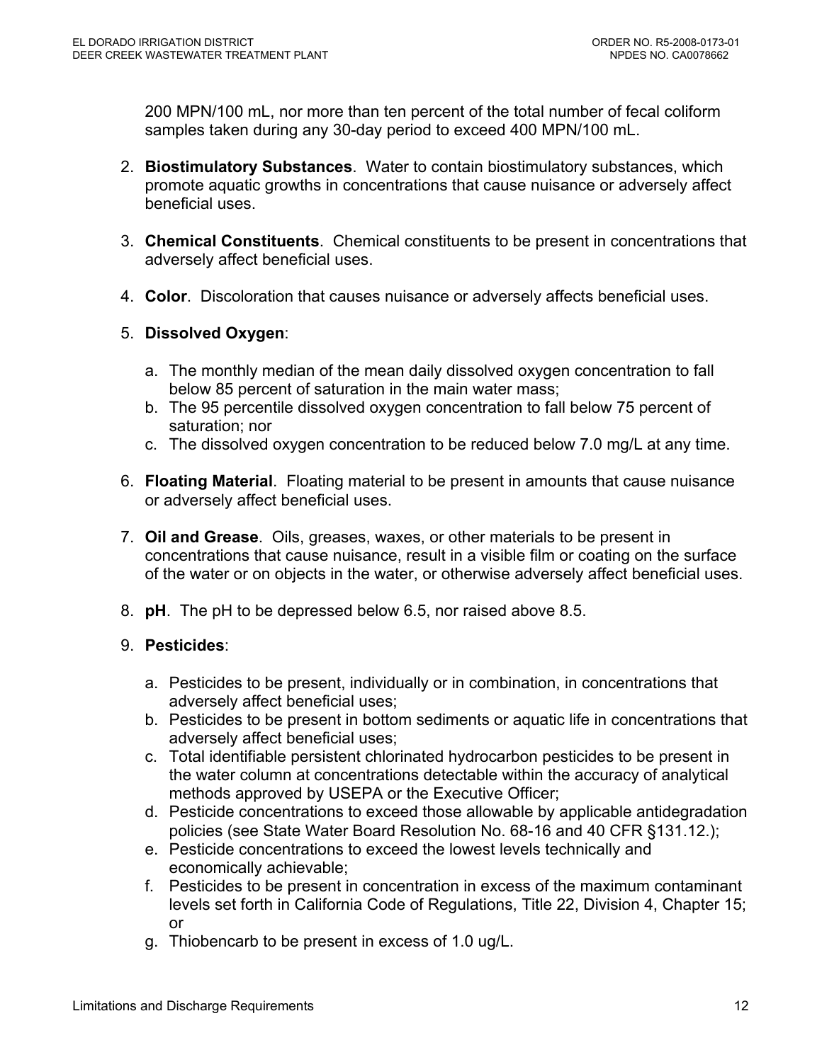200 MPN/100 mL, nor more than ten percent of the total number of fecal coliform samples taken during any 30-day period to exceed 400 MPN/100 mL.

- 2. **Biostimulatory Substances**. Water to contain biostimulatory substances, which promote aquatic growths in concentrations that cause nuisance or adversely affect beneficial uses.
- 3. **Chemical Constituents**. Chemical constituents to be present in concentrations that adversely affect beneficial uses.
- 4. **Color**. Discoloration that causes nuisance or adversely affects beneficial uses.

## 5. **Dissolved Oxygen**:

- a. The monthly median of the mean daily dissolved oxygen concentration to fall below 85 percent of saturation in the main water mass;
- b. The 95 percentile dissolved oxygen concentration to fall below 75 percent of saturation; nor
- c. The dissolved oxygen concentration to be reduced below 7.0 mg/L at any time.
- 6. **Floating Material**. Floating material to be present in amounts that cause nuisance or adversely affect beneficial uses.
- 7. **Oil and Grease**. Oils, greases, waxes, or other materials to be present in concentrations that cause nuisance, result in a visible film or coating on the surface of the water or on objects in the water, or otherwise adversely affect beneficial uses.
- 8. **pH**. The pH to be depressed below 6.5, nor raised above 8.5.

## 9. **Pesticides**:

- a. Pesticides to be present, individually or in combination, in concentrations that adversely affect beneficial uses;
- b. Pesticides to be present in bottom sediments or aquatic life in concentrations that adversely affect beneficial uses;
- c. Total identifiable persistent chlorinated hydrocarbon pesticides to be present in the water column at concentrations detectable within the accuracy of analytical methods approved by USEPA or the Executive Officer;
- d. Pesticide concentrations to exceed those allowable by applicable antidegradation policies (see State Water Board Resolution No. 68-16 and 40 CFR §131.12.);
- e. Pesticide concentrations to exceed the lowest levels technically and economically achievable;
- f. Pesticides to be present in concentration in excess of the maximum contaminant levels set forth in California Code of Regulations, Title 22, Division 4, Chapter 15; or
- g. Thiobencarb to be present in excess of 1.0 ug/L.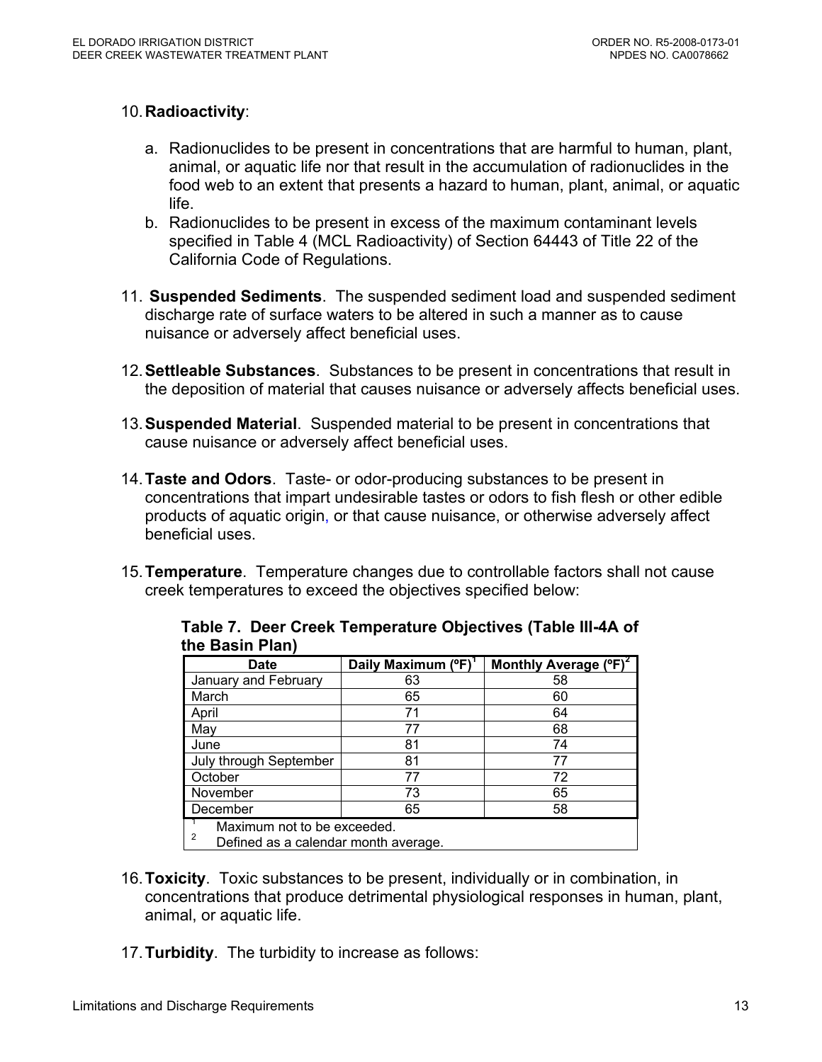## 10. **Radioactivity**:

- a. Radionuclides to be present in concentrations that are harmful to human, plant, animal, or aquatic life nor that result in the accumulation of radionuclides in the food web to an extent that presents a hazard to human, plant, animal, or aquatic life.
- b. Radionuclides to be present in excess of the maximum contaminant levels specified in Table 4 (MCL Radioactivity) of Section 64443 of Title 22 of the California Code of Regulations.
- 11. **Suspended Sediments**. The suspended sediment load and suspended sediment discharge rate of surface waters to be altered in such a manner as to cause nuisance or adversely affect beneficial uses.
- 12. **Settleable Substances**. Substances to be present in concentrations that result in the deposition of material that causes nuisance or adversely affects beneficial uses.
- 13. **Suspended Material**. Suspended material to be present in concentrations that cause nuisance or adversely affect beneficial uses.
- 14. **Taste and Odors**. Taste- or odor-producing substances to be present in concentrations that impart undesirable tastes or odors to fish flesh or other edible products of aquatic origin, or that cause nuisance, or otherwise adversely affect beneficial uses.
- 15. **Temperature**. Temperature changes due to controllable factors shall not cause creek temperatures to exceed the objectives specified below:

| <b>Date</b>                                                              | Daily Maximum (°F) | Monthly Average (°F) |  |  |
|--------------------------------------------------------------------------|--------------------|----------------------|--|--|
| January and February                                                     | 63                 | 58                   |  |  |
| March                                                                    | 65                 | 60                   |  |  |
| April                                                                    | 71                 | 64                   |  |  |
| May                                                                      | 77                 | 68                   |  |  |
| June                                                                     | 81                 | 74                   |  |  |
| July through September                                                   | 81                 | 77                   |  |  |
| October                                                                  | 77                 | 72                   |  |  |
| November                                                                 | 73                 | 65                   |  |  |
| December                                                                 | 65                 | 58                   |  |  |
| Maximum not to be exceeded.<br>2<br>Defined as a calendar month average. |                    |                      |  |  |

**Table 7. Deer Creek Temperature Objectives (Table III-4A of the Basin Plan)** 

- 16. **Toxicity**. Toxic substances to be present, individually or in combination, in concentrations that produce detrimental physiological responses in human, plant, animal, or aquatic life.
- 17. **Turbidity**. The turbidity to increase as follows: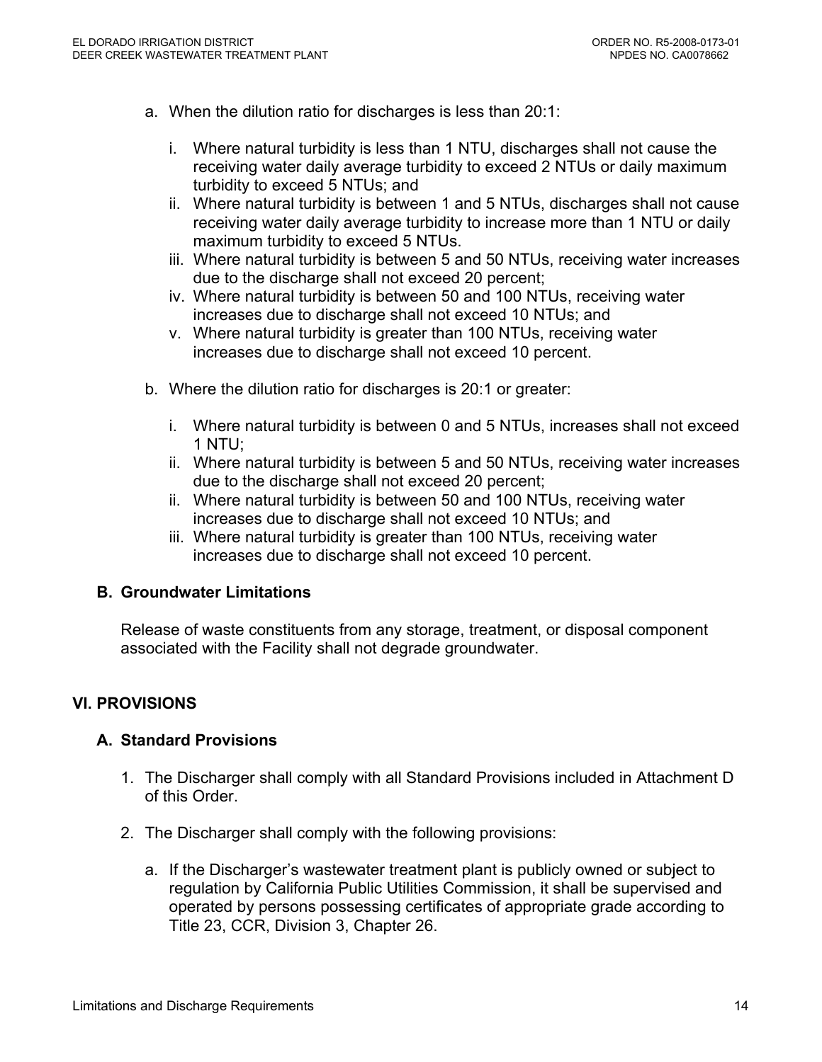- a. When the dilution ratio for discharges is less than 20:1:
	- i. Where natural turbidity is less than 1 NTU, discharges shall not cause the receiving water daily average turbidity to exceed 2 NTUs or daily maximum turbidity to exceed 5 NTUs; and
	- ii. Where natural turbidity is between 1 and 5 NTUs, discharges shall not cause receiving water daily average turbidity to increase more than 1 NTU or daily maximum turbidity to exceed 5 NTUs.
	- iii. Where natural turbidity is between 5 and 50 NTUs, receiving water increases due to the discharge shall not exceed 20 percent;
	- iv. Where natural turbidity is between 50 and 100 NTUs, receiving water increases due to discharge shall not exceed 10 NTUs; and
	- v. Where natural turbidity is greater than 100 NTUs, receiving water increases due to discharge shall not exceed 10 percent.
- b. Where the dilution ratio for discharges is 20:1 or greater:
	- i. Where natural turbidity is between 0 and 5 NTUs, increases shall not exceed 1 NTU;
	- ii. Where natural turbidity is between 5 and 50 NTUs, receiving water increases due to the discharge shall not exceed 20 percent;
	- ii. Where natural turbidity is between 50 and 100 NTUs, receiving water increases due to discharge shall not exceed 10 NTUs; and
	- iii. Where natural turbidity is greater than 100 NTUs, receiving water increases due to discharge shall not exceed 10 percent.

#### **B. Groundwater Limitations**

Release of waste constituents from any storage, treatment, or disposal component associated with the Facility shall not degrade groundwater.

## **VI. PROVISIONS**

#### **A. Standard Provisions**

- 1. The Discharger shall comply with all Standard Provisions included in Attachment D of this Order.
- 2. The Discharger shall comply with the following provisions:
	- a. If the Discharger's wastewater treatment plant is publicly owned or subject to regulation by California Public Utilities Commission, it shall be supervised and operated by persons possessing certificates of appropriate grade according to Title 23, CCR, Division 3, Chapter 26.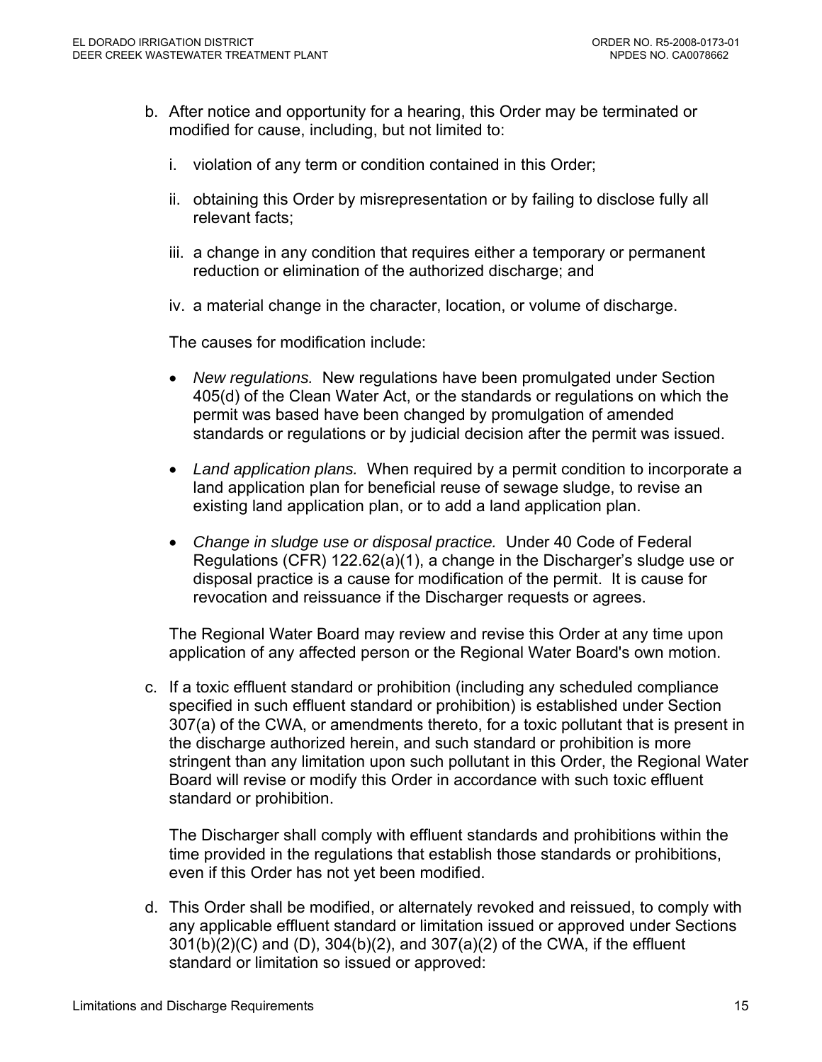- b. After notice and opportunity for a hearing, this Order may be terminated or modified for cause, including, but not limited to:
	- i. violation of any term or condition contained in this Order;
	- ii. obtaining this Order by misrepresentation or by failing to disclose fully all relevant facts;
	- iii. a change in any condition that requires either a temporary or permanent reduction or elimination of the authorized discharge; and
	- iv. a material change in the character, location, or volume of discharge.

The causes for modification include:

- *New regulations.* New regulations have been promulgated under Section 405(d) of the Clean Water Act, or the standards or regulations on which the permit was based have been changed by promulgation of amended standards or regulations or by judicial decision after the permit was issued.
- *Land application plans.* When required by a permit condition to incorporate a land application plan for beneficial reuse of sewage sludge, to revise an existing land application plan, or to add a land application plan.
- *Change in sludge use or disposal practice.* Under 40 Code of Federal Regulations (CFR) 122.62(a)(1), a change in the Discharger's sludge use or disposal practice is a cause for modification of the permit. It is cause for revocation and reissuance if the Discharger requests or agrees.

The Regional Water Board may review and revise this Order at any time upon application of any affected person or the Regional Water Board's own motion.

c. If a toxic effluent standard or prohibition (including any scheduled compliance specified in such effluent standard or prohibition) is established under Section 307(a) of the CWA, or amendments thereto, for a toxic pollutant that is present in the discharge authorized herein, and such standard or prohibition is more stringent than any limitation upon such pollutant in this Order, the Regional Water Board will revise or modify this Order in accordance with such toxic effluent standard or prohibition.

The Discharger shall comply with effluent standards and prohibitions within the time provided in the regulations that establish those standards or prohibitions, even if this Order has not yet been modified.

d. This Order shall be modified, or alternately revoked and reissued, to comply with any applicable effluent standard or limitation issued or approved under Sections 301(b)(2)(C) and (D), 304(b)(2), and 307(a)(2) of the CWA, if the effluent standard or limitation so issued or approved: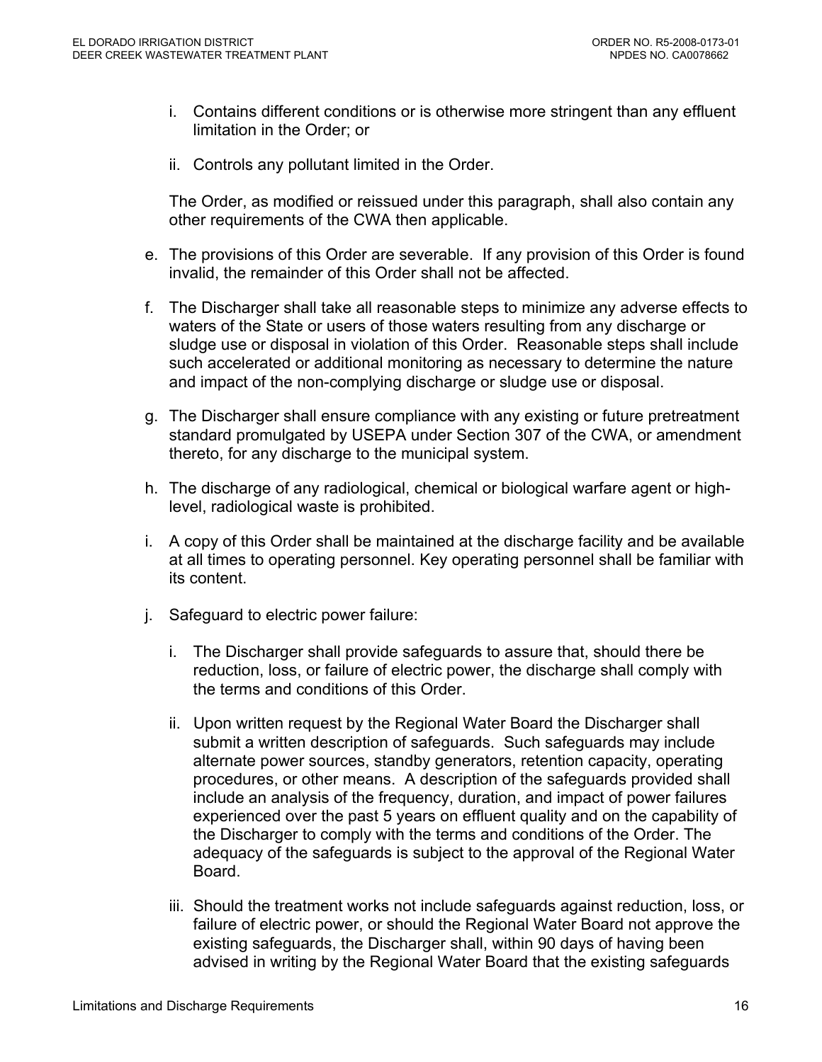- i. Contains different conditions or is otherwise more stringent than any effluent limitation in the Order; or
- ii. Controls any pollutant limited in the Order.

The Order, as modified or reissued under this paragraph, shall also contain any other requirements of the CWA then applicable.

- e. The provisions of this Order are severable. If any provision of this Order is found invalid, the remainder of this Order shall not be affected.
- f. The Discharger shall take all reasonable steps to minimize any adverse effects to waters of the State or users of those waters resulting from any discharge or sludge use or disposal in violation of this Order. Reasonable steps shall include such accelerated or additional monitoring as necessary to determine the nature and impact of the non-complying discharge or sludge use or disposal.
- g. The Discharger shall ensure compliance with any existing or future pretreatment standard promulgated by USEPA under Section 307 of the CWA, or amendment thereto, for any discharge to the municipal system.
- h. The discharge of any radiological, chemical or biological warfare agent or highlevel, radiological waste is prohibited.
- i. A copy of this Order shall be maintained at the discharge facility and be available at all times to operating personnel. Key operating personnel shall be familiar with its content.
- j. Safeguard to electric power failure:
	- i. The Discharger shall provide safeguards to assure that, should there be reduction, loss, or failure of electric power, the discharge shall comply with the terms and conditions of this Order.
	- ii. Upon written request by the Regional Water Board the Discharger shall submit a written description of safeguards. Such safeguards may include alternate power sources, standby generators, retention capacity, operating procedures, or other means. A description of the safeguards provided shall include an analysis of the frequency, duration, and impact of power failures experienced over the past 5 years on effluent quality and on the capability of the Discharger to comply with the terms and conditions of the Order. The adequacy of the safeguards is subject to the approval of the Regional Water Board.
	- iii. Should the treatment works not include safeguards against reduction, loss, or failure of electric power, or should the Regional Water Board not approve the existing safeguards, the Discharger shall, within 90 days of having been advised in writing by the Regional Water Board that the existing safeguards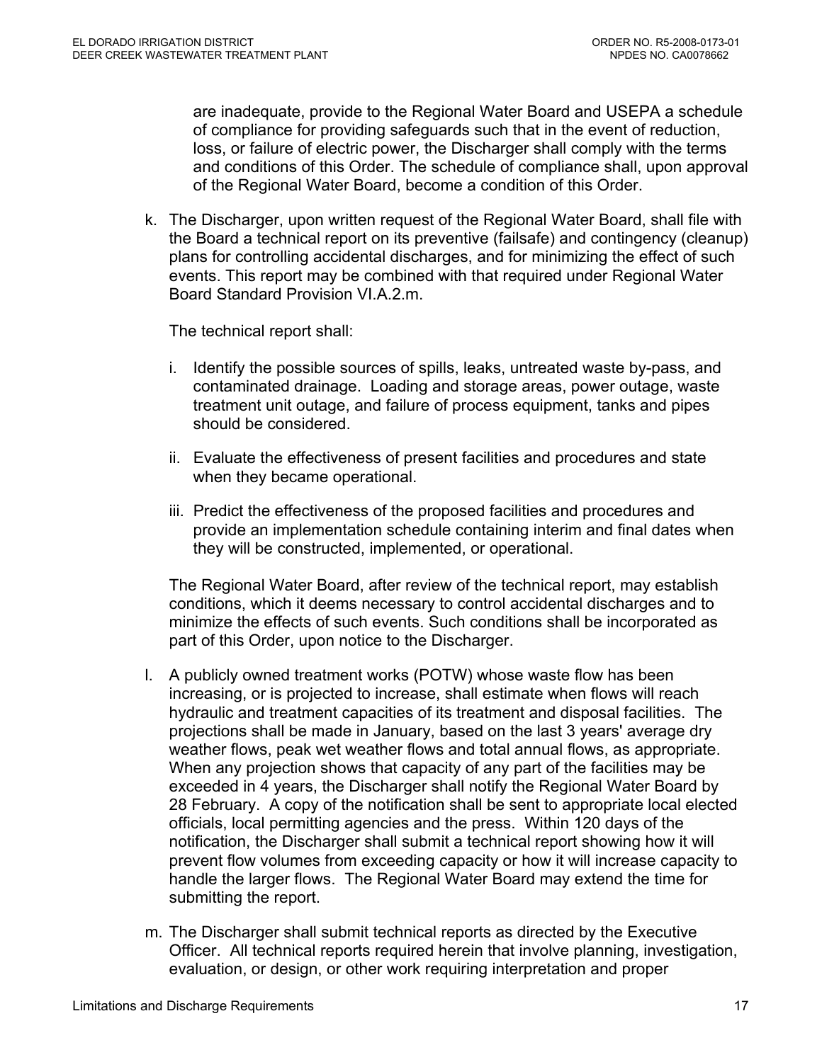are inadequate, provide to the Regional Water Board and USEPA a schedule of compliance for providing safeguards such that in the event of reduction, loss, or failure of electric power, the Discharger shall comply with the terms and conditions of this Order. The schedule of compliance shall, upon approval of the Regional Water Board, become a condition of this Order.

k. The Discharger, upon written request of the Regional Water Board, shall file with the Board a technical report on its preventive (failsafe) and contingency (cleanup) plans for controlling accidental discharges, and for minimizing the effect of such events. This report may be combined with that required under Regional Water Board Standard Provision VI.A.2.m.

The technical report shall:

- i. Identify the possible sources of spills, leaks, untreated waste by-pass, and contaminated drainage. Loading and storage areas, power outage, waste treatment unit outage, and failure of process equipment, tanks and pipes should be considered.
- ii. Evaluate the effectiveness of present facilities and procedures and state when they became operational.
- iii. Predict the effectiveness of the proposed facilities and procedures and provide an implementation schedule containing interim and final dates when they will be constructed, implemented, or operational.

The Regional Water Board, after review of the technical report, may establish conditions, which it deems necessary to control accidental discharges and to minimize the effects of such events. Such conditions shall be incorporated as part of this Order, upon notice to the Discharger.

- l. A publicly owned treatment works (POTW) whose waste flow has been increasing, or is projected to increase, shall estimate when flows will reach hydraulic and treatment capacities of its treatment and disposal facilities. The projections shall be made in January, based on the last 3 years' average dry weather flows, peak wet weather flows and total annual flows, as appropriate. When any projection shows that capacity of any part of the facilities may be exceeded in 4 years, the Discharger shall notify the Regional Water Board by 28 February. A copy of the notification shall be sent to appropriate local elected officials, local permitting agencies and the press. Within 120 days of the notification, the Discharger shall submit a technical report showing how it will prevent flow volumes from exceeding capacity or how it will increase capacity to handle the larger flows. The Regional Water Board may extend the time for submitting the report.
- m. The Discharger shall submit technical reports as directed by the Executive Officer. All technical reports required herein that involve planning, investigation, evaluation, or design, or other work requiring interpretation and proper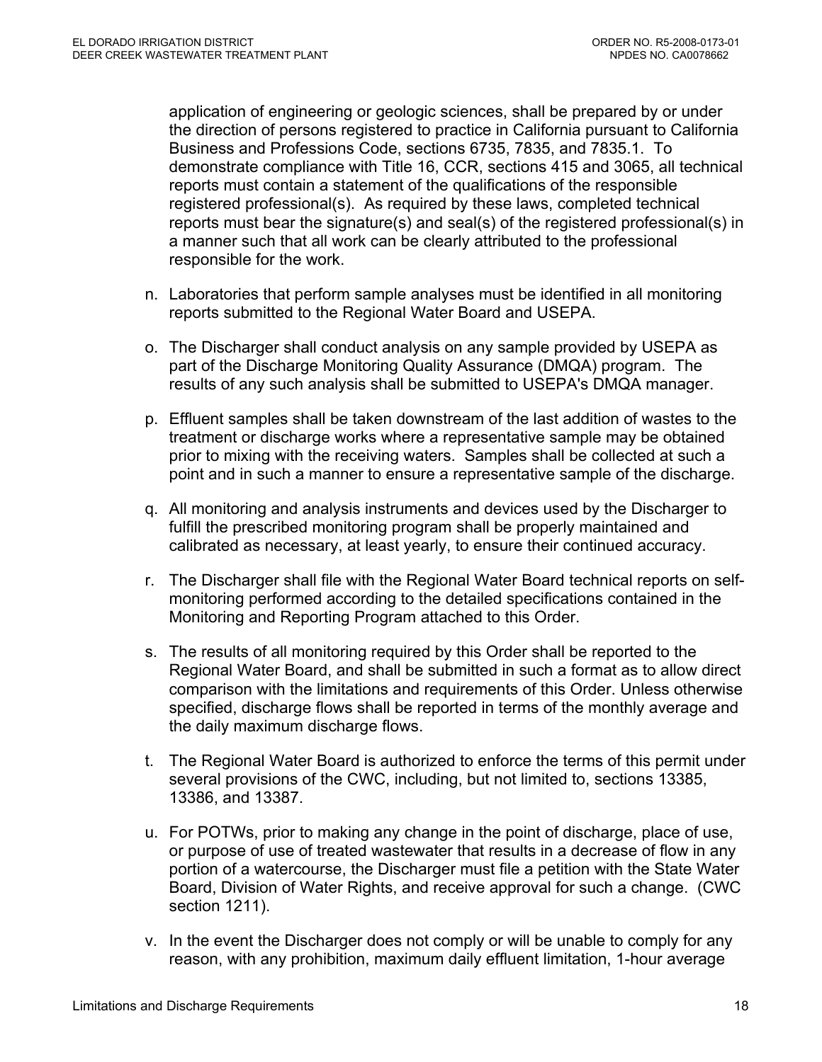application of engineering or geologic sciences, shall be prepared by or under the direction of persons registered to practice in California pursuant to California Business and Professions Code, sections 6735, 7835, and 7835.1. To demonstrate compliance with Title 16, CCR, sections 415 and 3065, all technical reports must contain a statement of the qualifications of the responsible registered professional(s). As required by these laws, completed technical reports must bear the signature(s) and seal(s) of the registered professional(s) in a manner such that all work can be clearly attributed to the professional responsible for the work.

- n. Laboratories that perform sample analyses must be identified in all monitoring reports submitted to the Regional Water Board and USEPA.
- o. The Discharger shall conduct analysis on any sample provided by USEPA as part of the Discharge Monitoring Quality Assurance (DMQA) program. The results of any such analysis shall be submitted to USEPA's DMQA manager.
- p. Effluent samples shall be taken downstream of the last addition of wastes to the treatment or discharge works where a representative sample may be obtained prior to mixing with the receiving waters. Samples shall be collected at such a point and in such a manner to ensure a representative sample of the discharge.
- q. All monitoring and analysis instruments and devices used by the Discharger to fulfill the prescribed monitoring program shall be properly maintained and calibrated as necessary, at least yearly, to ensure their continued accuracy.
- r. The Discharger shall file with the Regional Water Board technical reports on selfmonitoring performed according to the detailed specifications contained in the Monitoring and Reporting Program attached to this Order.
- s. The results of all monitoring required by this Order shall be reported to the Regional Water Board, and shall be submitted in such a format as to allow direct comparison with the limitations and requirements of this Order. Unless otherwise specified, discharge flows shall be reported in terms of the monthly average and the daily maximum discharge flows.
- t. The Regional Water Board is authorized to enforce the terms of this permit under several provisions of the CWC, including, but not limited to, sections 13385, 13386, and 13387.
- u. For POTWs, prior to making any change in the point of discharge, place of use, or purpose of use of treated wastewater that results in a decrease of flow in any portion of a watercourse, the Discharger must file a petition with the State Water Board, Division of Water Rights, and receive approval for such a change. (CWC section 1211).
- v. In the event the Discharger does not comply or will be unable to comply for any reason, with any prohibition, maximum daily effluent limitation, 1-hour average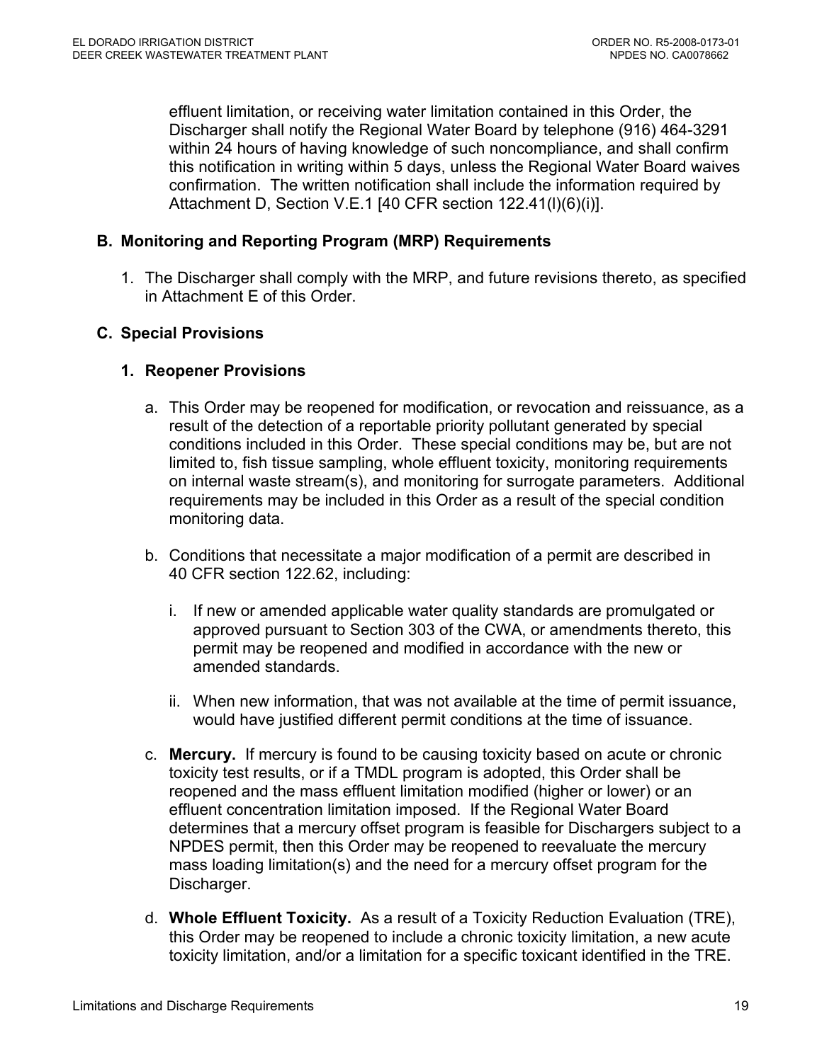effluent limitation, or receiving water limitation contained in this Order, the Discharger shall notify the Regional Water Board by telephone (916) 464-3291 within 24 hours of having knowledge of such noncompliance, and shall confirm this notification in writing within 5 days, unless the Regional Water Board waives confirmation. The written notification shall include the information required by Attachment D, Section V.E.1 [40 CFR section 122.41(l)(6)(i)].

## **B. Monitoring and Reporting Program (MRP) Requirements**

1. The Discharger shall comply with the MRP, and future revisions thereto, as specified in Attachment E of this Order.

#### **C. Special Provisions**

## **1. Reopener Provisions**

- a. This Order may be reopened for modification, or revocation and reissuance, as a result of the detection of a reportable priority pollutant generated by special conditions included in this Order. These special conditions may be, but are not limited to, fish tissue sampling, whole effluent toxicity, monitoring requirements on internal waste stream(s), and monitoring for surrogate parameters. Additional requirements may be included in this Order as a result of the special condition monitoring data.
- b. Conditions that necessitate a major modification of a permit are described in 40 CFR section 122.62, including:
	- i. If new or amended applicable water quality standards are promulgated or approved pursuant to Section 303 of the CWA, or amendments thereto, this permit may be reopened and modified in accordance with the new or amended standards.
	- ii. When new information, that was not available at the time of permit issuance, would have justified different permit conditions at the time of issuance.
- c. **Mercury.** If mercury is found to be causing toxicity based on acute or chronic toxicity test results, or if a TMDL program is adopted, this Order shall be reopened and the mass effluent limitation modified (higher or lower) or an effluent concentration limitation imposed. If the Regional Water Board determines that a mercury offset program is feasible for Dischargers subject to a NPDES permit, then this Order may be reopened to reevaluate the mercury mass loading limitation(s) and the need for a mercury offset program for the Discharger.
- d. **Whole Effluent Toxicity.** As a result of a Toxicity Reduction Evaluation (TRE), this Order may be reopened to include a chronic toxicity limitation, a new acute toxicity limitation, and/or a limitation for a specific toxicant identified in the TRE.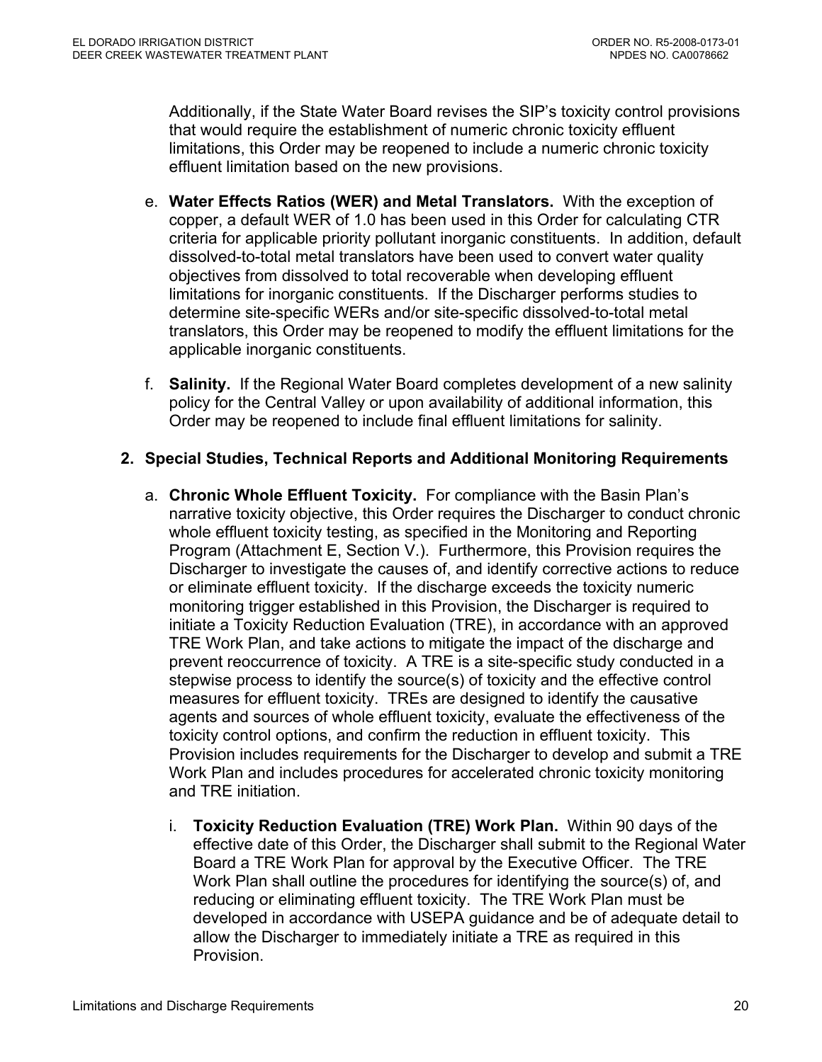Additionally, if the State Water Board revises the SIP's toxicity control provisions that would require the establishment of numeric chronic toxicity effluent limitations, this Order may be reopened to include a numeric chronic toxicity effluent limitation based on the new provisions.

- e. **Water Effects Ratios (WER) and Metal Translators.** With the exception of copper, a default WER of 1.0 has been used in this Order for calculating CTR criteria for applicable priority pollutant inorganic constituents. In addition, default dissolved-to-total metal translators have been used to convert water quality objectives from dissolved to total recoverable when developing effluent limitations for inorganic constituents. If the Discharger performs studies to determine site-specific WERs and/or site-specific dissolved-to-total metal translators, this Order may be reopened to modify the effluent limitations for the applicable inorganic constituents.
- f. **Salinity.** If the Regional Water Board completes development of a new salinity policy for the Central Valley or upon availability of additional information, this Order may be reopened to include final effluent limitations for salinity.

## **2. Special Studies, Technical Reports and Additional Monitoring Requirements**

- a. **Chronic Whole Effluent Toxicity.** For compliance with the Basin Plan's narrative toxicity objective, this Order requires the Discharger to conduct chronic whole effluent toxicity testing, as specified in the Monitoring and Reporting Program (Attachment E, Section V.). Furthermore, this Provision requires the Discharger to investigate the causes of, and identify corrective actions to reduce or eliminate effluent toxicity. If the discharge exceeds the toxicity numeric monitoring trigger established in this Provision, the Discharger is required to initiate a Toxicity Reduction Evaluation (TRE), in accordance with an approved TRE Work Plan, and take actions to mitigate the impact of the discharge and prevent reoccurrence of toxicity. A TRE is a site-specific study conducted in a stepwise process to identify the source(s) of toxicity and the effective control measures for effluent toxicity. TREs are designed to identify the causative agents and sources of whole effluent toxicity, evaluate the effectiveness of the toxicity control options, and confirm the reduction in effluent toxicity. This Provision includes requirements for the Discharger to develop and submit a TRE Work Plan and includes procedures for accelerated chronic toxicity monitoring and TRE initiation.
	- i. **Toxicity Reduction Evaluation (TRE) Work Plan.** Within 90 days of the effective date of this Order, the Discharger shall submit to the Regional Water Board a TRE Work Plan for approval by the Executive Officer. The TRE Work Plan shall outline the procedures for identifying the source(s) of, and reducing or eliminating effluent toxicity. The TRE Work Plan must be developed in accordance with USEPA guidance and be of adequate detail to allow the Discharger to immediately initiate a TRE as required in this Provision.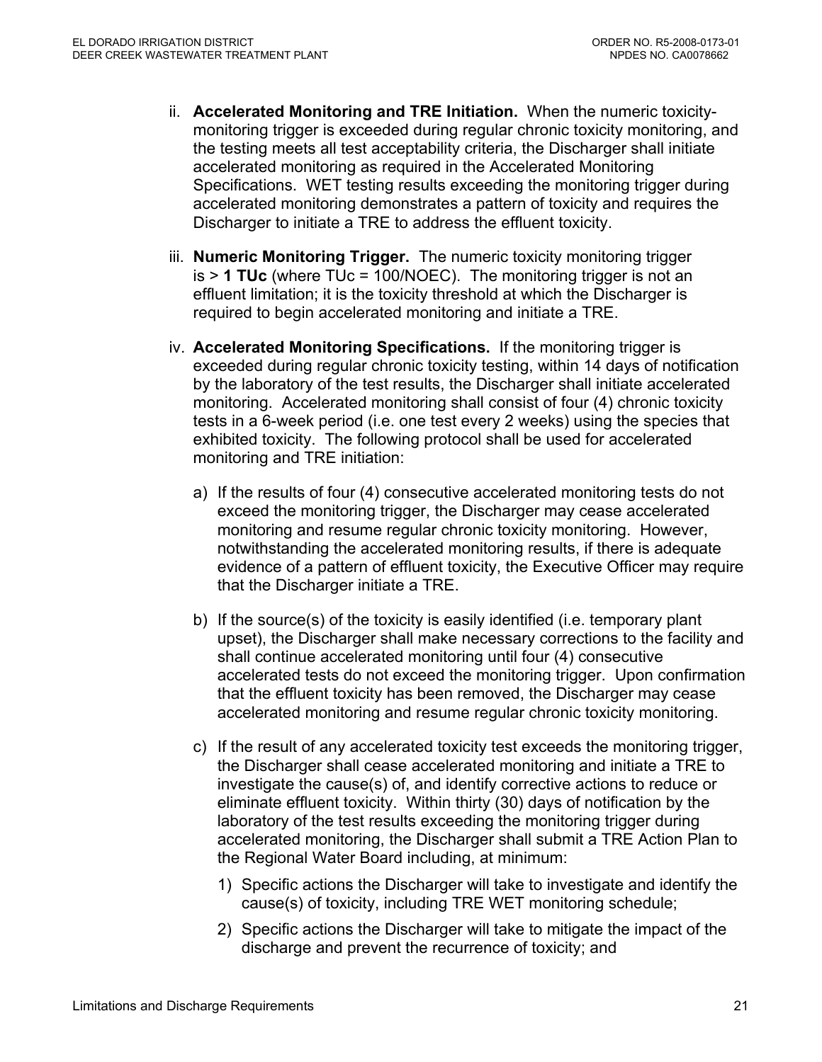- ii. **Accelerated Monitoring and TRE Initiation.** When the numeric toxicitymonitoring trigger is exceeded during regular chronic toxicity monitoring, and the testing meets all test acceptability criteria, the Discharger shall initiate accelerated monitoring as required in the Accelerated Monitoring Specifications. WET testing results exceeding the monitoring trigger during accelerated monitoring demonstrates a pattern of toxicity and requires the Discharger to initiate a TRE to address the effluent toxicity.
- iii. **Numeric Monitoring Trigger.** The numeric toxicity monitoring trigger is > **1 TUc** (where TUc = 100/NOEC). The monitoring trigger is not an effluent limitation; it is the toxicity threshold at which the Discharger is required to begin accelerated monitoring and initiate a TRE.
- iv. **Accelerated Monitoring Specifications.** If the monitoring trigger is exceeded during regular chronic toxicity testing, within 14 days of notification by the laboratory of the test results, the Discharger shall initiate accelerated monitoring. Accelerated monitoring shall consist of four (4) chronic toxicity tests in a 6-week period (i.e. one test every 2 weeks) using the species that exhibited toxicity. The following protocol shall be used for accelerated monitoring and TRE initiation:
	- a) If the results of four (4) consecutive accelerated monitoring tests do not exceed the monitoring trigger, the Discharger may cease accelerated monitoring and resume regular chronic toxicity monitoring. However, notwithstanding the accelerated monitoring results, if there is adequate evidence of a pattern of effluent toxicity, the Executive Officer may require that the Discharger initiate a TRE.
	- b) If the source(s) of the toxicity is easily identified (i.e. temporary plant upset), the Discharger shall make necessary corrections to the facility and shall continue accelerated monitoring until four (4) consecutive accelerated tests do not exceed the monitoring trigger. Upon confirmation that the effluent toxicity has been removed, the Discharger may cease accelerated monitoring and resume regular chronic toxicity monitoring.
	- c) If the result of any accelerated toxicity test exceeds the monitoring trigger, the Discharger shall cease accelerated monitoring and initiate a TRE to investigate the cause(s) of, and identify corrective actions to reduce or eliminate effluent toxicity. Within thirty (30) days of notification by the laboratory of the test results exceeding the monitoring trigger during accelerated monitoring, the Discharger shall submit a TRE Action Plan to the Regional Water Board including, at minimum:
		- 1) Specific actions the Discharger will take to investigate and identify the cause(s) of toxicity, including TRE WET monitoring schedule;
		- 2) Specific actions the Discharger will take to mitigate the impact of the discharge and prevent the recurrence of toxicity; and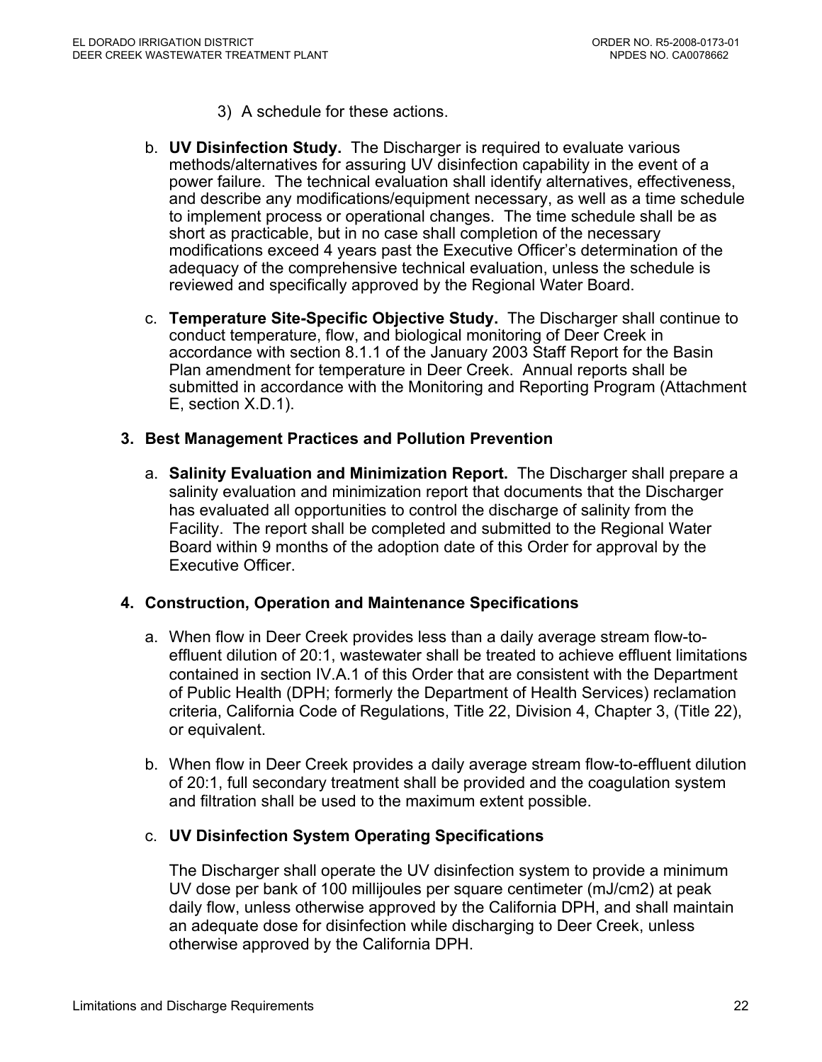- 3) A schedule for these actions.
- b. **UV Disinfection Study.** The Discharger is required to evaluate various methods/alternatives for assuring UV disinfection capability in the event of a power failure. The technical evaluation shall identify alternatives, effectiveness, and describe any modifications/equipment necessary, as well as a time schedule to implement process or operational changes. The time schedule shall be as short as practicable, but in no case shall completion of the necessary modifications exceed 4 years past the Executive Officer's determination of the adequacy of the comprehensive technical evaluation, unless the schedule is reviewed and specifically approved by the Regional Water Board.
- c. **Temperature Site-Specific Objective Study.** The Discharger shall continue to conduct temperature, flow, and biological monitoring of Deer Creek in accordance with section 8.1.1 of the January 2003 Staff Report for the Basin Plan amendment for temperature in Deer Creek. Annual reports shall be submitted in accordance with the Monitoring and Reporting Program (Attachment E, section X.D.1).

#### **3. Best Management Practices and Pollution Prevention**

a. **Salinity Evaluation and Minimization Report.** The Discharger shall prepare a salinity evaluation and minimization report that documents that the Discharger has evaluated all opportunities to control the discharge of salinity from the Facility. The report shall be completed and submitted to the Regional Water Board within 9 months of the adoption date of this Order for approval by the Executive Officer.

#### **4. Construction, Operation and Maintenance Specifications**

- a. When flow in Deer Creek provides less than a daily average stream flow-toeffluent dilution of 20:1, wastewater shall be treated to achieve effluent limitations contained in section IV.A.1 of this Order that are consistent with the Department of Public Health (DPH; formerly the Department of Health Services) reclamation criteria, California Code of Regulations, Title 22, Division 4, Chapter 3, (Title 22), or equivalent.
- b. When flow in Deer Creek provides a daily average stream flow-to-effluent dilution of 20:1, full secondary treatment shall be provided and the coagulation system and filtration shall be used to the maximum extent possible.

## c. **UV Disinfection System Operating Specifications**

The Discharger shall operate the UV disinfection system to provide a minimum UV dose per bank of 100 millijoules per square centimeter (mJ/cm2) at peak daily flow, unless otherwise approved by the California DPH, and shall maintain an adequate dose for disinfection while discharging to Deer Creek, unless otherwise approved by the California DPH.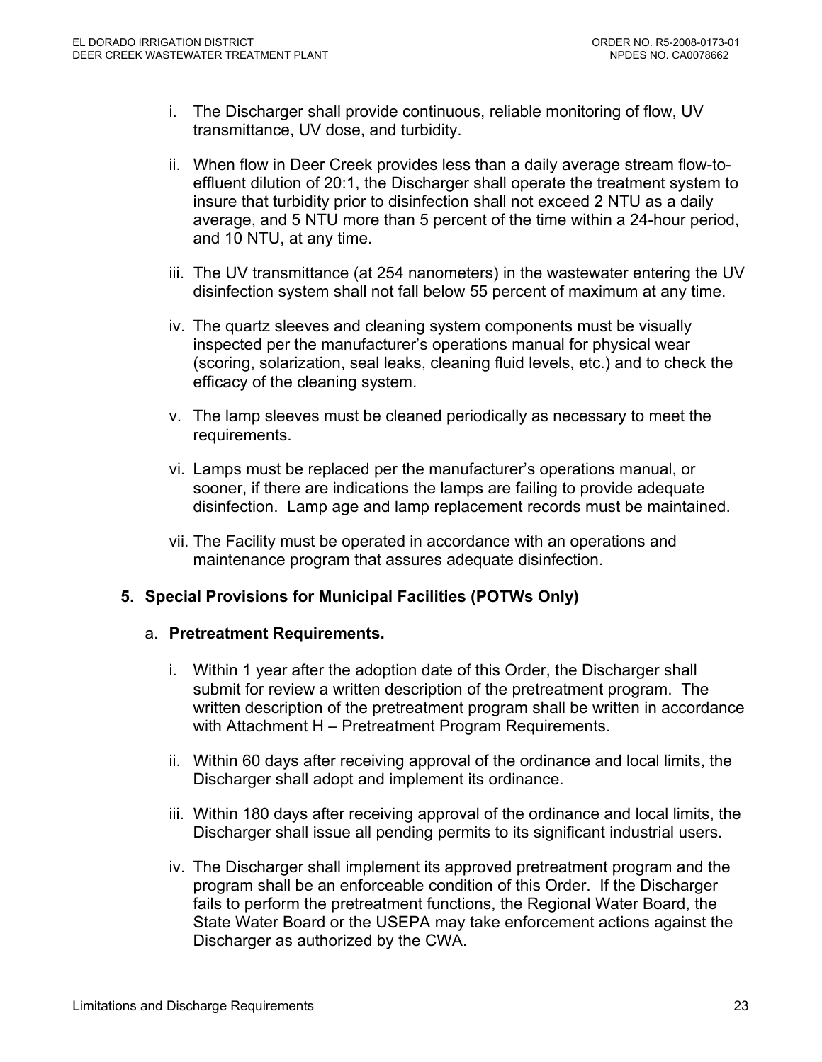- i. The Discharger shall provide continuous, reliable monitoring of flow, UV transmittance, UV dose, and turbidity.
- ii. When flow in Deer Creek provides less than a daily average stream flow-toeffluent dilution of 20:1, the Discharger shall operate the treatment system to insure that turbidity prior to disinfection shall not exceed 2 NTU as a daily average, and 5 NTU more than 5 percent of the time within a 24-hour period, and 10 NTU, at any time.
- iii. The UV transmittance (at 254 nanometers) in the wastewater entering the UV disinfection system shall not fall below 55 percent of maximum at any time.
- iv. The quartz sleeves and cleaning system components must be visually inspected per the manufacturer's operations manual for physical wear (scoring, solarization, seal leaks, cleaning fluid levels, etc.) and to check the efficacy of the cleaning system.
- v. The lamp sleeves must be cleaned periodically as necessary to meet the requirements.
- vi. Lamps must be replaced per the manufacturer's operations manual, or sooner, if there are indications the lamps are failing to provide adequate disinfection. Lamp age and lamp replacement records must be maintained.
- vii. The Facility must be operated in accordance with an operations and maintenance program that assures adequate disinfection.

## **5. Special Provisions for Municipal Facilities (POTWs Only)**

#### a. **Pretreatment Requirements.**

- i. Within 1 year after the adoption date of this Order, the Discharger shall submit for review a written description of the pretreatment program. The written description of the pretreatment program shall be written in accordance with Attachment H – Pretreatment Program Requirements.
- ii. Within 60 days after receiving approval of the ordinance and local limits, the Discharger shall adopt and implement its ordinance.
- iii. Within 180 days after receiving approval of the ordinance and local limits, the Discharger shall issue all pending permits to its significant industrial users.
- iv. The Discharger shall implement its approved pretreatment program and the program shall be an enforceable condition of this Order. If the Discharger fails to perform the pretreatment functions, the Regional Water Board, the State Water Board or the USEPA may take enforcement actions against the Discharger as authorized by the CWA.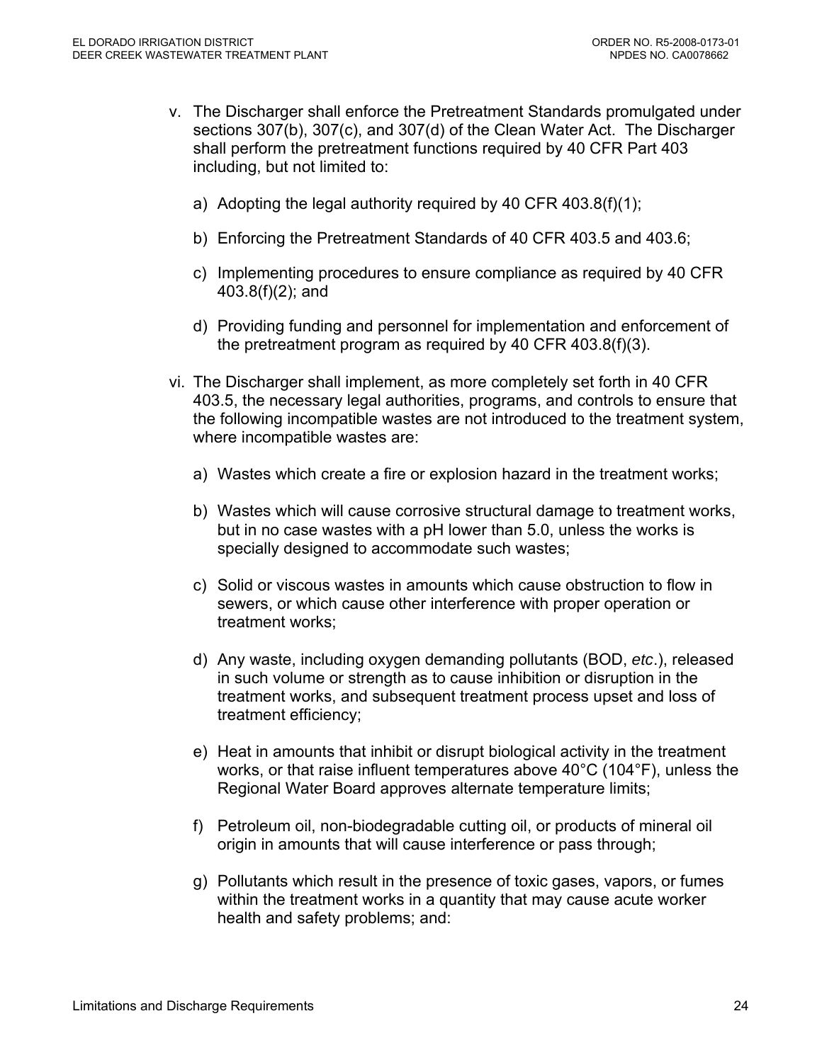- v. The Discharger shall enforce the Pretreatment Standards promulgated under sections 307(b), 307(c), and 307(d) of the Clean Water Act. The Discharger shall perform the pretreatment functions required by 40 CFR Part 403 including, but not limited to:
	- a) Adopting the legal authority required by 40 CFR 403.8(f)(1);
	- b) Enforcing the Pretreatment Standards of 40 CFR 403.5 and 403.6;
	- c) Implementing procedures to ensure compliance as required by 40 CFR 403.8(f)(2); and
	- d) Providing funding and personnel for implementation and enforcement of the pretreatment program as required by 40 CFR 403.8(f)(3).
- vi. The Discharger shall implement, as more completely set forth in 40 CFR 403.5, the necessary legal authorities, programs, and controls to ensure that the following incompatible wastes are not introduced to the treatment system, where incompatible wastes are:
	- a) Wastes which create a fire or explosion hazard in the treatment works;
	- b) Wastes which will cause corrosive structural damage to treatment works, but in no case wastes with a pH lower than 5.0, unless the works is specially designed to accommodate such wastes;
	- c) Solid or viscous wastes in amounts which cause obstruction to flow in sewers, or which cause other interference with proper operation or treatment works;
	- d) Any waste, including oxygen demanding pollutants (BOD, *etc*.), released in such volume or strength as to cause inhibition or disruption in the treatment works, and subsequent treatment process upset and loss of treatment efficiency;
	- e) Heat in amounts that inhibit or disrupt biological activity in the treatment works, or that raise influent temperatures above 40°C (104°F), unless the Regional Water Board approves alternate temperature limits;
	- f) Petroleum oil, non-biodegradable cutting oil, or products of mineral oil origin in amounts that will cause interference or pass through;
	- g) Pollutants which result in the presence of toxic gases, vapors, or fumes within the treatment works in a quantity that may cause acute worker health and safety problems; and: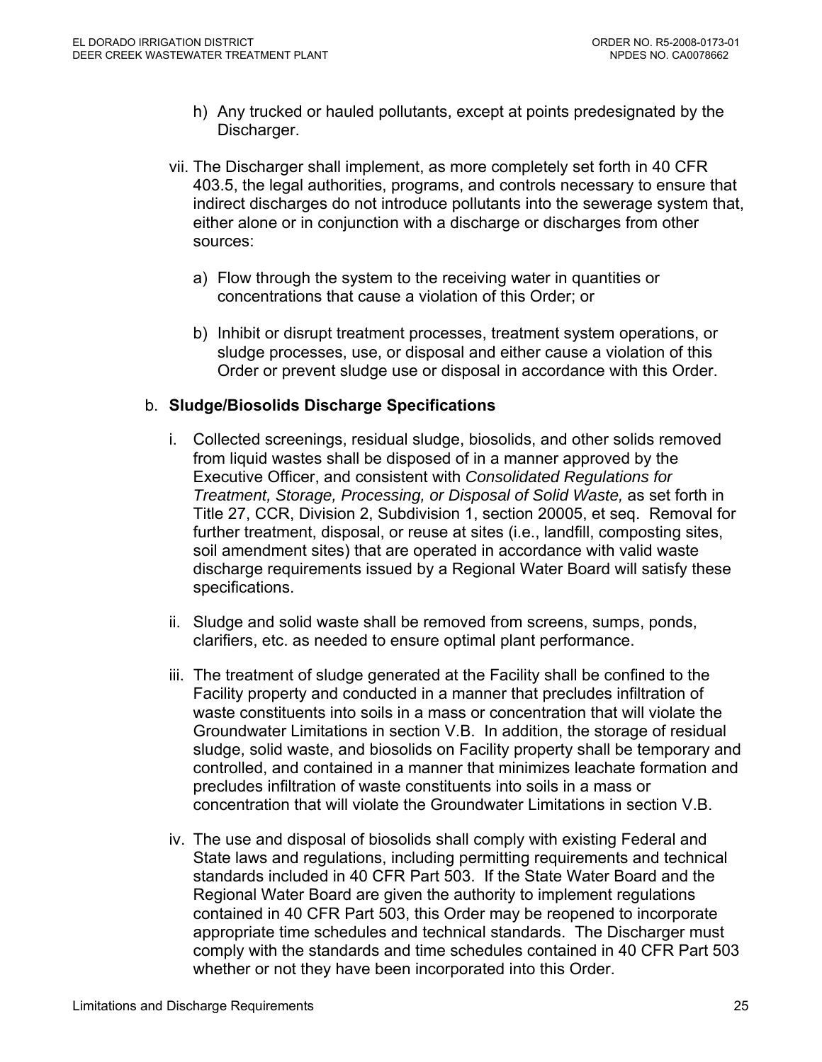- h) Any trucked or hauled pollutants, except at points predesignated by the Discharger.
- vii. The Discharger shall implement, as more completely set forth in 40 CFR 403.5, the legal authorities, programs, and controls necessary to ensure that indirect discharges do not introduce pollutants into the sewerage system that, either alone or in conjunction with a discharge or discharges from other sources:
	- a) Flow through the system to the receiving water in quantities or concentrations that cause a violation of this Order; or
	- b) Inhibit or disrupt treatment processes, treatment system operations, or sludge processes, use, or disposal and either cause a violation of this Order or prevent sludge use or disposal in accordance with this Order.

## b. **Sludge/Biosolids Discharge Specifications**

- i. Collected screenings, residual sludge, biosolids, and other solids removed from liquid wastes shall be disposed of in a manner approved by the Executive Officer, and consistent with *Consolidated Regulations for Treatment, Storage, Processing, or Disposal of Solid Waste,* as set forth in Title 27, CCR, Division 2, Subdivision 1, section 20005, et seq. Removal for further treatment, disposal, or reuse at sites (i.e., landfill, composting sites, soil amendment sites) that are operated in accordance with valid waste discharge requirements issued by a Regional Water Board will satisfy these specifications.
- ii. Sludge and solid waste shall be removed from screens, sumps, ponds, clarifiers, etc. as needed to ensure optimal plant performance.
- iii. The treatment of sludge generated at the Facility shall be confined to the Facility property and conducted in a manner that precludes infiltration of waste constituents into soils in a mass or concentration that will violate the Groundwater Limitations in section V.B. In addition, the storage of residual sludge, solid waste, and biosolids on Facility property shall be temporary and controlled, and contained in a manner that minimizes leachate formation and precludes infiltration of waste constituents into soils in a mass or concentration that will violate the Groundwater Limitations in section V.B.
- iv. The use and disposal of biosolids shall comply with existing Federal and State laws and regulations, including permitting requirements and technical standards included in 40 CFR Part 503. If the State Water Board and the Regional Water Board are given the authority to implement regulations contained in 40 CFR Part 503, this Order may be reopened to incorporate appropriate time schedules and technical standards. The Discharger must comply with the standards and time schedules contained in 40 CFR Part 503 whether or not they have been incorporated into this Order.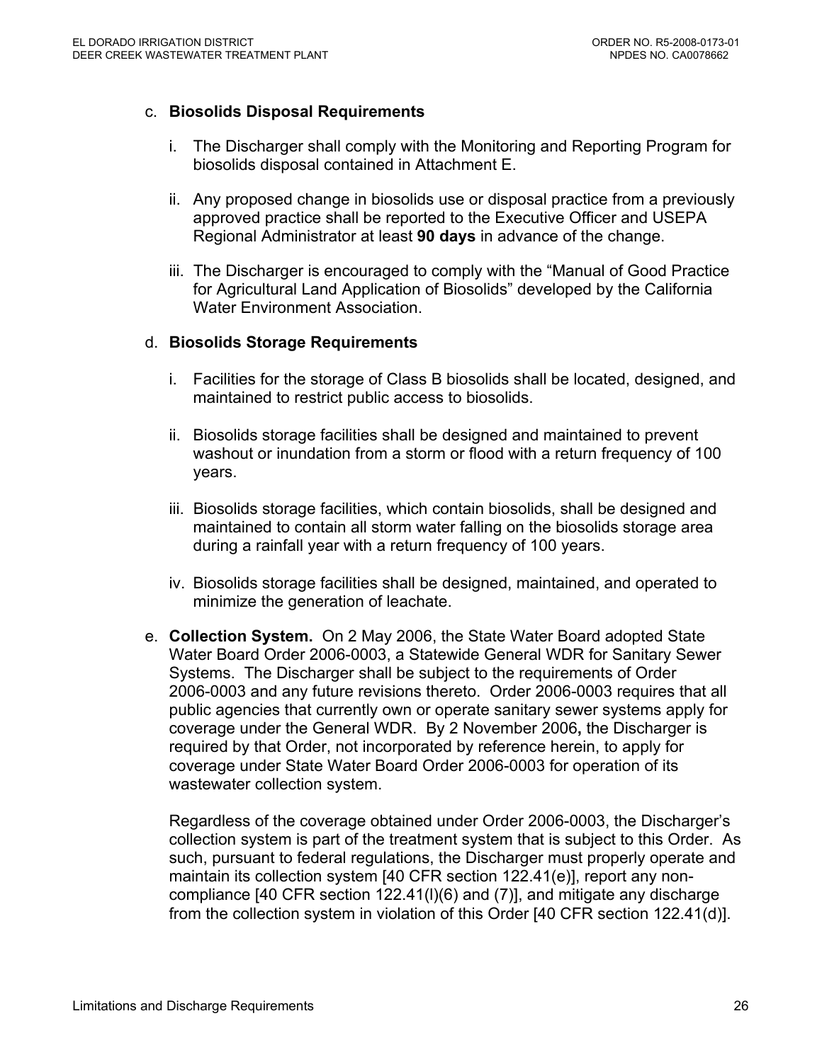### c. **Biosolids Disposal Requirements**

- i. The Discharger shall comply with the Monitoring and Reporting Program for biosolids disposal contained in Attachment E.
- ii. Any proposed change in biosolids use or disposal practice from a previously approved practice shall be reported to the Executive Officer and USEPA Regional Administrator at least **90 days** in advance of the change.
- iii. The Discharger is encouraged to comply with the "Manual of Good Practice for Agricultural Land Application of Biosolids" developed by the California Water Environment Association.

#### d. **Biosolids Storage Requirements**

- i. Facilities for the storage of Class B biosolids shall be located, designed, and maintained to restrict public access to biosolids.
- ii. Biosolids storage facilities shall be designed and maintained to prevent washout or inundation from a storm or flood with a return frequency of 100 years.
- iii. Biosolids storage facilities, which contain biosolids, shall be designed and maintained to contain all storm water falling on the biosolids storage area during a rainfall year with a return frequency of 100 years.
- iv. Biosolids storage facilities shall be designed, maintained, and operated to minimize the generation of leachate.
- e. **Collection System.** On 2 May 2006, the State Water Board adopted State Water Board Order 2006-0003, a Statewide General WDR for Sanitary Sewer Systems. The Discharger shall be subject to the requirements of Order 2006-0003 and any future revisions thereto. Order 2006-0003 requires that all public agencies that currently own or operate sanitary sewer systems apply for coverage under the General WDR. By 2 November 2006**,** the Discharger is required by that Order, not incorporated by reference herein, to apply for coverage under State Water Board Order 2006-0003 for operation of its wastewater collection system.

Regardless of the coverage obtained under Order 2006-0003, the Discharger's collection system is part of the treatment system that is subject to this Order. As such, pursuant to federal regulations, the Discharger must properly operate and maintain its collection system [40 CFR section 122.41(e)], report any noncompliance [40 CFR section 122.41(l)(6) and (7)], and mitigate any discharge from the collection system in violation of this Order [40 CFR section 122.41(d)].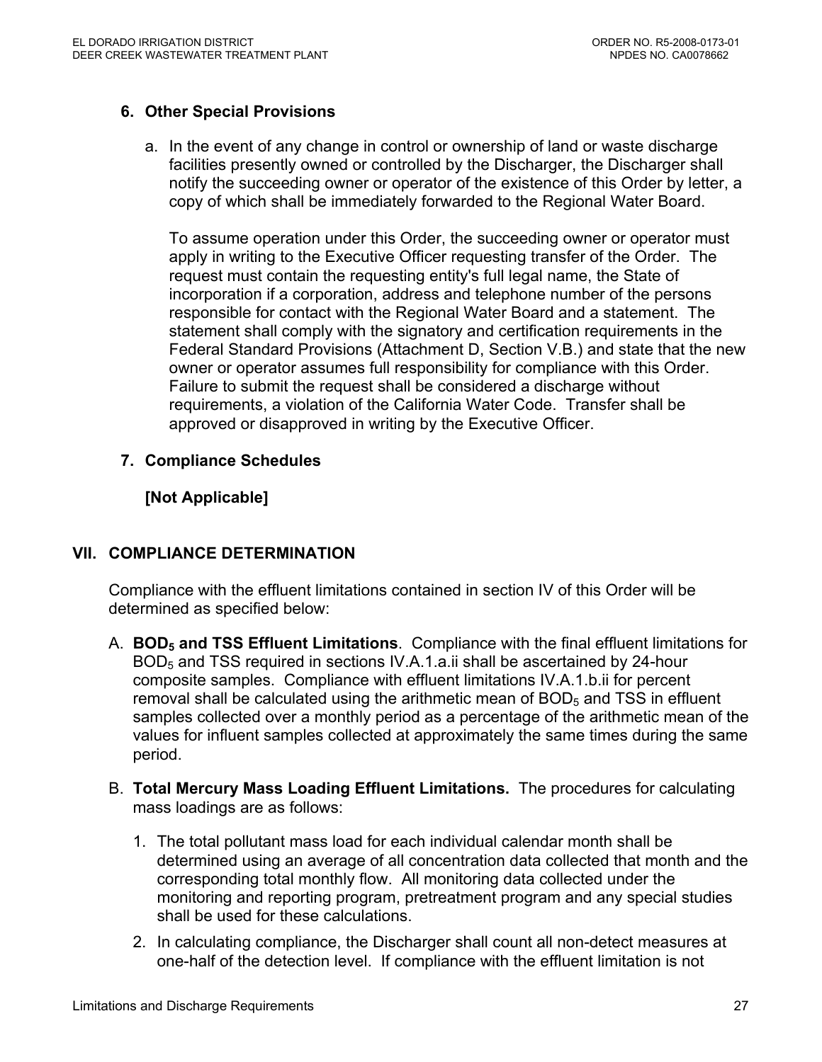## **6. Other Special Provisions**

a. In the event of any change in control or ownership of land or waste discharge facilities presently owned or controlled by the Discharger, the Discharger shall notify the succeeding owner or operator of the existence of this Order by letter, a copy of which shall be immediately forwarded to the Regional Water Board.

To assume operation under this Order, the succeeding owner or operator must apply in writing to the Executive Officer requesting transfer of the Order. The request must contain the requesting entity's full legal name, the State of incorporation if a corporation, address and telephone number of the persons responsible for contact with the Regional Water Board and a statement. The statement shall comply with the signatory and certification requirements in the Federal Standard Provisions (Attachment D, Section V.B.) and state that the new owner or operator assumes full responsibility for compliance with this Order. Failure to submit the request shall be considered a discharge without requirements, a violation of the California Water Code. Transfer shall be approved or disapproved in writing by the Executive Officer.

## **7. Compliance Schedules**

## **[Not Applicable]**

## **VII. COMPLIANCE DETERMINATION**

Compliance with the effluent limitations contained in section IV of this Order will be determined as specified below:

- A. **BOD5 and TSS Effluent Limitations**. Compliance with the final effluent limitations for BOD<sub>5</sub> and TSS required in sections IV.A.1.a.ii shall be ascertained by 24-hour composite samples. Compliance with effluent limitations IV.A.1.b.ii for percent removal shall be calculated using the arithmetic mean of  $BOD<sub>5</sub>$  and TSS in effluent samples collected over a monthly period as a percentage of the arithmetic mean of the values for influent samples collected at approximately the same times during the same period.
- B. **Total Mercury Mass Loading Effluent Limitations.** The procedures for calculating mass loadings are as follows:
	- 1. The total pollutant mass load for each individual calendar month shall be determined using an average of all concentration data collected that month and the corresponding total monthly flow. All monitoring data collected under the monitoring and reporting program, pretreatment program and any special studies shall be used for these calculations.
	- 2. In calculating compliance, the Discharger shall count all non-detect measures at one-half of the detection level. If compliance with the effluent limitation is not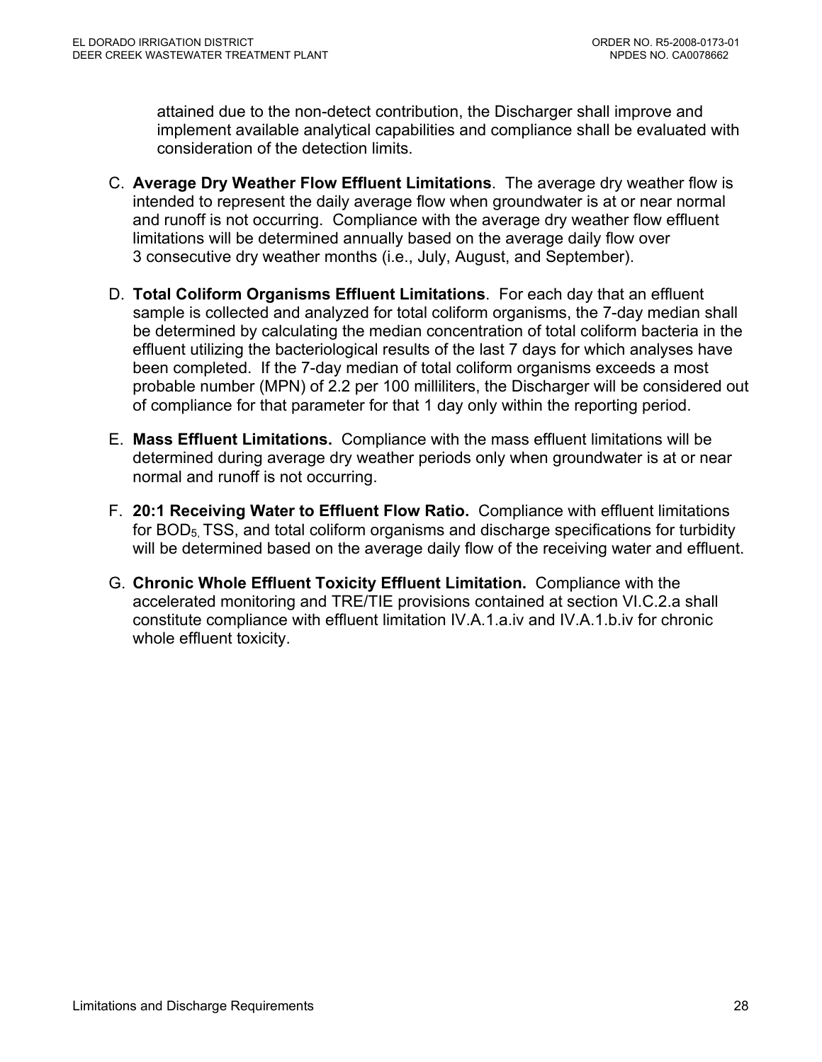attained due to the non-detect contribution, the Discharger shall improve and implement available analytical capabilities and compliance shall be evaluated with consideration of the detection limits.

- C. **Average Dry Weather Flow Effluent Limitations**.The average dry weather flow is intended to represent the daily average flow when groundwater is at or near normal and runoff is not occurring. Compliance with the average dry weather flow effluent limitations will be determined annually based on the average daily flow over 3 consecutive dry weather months (i.e., July, August, and September).
- D. **Total Coliform Organisms Effluent Limitations**. For each day that an effluent sample is collected and analyzed for total coliform organisms, the 7-day median shall be determined by calculating the median concentration of total coliform bacteria in the effluent utilizing the bacteriological results of the last 7 days for which analyses have been completed. If the 7-day median of total coliform organisms exceeds a most probable number (MPN) of 2.2 per 100 milliliters, the Discharger will be considered out of compliance for that parameter for that 1 day only within the reporting period.
- E. **Mass Effluent Limitations.** Compliance with the mass effluent limitations will be determined during average dry weather periods only when groundwater is at or near normal and runoff is not occurring.
- F. **20:1 Receiving Water to Effluent Flow Ratio.** Compliance with effluent limitations for BOD<sub>5</sub>, TSS, and total coliform organisms and discharge specifications for turbidity will be determined based on the average daily flow of the receiving water and effluent.
- G. **Chronic Whole Effluent Toxicity Effluent Limitation.** Compliance with the accelerated monitoring and TRE/TIE provisions contained at section VI.C.2.a shall constitute compliance with effluent limitation IV.A.1.a.iv and IV.A.1.b.iv for chronic whole effluent toxicity.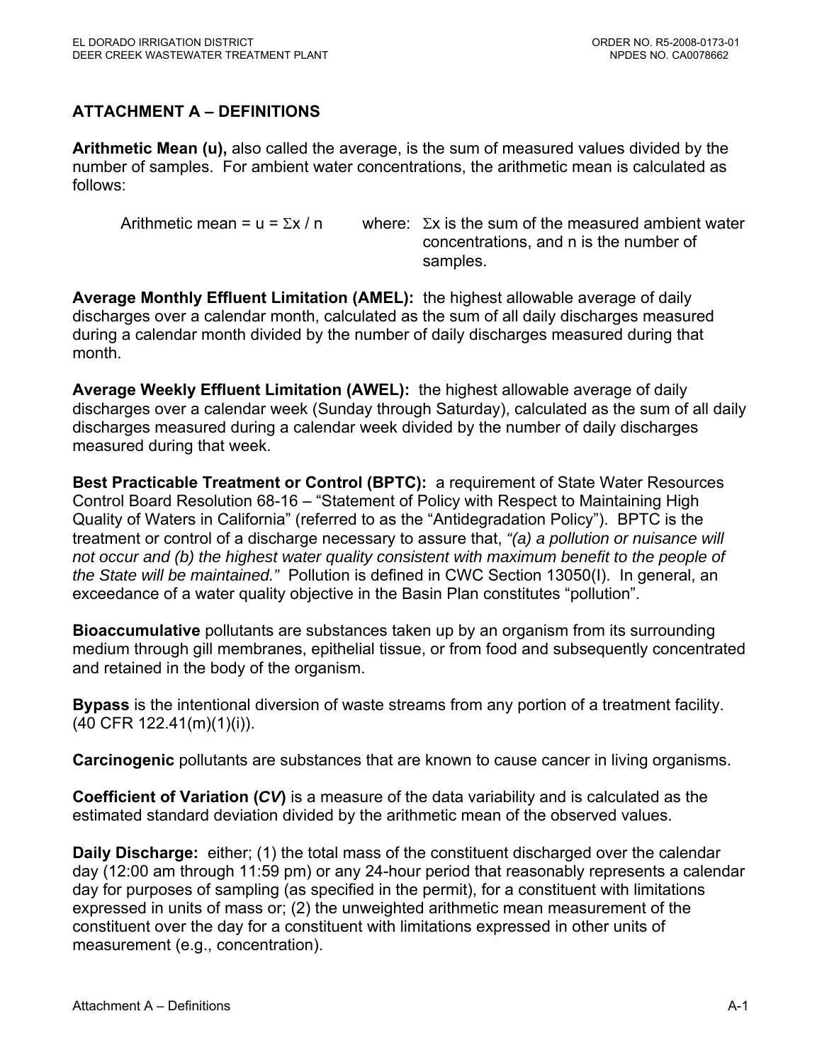# **ATTACHMENT A – DEFINITIONS**

**Arithmetic Mean (u),** also called the average, is the sum of measured values divided by the number of samples. For ambient water concentrations, the arithmetic mean is calculated as follows:

Arithmetic mean = u =  $\Sigma x / n$  where:  $\Sigma x$  is the sum of the measured ambient water concentrations, and n is the number of samples.

**Average Monthly Effluent Limitation (AMEL):** the highest allowable average of daily discharges over a calendar month, calculated as the sum of all daily discharges measured during a calendar month divided by the number of daily discharges measured during that month.

**Average Weekly Effluent Limitation (AWEL):** the highest allowable average of daily discharges over a calendar week (Sunday through Saturday), calculated as the sum of all daily discharges measured during a calendar week divided by the number of daily discharges measured during that week.

**Best Practicable Treatment or Control (BPTC):** a requirement of State Water Resources Control Board Resolution 68-16 – "Statement of Policy with Respect to Maintaining High Quality of Waters in California" (referred to as the "Antidegradation Policy"). BPTC is the treatment or control of a discharge necessary to assure that, *"(a) a pollution or nuisance will not occur and (b) the highest water quality consistent with maximum benefit to the people of the State will be maintained."* Pollution is defined in CWC Section 13050(I). In general, an exceedance of a water quality objective in the Basin Plan constitutes "pollution".

**Bioaccumulative** pollutants are substances taken up by an organism from its surrounding medium through gill membranes, epithelial tissue, or from food and subsequently concentrated and retained in the body of the organism.

**Bypass** is the intentional diversion of waste streams from any portion of a treatment facility. (40 CFR 122.41(m)(1)(i)).

**Carcinogenic** pollutants are substances that are known to cause cancer in living organisms.

**Coefficient of Variation (***CV***)** is a measure of the data variability and is calculated as the estimated standard deviation divided by the arithmetic mean of the observed values.

**Daily Discharge:** either; (1) the total mass of the constituent discharged over the calendar day (12:00 am through 11:59 pm) or any 24-hour period that reasonably represents a calendar day for purposes of sampling (as specified in the permit), for a constituent with limitations expressed in units of mass or; (2) the unweighted arithmetic mean measurement of the constituent over the day for a constituent with limitations expressed in other units of measurement (e.g., concentration).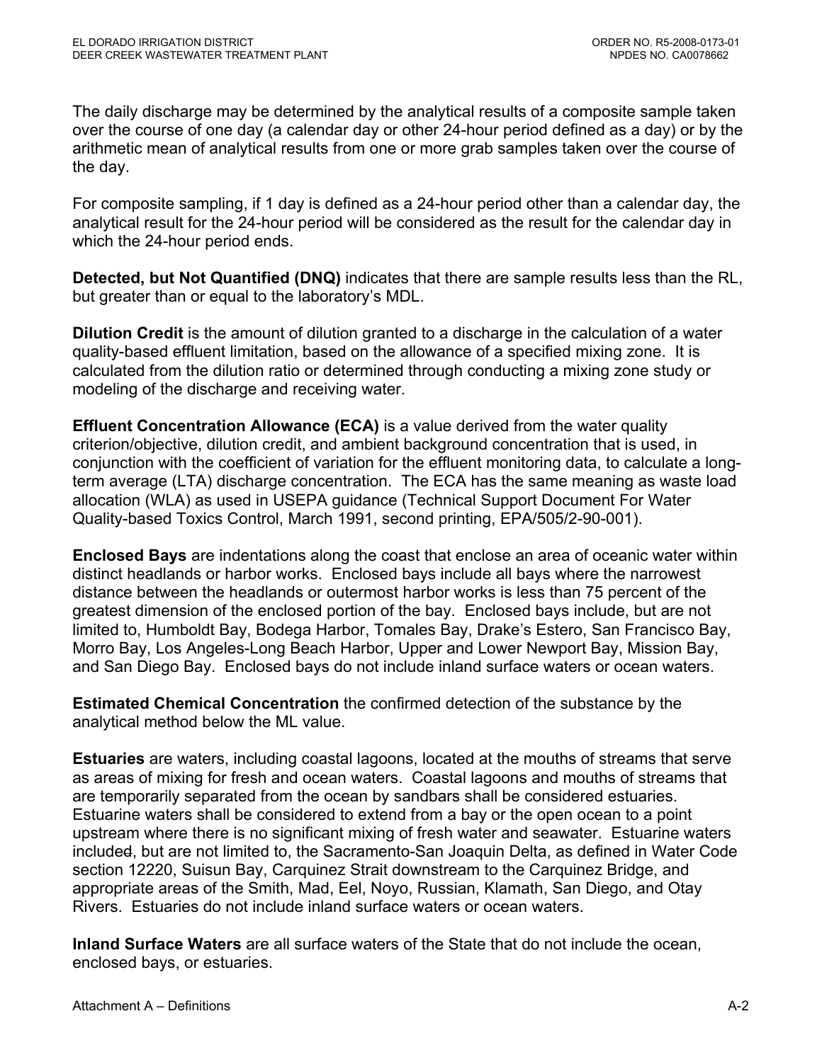The daily discharge may be determined by the analytical results of a composite sample taken over the course of one day (a calendar day or other 24-hour period defined as a day) or by the arithmetic mean of analytical results from one or more grab samples taken over the course of the day.

For composite sampling, if 1 day is defined as a 24-hour period other than a calendar day, the analytical result for the 24-hour period will be considered as the result for the calendar day in which the 24-hour period ends.

**Detected, but Not Quantified (DNQ)** indicates that there are sample results less than the RL, but greater than or equal to the laboratory's MDL.

**Dilution Credit** is the amount of dilution granted to a discharge in the calculation of a water quality-based effluent limitation, based on the allowance of a specified mixing zone. It is calculated from the dilution ratio or determined through conducting a mixing zone study or modeling of the discharge and receiving water.

**Effluent Concentration Allowance (ECA)** is a value derived from the water quality criterion/objective, dilution credit, and ambient background concentration that is used, in conjunction with the coefficient of variation for the effluent monitoring data, to calculate a longterm average (LTA) discharge concentration. The ECA has the same meaning as waste load allocation (WLA) as used in USEPA guidance (Technical Support Document For Water Quality-based Toxics Control, March 1991, second printing, EPA/505/2-90-001).

**Enclosed Bays** are indentations along the coast that enclose an area of oceanic water within distinct headlands or harbor works. Enclosed bays include all bays where the narrowest distance between the headlands or outermost harbor works is less than 75 percent of the greatest dimension of the enclosed portion of the bay. Enclosed bays include, but are not limited to, Humboldt Bay, Bodega Harbor, Tomales Bay, Drake's Estero, San Francisco Bay, Morro Bay, Los Angeles-Long Beach Harbor, Upper and Lower Newport Bay, Mission Bay, and San Diego Bay. Enclosed bays do not include inland surface waters or ocean waters.

**Estimated Chemical Concentration** the confirmed detection of the substance by the analytical method below the ML value.

**Estuaries** are waters, including coastal lagoons, located at the mouths of streams that serve as areas of mixing for fresh and ocean waters. Coastal lagoons and mouths of streams that are temporarily separated from the ocean by sandbars shall be considered estuaries. Estuarine waters shall be considered to extend from a bay or the open ocean to a point upstream where there is no significant mixing of fresh water and seawater. Estuarine waters included, but are not limited to, the Sacramento-San Joaquin Delta, as defined in Water Code section 12220, Suisun Bay, Carquinez Strait downstream to the Carquinez Bridge, and appropriate areas of the Smith, Mad, Eel, Noyo, Russian, Klamath, San Diego, and Otay Rivers. Estuaries do not include inland surface waters or ocean waters.

**Inland Surface Waters** are all surface waters of the State that do not include the ocean, enclosed bays, or estuaries.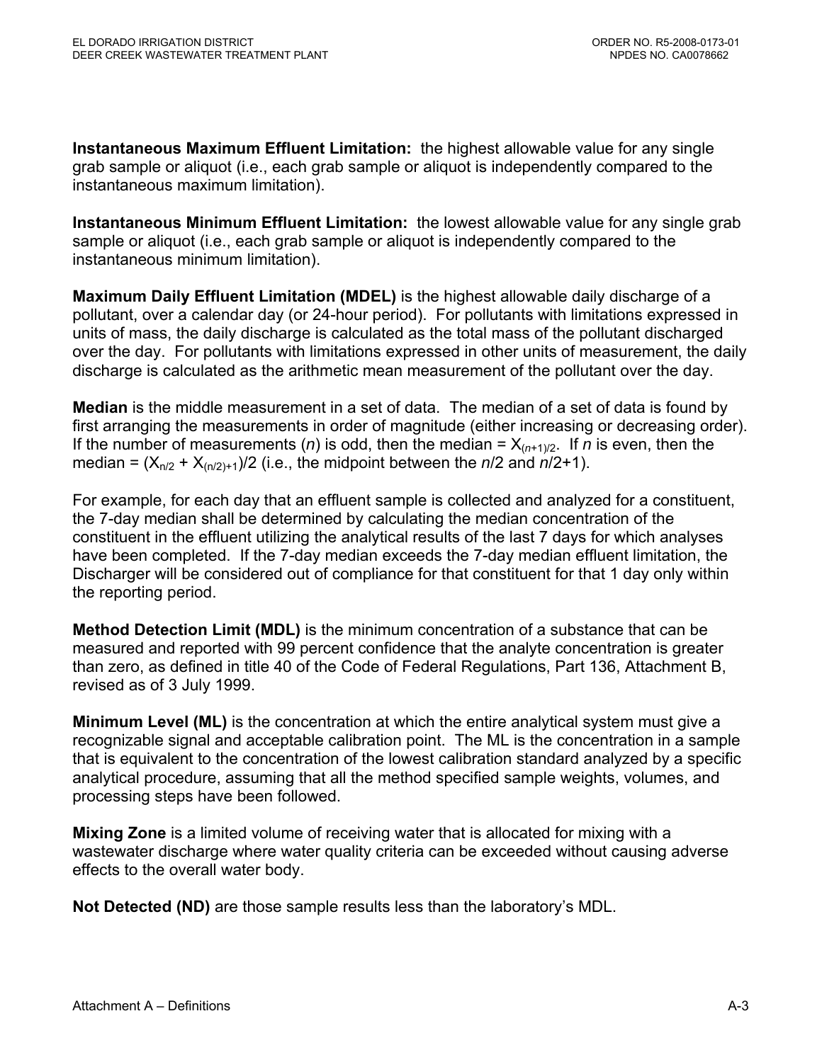**Instantaneous Maximum Effluent Limitation:** the highest allowable value for any single grab sample or aliquot (i.e., each grab sample or aliquot is independently compared to the instantaneous maximum limitation).

**Instantaneous Minimum Effluent Limitation:** the lowest allowable value for any single grab sample or aliquot (i.e., each grab sample or aliquot is independently compared to the instantaneous minimum limitation).

**Maximum Daily Effluent Limitation (MDEL)** is the highest allowable daily discharge of a pollutant, over a calendar day (or 24-hour period). For pollutants with limitations expressed in units of mass, the daily discharge is calculated as the total mass of the pollutant discharged over the day. For pollutants with limitations expressed in other units of measurement, the daily discharge is calculated as the arithmetic mean measurement of the pollutant over the day.

**Median** is the middle measurement in a set of data. The median of a set of data is found by first arranging the measurements in order of magnitude (either increasing or decreasing order). If the number of measurements (*n*) is odd, then the median =  $X_{(n+1)/2}$ . If *n* is even, then the median =  $(X_{n/2} + X_{(n/2)+1})/2$  (i.e., the midpoint between the  $n/2$  and  $n/2+1$ ).

For example, for each day that an effluent sample is collected and analyzed for a constituent, the 7-day median shall be determined by calculating the median concentration of the constituent in the effluent utilizing the analytical results of the last 7 days for which analyses have been completed. If the 7-day median exceeds the 7-day median effluent limitation, the Discharger will be considered out of compliance for that constituent for that 1 day only within the reporting period.

**Method Detection Limit (MDL)** is the minimum concentration of a substance that can be measured and reported with 99 percent confidence that the analyte concentration is greater than zero, as defined in title 40 of the Code of Federal Regulations, Part 136, Attachment B, revised as of 3 July 1999.

**Minimum Level (ML)** is the concentration at which the entire analytical system must give a recognizable signal and acceptable calibration point. The ML is the concentration in a sample that is equivalent to the concentration of the lowest calibration standard analyzed by a specific analytical procedure, assuming that all the method specified sample weights, volumes, and processing steps have been followed.

**Mixing Zone** is a limited volume of receiving water that is allocated for mixing with a wastewater discharge where water quality criteria can be exceeded without causing adverse effects to the overall water body.

**Not Detected (ND)** are those sample results less than the laboratory's MDL.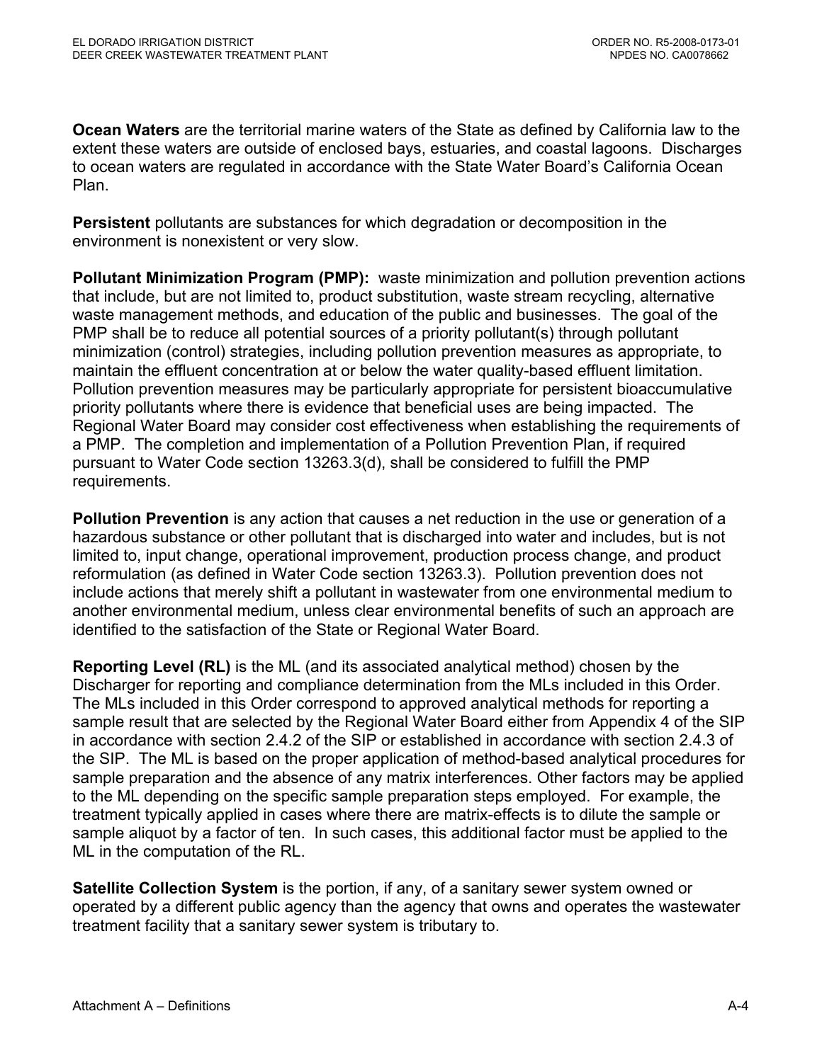**Ocean Waters** are the territorial marine waters of the State as defined by California law to the extent these waters are outside of enclosed bays, estuaries, and coastal lagoons. Discharges to ocean waters are regulated in accordance with the State Water Board's California Ocean Plan.

**Persistent** pollutants are substances for which degradation or decomposition in the environment is nonexistent or very slow.

**Pollutant Minimization Program (PMP):** waste minimization and pollution prevention actions that include, but are not limited to, product substitution, waste stream recycling, alternative waste management methods, and education of the public and businesses. The goal of the PMP shall be to reduce all potential sources of a priority pollutant(s) through pollutant minimization (control) strategies, including pollution prevention measures as appropriate, to maintain the effluent concentration at or below the water quality-based effluent limitation. Pollution prevention measures may be particularly appropriate for persistent bioaccumulative priority pollutants where there is evidence that beneficial uses are being impacted. The Regional Water Board may consider cost effectiveness when establishing the requirements of a PMP. The completion and implementation of a Pollution Prevention Plan, if required pursuant to Water Code section 13263.3(d), shall be considered to fulfill the PMP requirements.

**Pollution Prevention** is any action that causes a net reduction in the use or generation of a hazardous substance or other pollutant that is discharged into water and includes, but is not limited to, input change, operational improvement, production process change, and product reformulation (as defined in Water Code section 13263.3). Pollution prevention does not include actions that merely shift a pollutant in wastewater from one environmental medium to another environmental medium, unless clear environmental benefits of such an approach are identified to the satisfaction of the State or Regional Water Board.

**Reporting Level (RL)** is the ML (and its associated analytical method) chosen by the Discharger for reporting and compliance determination from the MLs included in this Order. The MLs included in this Order correspond to approved analytical methods for reporting a sample result that are selected by the Regional Water Board either from Appendix 4 of the SIP in accordance with section 2.4.2 of the SIP or established in accordance with section 2.4.3 of the SIP. The ML is based on the proper application of method-based analytical procedures for sample preparation and the absence of any matrix interferences. Other factors may be applied to the ML depending on the specific sample preparation steps employed. For example, the treatment typically applied in cases where there are matrix-effects is to dilute the sample or sample aliquot by a factor of ten. In such cases, this additional factor must be applied to the ML in the computation of the RL.

**Satellite Collection System** is the portion, if any, of a sanitary sewer system owned or operated by a different public agency than the agency that owns and operates the wastewater treatment facility that a sanitary sewer system is tributary to.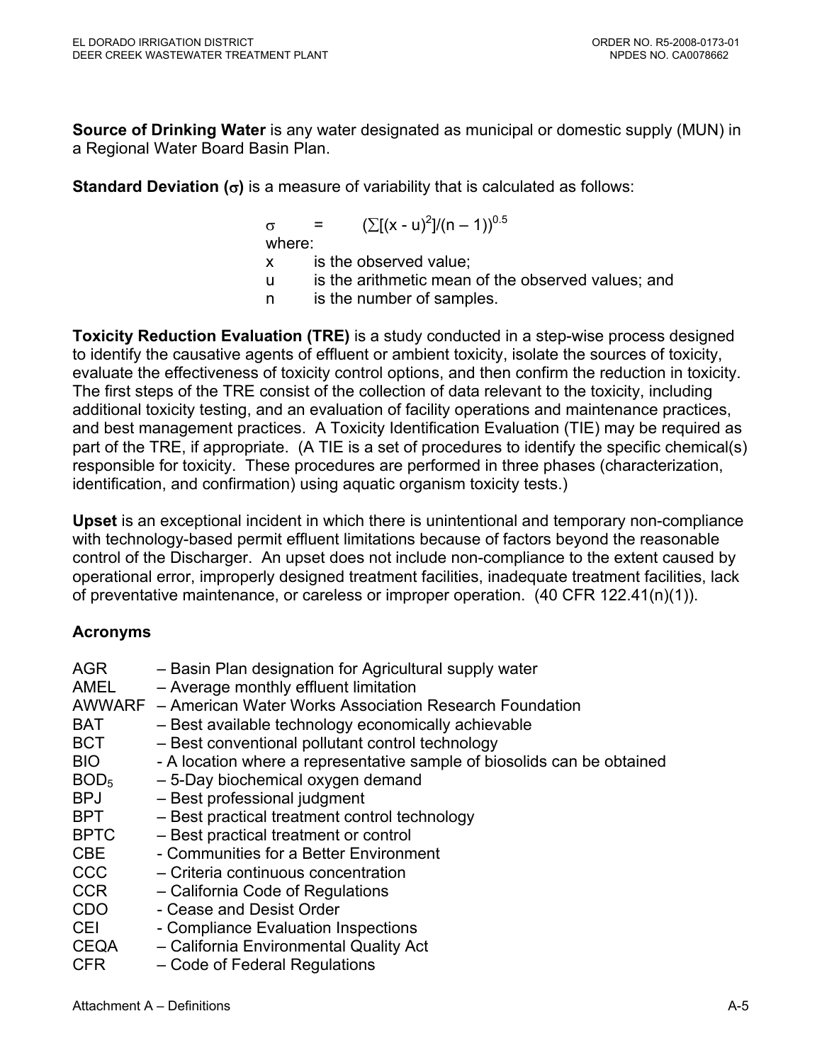**Source of Drinking Water** is any water designated as municipal or domestic supply (MUN) in a Regional Water Board Basin Plan.

**Standard Deviation (**σ**)** is a measure of variability that is calculated as follows:

 $\sigma = (\sum [(x - u)^2]/(n - 1))^{0.5}$ where: x is the observed value; u is the arithmetic mean of the observed values; and n is the number of samples.

**Toxicity Reduction Evaluation (TRE)** is a study conducted in a step-wise process designed to identify the causative agents of effluent or ambient toxicity, isolate the sources of toxicity, evaluate the effectiveness of toxicity control options, and then confirm the reduction in toxicity. The first steps of the TRE consist of the collection of data relevant to the toxicity, including additional toxicity testing, and an evaluation of facility operations and maintenance practices, and best management practices. A Toxicity Identification Evaluation (TIE) may be required as part of the TRE, if appropriate. (A TIE is a set of procedures to identify the specific chemical(s) responsible for toxicity. These procedures are performed in three phases (characterization, identification, and confirmation) using aquatic organism toxicity tests.)

**Upset** is an exceptional incident in which there is unintentional and temporary non-compliance with technology-based permit effluent limitations because of factors beyond the reasonable control of the Discharger. An upset does not include non-compliance to the extent caused by operational error, improperly designed treatment facilities, inadequate treatment facilities, lack of preventative maintenance, or careless or improper operation. (40 CFR 122.41(n)(1)).

## **Acronyms**

| AGR<br>AMEL      | - Basin Plan designation for Agricultural supply water<br>- Average monthly effluent limitation |
|------------------|-------------------------------------------------------------------------------------------------|
|                  | AWWARF – American Water Works Association Research Foundation                                   |
| <b>BAT</b>       | - Best available technology economically achievable                                             |
| <b>BCT</b>       | - Best conventional pollutant control technology                                                |
| BIO.             | - A location where a representative sample of biosolids can be obtained                         |
| BOD <sub>5</sub> | - 5-Day biochemical oxygen demand                                                               |
| <b>BPJ</b>       | - Best professional judgment                                                                    |
| BPT              | - Best practical treatment control technology                                                   |
| <b>BPTC</b>      | - Best practical treatment or control                                                           |
| CBE              | - Communities for a Better Environment                                                          |
| <b>CCC</b>       | - Criteria continuous concentration                                                             |
| <b>CCR</b>       | - California Code of Regulations                                                                |
| <b>CDO</b>       | - Cease and Desist Order                                                                        |
| <b>CEI</b>       | - Compliance Evaluation Inspections                                                             |
| <b>CEQA</b>      | - California Environmental Quality Act                                                          |
| <b>CFR</b>       | - Code of Federal Regulations                                                                   |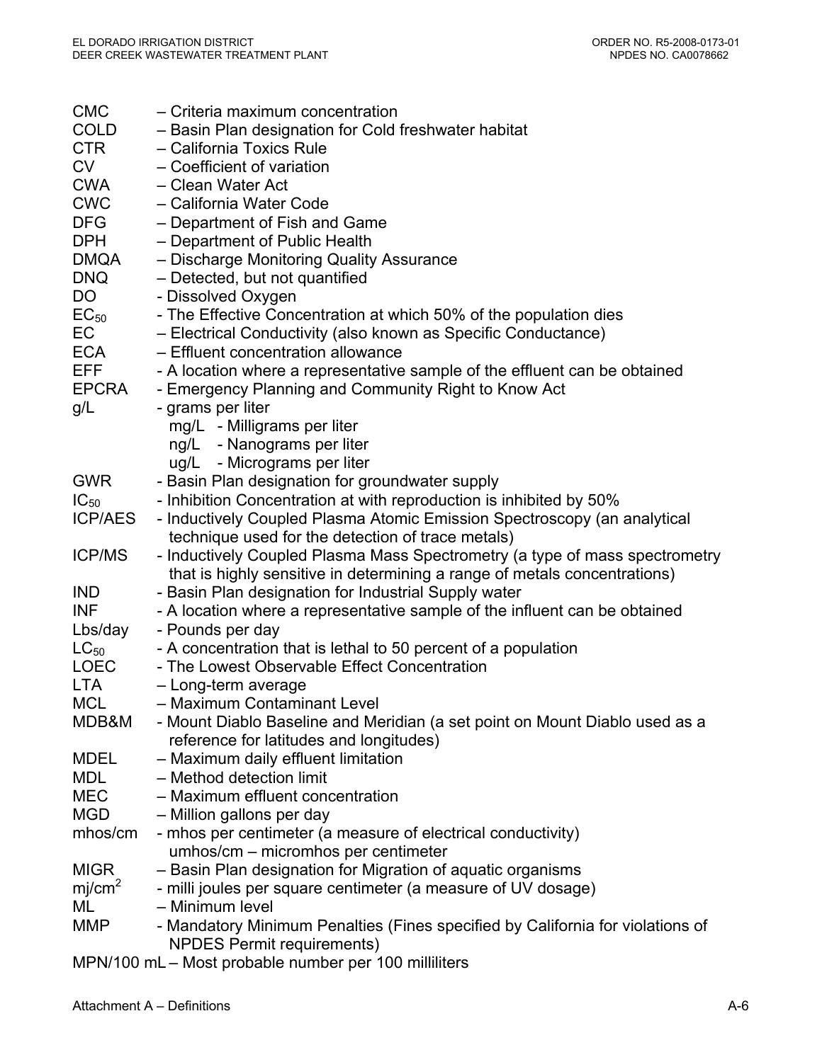| <b>CMC</b>         | - Criteria maximum concentration                                                                    |
|--------------------|-----------------------------------------------------------------------------------------------------|
| <b>COLD</b>        | - Basin Plan designation for Cold freshwater habitat                                                |
| <b>CTR</b>         | - California Toxics Rule                                                                            |
| <b>CV</b>          | - Coefficient of variation                                                                          |
| <b>CWA</b>         | - Clean Water Act                                                                                   |
| <b>CWC</b>         | - California Water Code                                                                             |
| <b>DFG</b>         | - Department of Fish and Game                                                                       |
| <b>DPH</b>         | - Department of Public Health                                                                       |
| DMQA               | - Discharge Monitoring Quality Assurance                                                            |
| <b>DNQ</b>         | - Detected, but not quantified                                                                      |
| DO                 | - Dissolved Oxygen                                                                                  |
| $EC_{50}$          | - The Effective Concentration at which 50% of the population dies                                   |
| EC                 | - Electrical Conductivity (also known as Specific Conductance)                                      |
| ECA                | - Effluent concentration allowance                                                                  |
| EFF                | - A location where a representative sample of the effluent can be obtained                          |
| <b>EPCRA</b>       | - Emergency Planning and Community Right to Know Act                                                |
| g/L                | - grams per liter                                                                                   |
|                    | mg/L - Milligrams per liter                                                                         |
|                    | ng/L - Nanograms per liter                                                                          |
|                    | ug/L - Micrograms per liter                                                                         |
| <b>GWR</b>         | - Basin Plan designation for groundwater supply                                                     |
| $IC_{50}$          | - Inhibition Concentration at with reproduction is inhibited by 50%                                 |
| <b>ICP/AES</b>     | - Inductively Coupled Plasma Atomic Emission Spectroscopy (an analytical                            |
|                    | technique used for the detection of trace metals)                                                   |
| <b>ICP/MS</b>      | - Inductively Coupled Plasma Mass Spectrometry (a type of mass spectrometry                         |
|                    | that is highly sensitive in determining a range of metals concentrations)                           |
| <b>IND</b>         | - Basin Plan designation for Industrial Supply water                                                |
| <b>INF</b>         | - A location where a representative sample of the influent can be obtained                          |
| Lbs/day            | - Pounds per day                                                                                    |
| $LC_{50}$          | - A concentration that is lethal to 50 percent of a population                                      |
| <b>LOEC</b>        | - The Lowest Observable Effect Concentration                                                        |
| <b>LTA</b>         | - Long-term average                                                                                 |
| <b>MCL</b>         | - Maximum Contaminant Level                                                                         |
| MDB&M              | - Mount Diablo Baseline and Meridian (a set point on Mount Diablo used as a                         |
|                    | reference for latitudes and longitudes)                                                             |
| <b>MDEL</b>        | - Maximum daily effluent limitation                                                                 |
| <b>MDL</b>         | - Method detection limit                                                                            |
| <b>MEC</b>         | - Maximum effluent concentration                                                                    |
| <b>MGD</b>         | - Million gallons per day                                                                           |
| mhos/cm            | - mhos per centimeter (a measure of electrical conductivity)<br>umhos/cm - micromhos per centimeter |
| <b>MIGR</b>        | - Basin Plan designation for Migration of aquatic organisms                                         |
| mj/cm <sup>2</sup> | - milli joules per square centimeter (a measure of UV dosage)                                       |
| ML                 | - Minimum level                                                                                     |
| <b>MMP</b>         | - Mandatory Minimum Penalties (Fines specified by California for violations of                      |
|                    | <b>NPDES Permit requirements)</b>                                                                   |
|                    | MPN/100 mL - Most probable number per 100 milliliters                                               |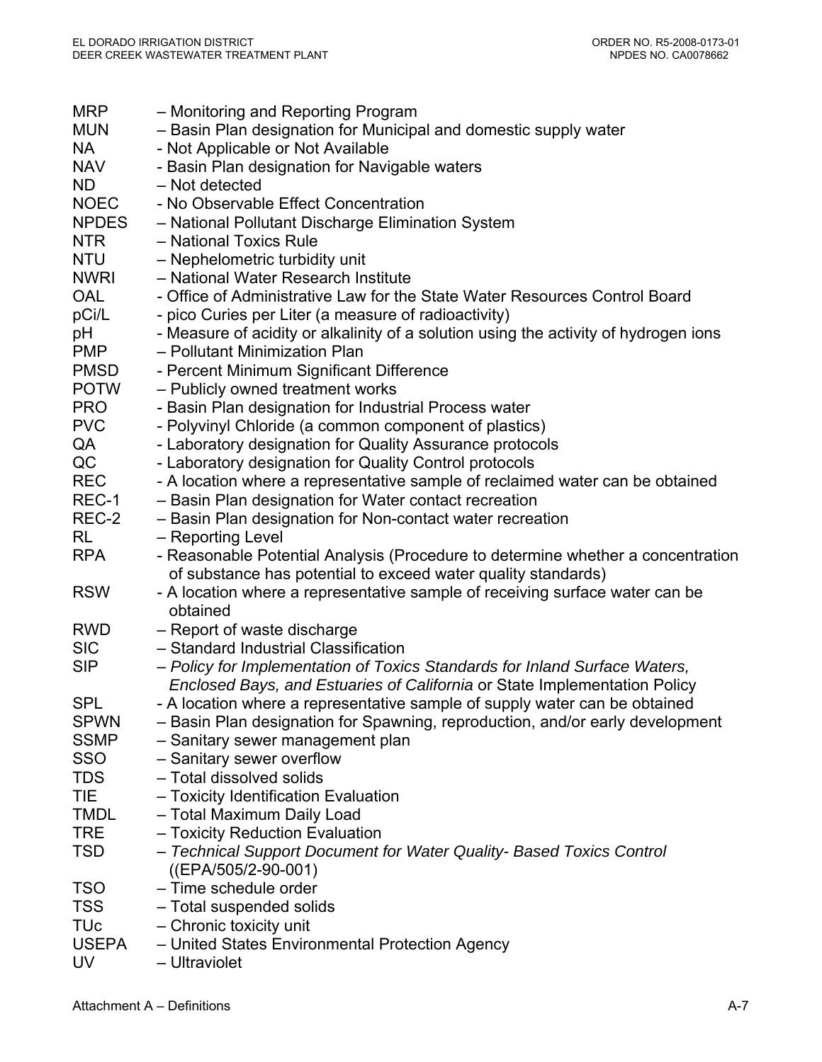| <b>MRP</b><br><b>MUN</b> | - Monitoring and Reporting Program<br>- Basin Plan designation for Municipal and domestic supply water                                                  |
|--------------------------|---------------------------------------------------------------------------------------------------------------------------------------------------------|
| <b>NA</b><br><b>NAV</b>  | - Not Applicable or Not Available<br>- Basin Plan designation for Navigable waters                                                                      |
| <b>ND</b>                | - Not detected                                                                                                                                          |
| <b>NOEC</b>              | - No Observable Effect Concentration                                                                                                                    |
| <b>NPDES</b>             | - National Pollutant Discharge Elimination System                                                                                                       |
| <b>NTR</b>               | - National Toxics Rule                                                                                                                                  |
| <b>NTU</b>               | - Nephelometric turbidity unit                                                                                                                          |
| <b>NWRI</b>              | - National Water Research Institute                                                                                                                     |
| <b>OAL</b>               | - Office of Administrative Law for the State Water Resources Control Board                                                                              |
| pCi/L                    | - pico Curies per Liter (a measure of radioactivity)                                                                                                    |
| рH                       | - Measure of acidity or alkalinity of a solution using the activity of hydrogen ions                                                                    |
| <b>PMP</b>               | - Pollutant Minimization Plan                                                                                                                           |
| <b>PMSD</b>              | - Percent Minimum Significant Difference                                                                                                                |
| <b>POTW</b>              | - Publicly owned treatment works                                                                                                                        |
| <b>PRO</b>               | - Basin Plan designation for Industrial Process water                                                                                                   |
| <b>PVC</b>               | - Polyvinyl Chloride (a common component of plastics)                                                                                                   |
| QA                       | - Laboratory designation for Quality Assurance protocols                                                                                                |
| QC                       | - Laboratory designation for Quality Control protocols                                                                                                  |
| <b>REC</b>               | - A location where a representative sample of reclaimed water can be obtained                                                                           |
| REC-1                    | - Basin Plan designation for Water contact recreation                                                                                                   |
| REC-2                    | - Basin Plan designation for Non-contact water recreation                                                                                               |
| <b>RL</b>                | - Reporting Level                                                                                                                                       |
| <b>RPA</b>               | - Reasonable Potential Analysis (Procedure to determine whether a concentration<br>of substance has potential to exceed water quality standards)        |
| <b>RSW</b>               | - A location where a representative sample of receiving surface water can be<br>obtained                                                                |
| <b>RWD</b>               | - Report of waste discharge                                                                                                                             |
| <b>SIC</b>               | - Standard Industrial Classification                                                                                                                    |
| <b>SIP</b>               | - Policy for Implementation of Toxics Standards for Inland Surface Waters,<br>Enclosed Bays, and Estuaries of California or State Implementation Policy |
| <b>SPL</b>               | - A location where a representative sample of supply water can be obtained                                                                              |
| <b>SPWN</b>              | - Basin Plan designation for Spawning, reproduction, and/or early development                                                                           |
| <b>SSMP</b>              | - Sanitary sewer management plan                                                                                                                        |
| <b>SSO</b>               | - Sanitary sewer overflow                                                                                                                               |
| <b>TDS</b>               | - Total dissolved solids                                                                                                                                |
| TIE                      | - Toxicity Identification Evaluation                                                                                                                    |
| <b>TMDL</b>              | - Total Maximum Daily Load                                                                                                                              |
| <b>TRE</b>               | - Toxicity Reduction Evaluation                                                                                                                         |
| <b>TSD</b>               | - Technical Support Document for Water Quality- Based Toxics Control<br>$((EPA/505/2-90-001))$                                                          |
| <b>TSO</b>               | - Time schedule order                                                                                                                                   |
| <b>TSS</b>               | - Total suspended solids                                                                                                                                |
| <b>TU<sub>c</sub></b>    | - Chronic toxicity unit                                                                                                                                 |
| <b>USEPA</b>             | - United States Environmental Protection Agency                                                                                                         |
| <b>UV</b>                | - Ultraviolet                                                                                                                                           |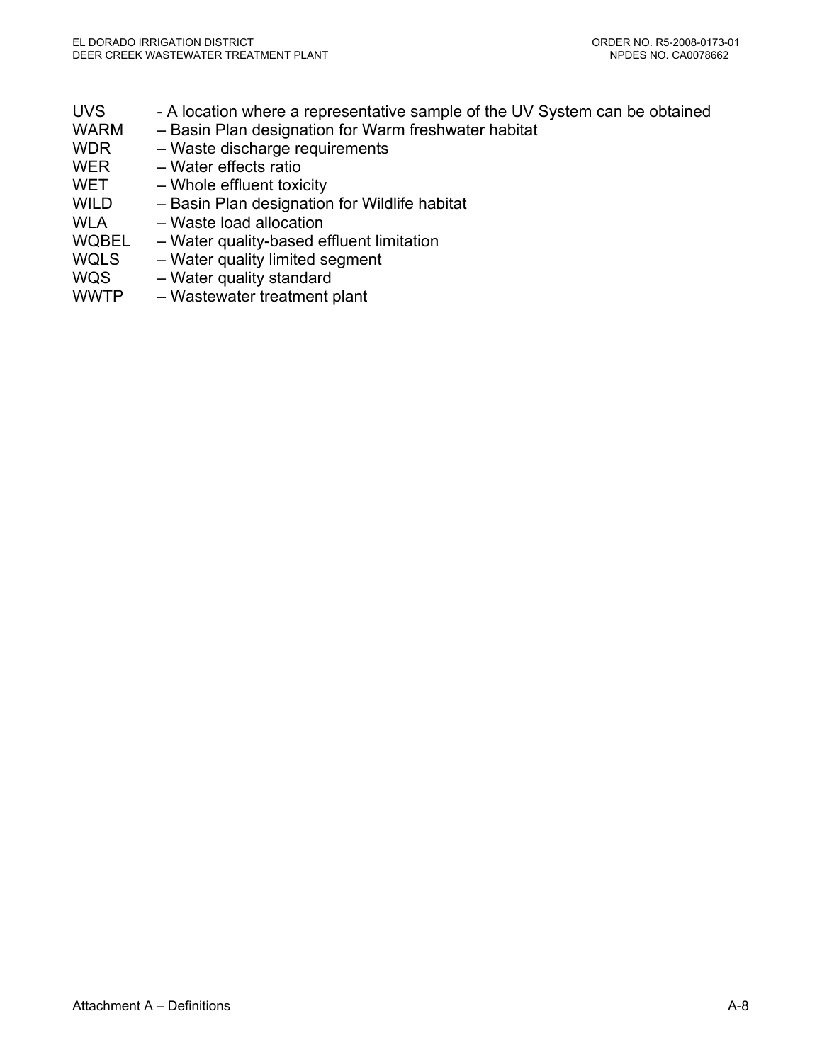- UVS A location where a representative sample of the UV System can be obtained WARM – Basin Plan designation for Warm freshwater habitat WDR – Waste discharge requirements WER – Water effects ratio WET – Whole effluent toxicity WILD – Basin Plan designation for Wildlife habitat WLA – Waste load allocation WQBEL – Water quality-based effluent limitation
- WQLS Water quality limited segment
- WQS Water quality standard
- WWTP Wastewater treatment plant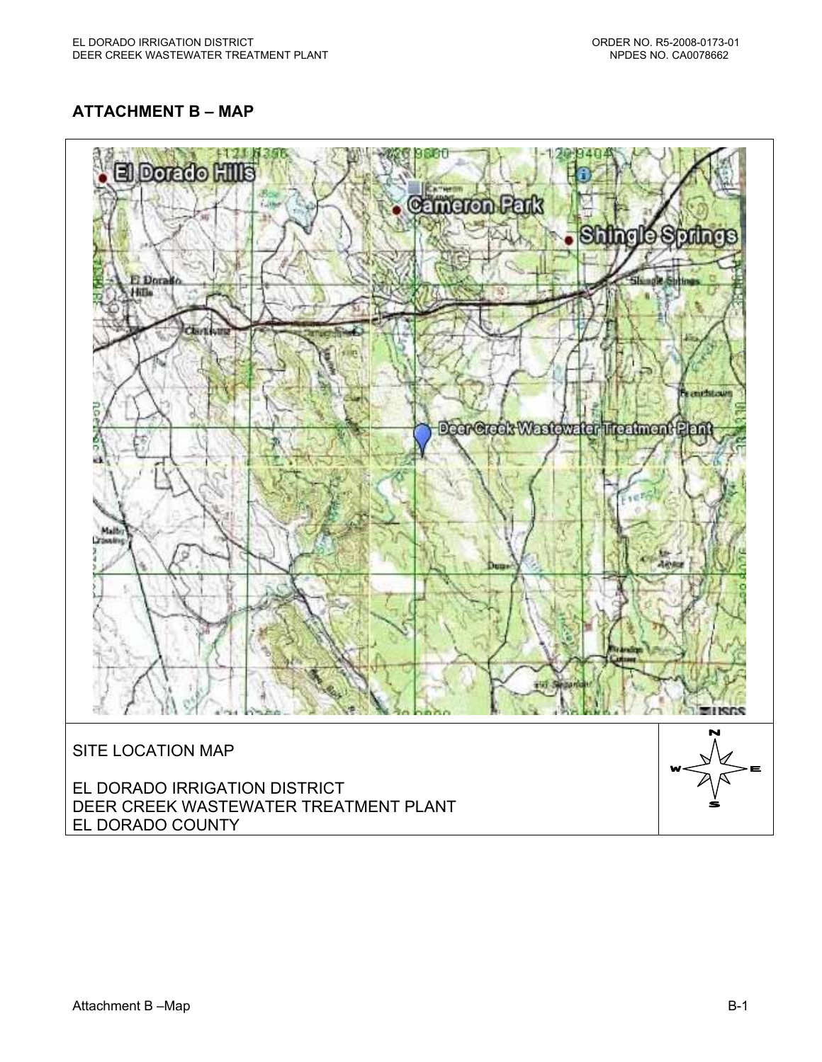# **ATTACHMENT B – MAP**

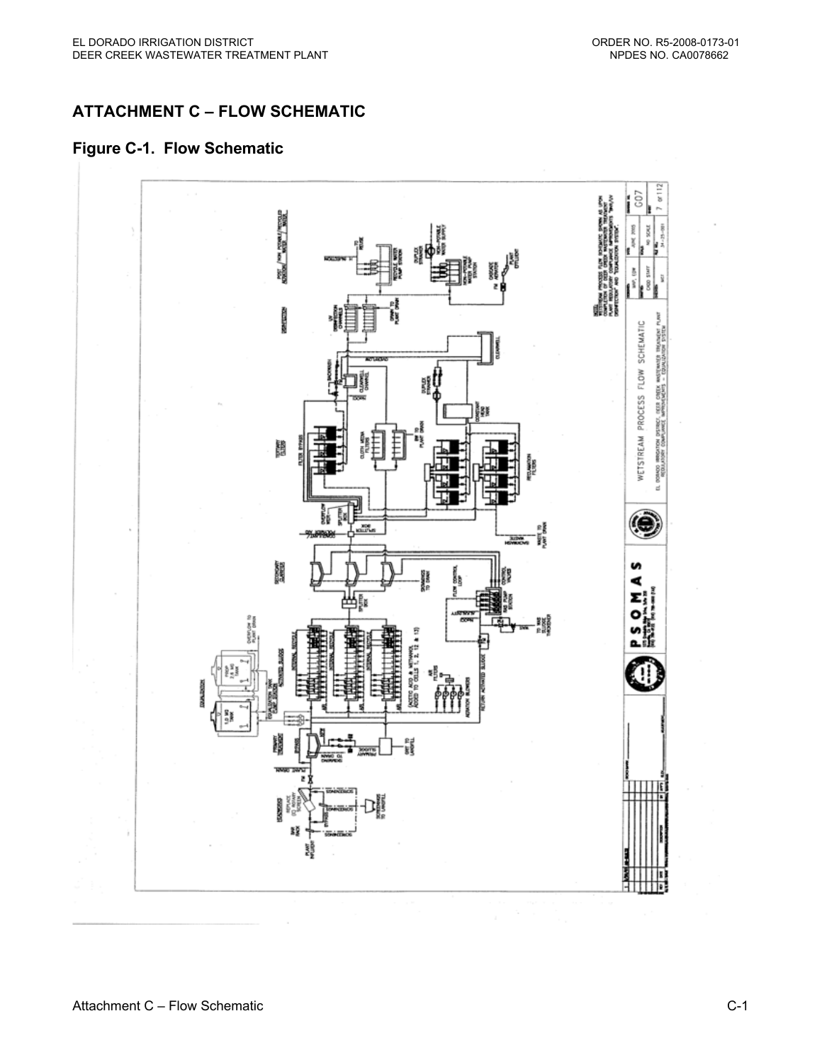# **ATTACHMENT C – FLOW SCHEMATIC**

#### **Figure C-1. Flow Schematic**

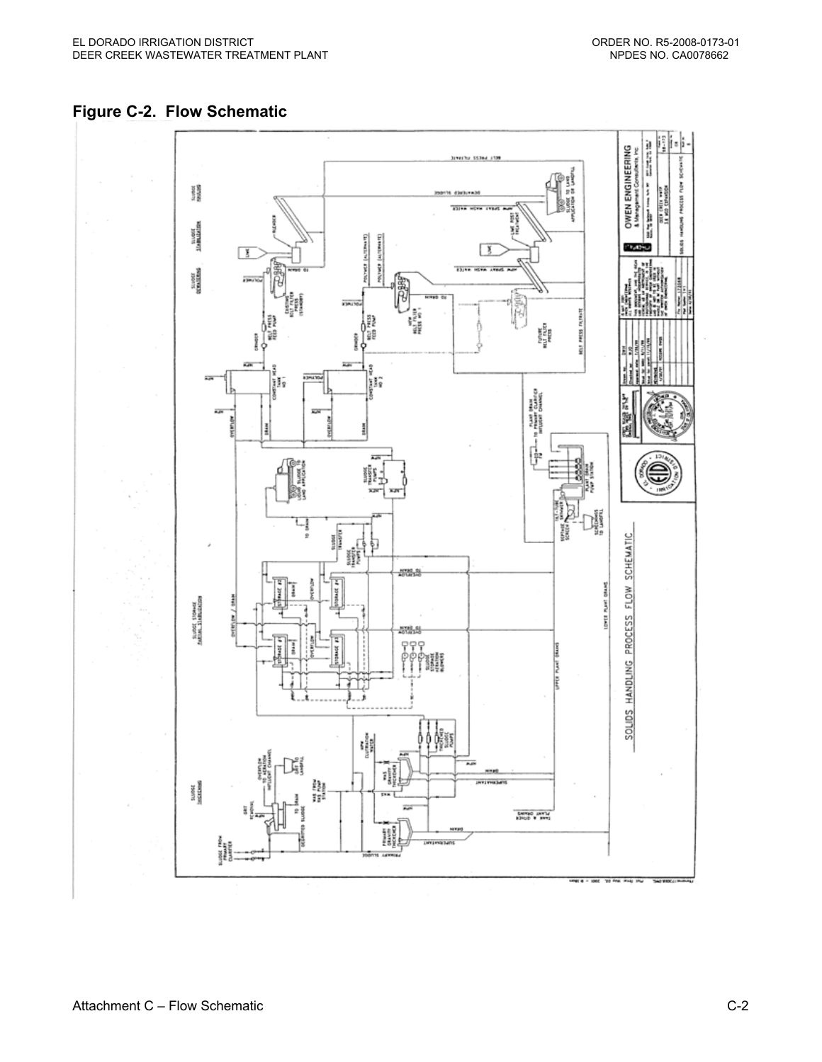

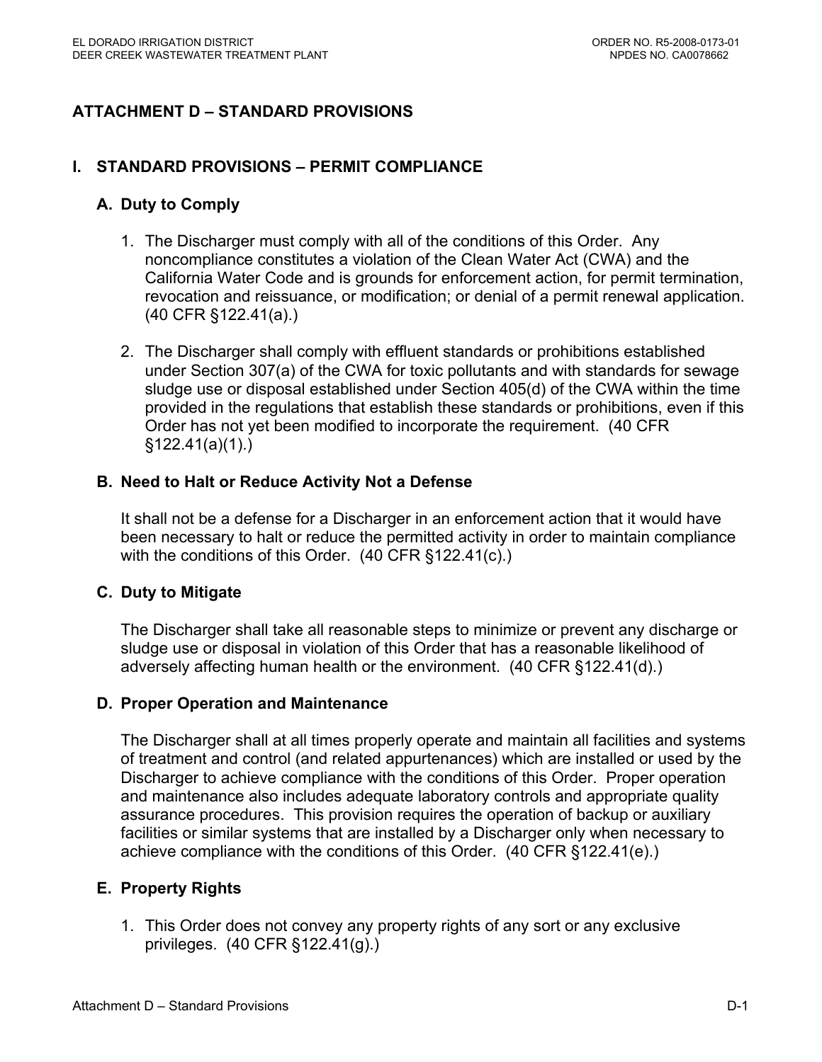# **ATTACHMENT D – STANDARD PROVISIONS**

#### **I. STANDARD PROVISIONS – PERMIT COMPLIANCE**

#### **A. Duty to Comply**

- 1. The Discharger must comply with all of the conditions of this Order. Any noncompliance constitutes a violation of the Clean Water Act (CWA) and the California Water Code and is grounds for enforcement action, for permit termination, revocation and reissuance, or modification; or denial of a permit renewal application. (40 CFR §122.41(a).)
- 2. The Discharger shall comply with effluent standards or prohibitions established under Section 307(a) of the CWA for toxic pollutants and with standards for sewage sludge use or disposal established under Section 405(d) of the CWA within the time provided in the regulations that establish these standards or prohibitions, even if this Order has not yet been modified to incorporate the requirement. (40 CFR §122.41(a)(1).)

#### **B. Need to Halt or Reduce Activity Not a Defense**

It shall not be a defense for a Discharger in an enforcement action that it would have been necessary to halt or reduce the permitted activity in order to maintain compliance with the conditions of this Order. (40 CFR §122.41(c).)

#### **C. Duty to Mitigate**

The Discharger shall take all reasonable steps to minimize or prevent any discharge or sludge use or disposal in violation of this Order that has a reasonable likelihood of adversely affecting human health or the environment. (40 CFR §122.41(d).)

#### **D. Proper Operation and Maintenance**

The Discharger shall at all times properly operate and maintain all facilities and systems of treatment and control (and related appurtenances) which are installed or used by the Discharger to achieve compliance with the conditions of this Order. Proper operation and maintenance also includes adequate laboratory controls and appropriate quality assurance procedures. This provision requires the operation of backup or auxiliary facilities or similar systems that are installed by a Discharger only when necessary to achieve compliance with the conditions of this Order. (40 CFR §122.41(e).)

#### **E. Property Rights**

1. This Order does not convey any property rights of any sort or any exclusive privileges. (40 CFR §122.41(g).)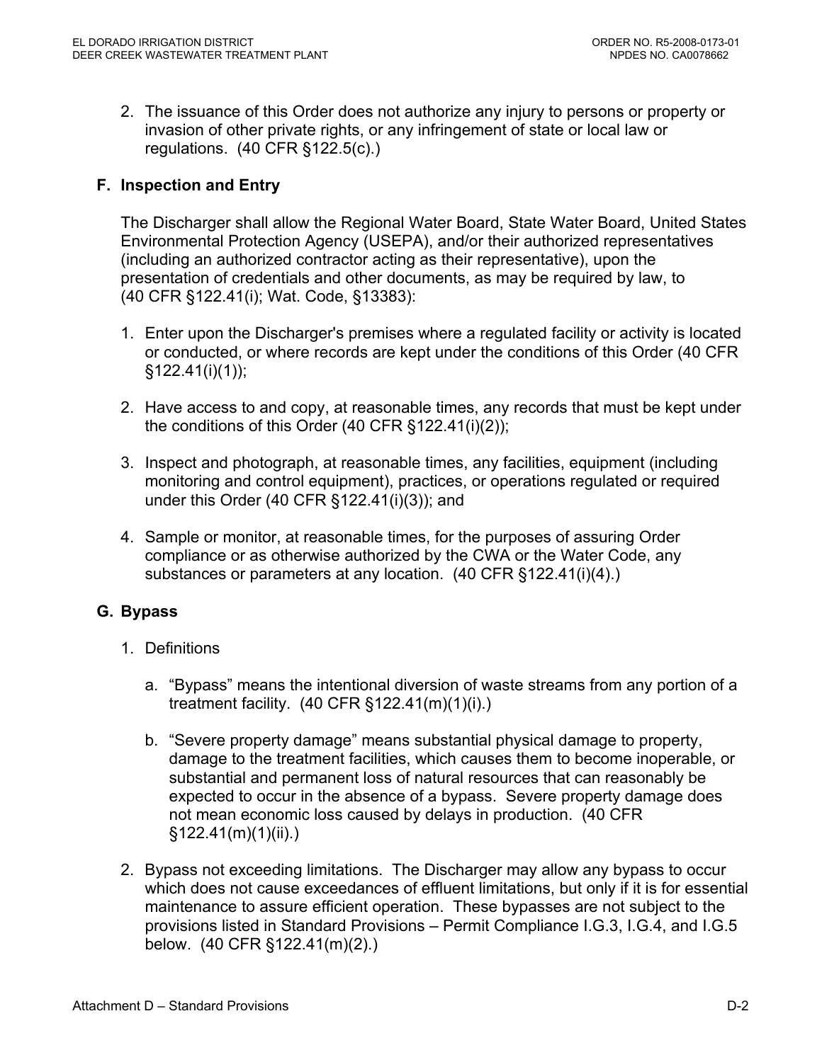2. The issuance of this Order does not authorize any injury to persons or property or invasion of other private rights, or any infringement of state or local law or regulations. (40 CFR §122.5(c).)

# **F. Inspection and Entry**

The Discharger shall allow the Regional Water Board, State Water Board, United States Environmental Protection Agency (USEPA), and/or their authorized representatives (including an authorized contractor acting as their representative), upon the presentation of credentials and other documents, as may be required by law, to (40 CFR §122.41(i); Wat. Code, §13383):

- 1. Enter upon the Discharger's premises where a regulated facility or activity is located or conducted, or where records are kept under the conditions of this Order (40 CFR  $§122.41(i)(1))$ ;
- 2. Have access to and copy, at reasonable times, any records that must be kept under the conditions of this Order (40 CFR §122.41(i)(2));
- 3. Inspect and photograph, at reasonable times, any facilities, equipment (including monitoring and control equipment), practices, or operations regulated or required under this Order (40 CFR §122.41(i)(3)); and
- 4. Sample or monitor, at reasonable times, for the purposes of assuring Order compliance or as otherwise authorized by the CWA or the Water Code, any substances or parameters at any location. (40 CFR §122.41(i)(4).)

# **G. Bypass**

- 1. Definitions
	- a. "Bypass" means the intentional diversion of waste streams from any portion of a treatment facility. (40 CFR §122.41(m)(1)(i).)
	- b. "Severe property damage" means substantial physical damage to property, damage to the treatment facilities, which causes them to become inoperable, or substantial and permanent loss of natural resources that can reasonably be expected to occur in the absence of a bypass. Severe property damage does not mean economic loss caused by delays in production. (40 CFR §122.41(m)(1)(ii).)
- 2. Bypass not exceeding limitations. The Discharger may allow any bypass to occur which does not cause exceedances of effluent limitations, but only if it is for essential maintenance to assure efficient operation. These bypasses are not subject to the provisions listed in Standard Provisions – Permit Compliance I.G.3, I.G.4, and I.G.5 below. (40 CFR §122.41(m)(2).)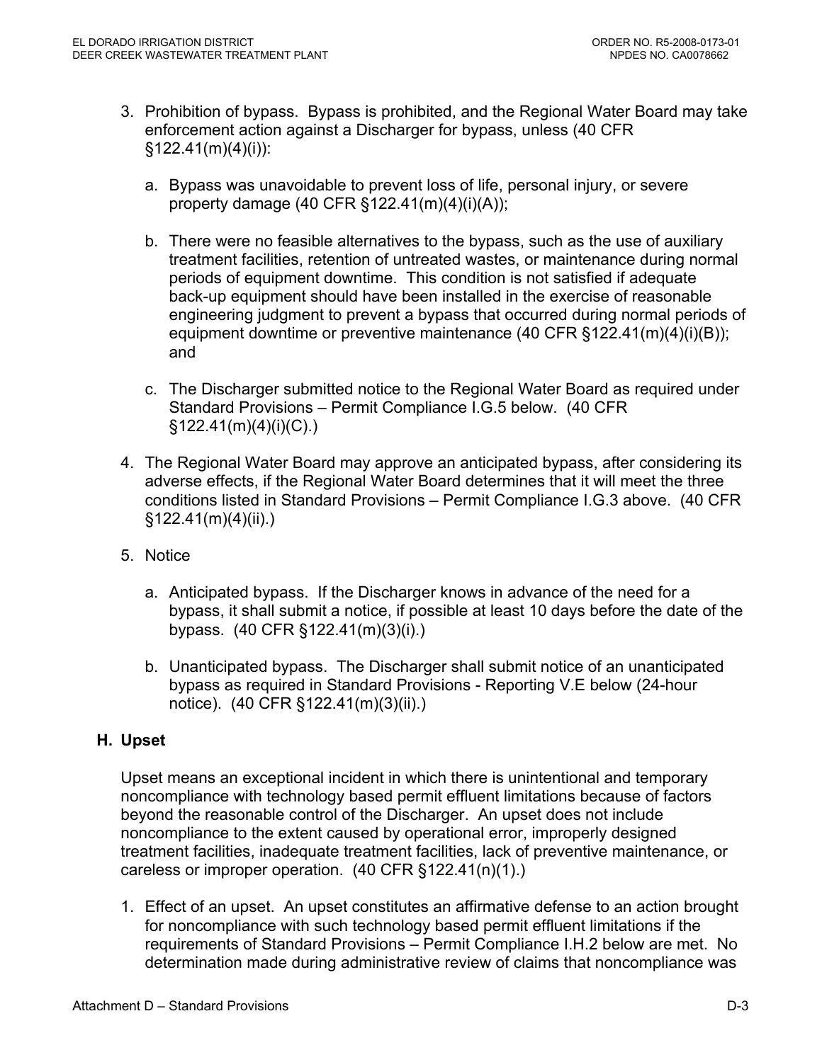- 3. Prohibition of bypass. Bypass is prohibited, and the Regional Water Board may take enforcement action against a Discharger for bypass, unless (40 CFR  $§122.41(m)(4)(i))$ :
	- a. Bypass was unavoidable to prevent loss of life, personal injury, or severe property damage  $(40 \text{ CFR } \S 122.41(m)(4)(i)(A));$
	- b. There were no feasible alternatives to the bypass, such as the use of auxiliary treatment facilities, retention of untreated wastes, or maintenance during normal periods of equipment downtime. This condition is not satisfied if adequate back-up equipment should have been installed in the exercise of reasonable engineering judgment to prevent a bypass that occurred during normal periods of equipment downtime or preventive maintenance (40 CFR §122.41(m)(4)(i)(B)); and
	- c. The Discharger submitted notice to the Regional Water Board as required under Standard Provisions – Permit Compliance I.G.5 below. (40 CFR §122.41(m)(4)(i)(C).)
- 4. The Regional Water Board may approve an anticipated bypass, after considering its adverse effects, if the Regional Water Board determines that it will meet the three conditions listed in Standard Provisions – Permit Compliance I.G.3 above. (40 CFR §122.41(m)(4)(ii).)
- 5. Notice
	- a. Anticipated bypass. If the Discharger knows in advance of the need for a bypass, it shall submit a notice, if possible at least 10 days before the date of the bypass. (40 CFR §122.41(m)(3)(i).)
	- b. Unanticipated bypass. The Discharger shall submit notice of an unanticipated bypass as required in Standard Provisions - Reporting V.E below (24-hour notice). (40 CFR §122.41(m)(3)(ii).)

# **H. Upset**

Upset means an exceptional incident in which there is unintentional and temporary noncompliance with technology based permit effluent limitations because of factors beyond the reasonable control of the Discharger. An upset does not include noncompliance to the extent caused by operational error, improperly designed treatment facilities, inadequate treatment facilities, lack of preventive maintenance, or careless or improper operation. (40 CFR §122.41(n)(1).)

1. Effect of an upset. An upset constitutes an affirmative defense to an action brought for noncompliance with such technology based permit effluent limitations if the requirements of Standard Provisions – Permit Compliance I.H.2 below are met. No determination made during administrative review of claims that noncompliance was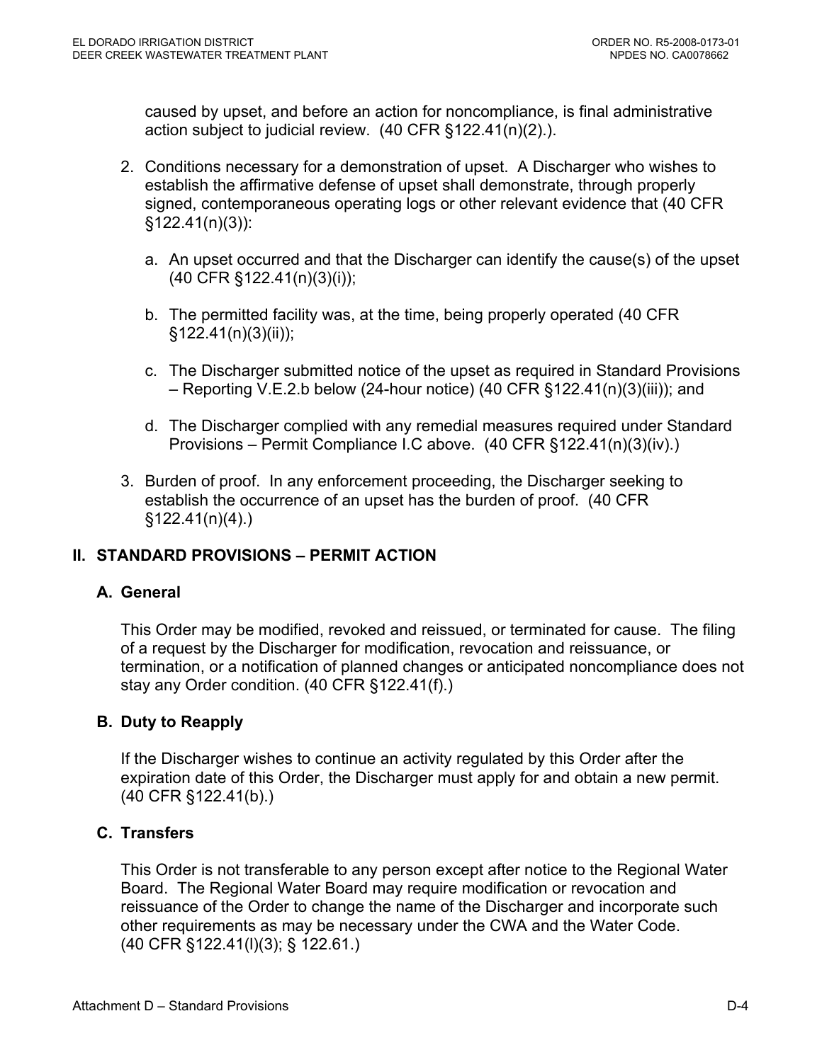caused by upset, and before an action for noncompliance, is final administrative action subject to judicial review. (40 CFR §122.41(n)(2).).

- 2. Conditions necessary for a demonstration of upset. A Discharger who wishes to establish the affirmative defense of upset shall demonstrate, through properly signed, contemporaneous operating logs or other relevant evidence that (40 CFR §122.41(n)(3)):
	- a. An upset occurred and that the Discharger can identify the cause(s) of the upset (40 CFR §122.41(n)(3)(i));
	- b. The permitted facility was, at the time, being properly operated (40 CFR §122.41(n)(3)(ii));
	- c. The Discharger submitted notice of the upset as required in Standard Provisions – Reporting V.E.2.b below (24-hour notice) (40 CFR §122.41(n)(3)(iii)); and
	- d. The Discharger complied with any remedial measures required under Standard Provisions – Permit Compliance I.C above. (40 CFR §122.41(n)(3)(iv).)
- 3. Burden of proof. In any enforcement proceeding, the Discharger seeking to establish the occurrence of an upset has the burden of proof. (40 CFR  $$122.41(n)(4)$ .

# **II. STANDARD PROVISIONS – PERMIT ACTION**

# **A. General**

This Order may be modified, revoked and reissued, or terminated for cause. The filing of a request by the Discharger for modification, revocation and reissuance, or termination, or a notification of planned changes or anticipated noncompliance does not stay any Order condition. (40 CFR §122.41(f).)

# **B. Duty to Reapply**

If the Discharger wishes to continue an activity regulated by this Order after the expiration date of this Order, the Discharger must apply for and obtain a new permit. (40 CFR §122.41(b).)

#### **C. Transfers**

This Order is not transferable to any person except after notice to the Regional Water Board. The Regional Water Board may require modification or revocation and reissuance of the Order to change the name of the Discharger and incorporate such other requirements as may be necessary under the CWA and the Water Code. (40 CFR §122.41(l)(3); § 122.61.)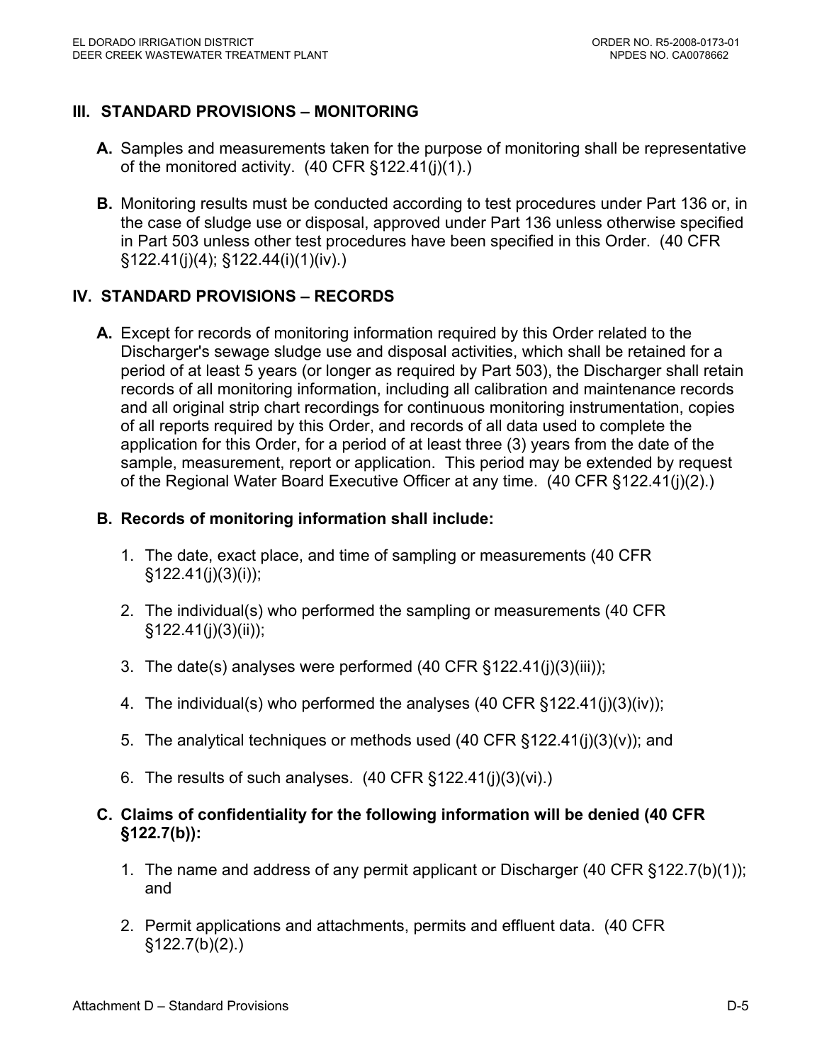# **III. STANDARD PROVISIONS – MONITORING**

- **A.** Samples and measurements taken for the purpose of monitoring shall be representative of the monitored activity. (40 CFR §122.41(j)(1).)
- **B.** Monitoring results must be conducted according to test procedures under Part 136 or, in the case of sludge use or disposal, approved under Part 136 unless otherwise specified in Part 503 unless other test procedures have been specified in this Order. (40 CFR §122.41(j)(4); §122.44(i)(1)(iv).)

# **IV. STANDARD PROVISIONS – RECORDS**

**A.** Except for records of monitoring information required by this Order related to the Discharger's sewage sludge use and disposal activities, which shall be retained for a period of at least 5 years (or longer as required by Part 503), the Discharger shall retain records of all monitoring information, including all calibration and maintenance records and all original strip chart recordings for continuous monitoring instrumentation, copies of all reports required by this Order, and records of all data used to complete the application for this Order, for a period of at least three (3) years from the date of the sample, measurement, report or application. This period may be extended by request of the Regional Water Board Executive Officer at any time. (40 CFR §122.41(j)(2).)

# **B. Records of monitoring information shall include:**

- 1. The date, exact place, and time of sampling or measurements (40 CFR §122.41(j)(3)(i));
- 2. The individual(s) who performed the sampling or measurements (40 CFR §122.41(j)(3)(ii));
- 3. The date(s) analyses were performed (40 CFR §122.41(j)(3)(iii));
- 4. The individual(s) who performed the analyses (40 CFR §122.41(j)(3)(iv));
- 5. The analytical techniques or methods used (40 CFR §122.41(j)(3)(v)); and
- 6. The results of such analyses.  $(40 \text{ CFR } \S 122.41(i)(3)(vi))$ .
- **C. Claims of confidentiality for the following information will be denied (40 CFR §122.7(b)):** 
	- 1. The name and address of any permit applicant or Discharger (40 CFR §122.7(b)(1)); and
	- 2. Permit applications and attachments, permits and effluent data. (40 CFR §122.7(b)(2).)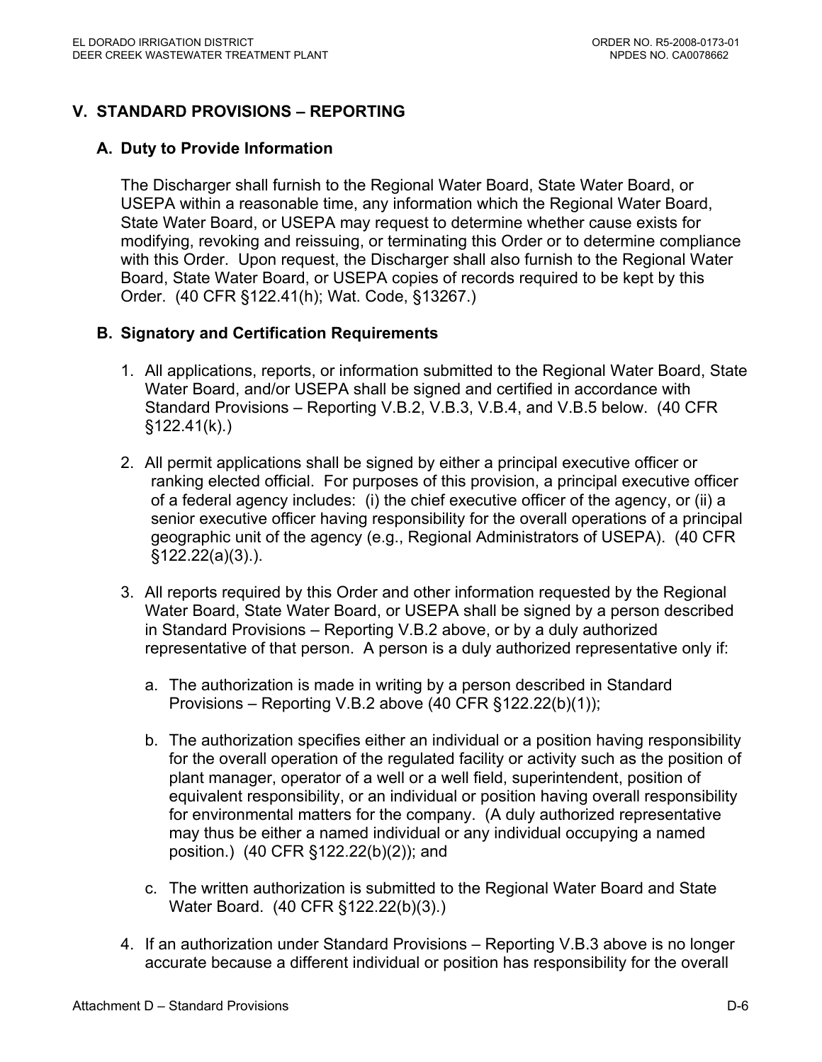# **V. STANDARD PROVISIONS – REPORTING**

#### **A. Duty to Provide Information**

The Discharger shall furnish to the Regional Water Board, State Water Board, or USEPA within a reasonable time, any information which the Regional Water Board, State Water Board, or USEPA may request to determine whether cause exists for modifying, revoking and reissuing, or terminating this Order or to determine compliance with this Order. Upon request, the Discharger shall also furnish to the Regional Water Board, State Water Board, or USEPA copies of records required to be kept by this Order. (40 CFR §122.41(h); Wat. Code, §13267.)

#### **B. Signatory and Certification Requirements**

- 1. All applications, reports, or information submitted to the Regional Water Board, State Water Board, and/or USEPA shall be signed and certified in accordance with Standard Provisions – Reporting V.B.2, V.B.3, V.B.4, and V.B.5 below. (40 CFR  $§122.41(k).$
- 2. All permit applications shall be signed by either a principal executive officer or ranking elected official. For purposes of this provision, a principal executive officer of a federal agency includes: (i) the chief executive officer of the agency, or (ii) a senior executive officer having responsibility for the overall operations of a principal geographic unit of the agency (e.g., Regional Administrators of USEPA). (40 CFR §122.22(a)(3).).
- 3. All reports required by this Order and other information requested by the Regional Water Board, State Water Board, or USEPA shall be signed by a person described in Standard Provisions – Reporting V.B.2 above, or by a duly authorized representative of that person. A person is a duly authorized representative only if:
	- a. The authorization is made in writing by a person described in Standard Provisions – Reporting V.B.2 above (40 CFR §122.22(b)(1));
	- b. The authorization specifies either an individual or a position having responsibility for the overall operation of the regulated facility or activity such as the position of plant manager, operator of a well or a well field, superintendent, position of equivalent responsibility, or an individual or position having overall responsibility for environmental matters for the company. (A duly authorized representative may thus be either a named individual or any individual occupying a named position.) (40 CFR §122.22(b)(2)); and
	- c. The written authorization is submitted to the Regional Water Board and State Water Board. (40 CFR §122.22(b)(3).)
- 4. If an authorization under Standard Provisions Reporting V.B.3 above is no longer accurate because a different individual or position has responsibility for the overall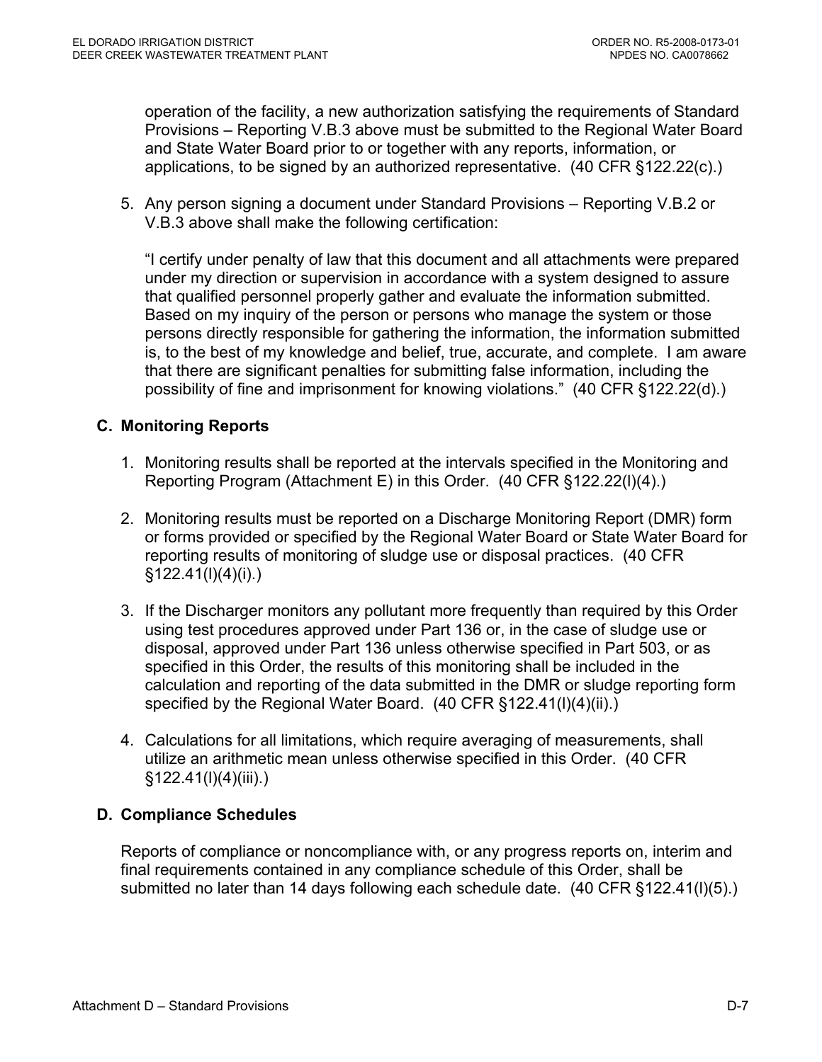operation of the facility, a new authorization satisfying the requirements of Standard Provisions – Reporting V.B.3 above must be submitted to the Regional Water Board and State Water Board prior to or together with any reports, information, or applications, to be signed by an authorized representative. (40 CFR §122.22(c).)

5. Any person signing a document under Standard Provisions – Reporting V.B.2 or V.B.3 above shall make the following certification:

"I certify under penalty of law that this document and all attachments were prepared under my direction or supervision in accordance with a system designed to assure that qualified personnel properly gather and evaluate the information submitted. Based on my inquiry of the person or persons who manage the system or those persons directly responsible for gathering the information, the information submitted is, to the best of my knowledge and belief, true, accurate, and complete. I am aware that there are significant penalties for submitting false information, including the possibility of fine and imprisonment for knowing violations." (40 CFR §122.22(d).)

# **C. Monitoring Reports**

- 1. Monitoring results shall be reported at the intervals specified in the Monitoring and Reporting Program (Attachment E) in this Order. (40 CFR §122.22(l)(4).)
- 2. Monitoring results must be reported on a Discharge Monitoring Report (DMR) form or forms provided or specified by the Regional Water Board or State Water Board for reporting results of monitoring of sludge use or disposal practices. (40 CFR §122.41(l)(4)(i).)
- 3. If the Discharger monitors any pollutant more frequently than required by this Order using test procedures approved under Part 136 or, in the case of sludge use or disposal, approved under Part 136 unless otherwise specified in Part 503, or as specified in this Order, the results of this monitoring shall be included in the calculation and reporting of the data submitted in the DMR or sludge reporting form specified by the Regional Water Board. (40 CFR §122.41(I)(4)(ii).)
- 4. Calculations for all limitations, which require averaging of measurements, shall utilize an arithmetic mean unless otherwise specified in this Order. (40 CFR §122.41(l)(4)(iii).)

#### **D. Compliance Schedules**

Reports of compliance or noncompliance with, or any progress reports on, interim and final requirements contained in any compliance schedule of this Order, shall be submitted no later than 14 days following each schedule date. (40 CFR §122.41(l)(5).)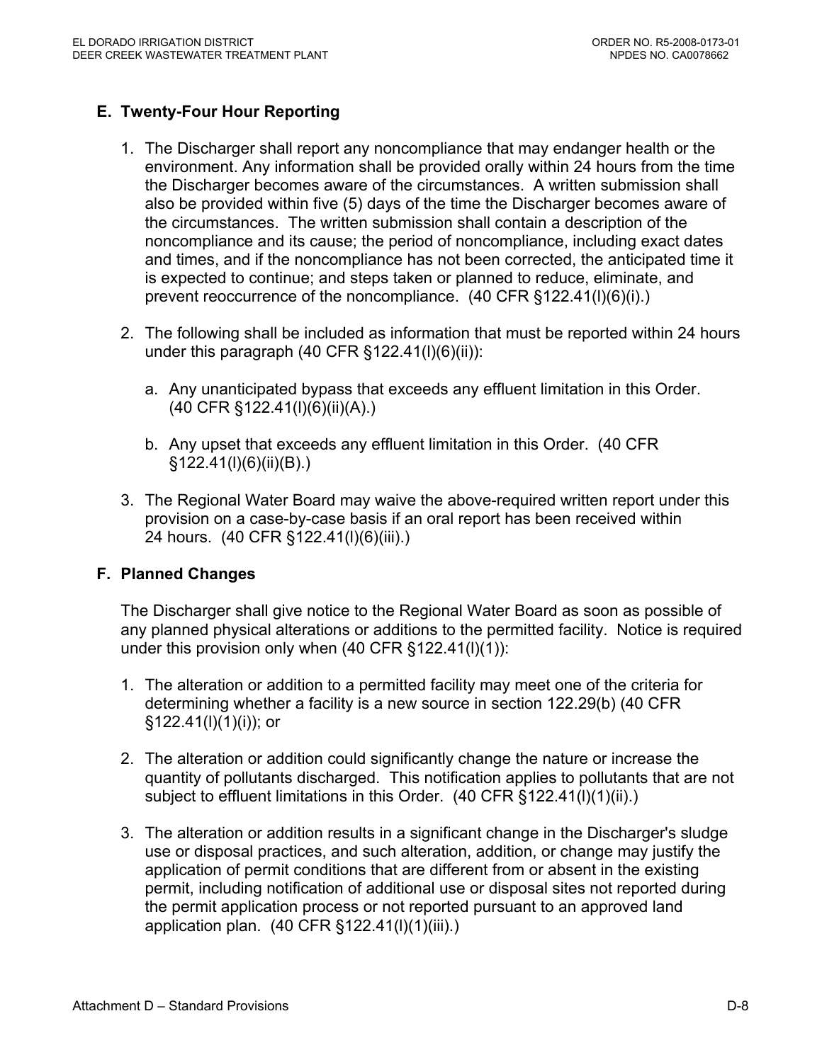# **E. Twenty-Four Hour Reporting**

- 1. The Discharger shall report any noncompliance that may endanger health or the environment. Any information shall be provided orally within 24 hours from the time the Discharger becomes aware of the circumstances. A written submission shall also be provided within five (5) days of the time the Discharger becomes aware of the circumstances. The written submission shall contain a description of the noncompliance and its cause; the period of noncompliance, including exact dates and times, and if the noncompliance has not been corrected, the anticipated time it is expected to continue; and steps taken or planned to reduce, eliminate, and prevent reoccurrence of the noncompliance. (40 CFR §122.41(l)(6)(i).)
- 2. The following shall be included as information that must be reported within 24 hours under this paragraph  $(40$  CFR  $\S 122.41(I)(6)(ii))$ :
	- a. Any unanticipated bypass that exceeds any effluent limitation in this Order. (40 CFR §122.41(l)(6)(ii)(A).)
	- b. Any upset that exceeds any effluent limitation in this Order. (40 CFR §122.41(l)(6)(ii)(B).)
- 3. The Regional Water Board may waive the above-required written report under this provision on a case-by-case basis if an oral report has been received within 24 hours. (40 CFR §122.41(l)(6)(iii).)

# **F. Planned Changes**

The Discharger shall give notice to the Regional Water Board as soon as possible of any planned physical alterations or additions to the permitted facility. Notice is required under this provision only when (40 CFR §122.41(l)(1)):

- 1. The alteration or addition to a permitted facility may meet one of the criteria for determining whether a facility is a new source in section 122.29(b) (40 CFR §122.41(l)(1)(i)); or
- 2. The alteration or addition could significantly change the nature or increase the quantity of pollutants discharged. This notification applies to pollutants that are not subject to effluent limitations in this Order. (40 CFR §122.41(l)(1)(ii).)
- 3. The alteration or addition results in a significant change in the Discharger's sludge use or disposal practices, and such alteration, addition, or change may justify the application of permit conditions that are different from or absent in the existing permit, including notification of additional use or disposal sites not reported during the permit application process or not reported pursuant to an approved land application plan. (40 CFR §122.41(l)(1)(iii).)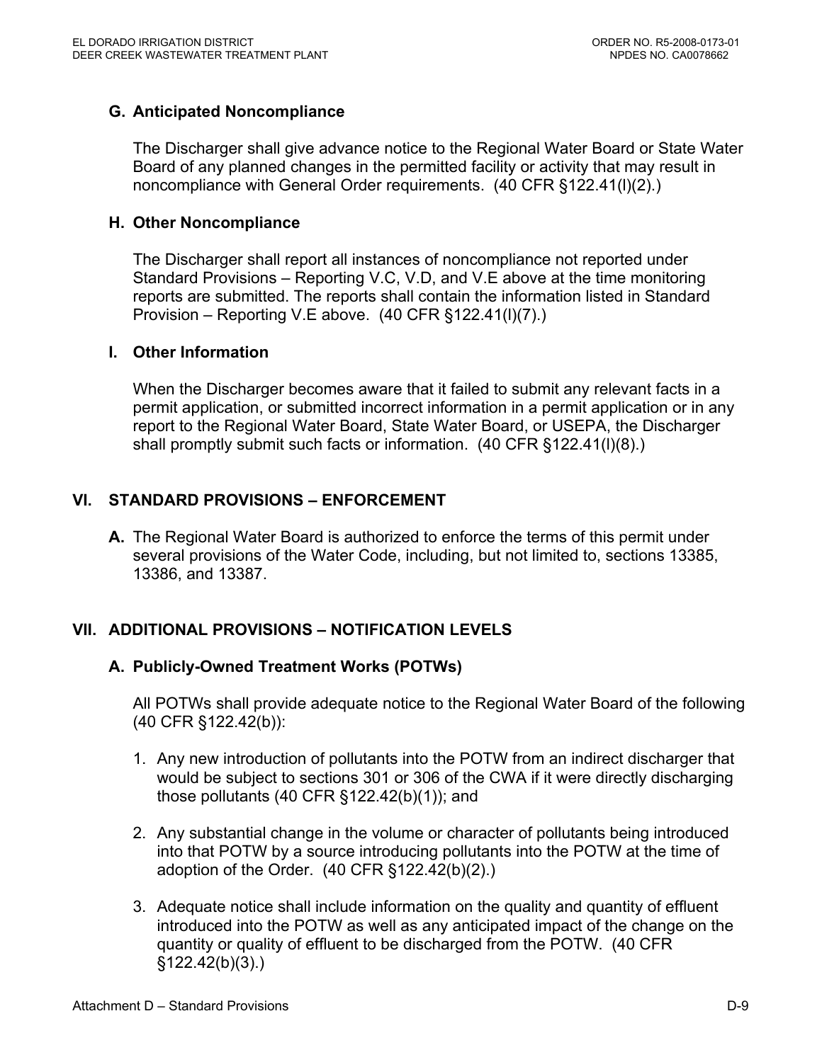#### **G. Anticipated Noncompliance**

The Discharger shall give advance notice to the Regional Water Board or State Water Board of any planned changes in the permitted facility or activity that may result in noncompliance with General Order requirements. (40 CFR §122.41(l)(2).)

#### **H. Other Noncompliance**

The Discharger shall report all instances of noncompliance not reported under Standard Provisions – Reporting V.C, V.D, and V.E above at the time monitoring reports are submitted. The reports shall contain the information listed in Standard Provision – Reporting V.E above. (40 CFR §122.41(l)(7).)

#### **I. Other Information**

When the Discharger becomes aware that it failed to submit any relevant facts in a permit application, or submitted incorrect information in a permit application or in any report to the Regional Water Board, State Water Board, or USEPA, the Discharger shall promptly submit such facts or information. (40 CFR §122.41(l)(8).)

#### **VI. STANDARD PROVISIONS – ENFORCEMENT**

**A.** The Regional Water Board is authorized to enforce the terms of this permit under several provisions of the Water Code, including, but not limited to, sections 13385, 13386, and 13387.

# **VII. ADDITIONAL PROVISIONS – NOTIFICATION LEVELS**

#### **A. Publicly-Owned Treatment Works (POTWs)**

All POTWs shall provide adequate notice to the Regional Water Board of the following (40 CFR §122.42(b)):

- 1. Any new introduction of pollutants into the POTW from an indirect discharger that would be subject to sections 301 or 306 of the CWA if it were directly discharging those pollutants (40 CFR §122.42(b)(1)); and
- 2. Any substantial change in the volume or character of pollutants being introduced into that POTW by a source introducing pollutants into the POTW at the time of adoption of the Order. (40 CFR §122.42(b)(2).)
- 3. Adequate notice shall include information on the quality and quantity of effluent introduced into the POTW as well as any anticipated impact of the change on the quantity or quality of effluent to be discharged from the POTW. (40 CFR  $§122.42(b)(3).$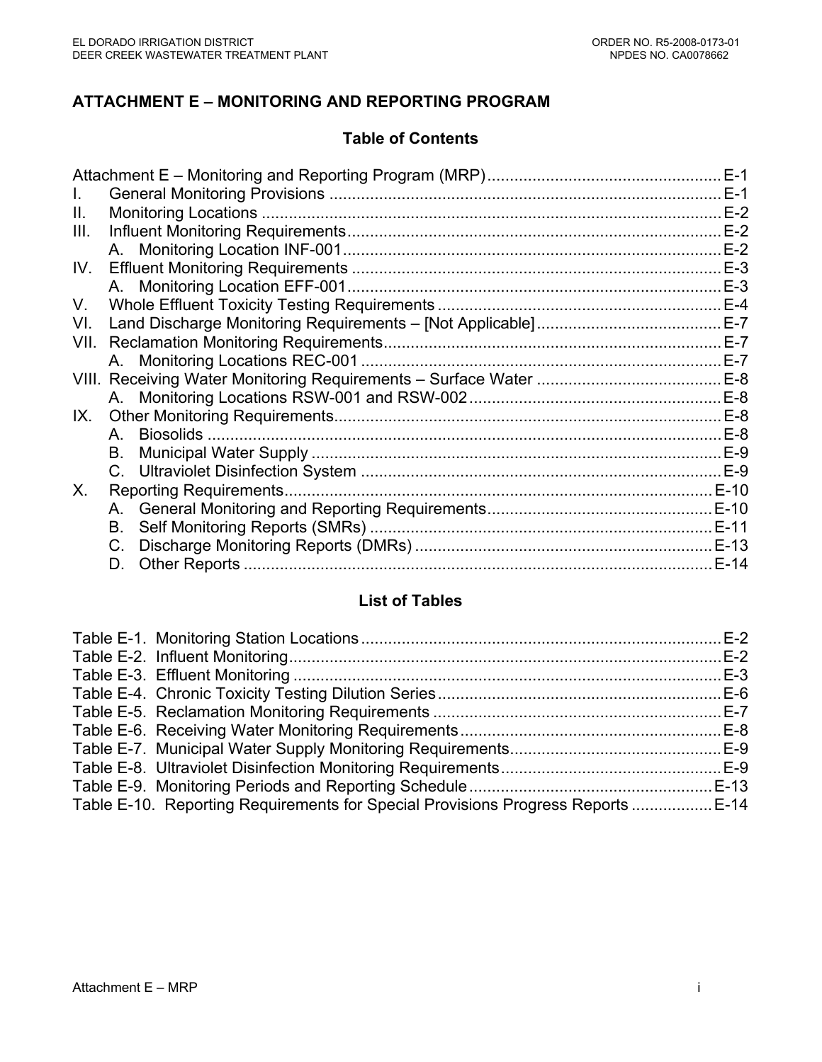# **ATTACHMENT E – MONITORING AND REPORTING PROGRAM**

# **Table of Contents**

|                 | $E-1$  |
|-----------------|--------|
|                 | $E-1$  |
|                 | $E-2$  |
|                 | $E-2$  |
|                 | $E-2$  |
|                 | $E-3$  |
|                 | $E-3$  |
|                 |        |
|                 |        |
|                 |        |
|                 | $E-7$  |
|                 |        |
|                 | $E-8$  |
|                 | $E-8$  |
| Biosolids<br>A. | $E-8$  |
| В.              | $E-9$  |
|                 |        |
|                 |        |
|                 |        |
| В.              |        |
| C.              | E-13   |
| D.              | $E-14$ |
|                 | IX.    |

#### **List of Tables**

| Table E-10. Reporting Requirements for Special Provisions Progress Reports  E-14 |  |
|----------------------------------------------------------------------------------|--|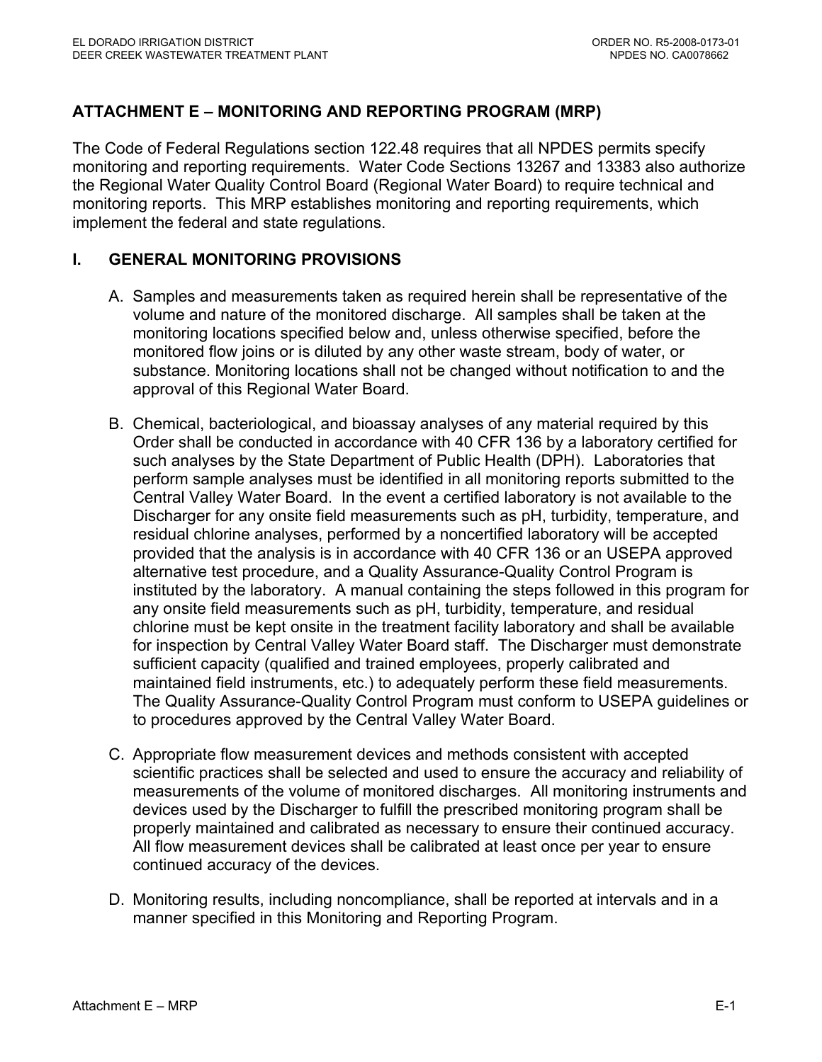# **ATTACHMENT E – MONITORING AND REPORTING PROGRAM (MRP)**

The Code of Federal Regulations section 122.48 requires that all NPDES permits specify monitoring and reporting requirements. Water Code Sections 13267 and 13383 also authorize the Regional Water Quality Control Board (Regional Water Board) to require technical and monitoring reports. This MRP establishes monitoring and reporting requirements, which implement the federal and state regulations.

#### **I. GENERAL MONITORING PROVISIONS**

- A. Samples and measurements taken as required herein shall be representative of the volume and nature of the monitored discharge. All samples shall be taken at the monitoring locations specified below and, unless otherwise specified, before the monitored flow joins or is diluted by any other waste stream, body of water, or substance. Monitoring locations shall not be changed without notification to and the approval of this Regional Water Board.
- B. Chemical, bacteriological, and bioassay analyses of any material required by this Order shall be conducted in accordance with 40 CFR 136 by a laboratory certified for such analyses by the State Department of Public Health (DPH). Laboratories that perform sample analyses must be identified in all monitoring reports submitted to the Central Valley Water Board. In the event a certified laboratory is not available to the Discharger for any onsite field measurements such as pH, turbidity, temperature, and residual chlorine analyses, performed by a noncertified laboratory will be accepted provided that the analysis is in accordance with 40 CFR 136 or an USEPA approved alternative test procedure, and a Quality Assurance-Quality Control Program is instituted by the laboratory. A manual containing the steps followed in this program for any onsite field measurements such as pH, turbidity, temperature, and residual chlorine must be kept onsite in the treatment facility laboratory and shall be available for inspection by Central Valley Water Board staff. The Discharger must demonstrate sufficient capacity (qualified and trained employees, properly calibrated and maintained field instruments, etc.) to adequately perform these field measurements. The Quality Assurance-Quality Control Program must conform to USEPA guidelines or to procedures approved by the Central Valley Water Board.
- C. Appropriate flow measurement devices and methods consistent with accepted scientific practices shall be selected and used to ensure the accuracy and reliability of measurements of the volume of monitored discharges. All monitoring instruments and devices used by the Discharger to fulfill the prescribed monitoring program shall be properly maintained and calibrated as necessary to ensure their continued accuracy. All flow measurement devices shall be calibrated at least once per year to ensure continued accuracy of the devices.
- D. Monitoring results, including noncompliance, shall be reported at intervals and in a manner specified in this Monitoring and Reporting Program.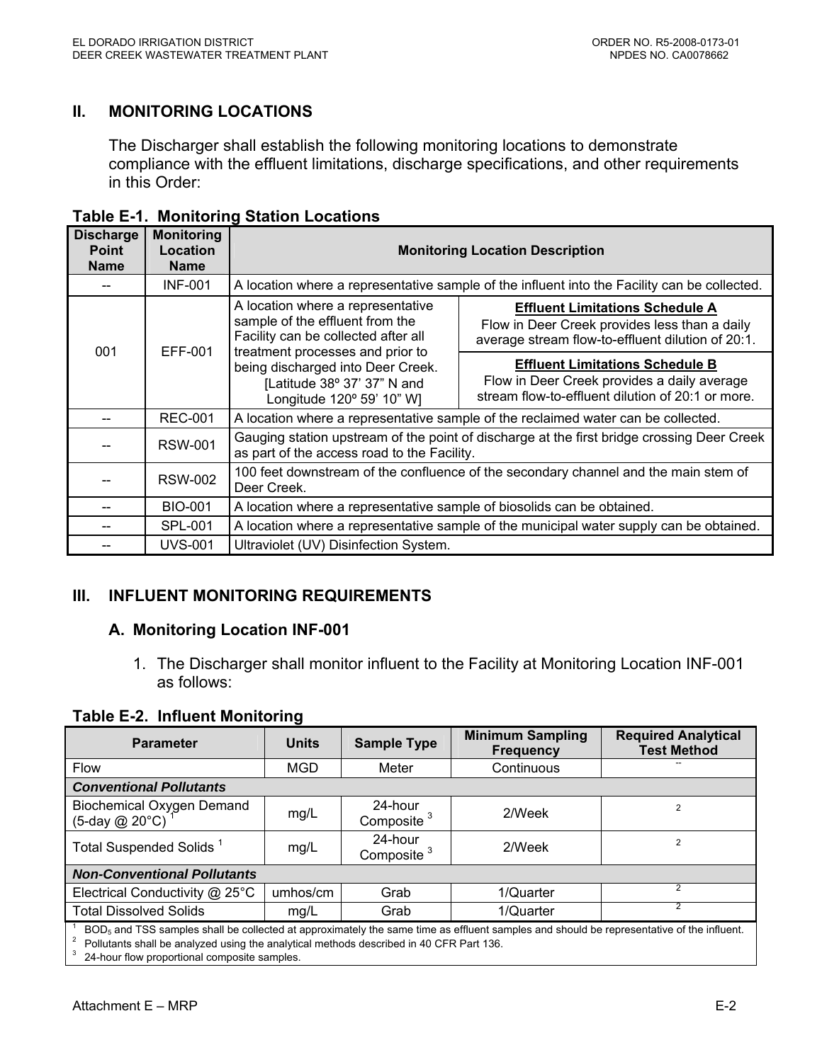# **II. MONITORING LOCATIONS**

The Discharger shall establish the following monitoring locations to demonstrate compliance with the effluent limitations, discharge specifications, and other requirements in this Order:

| <b>Discharge</b><br><b>Point</b><br><b>Name</b> | <b>Monitoring</b><br>Location<br><b>Name</b> | <b>Monitoring Location Description</b>                                                                                                    |                                                                                                                                              |  |  |  |  |
|-------------------------------------------------|----------------------------------------------|-------------------------------------------------------------------------------------------------------------------------------------------|----------------------------------------------------------------------------------------------------------------------------------------------|--|--|--|--|
|                                                 | <b>INF-001</b>                               |                                                                                                                                           | A location where a representative sample of the influent into the Facility can be collected.                                                 |  |  |  |  |
|                                                 | EFF-001                                      | A location where a representative<br>sample of the effluent from the<br>Facility can be collected after all                               | <b>Effluent Limitations Schedule A</b><br>Flow in Deer Creek provides less than a daily<br>average stream flow-to-effluent dilution of 20:1. |  |  |  |  |
| 001                                             |                                              | treatment processes and prior to<br>being discharged into Deer Creek.<br>[Latitude 38° 37' 37" N and<br>Longitude 120° 59' 10" W]         | <b>Effluent Limitations Schedule B</b><br>Flow in Deer Creek provides a daily average<br>stream flow-to-effluent dilution of 20:1 or more.   |  |  |  |  |
|                                                 | <b>REC-001</b>                               |                                                                                                                                           | A location where a representative sample of the reclaimed water can be collected.                                                            |  |  |  |  |
|                                                 | <b>RSW-001</b>                               | Gauging station upstream of the point of discharge at the first bridge crossing Deer Creek<br>as part of the access road to the Facility. |                                                                                                                                              |  |  |  |  |
|                                                 | <b>RSW-002</b>                               | 100 feet downstream of the confluence of the secondary channel and the main stem of<br>Deer Creek.                                        |                                                                                                                                              |  |  |  |  |
|                                                 | <b>BIO-001</b>                               | A location where a representative sample of biosolids can be obtained.                                                                    |                                                                                                                                              |  |  |  |  |
|                                                 | SPL-001                                      | A location where a representative sample of the municipal water supply can be obtained.                                                   |                                                                                                                                              |  |  |  |  |
|                                                 | <b>UVS-001</b>                               | Ultraviolet (UV) Disinfection System.                                                                                                     |                                                                                                                                              |  |  |  |  |

**Table E-1. Monitoring Station Locations** 

# **III. INFLUENT MONITORING REQUIREMENTS**

#### **A. Monitoring Location INF-001**

1. The Discharger shall monitor influent to the Facility at Monitoring Location INF-001 as follows:

**Table E-2. Influent Monitoring** 

| <b>Parameter</b>                                                                                                                                     | <b>Units</b> | <b>Sample Type</b>                | <b>Minimum Sampling</b><br><b>Frequency</b> | <b>Required Analytical</b><br><b>Test Method</b> |  |  |  |
|------------------------------------------------------------------------------------------------------------------------------------------------------|--------------|-----------------------------------|---------------------------------------------|--------------------------------------------------|--|--|--|
| <b>Flow</b>                                                                                                                                          | <b>MGD</b>   | Meter                             | Continuous                                  |                                                  |  |  |  |
| <b>Conventional Pollutants</b>                                                                                                                       |              |                                   |                                             |                                                  |  |  |  |
| Biochemical Oxygen Demand<br>$(5$ -day @ 20 $^{\circ}$ C)                                                                                            | mg/L         | 24-hour<br>Composite <sup>3</sup> | 2/Week                                      | $\overline{2}$                                   |  |  |  |
| Total Suspended Solids <sup>1</sup>                                                                                                                  | mg/L         | 24-hour<br>Composite <sup>3</sup> | 2/Week                                      | $\overline{2}$                                   |  |  |  |
| <b>Non-Conventional Pollutants</b>                                                                                                                   |              |                                   |                                             |                                                  |  |  |  |
| Electrical Conductivity @ 25°C                                                                                                                       | umhos/cm     | Grab                              | 1/Quarter                                   |                                                  |  |  |  |
| <b>Total Dissolved Solids</b>                                                                                                                        | mq/L         | Grab                              | 1/Quarter                                   | 2                                                |  |  |  |
| BOD <sub>5</sub> and TSS samples shall be collected at approximately the same time as effluent samples and should be representative of the influent. |              |                                   |                                             |                                                  |  |  |  |

<sup>2</sup> Pollutants shall be analyzed using the analytical methods described in 40 CFR Part 136.<br><sup>3</sup> 24-hour flow proportional composite samples.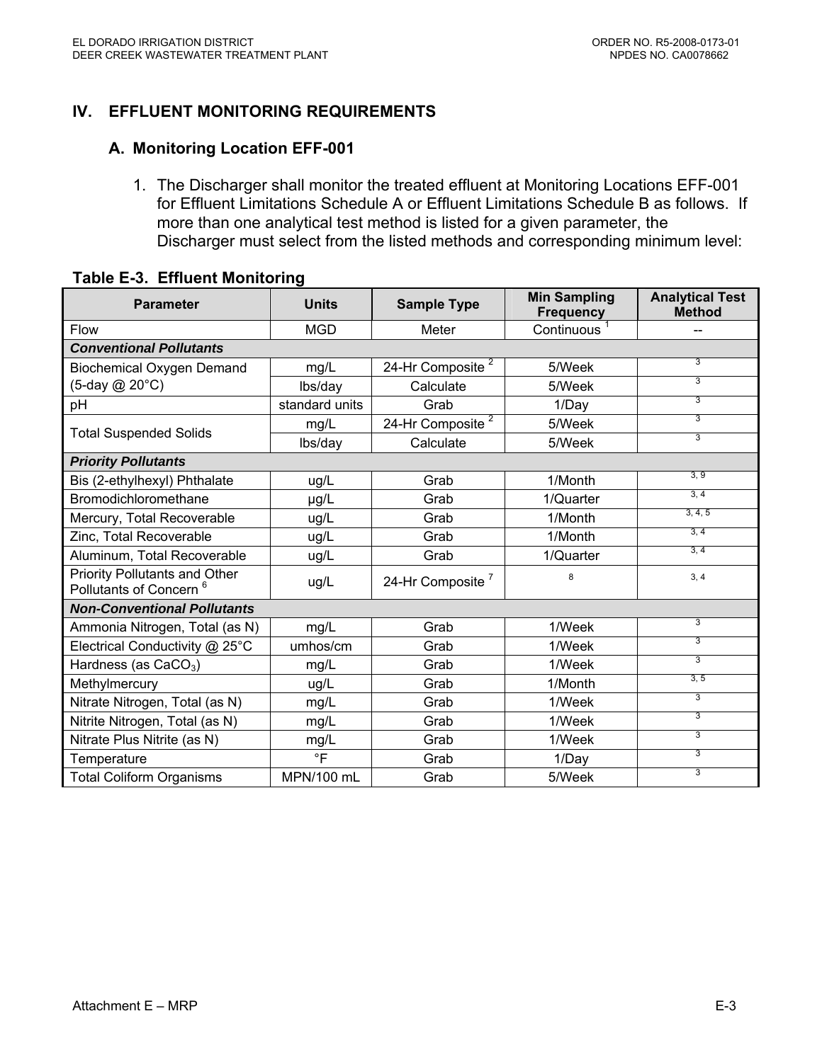# **IV. EFFLUENT MONITORING REQUIREMENTS**

#### **A. Monitoring Location EFF-001**

1. The Discharger shall monitor the treated effluent at Monitoring Locations EFF-001 for Effluent Limitations Schedule A or Effluent Limitations Schedule B as follows. If more than one analytical test method is listed for a given parameter, the Discharger must select from the listed methods and corresponding minimum level:

| <b>Units</b><br><b>Parameter</b>                                           |                | <b>Sample Type</b>           | <b>Min Sampling</b><br><b>Frequency</b> | <b>Analytical Test</b><br><b>Method</b> |  |  |  |
|----------------------------------------------------------------------------|----------------|------------------------------|-----------------------------------------|-----------------------------------------|--|--|--|
| <b>Flow</b>                                                                | <b>MGD</b>     | Meter                        | Continuous <sup>1</sup>                 | --                                      |  |  |  |
| <b>Conventional Pollutants</b>                                             |                |                              |                                         |                                         |  |  |  |
| Biochemical Oxygen Demand                                                  | mg/L           | 24-Hr Composite <sup>2</sup> | 5/Week                                  | $\overline{3}$                          |  |  |  |
| (5-day @ 20°C)                                                             | lbs/day        | Calculate                    | 5/Week                                  | 3                                       |  |  |  |
| рH                                                                         | standard units | Grab                         | 1/Day                                   | 3                                       |  |  |  |
| <b>Total Suspended Solids</b>                                              | mg/L           | 24-Hr Composite $2$          | 5/Week                                  | 3                                       |  |  |  |
|                                                                            | lbs/day        | Calculate                    | 5/Week                                  | 3                                       |  |  |  |
| <b>Priority Pollutants</b>                                                 |                |                              |                                         |                                         |  |  |  |
| Bis (2-ethylhexyl) Phthalate                                               | ug/L           | Grab                         | 1/Month                                 | 3, 9                                    |  |  |  |
| Bromodichloromethane                                                       | $\mu$ g/L      | Grab                         | 1/Quarter                               | 3, 4                                    |  |  |  |
| Mercury, Total Recoverable                                                 | ug/L           | Grab                         | 1/Month                                 | 3, 4, 5                                 |  |  |  |
| Zinc, Total Recoverable                                                    | ug/L           | Grab                         | 1/Month                                 | 3, 4                                    |  |  |  |
| Aluminum, Total Recoverable                                                | ug/L           | Grab                         | 1/Quarter                               | 3, 4                                    |  |  |  |
| <b>Priority Pollutants and Other</b><br>Pollutants of Concern <sup>6</sup> | ug/L           | 24-Hr Composite <sup>7</sup> | 8                                       | 3, 4                                    |  |  |  |
| <b>Non-Conventional Pollutants</b>                                         |                |                              |                                         |                                         |  |  |  |
| Ammonia Nitrogen, Total (as N)                                             | mg/L           | Grab                         | 1/Week                                  | 3                                       |  |  |  |
| Electrical Conductivity @ 25°C                                             | umhos/cm       | Grab                         | 1/Week                                  | 3                                       |  |  |  |
| Hardness (as CaCO <sub>3</sub> )                                           | mg/L           | Grab                         | 1/Week                                  | 3                                       |  |  |  |
| Methylmercury                                                              | ug/L           | Grab                         | 1/Month                                 | 3, 5                                    |  |  |  |
| Nitrate Nitrogen, Total (as N)                                             | mg/L           | Grab                         | 1/Week                                  | 3                                       |  |  |  |
| Nitrite Nitrogen, Total (as N)                                             | mg/L           | Grab                         | 1/Week                                  | 3                                       |  |  |  |
| Nitrate Plus Nitrite (as N)                                                | mg/L           | Grab                         | 1/Week                                  | 3                                       |  |  |  |
| Temperature                                                                | $\circ$ F      | Grab                         | 1/Day                                   | 3                                       |  |  |  |
| <b>Total Coliform Organisms</b>                                            | MPN/100 mL     | Grab                         | 5/Week                                  | 3                                       |  |  |  |

#### **Table E-3. Effluent Monitoring**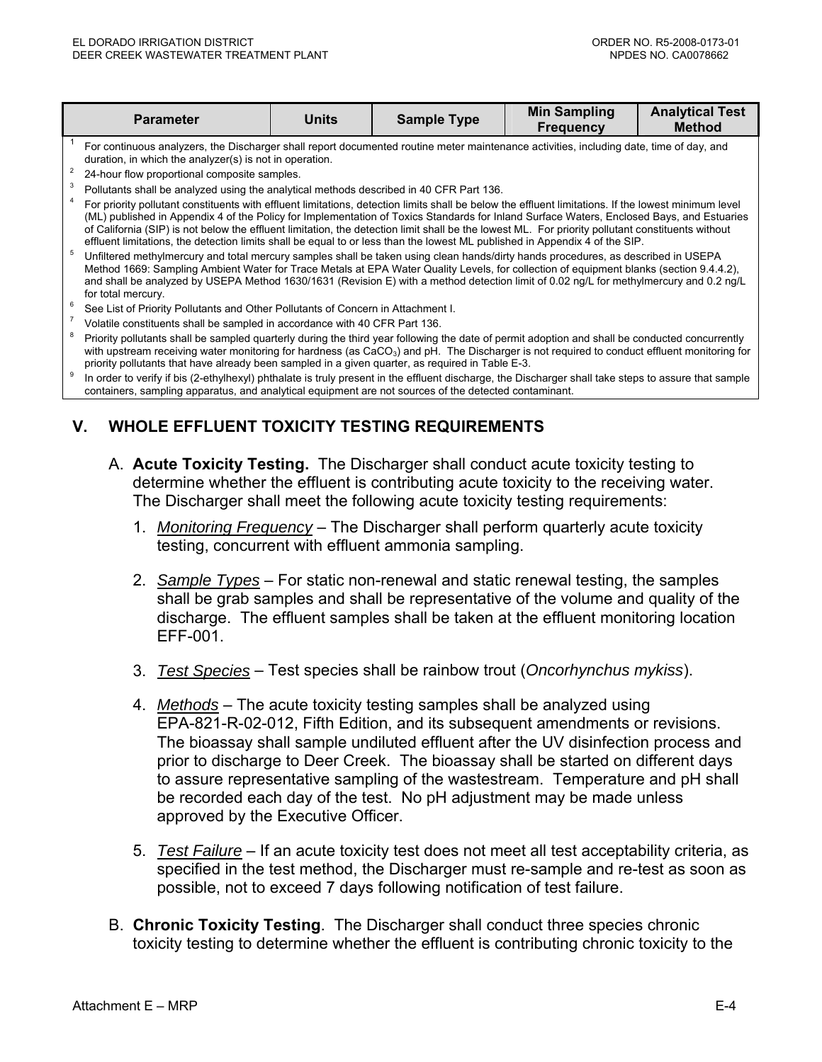| <b>Parameter</b>                                                                                                                                                                                                                                                                                                                                                                                                                                                                                                                                                                      | Units | <b>Sample Type</b> | <b>Min Sampling</b><br><b>Frequency</b> | <b>Analytical Test</b><br><b>Method</b> |  |
|---------------------------------------------------------------------------------------------------------------------------------------------------------------------------------------------------------------------------------------------------------------------------------------------------------------------------------------------------------------------------------------------------------------------------------------------------------------------------------------------------------------------------------------------------------------------------------------|-------|--------------------|-----------------------------------------|-----------------------------------------|--|
| For continuous analyzers, the Discharger shall report documented routine meter maintenance activities, including date, time of day, and<br>duration, in which the analyzer(s) is not in operation.                                                                                                                                                                                                                                                                                                                                                                                    |       |                    |                                         |                                         |  |
| 24-hour flow proportional composite samples.<br>Pollutants shall be analyzed using the analytical methods described in 40 CFR Part 136.                                                                                                                                                                                                                                                                                                                                                                                                                                               |       |                    |                                         |                                         |  |
| For priority pollutant constituents with effluent limitations, detection limits shall be below the effluent limitations. If the lowest minimum level<br>(ML) published in Appendix 4 of the Policy for Implementation of Toxics Standards for Inland Surface Waters, Enclosed Bays, and Estuaries<br>of California (SIP) is not below the effluent limitation, the detection limit shall be the lowest ML. For priority pollutant constituents without<br>effluent limitations, the detection limits shall be equal to or less than the lowest ML published in Appendix 4 of the SIP. |       |                    |                                         |                                         |  |
| Unfiltered methylmercury and total mercury samples shall be taken using clean hands/dirty hands procedures, as described in USEPA<br>Method 1669: Sampling Ambient Water for Trace Metals at EPA Water Quality Levels, for collection of equipment blanks (section 9.4.4.2),<br>and shall be analyzed by USEPA Method 1630/1631 (Revision E) with a method detection limit of 0.02 ng/L for methylmercury and 0.2 ng/L<br>for total mercury.                                                                                                                                          |       |                    |                                         |                                         |  |
| See List of Priority Pollutants and Other Pollutants of Concern in Attachment I.                                                                                                                                                                                                                                                                                                                                                                                                                                                                                                      |       |                    |                                         |                                         |  |
| Volatile constituents shall be sampled in accordance with 40 CFR Part 136.                                                                                                                                                                                                                                                                                                                                                                                                                                                                                                            |       |                    |                                         |                                         |  |
| Priority pollutants shall be sampled quarterly during the third year following the date of permit adoption and shall be conducted concurrently<br>with upstream receiving water monitoring for hardness (as CaCO <sub>3</sub> ) and pH. The Discharger is not required to conduct effluent monitoring for                                                                                                                                                                                                                                                                             |       |                    |                                         |                                         |  |

priority pollutants that have already been sampled in a given quarter, as required in Table E-3.<br>In order to verify if bis (2-ethylhexyl) phthalate is truly present in the effluent discharge, the Discharger shall take step containers, sampling apparatus, and analytical equipment are not sources of the detected contaminant.

# **V. WHOLE EFFLUENT TOXICITY TESTING REQUIREMENTS**

- A. **Acute Toxicity Testing.** The Discharger shall conduct acute toxicity testing to determine whether the effluent is contributing acute toxicity to the receiving water. The Discharger shall meet the following acute toxicity testing requirements:
	- 1. *Monitoring Frequency* The Discharger shall perform quarterly acute toxicity testing, concurrent with effluent ammonia sampling.
	- 2. *Sample Types* For static non-renewal and static renewal testing, the samples shall be grab samples and shall be representative of the volume and quality of the discharge. The effluent samples shall be taken at the effluent monitoring location EFF-001.
	- 3. *Test Species* Test species shall be rainbow trout (*Oncorhynchus mykiss*).
	- 4. *Methods* The acute toxicity testing samples shall be analyzed using EPA-821-R-02-012, Fifth Edition, and its subsequent amendments or revisions. The bioassay shall sample undiluted effluent after the UV disinfection process and prior to discharge to Deer Creek. The bioassay shall be started on different days to assure representative sampling of the wastestream. Temperature and pH shall be recorded each day of the test. No pH adjustment may be made unless approved by the Executive Officer.
	- 5. *Test Failure* If an acute toxicity test does not meet all test acceptability criteria, as specified in the test method, the Discharger must re-sample and re-test as soon as possible, not to exceed 7 days following notification of test failure.
- B. **Chronic Toxicity Testing**.The Discharger shall conduct three species chronic toxicity testing to determine whether the effluent is contributing chronic toxicity to the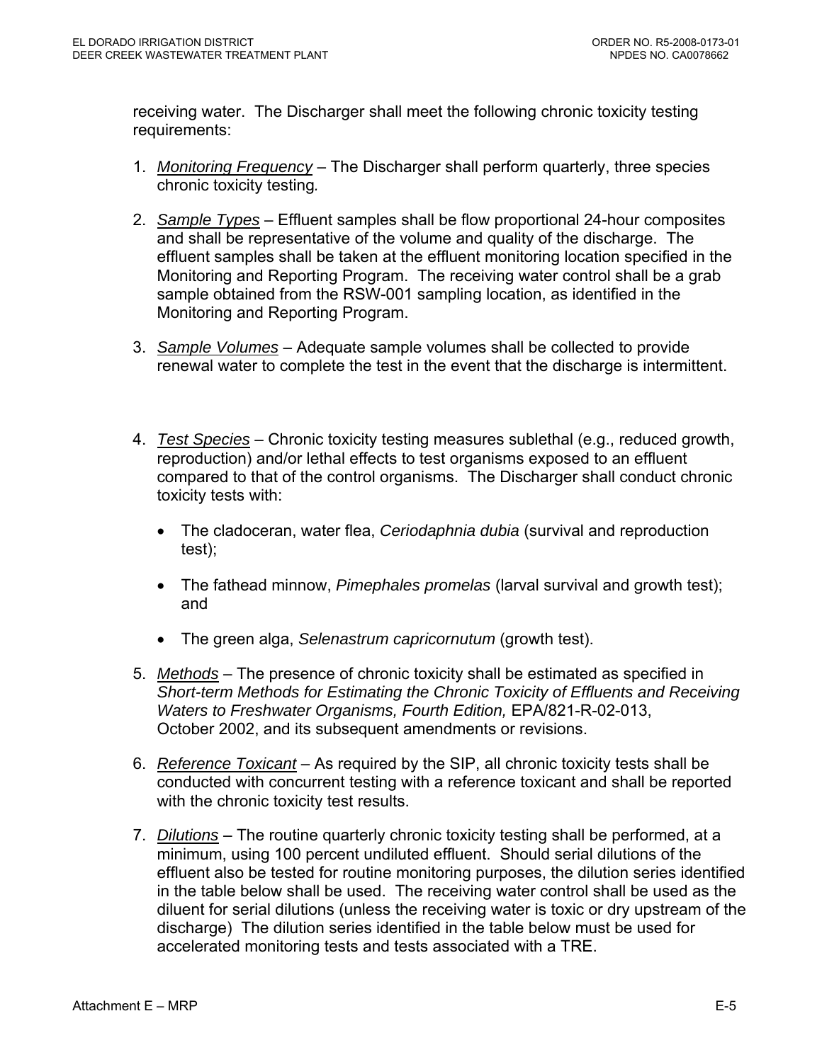receiving water. The Discharger shall meet the following chronic toxicity testing requirements:

- 1. *Monitoring Frequency* The Discharger shall perform quarterly, three species chronic toxicity testing*.*
- 2. *Sample Types* Effluent samples shall be flow proportional 24-hour composites and shall be representative of the volume and quality of the discharge. The effluent samples shall be taken at the effluent monitoring location specified in the Monitoring and Reporting Program. The receiving water control shall be a grab sample obtained from the RSW-001 sampling location, as identified in the Monitoring and Reporting Program.
- 3. *Sample Volumes* Adequate sample volumes shall be collected to provide renewal water to complete the test in the event that the discharge is intermittent.
- 4. *Test Species* Chronic toxicity testing measures sublethal (e.g., reduced growth, reproduction) and/or lethal effects to test organisms exposed to an effluent compared to that of the control organisms. The Discharger shall conduct chronic toxicity tests with:
	- The cladoceran, water flea, *Ceriodaphnia dubia* (survival and reproduction test);
	- The fathead minnow, *Pimephales promelas* (larval survival and growth test); and
	- The green alga, *Selenastrum capricornutum* (growth test).
- 5. *Methods* The presence of chronic toxicity shall be estimated as specified in *Short-term Methods for Estimating the Chronic Toxicity of Effluents and Receiving Waters to Freshwater Organisms, Fourth Edition,* EPA/821-R-02-013, October 2002, and its subsequent amendments or revisions.
- 6. *Reference Toxicant* As required by the SIP, all chronic toxicity tests shall be conducted with concurrent testing with a reference toxicant and shall be reported with the chronic toxicity test results.
- 7. *Dilutions* The routine quarterly chronic toxicity testing shall be performed, at a minimum, using 100 percent undiluted effluent. Should serial dilutions of the effluent also be tested for routine monitoring purposes, the dilution series identified in the table below shall be used. The receiving water control shall be used as the diluent for serial dilutions (unless the receiving water is toxic or dry upstream of the discharge) The dilution series identified in the table below must be used for accelerated monitoring tests and tests associated with a TRE.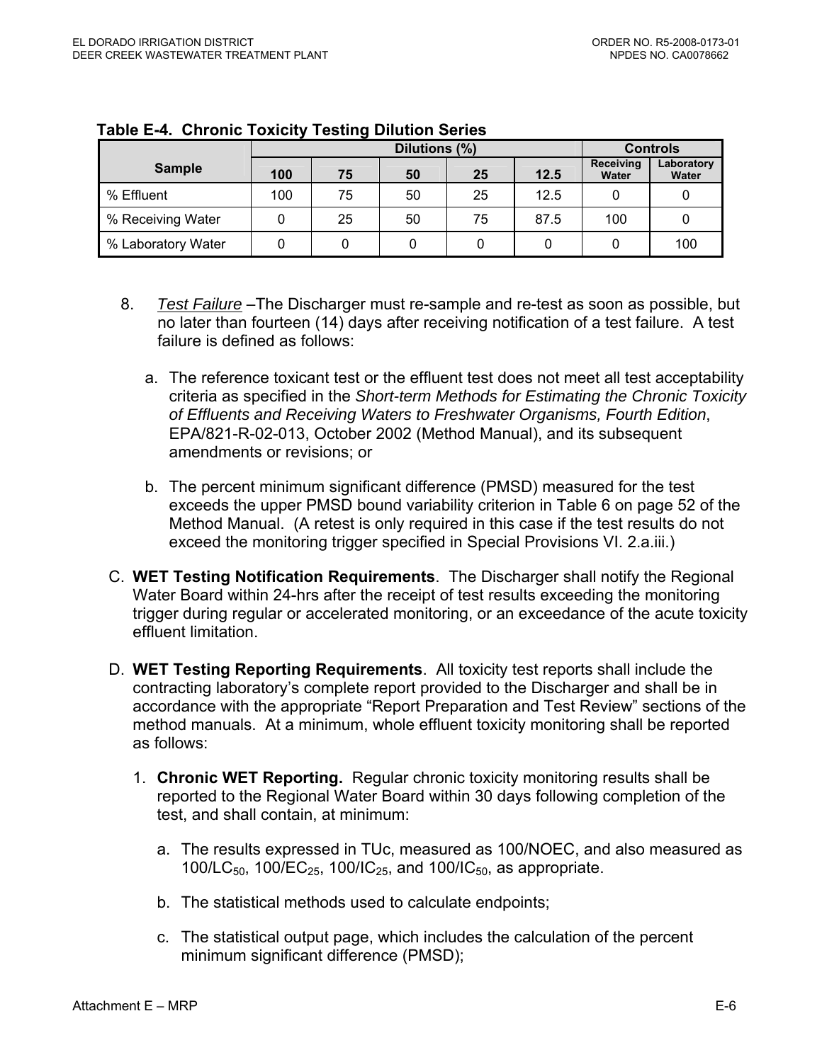|                    |     |    | <b>Controls</b>    |                     |      |     |     |
|--------------------|-----|----|--------------------|---------------------|------|-----|-----|
| <b>Sample</b>      | 100 | 75 | Receiving<br>Water | Laboratory<br>Water |      |     |     |
| % Effluent         | 100 | 75 | 50                 | 25                  | 12.5 |     |     |
| % Receiving Water  |     | 25 | 50                 | 75                  | 87.5 | 100 |     |
| % Laboratory Water |     |    |                    |                     |      |     | 100 |

#### **Table E-4. Chronic Toxicity Testing Dilution Series**

- 8. *Test Failure* –The Discharger must re-sample and re-test as soon as possible, but no later than fourteen (14) days after receiving notification of a test failure. A test failure is defined as follows:
	- a. The reference toxicant test or the effluent test does not meet all test acceptability criteria as specified in the *Short-term Methods for Estimating the Chronic Toxicity of Effluents and Receiving Waters to Freshwater Organisms, Fourth Edition*, EPA/821-R-02-013, October 2002 (Method Manual), and its subsequent amendments or revisions; or
	- b. The percent minimum significant difference (PMSD) measured for the test exceeds the upper PMSD bound variability criterion in Table 6 on page 52 of the Method Manual. (A retest is only required in this case if the test results do not exceed the monitoring trigger specified in Special Provisions VI. 2.a.iii.)
- C. **WET Testing Notification Requirements**. The Discharger shall notify the Regional Water Board within 24-hrs after the receipt of test results exceeding the monitoring trigger during regular or accelerated monitoring, or an exceedance of the acute toxicity effluent limitation.
- D. **WET Testing Reporting Requirements**.All toxicity test reports shall include the contracting laboratory's complete report provided to the Discharger and shall be in accordance with the appropriate "Report Preparation and Test Review" sections of the method manuals. At a minimum, whole effluent toxicity monitoring shall be reported as follows:
	- 1. **Chronic WET Reporting.** Regular chronic toxicity monitoring results shall be reported to the Regional Water Board within 30 days following completion of the test, and shall contain, at minimum:
		- a. The results expressed in TUc, measured as 100/NOEC, and also measured as 100/LC<sub>50</sub>, 100/EC<sub>25</sub>, 100/IC<sub>25</sub>, and 100/IC<sub>50</sub>, as appropriate.
		- b. The statistical methods used to calculate endpoints;
		- c. The statistical output page, which includes the calculation of the percent minimum significant difference (PMSD);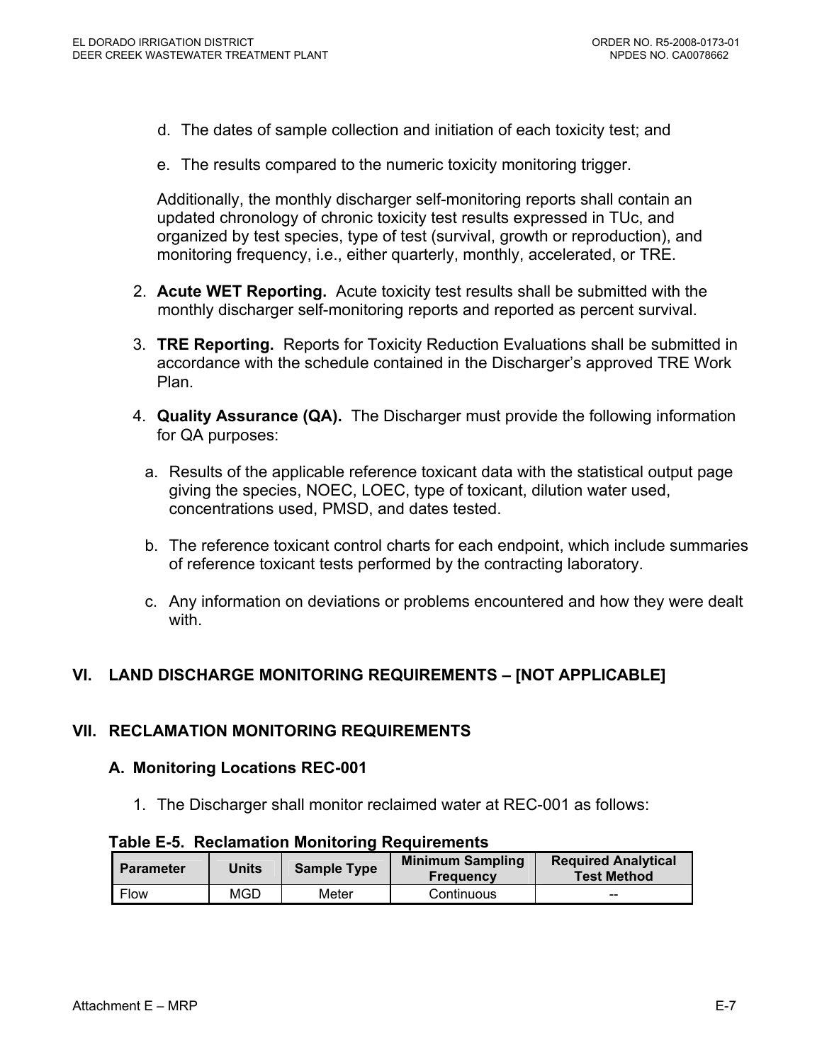- d. The dates of sample collection and initiation of each toxicity test; and
- e. The results compared to the numeric toxicity monitoring trigger.

Additionally, the monthly discharger self-monitoring reports shall contain an updated chronology of chronic toxicity test results expressed in TUc, and organized by test species, type of test (survival, growth or reproduction), and monitoring frequency, i.e., either quarterly, monthly, accelerated, or TRE.

- 2. **Acute WET Reporting.** Acute toxicity test results shall be submitted with the monthly discharger self-monitoring reports and reported as percent survival.
- 3. **TRE Reporting.** Reports for Toxicity Reduction Evaluations shall be submitted in accordance with the schedule contained in the Discharger's approved TRE Work Plan.
- 4. **Quality Assurance (QA).** The Discharger must provide the following information for QA purposes:
	- a. Results of the applicable reference toxicant data with the statistical output page giving the species, NOEC, LOEC, type of toxicant, dilution water used, concentrations used, PMSD, and dates tested.
	- b. The reference toxicant control charts for each endpoint, which include summaries of reference toxicant tests performed by the contracting laboratory.
	- c. Any information on deviations or problems encountered and how they were dealt with.

# **VI. LAND DISCHARGE MONITORING REQUIREMENTS – [NOT APPLICABLE]**

#### **VII. RECLAMATION MONITORING REQUIREMENTS**

#### **A. Monitoring Locations REC-001**

1. The Discharger shall monitor reclaimed water at REC-001 as follows:

#### **Table E-5. Reclamation Monitoring Requirements**

| l Parameter | Units | <b>Sample Type</b> | <b>Minimum Sampling</b><br><b>Frequency</b> | <b>Required Analytical</b><br><b>Test Method</b> |
|-------------|-------|--------------------|---------------------------------------------|--------------------------------------------------|
| Flow        | MGD   | Meter              | Continuous                                  | $- -$                                            |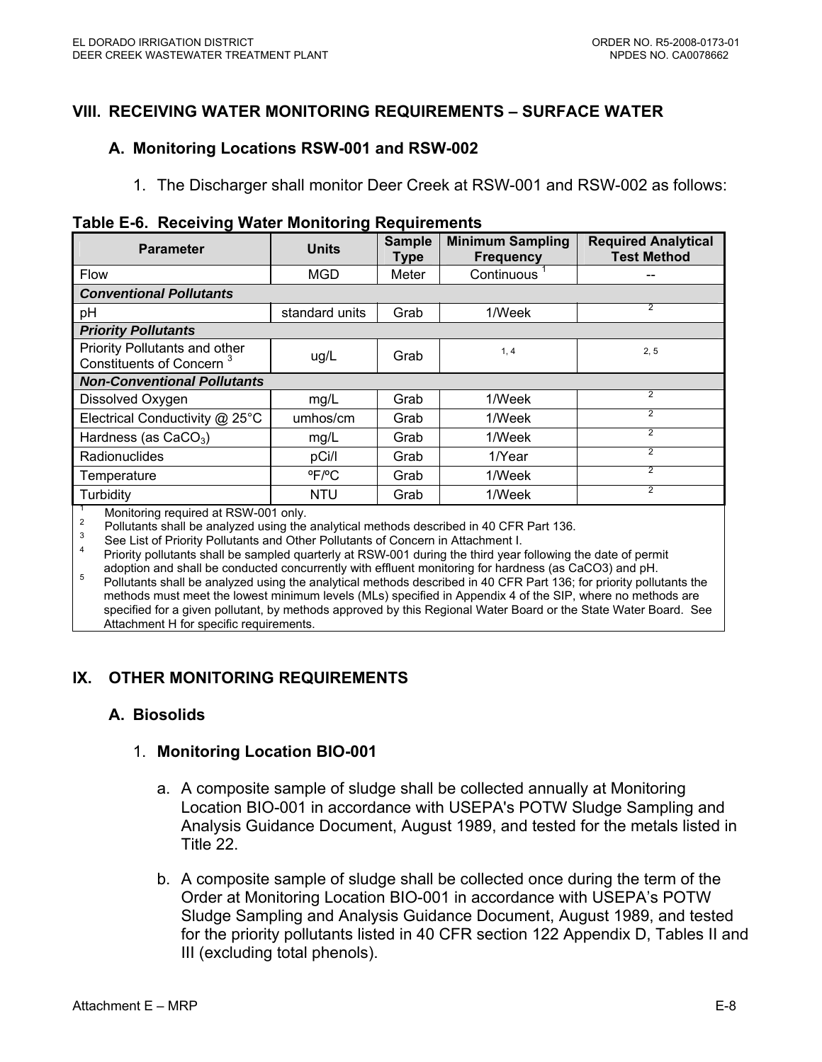#### **VIII. RECEIVING WATER MONITORING REQUIREMENTS – SURFACE WATER**

#### **A. Monitoring Locations RSW-001 and RSW-002**

1. The Discharger shall monitor Deer Creek at RSW-001 and RSW-002 as follows:

|  |  | Table E-6. Receiving Water Monitoring Requirements |
|--|--|----------------------------------------------------|
|  |  |                                                    |

| <b>Parameter</b>                                                      | <b>Units</b>               | <b>Sample</b><br>Type | <b>Minimum Sampling</b><br><b>Frequency</b> | <b>Required Analytical</b><br><b>Test Method</b> |
|-----------------------------------------------------------------------|----------------------------|-----------------------|---------------------------------------------|--------------------------------------------------|
| <b>Flow</b>                                                           | <b>MGD</b>                 | Meter                 | Continuous <sup>1</sup>                     |                                                  |
| <b>Conventional Pollutants</b>                                        |                            |                       |                                             |                                                  |
| рH                                                                    | standard units             | Grab                  | 1/Week                                      | $\overline{2}$                                   |
| <b>Priority Pollutants</b>                                            |                            |                       |                                             |                                                  |
| Priority Pollutants and other<br>Constituents of Concern <sup>3</sup> | ug/L                       | Grab                  | 1, 4                                        | 2, 5                                             |
| <b>Non-Conventional Pollutants</b>                                    |                            |                       |                                             |                                                  |
| Dissolved Oxygen                                                      | mg/L                       | Grab                  | 1/Week                                      | $\overline{2}$                                   |
| Electrical Conductivity @ 25°C                                        | umhos/cm                   | Grab                  | 1/Week                                      | $\overline{2}$                                   |
| Hardness (as $CaCO3$ )                                                | mg/L                       | Grab                  | 1/Week                                      | $\overline{2}$                                   |
| Radionuclides                                                         | pCi/l                      | Grab                  | 1/Year                                      | $\overline{2}$                                   |
| Temperature                                                           | $^{\circ}$ F/ $^{\circ}$ C | Grab                  | 1/Week                                      | $\overline{2}$                                   |
| Turbidity                                                             | <b>NTU</b>                 | Grab                  | 1/Week                                      | $\overline{2}$                                   |

<sup>1</sup> Monitoring required at RSW-001 only.

<sup>2</sup> Pollutants shall be analyzed using the analytical methods described in 40 CFR Part 136.<br><sup>3</sup> See List of Priority Pollutants and Other Pollutants of Concern in Attachment I.

3 Priority pollutants shall be sampled quarterly at RSW-001 during the third year following the date of permit<br>adoption and shall be conducted concurrently with effluent monitoring for hardness (as CaCO3) and pH.

adoption and shall be conducted concurrently with effluent monitoring for hardness (as CaCO3) and pH.  $^{5}$  Pollutants shall be analyzed using the analytical methods described in 40 CFR Part 136; for priority pollutants t methods must meet the lowest minimum levels (MLs) specified in Appendix 4 of the SIP, where no methods are specified for a given pollutant, by methods approved by this Regional Water Board or the State Water Board. See Attachment H for specific requirements.

# **IX. OTHER MONITORING REQUIREMENTS**

#### **A. Biosolids**

#### 1. **Monitoring Location BIO-001**

- a. A composite sample of sludge shall be collected annually at Monitoring Location BIO-001 in accordance with USEPA's POTW Sludge Sampling and Analysis Guidance Document, August 1989, and tested for the metals listed in Title 22.
- b. A composite sample of sludge shall be collected once during the term of the Order at Monitoring Location BIO-001 in accordance with USEPA's POTW Sludge Sampling and Analysis Guidance Document, August 1989, and tested for the priority pollutants listed in 40 CFR section 122 Appendix D, Tables II and III (excluding total phenols).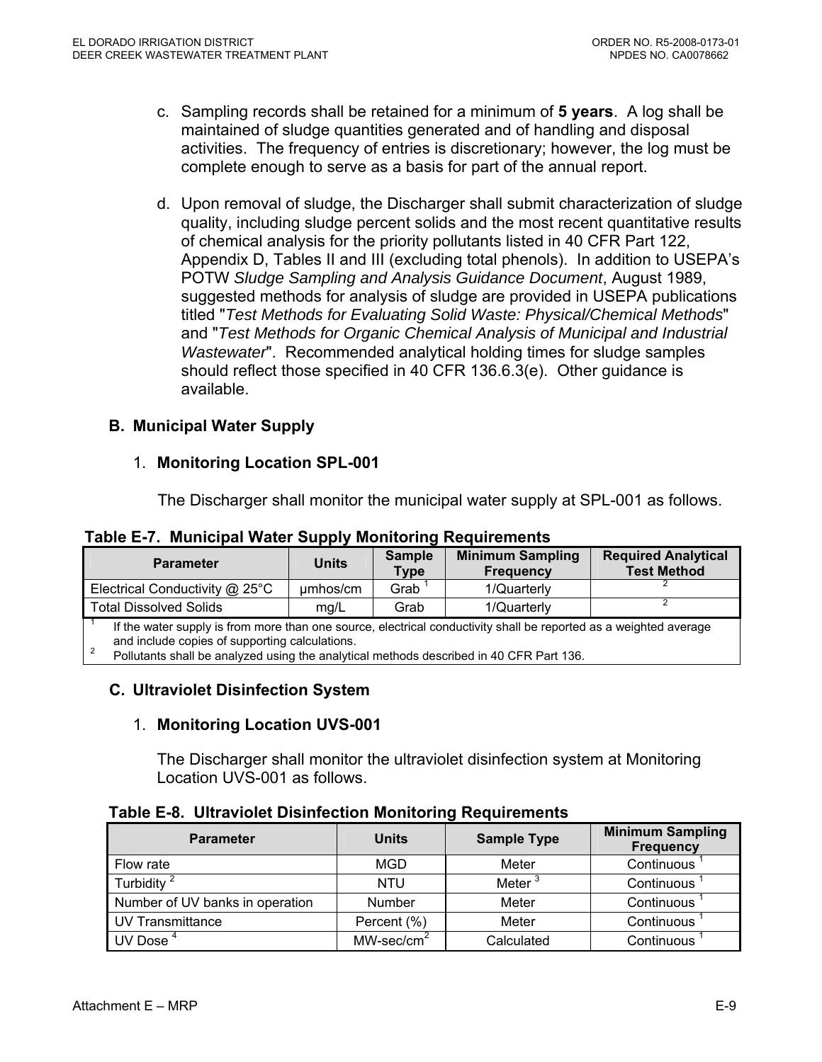- c. Sampling records shall be retained for a minimum of **5 years**. A log shall be maintained of sludge quantities generated and of handling and disposal activities. The frequency of entries is discretionary; however, the log must be complete enough to serve as a basis for part of the annual report.
- d. Upon removal of sludge, the Discharger shall submit characterization of sludge quality, including sludge percent solids and the most recent quantitative results of chemical analysis for the priority pollutants listed in 40 CFR Part 122, Appendix D, Tables II and III (excluding total phenols). In addition to USEPA's POTW *Sludge Sampling and Analysis Guidance Document*, August 1989, suggested methods for analysis of sludge are provided in USEPA publications titled "*Test Methods for Evaluating Solid Waste: Physical/Chemical Methods*" and "*Test Methods for Organic Chemical Analysis of Municipal and Industrial Wastewater*". Recommended analytical holding times for sludge samples should reflect those specified in 40 CFR 136.6.3(e). Other guidance is available.

# **B. Municipal Water Supply**

# 1. **Monitoring Location SPL-001**

The Discharger shall monitor the municipal water supply at SPL-001 as follows.

| <b>Parameter</b>                                                                                                                                                    | <b>Units</b> | <b>Sample</b><br>Type | <b>Minimum Sampling</b><br><b>Frequency</b> | <b>Required Analytical</b><br><b>Test Method</b> |  |
|---------------------------------------------------------------------------------------------------------------------------------------------------------------------|--------------|-----------------------|---------------------------------------------|--------------------------------------------------|--|
| Electrical Conductivity @ 25°C                                                                                                                                      | umhos/cm     | Grab                  | 1/Quarterly                                 |                                                  |  |
| <b>Total Dissolved Solids</b>                                                                                                                                       | mg/L         | Grab                  | 1/Quarterly                                 |                                                  |  |
| If the water supply is from more than one source, electrical conductivity shall be reported as a weighted average<br>and include copies of supporting calculations. |              |                       |                                             |                                                  |  |

#### **Table E-7. Municipal Water Supply Monitoring Requirements**

and include copies of supporting calculations.<br><sup>2</sup> Pollutants shall be analyzed using the analytical methods described in 40 CFR Part 136.

# **C. Ultraviolet Disinfection System**

# 1. **Monitoring Location UVS-001**

The Discharger shall monitor the ultraviolet disinfection system at Monitoring Location UVS-001 as follows.

|  |  | Table E-8. Ultraviolet Disinfection Monitoring Requirements |  |  |  |
|--|--|-------------------------------------------------------------|--|--|--|
|--|--|-------------------------------------------------------------|--|--|--|

| <b>Parameter</b>                | <b>Units</b>         | <b>Sample Type</b> | <b>Minimum Sampling</b><br><b>Frequency</b> |
|---------------------------------|----------------------|--------------------|---------------------------------------------|
| Flow rate                       | MGD                  | Meter              | Continuous                                  |
| Turbidity <sup>2</sup>          | <b>NTU</b>           | Meter <sup>3</sup> | Continuous                                  |
| Number of UV banks in operation | Number               | Meter              | Continuous                                  |
| UV Transmittance                | Percent (%)          | Meter              | Continuous                                  |
| UV Dose $4$                     | $MW\text{-}sec/cm^2$ | Calculated         | Continuous                                  |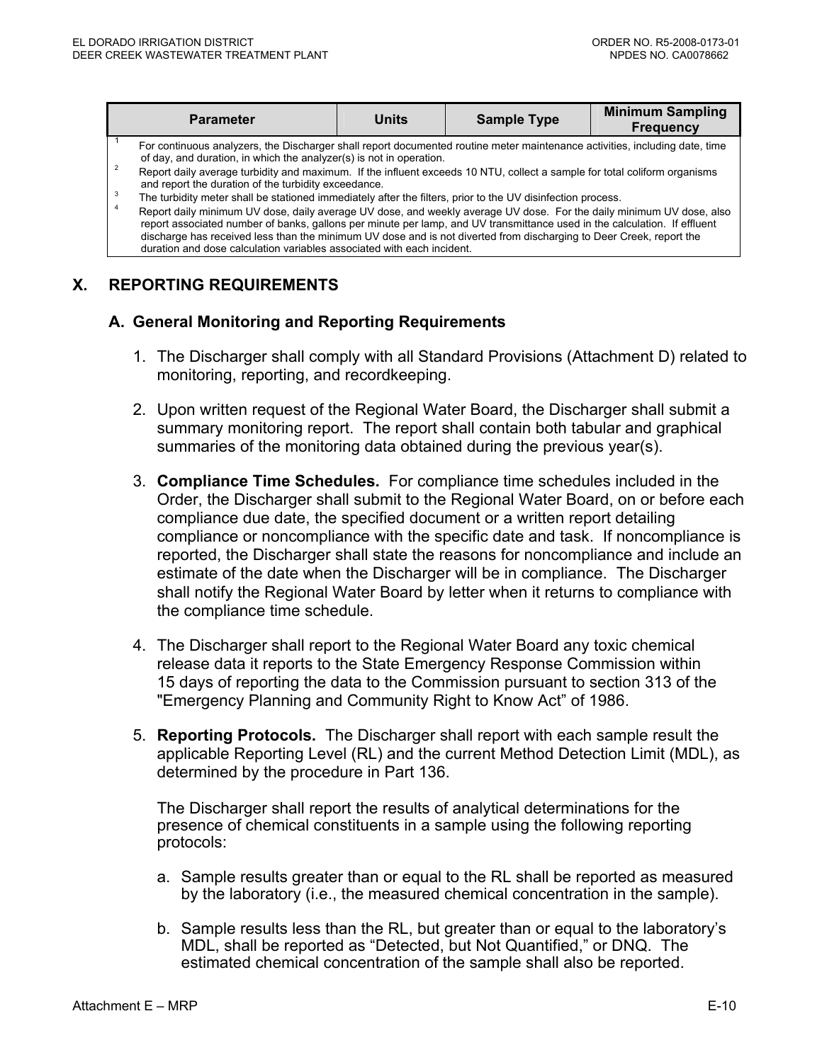|                     | <b>Parameter</b>                                                                                                                                                                                                                                                                                                                                                                                                                                                                                       | <b>Units</b> | <b>Sample Type</b> | <b>Minimum Sampling</b><br><b>Frequency</b> |
|---------------------|--------------------------------------------------------------------------------------------------------------------------------------------------------------------------------------------------------------------------------------------------------------------------------------------------------------------------------------------------------------------------------------------------------------------------------------------------------------------------------------------------------|--------------|--------------------|---------------------------------------------|
| $\overline{2}$<br>3 | For continuous analyzers, the Discharger shall report documented routine meter maintenance activities, including date, time<br>of day, and duration, in which the analyzer(s) is not in operation.<br>Report daily average turbidity and maximum. If the influent exceeds 10 NTU, collect a sample for total coliform organisms<br>and report the duration of the turbidity exceedance.<br>The turbidity meter shall be stationed immediately after the filters, prior to the UV disinfection process. |              |                    |                                             |
|                     | Report daily minimum UV dose, daily average UV dose, and weekly average UV dose. For the daily minimum UV dose, also<br>report associated number of banks, gallons per minute per lamp, and UV transmittance used in the calculation. If effluent<br>discharge has received less than the minimum UV dose and is not diverted from discharging to Deer Creek, report the<br>duration and dose calculation variables associated with each incident.                                                     |              |                    |                                             |

#### **X. REPORTING REQUIREMENTS**

#### **A. General Monitoring and Reporting Requirements**

- 1. The Discharger shall comply with all Standard Provisions (Attachment D) related to monitoring, reporting, and recordkeeping.
- 2. Upon written request of the Regional Water Board, the Discharger shall submit a summary monitoring report. The report shall contain both tabular and graphical summaries of the monitoring data obtained during the previous year(s).
- 3. **Compliance Time Schedules.** For compliance time schedules included in the Order, the Discharger shall submit to the Regional Water Board, on or before each compliance due date, the specified document or a written report detailing compliance or noncompliance with the specific date and task. If noncompliance is reported, the Discharger shall state the reasons for noncompliance and include an estimate of the date when the Discharger will be in compliance. The Discharger shall notify the Regional Water Board by letter when it returns to compliance with the compliance time schedule.
- 4. The Discharger shall report to the Regional Water Board any toxic chemical release data it reports to the State Emergency Response Commission within 15 days of reporting the data to the Commission pursuant to section 313 of the "Emergency Planning and Community Right to Know Act" of 1986.
- 5. **Reporting Protocols.** The Discharger shall report with each sample result the applicable Reporting Level (RL) and the current Method Detection Limit (MDL), as determined by the procedure in Part 136.

The Discharger shall report the results of analytical determinations for the presence of chemical constituents in a sample using the following reporting protocols:

- a. Sample results greater than or equal to the RL shall be reported as measured by the laboratory (i.e., the measured chemical concentration in the sample).
- b. Sample results less than the RL, but greater than or equal to the laboratory's MDL, shall be reported as "Detected, but Not Quantified," or DNQ. The estimated chemical concentration of the sample shall also be reported.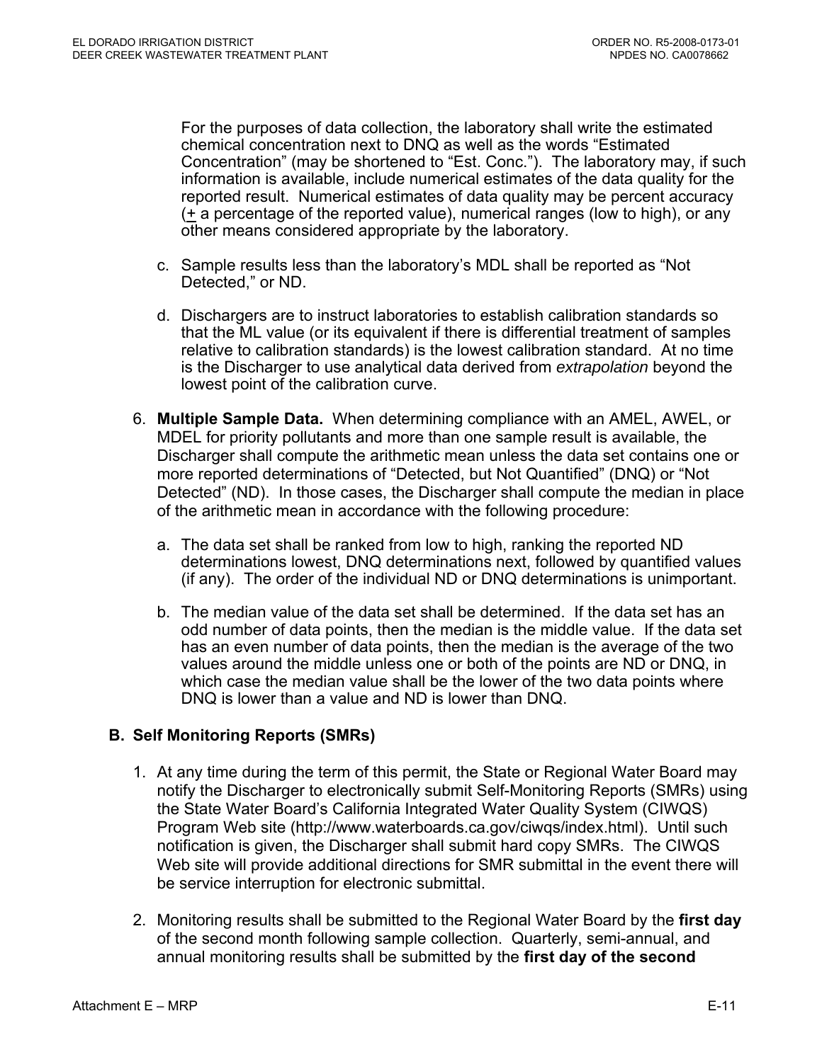For the purposes of data collection, the laboratory shall write the estimated chemical concentration next to DNQ as well as the words "Estimated Concentration" (may be shortened to "Est. Conc."). The laboratory may, if such information is available, include numerical estimates of the data quality for the reported result. Numerical estimates of data quality may be percent accuracy  $(+ a$  percentage of the reported value), numerical ranges (low to high), or any other means considered appropriate by the laboratory.

- c. Sample results less than the laboratory's MDL shall be reported as "Not Detected," or ND.
- d. Dischargers are to instruct laboratories to establish calibration standards so that the ML value (or its equivalent if there is differential treatment of samples relative to calibration standards) is the lowest calibration standard. At no time is the Discharger to use analytical data derived from *extrapolation* beyond the lowest point of the calibration curve.
- 6. **Multiple Sample Data.** When determining compliance with an AMEL, AWEL, or MDEL for priority pollutants and more than one sample result is available, the Discharger shall compute the arithmetic mean unless the data set contains one or more reported determinations of "Detected, but Not Quantified" (DNQ) or "Not Detected" (ND). In those cases, the Discharger shall compute the median in place of the arithmetic mean in accordance with the following procedure:
	- a. The data set shall be ranked from low to high, ranking the reported ND determinations lowest, DNQ determinations next, followed by quantified values (if any). The order of the individual ND or DNQ determinations is unimportant.
	- b. The median value of the data set shall be determined. If the data set has an odd number of data points, then the median is the middle value. If the data set has an even number of data points, then the median is the average of the two values around the middle unless one or both of the points are ND or DNQ, in which case the median value shall be the lower of the two data points where DNQ is lower than a value and ND is lower than DNQ.

# **B. Self Monitoring Reports (SMRs)**

- 1. At any time during the term of this permit, the State or Regional Water Board may notify the Discharger to electronically submit Self-Monitoring Reports (SMRs) using the State Water Board's California Integrated Water Quality System (CIWQS) Program Web site (http://www.waterboards.ca.gov/ciwqs/index.html). Until such notification is given, the Discharger shall submit hard copy SMRs. The CIWQS Web site will provide additional directions for SMR submittal in the event there will be service interruption for electronic submittal.
- 2. Monitoring results shall be submitted to the Regional Water Board by the **first day** of the second month following sample collection. Quarterly, semi-annual, and annual monitoring results shall be submitted by the **first day of the second**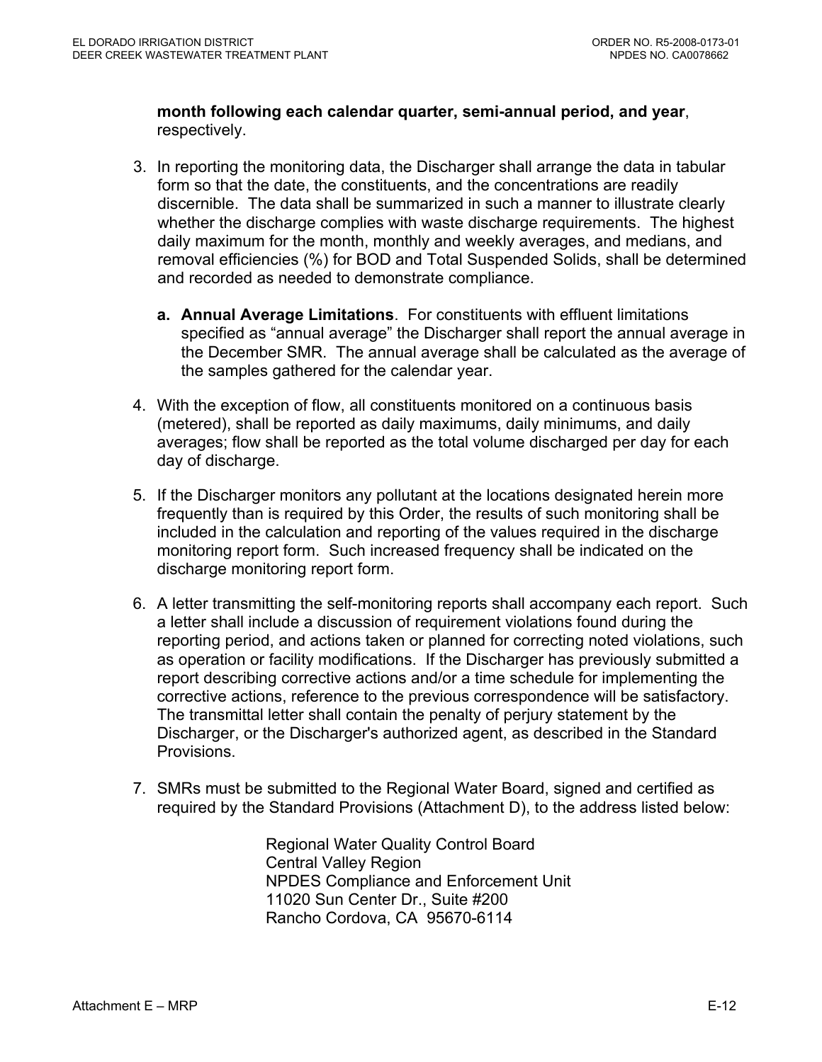**month following each calendar quarter, semi-annual period, and year**, respectively.

- 3. In reporting the monitoring data, the Discharger shall arrange the data in tabular form so that the date, the constituents, and the concentrations are readily discernible. The data shall be summarized in such a manner to illustrate clearly whether the discharge complies with waste discharge requirements. The highest daily maximum for the month, monthly and weekly averages, and medians, and removal efficiencies (%) for BOD and Total Suspended Solids, shall be determined and recorded as needed to demonstrate compliance.
	- **a. Annual Average Limitations**. For constituents with effluent limitations specified as "annual average" the Discharger shall report the annual average in the December SMR. The annual average shall be calculated as the average of the samples gathered for the calendar year.
- 4. With the exception of flow, all constituents monitored on a continuous basis (metered), shall be reported as daily maximums, daily minimums, and daily averages; flow shall be reported as the total volume discharged per day for each day of discharge.
- 5. If the Discharger monitors any pollutant at the locations designated herein more frequently than is required by this Order, the results of such monitoring shall be included in the calculation and reporting of the values required in the discharge monitoring report form. Such increased frequency shall be indicated on the discharge monitoring report form.
- 6. A letter transmitting the self-monitoring reports shall accompany each report. Such a letter shall include a discussion of requirement violations found during the reporting period, and actions taken or planned for correcting noted violations, such as operation or facility modifications. If the Discharger has previously submitted a report describing corrective actions and/or a time schedule for implementing the corrective actions, reference to the previous correspondence will be satisfactory. The transmittal letter shall contain the penalty of perjury statement by the Discharger, or the Discharger's authorized agent, as described in the Standard Provisions.
- 7. SMRs must be submitted to the Regional Water Board, signed and certified as required by the Standard Provisions (Attachment D), to the address listed below:

Regional Water Quality Control Board Central Valley Region NPDES Compliance and Enforcement Unit 11020 Sun Center Dr., Suite #200 Rancho Cordova, CA 95670-6114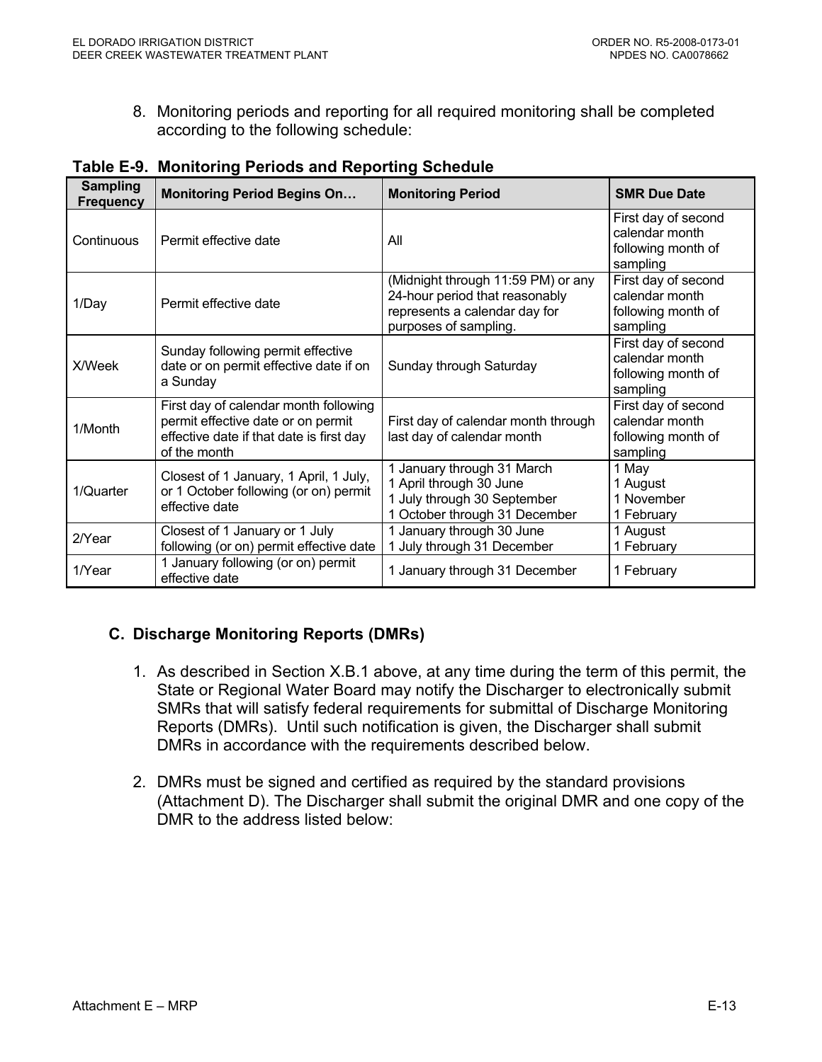8. Monitoring periods and reporting for all required monitoring shall be completed according to the following schedule:

| <b>Sampling</b><br><b>Frequency</b> | <b>Monitoring Period Begins On</b>                                                                                                      | <b>Monitoring Period</b>                                                                                                       | <b>SMR Due Date</b>                                                     |
|-------------------------------------|-----------------------------------------------------------------------------------------------------------------------------------------|--------------------------------------------------------------------------------------------------------------------------------|-------------------------------------------------------------------------|
| Continuous                          | Permit effective date                                                                                                                   | All                                                                                                                            | First day of second<br>calendar month<br>following month of<br>sampling |
| 1/Day                               | Permit effective date                                                                                                                   | (Midnight through 11:59 PM) or any<br>24-hour period that reasonably<br>represents a calendar day for<br>purposes of sampling. | First day of second<br>calendar month<br>following month of<br>sampling |
| X/Week                              | Sunday following permit effective<br>date or on permit effective date if on<br>a Sunday                                                 | Sunday through Saturday                                                                                                        | First day of second<br>calendar month<br>following month of<br>sampling |
| 1/Month                             | First day of calendar month following<br>permit effective date or on permit<br>effective date if that date is first day<br>of the month | First day of calendar month through<br>last day of calendar month                                                              | First day of second<br>calendar month<br>following month of<br>sampling |
| 1/Quarter                           | Closest of 1 January, 1 April, 1 July,<br>or 1 October following (or on) permit<br>effective date                                       | 1 January through 31 March<br>1 April through 30 June<br>1 July through 30 September<br>1 October through 31 December          | 1 May<br>1 August<br>1 November<br>1 February                           |
| 2/Year                              | Closest of 1 January or 1 July<br>following (or on) permit effective date                                                               | 1 January through 30 June<br>1 July through 31 December                                                                        | 1 August<br>1 February                                                  |
| 1/Year                              | 1 January following (or on) permit<br>effective date                                                                                    | 1 January through 31 December                                                                                                  | 1 February                                                              |

#### **Table E-9. Monitoring Periods and Reporting Schedule**

# **C. Discharge Monitoring Reports (DMRs)**

- 1. As described in Section X.B.1 above, at any time during the term of this permit, the State or Regional Water Board may notify the Discharger to electronically submit SMRs that will satisfy federal requirements for submittal of Discharge Monitoring Reports (DMRs). Until such notification is given, the Discharger shall submit DMRs in accordance with the requirements described below.
- 2. DMRs must be signed and certified as required by the standard provisions (Attachment D). The Discharger shall submit the original DMR and one copy of the DMR to the address listed below: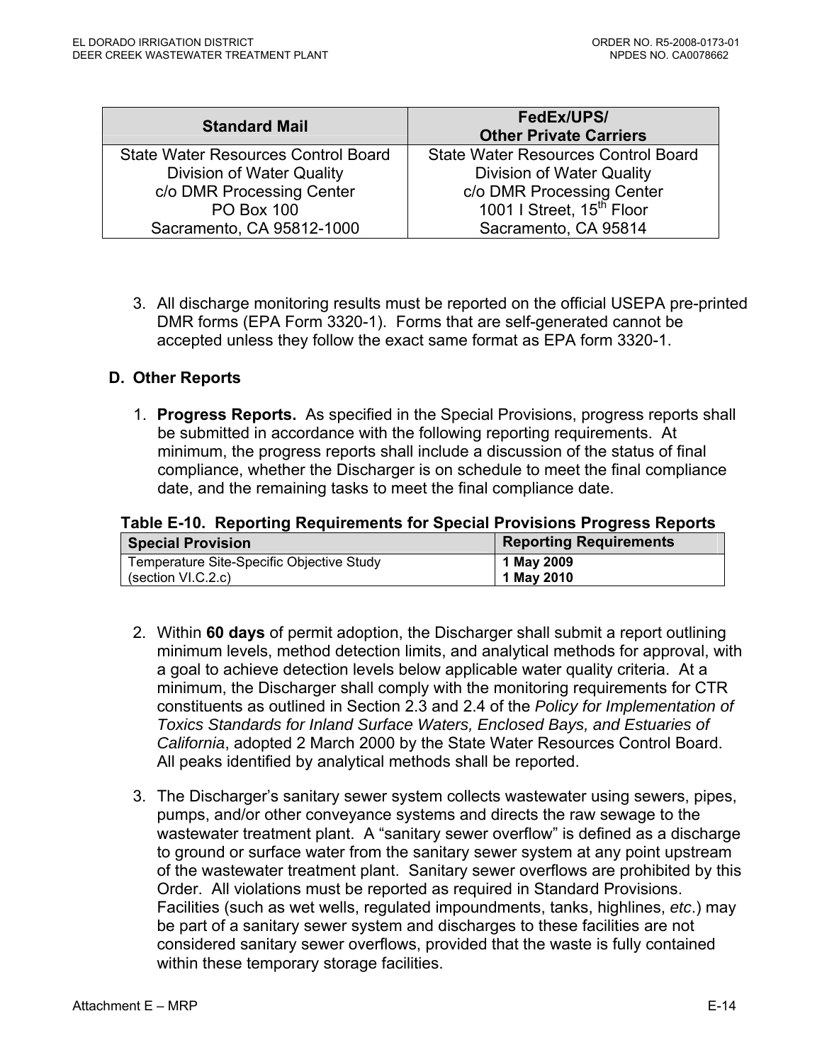| <b>Standard Mail</b>                | FedEx/UPS/<br><b>Other Private Carriers</b> |
|-------------------------------------|---------------------------------------------|
| State Water Resources Control Board | <b>State Water Resources Control Board</b>  |
| Division of Water Quality           | <b>Division of Water Quality</b>            |
| c/o DMR Processing Center           | c/o DMR Processing Center                   |
| <b>PO Box 100</b>                   | 1001   Street, 15 <sup>th</sup> Floor       |
| Sacramento, CA 95812-1000           | Sacramento, CA 95814                        |

3. All discharge monitoring results must be reported on the official USEPA pre-printed DMR forms (EPA Form 3320-1). Forms that are self-generated cannot be accepted unless they follow the exact same format as EPA form 3320-1.

#### **D. Other Reports**

1. **Progress Reports.** As specified in the Special Provisions, progress reports shall be submitted in accordance with the following reporting requirements. At minimum, the progress reports shall include a discussion of the status of final compliance, whether the Discharger is on schedule to meet the final compliance date, and the remaining tasks to meet the final compliance date.

# **Table E-10. Reporting Requirements for Special Provisions Progress Reports**

| <b>Special Provision</b>                  | <b>Reporting Requirements</b> |
|-------------------------------------------|-------------------------------|
| Temperature Site-Specific Objective Study | 1 May 2009                    |
| (section VI.C.2.c)                        | 1 May 2010                    |

- 2. Within **60 days** of permit adoption, the Discharger shall submit a report outlining minimum levels, method detection limits, and analytical methods for approval, with a goal to achieve detection levels below applicable water quality criteria. At a minimum, the Discharger shall comply with the monitoring requirements for CTR constituents as outlined in Section 2.3 and 2.4 of the *Policy for Implementation of Toxics Standards for Inland Surface Waters, Enclosed Bays, and Estuaries of California*, adopted 2 March 2000 by the State Water Resources Control Board. All peaks identified by analytical methods shall be reported.
- 3. The Discharger's sanitary sewer system collects wastewater using sewers, pipes, pumps, and/or other conveyance systems and directs the raw sewage to the wastewater treatment plant. A "sanitary sewer overflow" is defined as a discharge to ground or surface water from the sanitary sewer system at any point upstream of the wastewater treatment plant. Sanitary sewer overflows are prohibited by this Order. All violations must be reported as required in Standard Provisions. Facilities (such as wet wells, regulated impoundments, tanks, highlines, *etc*.) may be part of a sanitary sewer system and discharges to these facilities are not considered sanitary sewer overflows, provided that the waste is fully contained within these temporary storage facilities.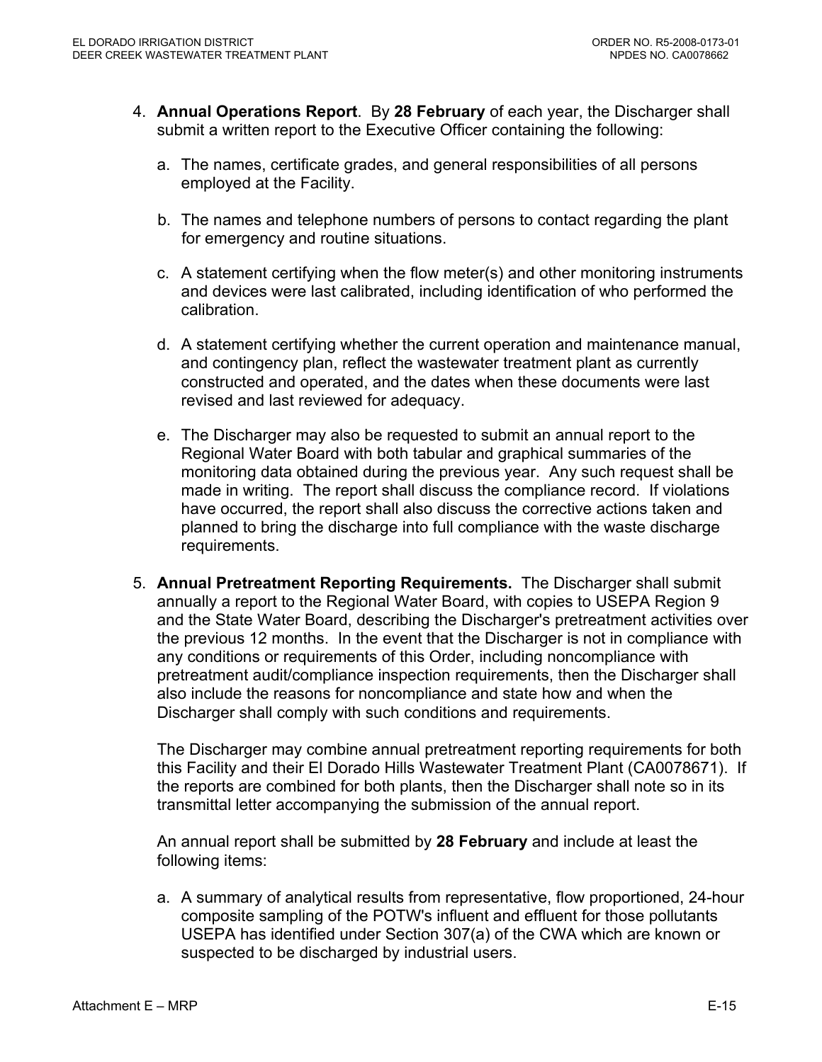- 4. **Annual Operations Report**. By **28 February** of each year, the Discharger shall submit a written report to the Executive Officer containing the following:
	- a. The names, certificate grades, and general responsibilities of all persons employed at the Facility.
	- b. The names and telephone numbers of persons to contact regarding the plant for emergency and routine situations.
	- c. A statement certifying when the flow meter(s) and other monitoring instruments and devices were last calibrated, including identification of who performed the calibration.
	- d. A statement certifying whether the current operation and maintenance manual, and contingency plan, reflect the wastewater treatment plant as currently constructed and operated, and the dates when these documents were last revised and last reviewed for adequacy.
	- e. The Discharger may also be requested to submit an annual report to the Regional Water Board with both tabular and graphical summaries of the monitoring data obtained during the previous year. Any such request shall be made in writing. The report shall discuss the compliance record. If violations have occurred, the report shall also discuss the corrective actions taken and planned to bring the discharge into full compliance with the waste discharge requirements.
- 5. **Annual Pretreatment Reporting Requirements.** The Discharger shall submit annually a report to the Regional Water Board, with copies to USEPA Region 9 and the State Water Board, describing the Discharger's pretreatment activities over the previous 12 months. In the event that the Discharger is not in compliance with any conditions or requirements of this Order, including noncompliance with pretreatment audit/compliance inspection requirements, then the Discharger shall also include the reasons for noncompliance and state how and when the Discharger shall comply with such conditions and requirements.

The Discharger may combine annual pretreatment reporting requirements for both this Facility and their El Dorado Hills Wastewater Treatment Plant (CA0078671). If the reports are combined for both plants, then the Discharger shall note so in its transmittal letter accompanying the submission of the annual report.

An annual report shall be submitted by **28 February** and include at least the following items:

a. A summary of analytical results from representative, flow proportioned, 24-hour composite sampling of the POTW's influent and effluent for those pollutants USEPA has identified under Section 307(a) of the CWA which are known or suspected to be discharged by industrial users.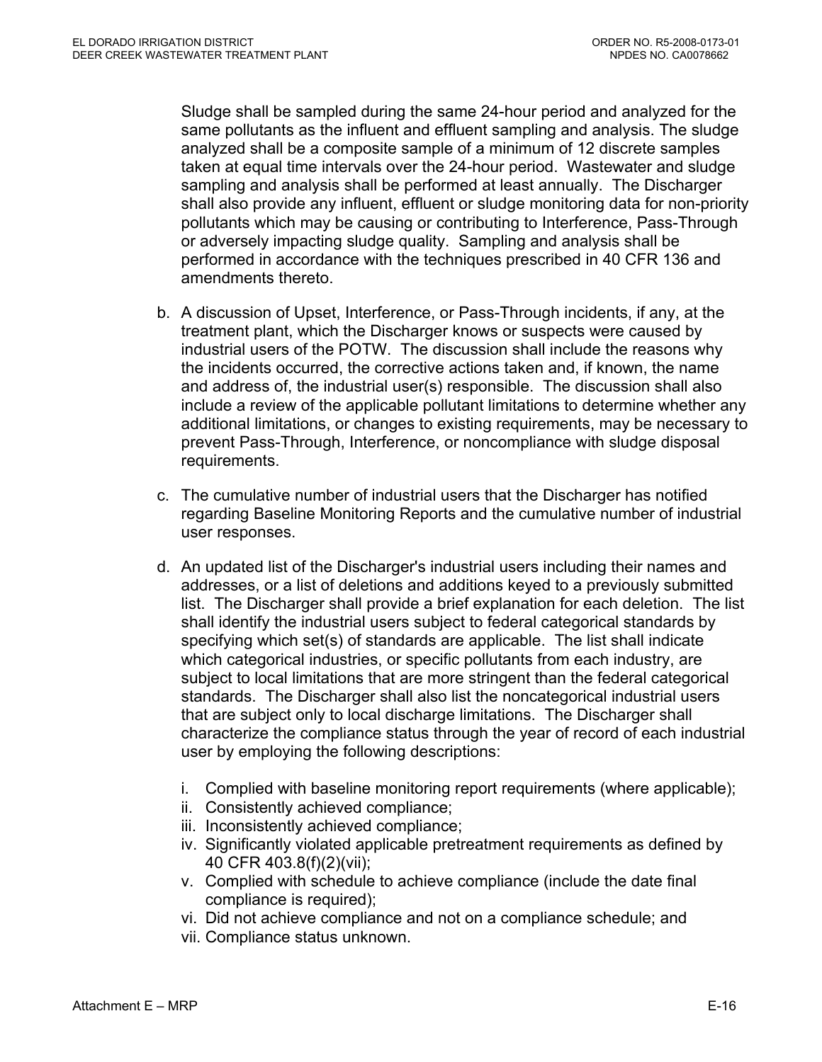Sludge shall be sampled during the same 24-hour period and analyzed for the same pollutants as the influent and effluent sampling and analysis. The sludge analyzed shall be a composite sample of a minimum of 12 discrete samples taken at equal time intervals over the 24-hour period. Wastewater and sludge sampling and analysis shall be performed at least annually. The Discharger shall also provide any influent, effluent or sludge monitoring data for non-priority pollutants which may be causing or contributing to Interference, Pass-Through or adversely impacting sludge quality. Sampling and analysis shall be performed in accordance with the techniques prescribed in 40 CFR 136 and amendments thereto.

- b. A discussion of Upset, Interference, or Pass-Through incidents, if any, at the treatment plant, which the Discharger knows or suspects were caused by industrial users of the POTW. The discussion shall include the reasons why the incidents occurred, the corrective actions taken and, if known, the name and address of, the industrial user(s) responsible. The discussion shall also include a review of the applicable pollutant limitations to determine whether any additional limitations, or changes to existing requirements, may be necessary to prevent Pass-Through, Interference, or noncompliance with sludge disposal requirements.
- c. The cumulative number of industrial users that the Discharger has notified regarding Baseline Monitoring Reports and the cumulative number of industrial user responses.
- d. An updated list of the Discharger's industrial users including their names and addresses, or a list of deletions and additions keyed to a previously submitted list. The Discharger shall provide a brief explanation for each deletion. The list shall identify the industrial users subject to federal categorical standards by specifying which set(s) of standards are applicable. The list shall indicate which categorical industries, or specific pollutants from each industry, are subject to local limitations that are more stringent than the federal categorical standards. The Discharger shall also list the noncategorical industrial users that are subject only to local discharge limitations. The Discharger shall characterize the compliance status through the year of record of each industrial user by employing the following descriptions:
	- i. Complied with baseline monitoring report requirements (where applicable);
	- ii. Consistently achieved compliance;
	- iii. Inconsistently achieved compliance;
	- iv. Significantly violated applicable pretreatment requirements as defined by 40 CFR 403.8(f)(2)(vii);
	- v. Complied with schedule to achieve compliance (include the date final compliance is required);
	- vi. Did not achieve compliance and not on a compliance schedule; and
	- vii. Compliance status unknown.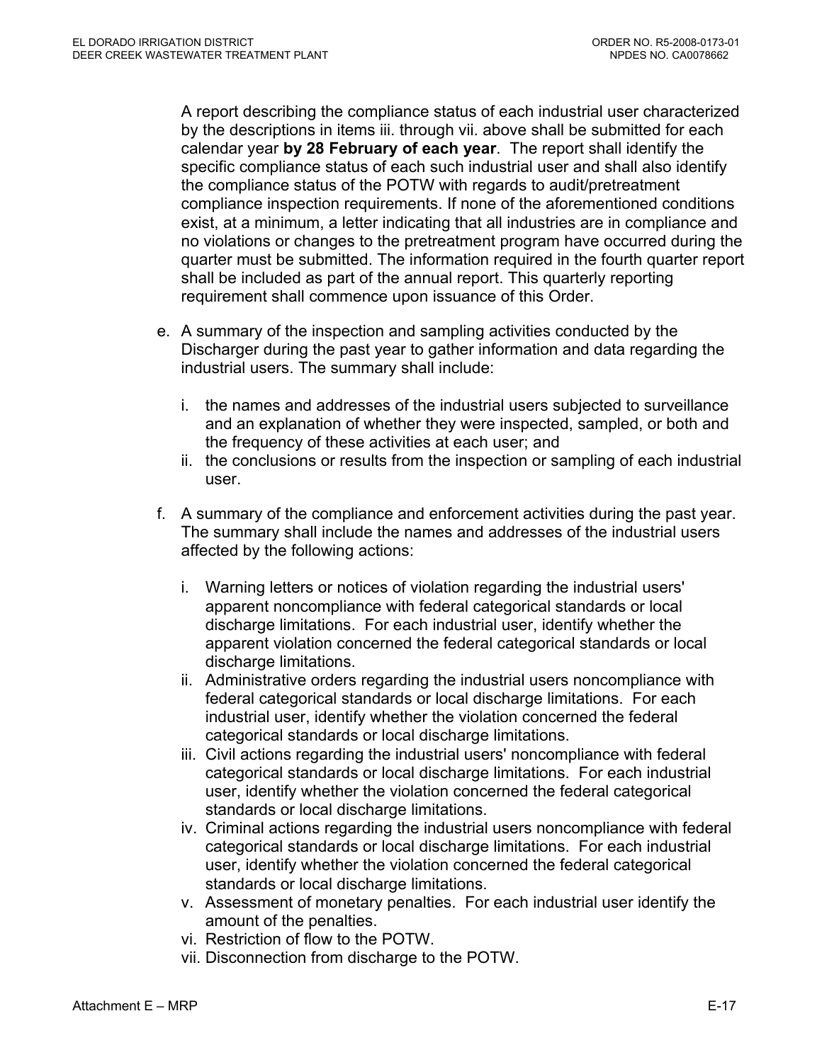A report describing the compliance status of each industrial user characterized by the descriptions in items iii. through vii. above shall be submitted for each calendar year **by 28 February of each year**. The report shall identify the specific compliance status of each such industrial user and shall also identify the compliance status of the POTW with regards to audit/pretreatment compliance inspection requirements. If none of the aforementioned conditions exist, at a minimum, a letter indicating that all industries are in compliance and no violations or changes to the pretreatment program have occurred during the quarter must be submitted. The information required in the fourth quarter report shall be included as part of the annual report. This quarterly reporting requirement shall commence upon issuance of this Order.

- e. A summary of the inspection and sampling activities conducted by the Discharger during the past year to gather information and data regarding the industrial users. The summary shall include:
	- i. the names and addresses of the industrial users subjected to surveillance and an explanation of whether they were inspected, sampled, or both and the frequency of these activities at each user; and
	- ii. the conclusions or results from the inspection or sampling of each industrial user.
- f. A summary of the compliance and enforcement activities during the past year. The summary shall include the names and addresses of the industrial users affected by the following actions:
	- i. Warning letters or notices of violation regarding the industrial users' apparent noncompliance with federal categorical standards or local discharge limitations. For each industrial user, identify whether the apparent violation concerned the federal categorical standards or local discharge limitations.
	- ii. Administrative orders regarding the industrial users noncompliance with federal categorical standards or local discharge limitations. For each industrial user, identify whether the violation concerned the federal categorical standards or local discharge limitations.
	- iii. Civil actions regarding the industrial users' noncompliance with federal categorical standards or local discharge limitations. For each industrial user, identify whether the violation concerned the federal categorical standards or local discharge limitations.
	- iv. Criminal actions regarding the industrial users noncompliance with federal categorical standards or local discharge limitations. For each industrial user, identify whether the violation concerned the federal categorical standards or local discharge limitations.
	- v. Assessment of monetary penalties. For each industrial user identify the amount of the penalties.
	- vi. Restriction of flow to the POTW.
	- vii. Disconnection from discharge to the POTW.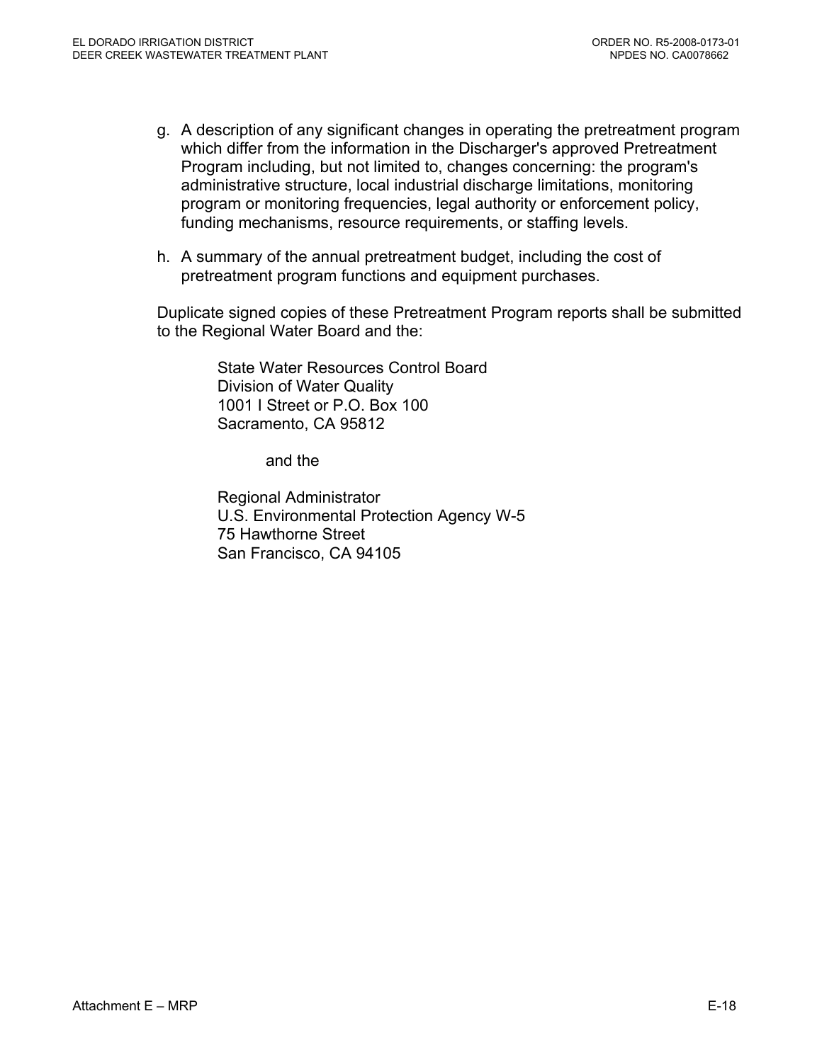- g. A description of any significant changes in operating the pretreatment program which differ from the information in the Discharger's approved Pretreatment Program including, but not limited to, changes concerning: the program's administrative structure, local industrial discharge limitations, monitoring program or monitoring frequencies, legal authority or enforcement policy, funding mechanisms, resource requirements, or staffing levels.
- h. A summary of the annual pretreatment budget, including the cost of pretreatment program functions and equipment purchases.

Duplicate signed copies of these Pretreatment Program reports shall be submitted to the Regional Water Board and the:

> State Water Resources Control Board Division of Water Quality 1001 I Street or P.O. Box 100 Sacramento, CA 95812

> > and the

Regional Administrator U.S. Environmental Protection Agency W-5 75 Hawthorne Street San Francisco, CA 94105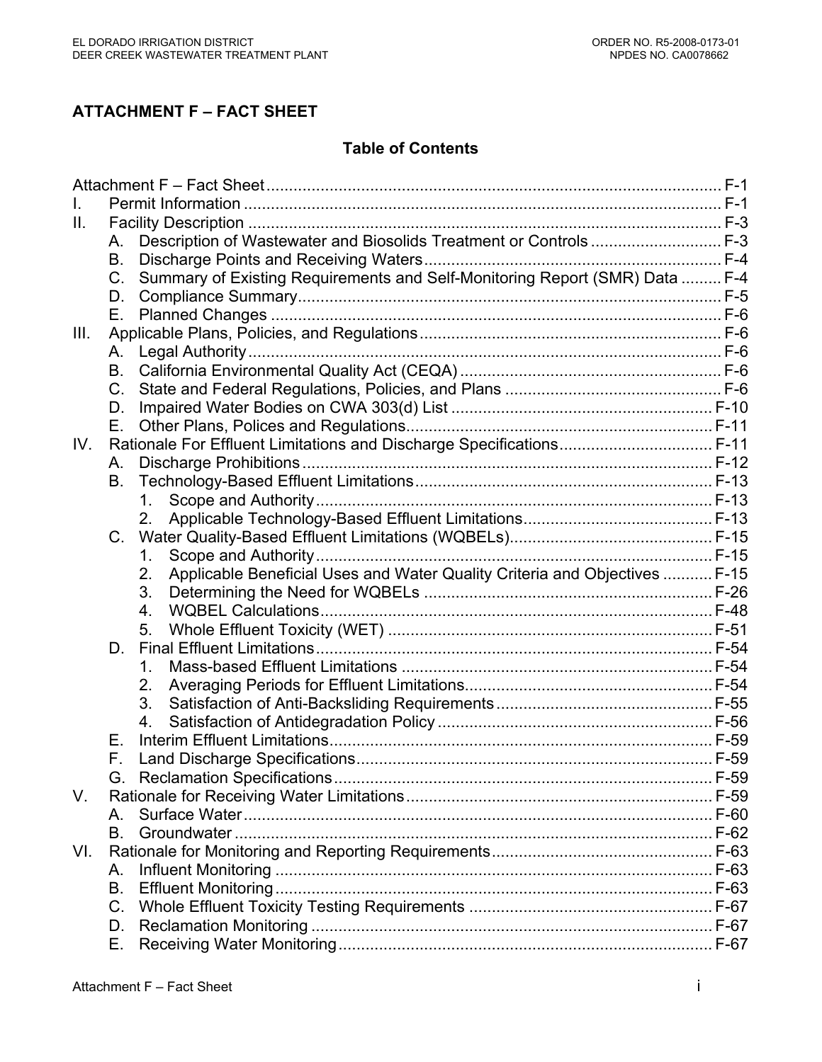# **ATTACHMENT F – FACT SHEET**

#### **Table of Contents**

| $\mathbf{II}$ . |             |                                                                                  |  |  |  |
|-----------------|-------------|----------------------------------------------------------------------------------|--|--|--|
|                 | A.          | Description of Wastewater and Biosolids Treatment or Controls  F-3               |  |  |  |
|                 | <b>B.</b>   |                                                                                  |  |  |  |
|                 | C.          | Summary of Existing Requirements and Self-Monitoring Report (SMR) Data  F-4      |  |  |  |
|                 | D.          |                                                                                  |  |  |  |
|                 | Е.          |                                                                                  |  |  |  |
| III.            |             |                                                                                  |  |  |  |
|                 | А.          |                                                                                  |  |  |  |
|                 | <b>B.</b>   |                                                                                  |  |  |  |
|                 | $C_{\cdot}$ |                                                                                  |  |  |  |
|                 | D.          |                                                                                  |  |  |  |
|                 | Е.          |                                                                                  |  |  |  |
| IV.             |             | Rationale For Effluent Limitations and Discharge Specifications F-11             |  |  |  |
|                 | Α.          |                                                                                  |  |  |  |
|                 | В.          |                                                                                  |  |  |  |
|                 |             | $1_{\cdot}$                                                                      |  |  |  |
|                 |             | 2.                                                                               |  |  |  |
|                 | C.          |                                                                                  |  |  |  |
|                 |             | 1.                                                                               |  |  |  |
|                 |             | Applicable Beneficial Uses and Water Quality Criteria and Objectives  F-15<br>2. |  |  |  |
|                 |             | 3.                                                                               |  |  |  |
|                 |             | 4.                                                                               |  |  |  |
|                 |             | 5.                                                                               |  |  |  |
|                 | D.          |                                                                                  |  |  |  |
|                 |             | 1.                                                                               |  |  |  |
|                 |             | 2.                                                                               |  |  |  |
|                 |             | 3.                                                                               |  |  |  |
|                 |             | 4.                                                                               |  |  |  |
|                 | Е.          |                                                                                  |  |  |  |
|                 | F.          |                                                                                  |  |  |  |
|                 |             |                                                                                  |  |  |  |
| V.              |             |                                                                                  |  |  |  |
|                 | A.          |                                                                                  |  |  |  |
|                 | В.          |                                                                                  |  |  |  |
| VI.             |             |                                                                                  |  |  |  |
|                 | Α.          |                                                                                  |  |  |  |
|                 | Β.          |                                                                                  |  |  |  |
|                 | $C_{\cdot}$ |                                                                                  |  |  |  |
|                 | D.          |                                                                                  |  |  |  |
|                 | Е.          |                                                                                  |  |  |  |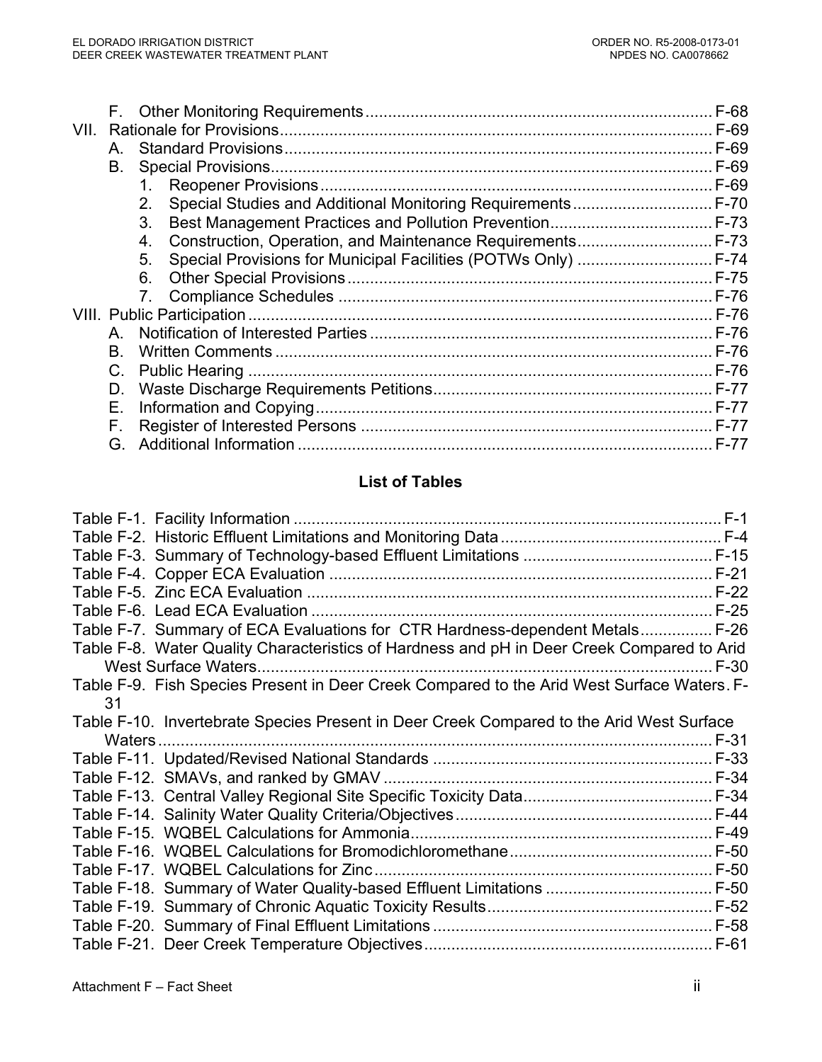|      |    |    | $F-68$ |
|------|----|----|--------|
| VII. |    |    |        |
|      | A  |    | F-69   |
|      | B. |    | F-69   |
|      |    | 1. | F-69   |
|      |    | 2. |        |
|      |    | 3. |        |
|      |    | 4. |        |
|      |    | 5. |        |
|      |    | 6. |        |
|      |    |    |        |
|      |    |    |        |
|      | A  |    |        |
|      | B. |    |        |
|      | C. |    |        |
|      | D. |    | $F-77$ |
|      | Е. |    | $F-77$ |
|      | F. |    |        |
|      | G  |    |        |
|      |    |    |        |

# **List of Tables**

|    | Table F-7. Summary of ECA Evaluations for CTR Hardness-dependent Metals F-26               |
|----|--------------------------------------------------------------------------------------------|
|    |                                                                                            |
|    | Table F-8. Water Quality Characteristics of Hardness and pH in Deer Creek Compared to Arid |
|    | $F-30$                                                                                     |
|    | Table F-9. Fish Species Present in Deer Creek Compared to the Arid West Surface Waters. F- |
| 31 |                                                                                            |
|    | Table F-10. Invertebrate Species Present in Deer Creek Compared to the Arid West Surface   |
|    | Waters                                                                                     |
|    |                                                                                            |
|    |                                                                                            |
|    |                                                                                            |
|    |                                                                                            |
|    |                                                                                            |
|    |                                                                                            |
|    |                                                                                            |
|    |                                                                                            |
|    |                                                                                            |
|    |                                                                                            |
|    |                                                                                            |
|    |                                                                                            |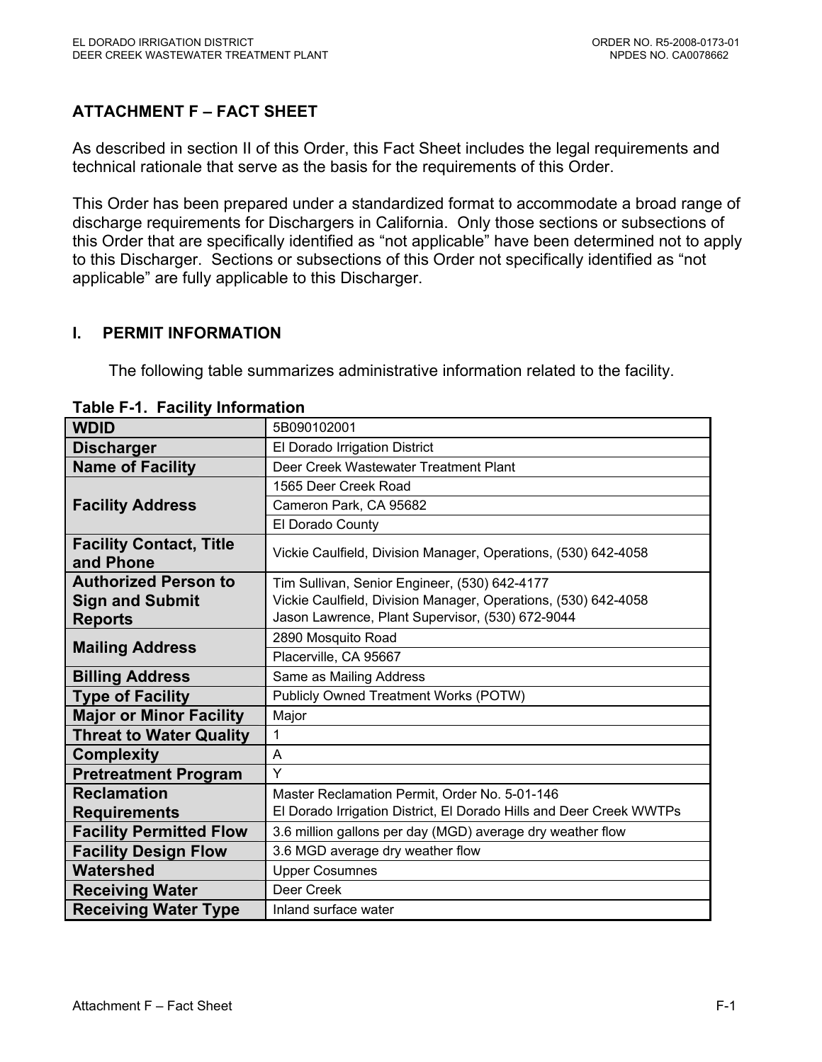# **ATTACHMENT F – FACT SHEET**

As described in section II of this Order, this Fact Sheet includes the legal requirements and technical rationale that serve as the basis for the requirements of this Order.

This Order has been prepared under a standardized format to accommodate a broad range of discharge requirements for Dischargers in California. Only those sections or subsections of this Order that are specifically identified as "not applicable" have been determined not to apply to this Discharger. Sections or subsections of this Order not specifically identified as "not applicable" are fully applicable to this Discharger.

### **I. PERMIT INFORMATION**

The following table summarizes administrative information related to the facility.

| <b>WDID</b>                                 | 5B090102001                                                         |  |  |  |  |  |
|---------------------------------------------|---------------------------------------------------------------------|--|--|--|--|--|
| <b>Discharger</b>                           | El Dorado Irrigation District                                       |  |  |  |  |  |
| <b>Name of Facility</b>                     | Deer Creek Wastewater Treatment Plant                               |  |  |  |  |  |
|                                             | 1565 Deer Creek Road                                                |  |  |  |  |  |
| <b>Facility Address</b>                     | Cameron Park, CA 95682                                              |  |  |  |  |  |
|                                             | El Dorado County                                                    |  |  |  |  |  |
| <b>Facility Contact, Title</b><br>and Phone | Vickie Caulfield, Division Manager, Operations, (530) 642-4058      |  |  |  |  |  |
| <b>Authorized Person to</b>                 | Tim Sullivan, Senior Engineer, (530) 642-4177                       |  |  |  |  |  |
| <b>Sign and Submit</b>                      | Vickie Caulfield, Division Manager, Operations, (530) 642-4058      |  |  |  |  |  |
| <b>Reports</b>                              | Jason Lawrence, Plant Supervisor, (530) 672-9044                    |  |  |  |  |  |
| <b>Mailing Address</b>                      | 2890 Mosquito Road                                                  |  |  |  |  |  |
|                                             | Placerville, CA 95667                                               |  |  |  |  |  |
| <b>Billing Address</b>                      | Same as Mailing Address                                             |  |  |  |  |  |
| <b>Type of Facility</b>                     | Publicly Owned Treatment Works (POTW)                               |  |  |  |  |  |
| <b>Major or Minor Facility</b>              | Major                                                               |  |  |  |  |  |
| <b>Threat to Water Quality</b>              | 1                                                                   |  |  |  |  |  |
| <b>Complexity</b>                           | A                                                                   |  |  |  |  |  |
| <b>Pretreatment Program</b>                 | Y                                                                   |  |  |  |  |  |
| <b>Reclamation</b>                          | Master Reclamation Permit, Order No. 5-01-146                       |  |  |  |  |  |
| <b>Requirements</b>                         | El Dorado Irrigation District, El Dorado Hills and Deer Creek WWTPs |  |  |  |  |  |
| <b>Facility Permitted Flow</b>              | 3.6 million gallons per day (MGD) average dry weather flow          |  |  |  |  |  |
| <b>Facility Design Flow</b>                 | 3.6 MGD average dry weather flow                                    |  |  |  |  |  |
| <b>Watershed</b>                            | <b>Upper Cosumnes</b>                                               |  |  |  |  |  |
| <b>Receiving Water</b>                      | Deer Creek                                                          |  |  |  |  |  |
| <b>Receiving Water Type</b>                 | Inland surface water                                                |  |  |  |  |  |

**Table F-1. Facility Information**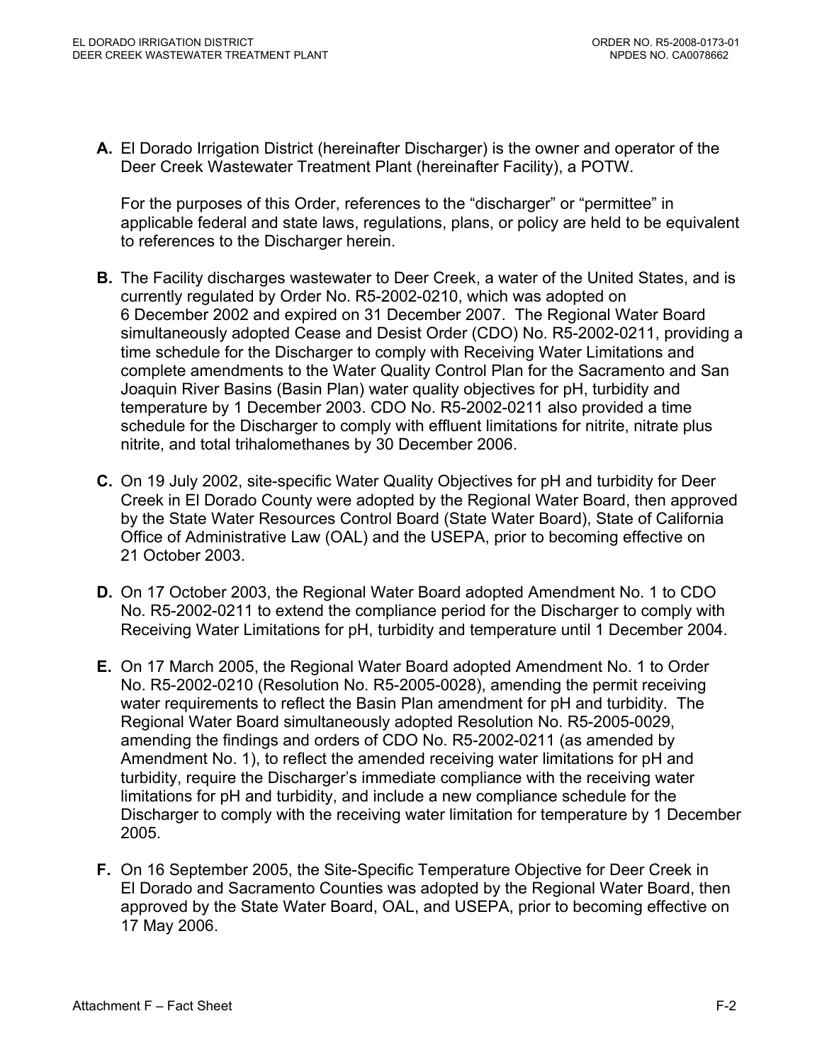**A.** El Dorado Irrigation District (hereinafter Discharger) is the owner and operator of the Deer Creek Wastewater Treatment Plant (hereinafter Facility), a POTW.

For the purposes of this Order, references to the "discharger" or "permittee" in applicable federal and state laws, regulations, plans, or policy are held to be equivalent to references to the Discharger herein.

- **B.** The Facility discharges wastewater to Deer Creek, a water of the United States, and is currently regulated by Order No. R5-2002-0210, which was adopted on 6 December 2002 and expired on 31 December 2007. The Regional Water Board simultaneously adopted Cease and Desist Order (CDO) No. R5-2002-0211, providing a time schedule for the Discharger to comply with Receiving Water Limitations and complete amendments to the Water Quality Control Plan for the Sacramento and San Joaquin River Basins (Basin Plan) water quality objectives for pH, turbidity and temperature by 1 December 2003. CDO No. R5-2002-0211 also provided a time schedule for the Discharger to comply with effluent limitations for nitrite, nitrate plus nitrite, and total trihalomethanes by 30 December 2006.
- **C.** On 19 July 2002, site-specific Water Quality Objectives for pH and turbidity for Deer Creek in El Dorado County were adopted by the Regional Water Board, then approved by the State Water Resources Control Board (State Water Board), State of California Office of Administrative Law (OAL) and the USEPA, prior to becoming effective on 21 October 2003.
- **D.** On 17 October 2003, the Regional Water Board adopted Amendment No. 1 to CDO No. R5-2002-0211 to extend the compliance period for the Discharger to comply with Receiving Water Limitations for pH, turbidity and temperature until 1 December 2004.
- **E.** On 17 March 2005, the Regional Water Board adopted Amendment No. 1 to Order No. R5-2002-0210 (Resolution No. R5-2005-0028), amending the permit receiving water requirements to reflect the Basin Plan amendment for pH and turbidity. The Regional Water Board simultaneously adopted Resolution No. R5-2005-0029, amending the findings and orders of CDO No. R5-2002-0211 (as amended by Amendment No. 1), to reflect the amended receiving water limitations for pH and turbidity, require the Discharger's immediate compliance with the receiving water limitations for pH and turbidity, and include a new compliance schedule for the Discharger to comply with the receiving water limitation for temperature by 1 December 2005.
- **F.** On 16 September 2005, the Site-Specific Temperature Objective for Deer Creek in El Dorado and Sacramento Counties was adopted by the Regional Water Board, then approved by the State Water Board, OAL, and USEPA, prior to becoming effective on 17 May 2006.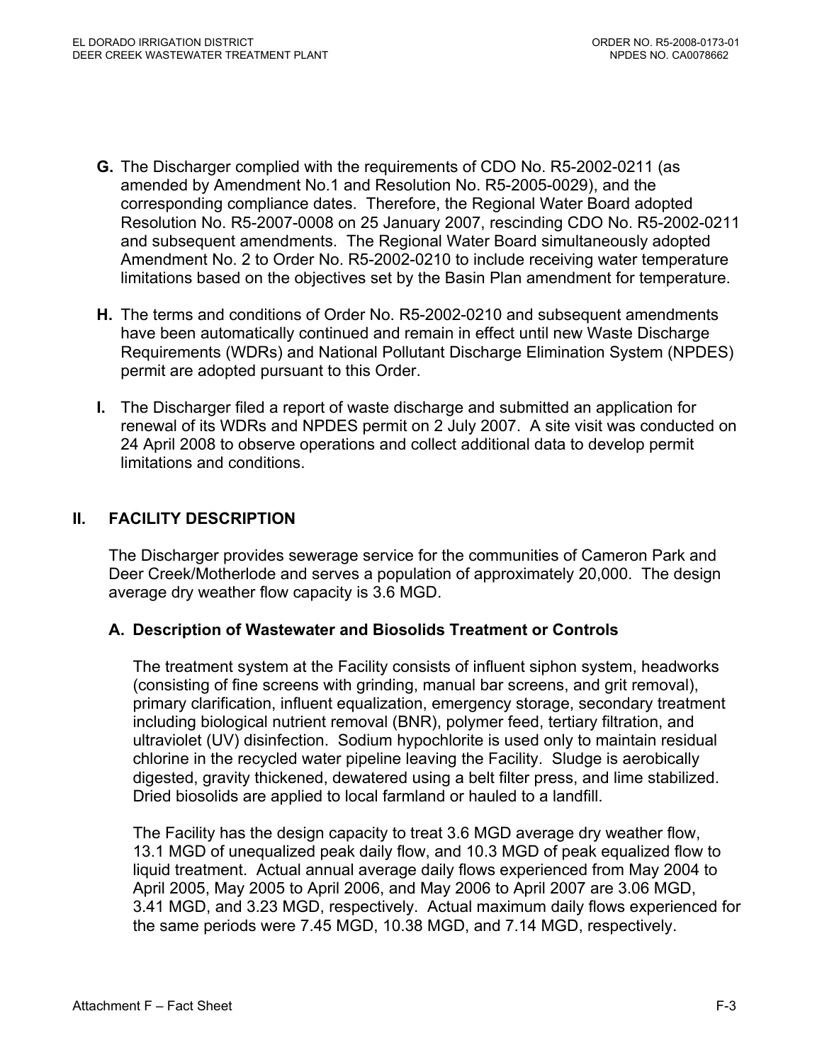- **G.** The Discharger complied with the requirements of CDO No. R5-2002-0211 (as amended by Amendment No.1 and Resolution No. R5-2005-0029), and the corresponding compliance dates. Therefore, the Regional Water Board adopted Resolution No. R5-2007-0008 on 25 January 2007, rescinding CDO No. R5-2002-0211 and subsequent amendments. The Regional Water Board simultaneously adopted Amendment No. 2 to Order No. R5-2002-0210 to include receiving water temperature limitations based on the objectives set by the Basin Plan amendment for temperature.
- **H.** The terms and conditions of Order No. R5-2002-0210 and subsequent amendments have been automatically continued and remain in effect until new Waste Discharge Requirements (WDRs) and National Pollutant Discharge Elimination System (NPDES) permit are adopted pursuant to this Order.
- **I.** The Discharger filed a report of waste discharge and submitted an application for renewal of its WDRs and NPDES permit on 2 July 2007. A site visit was conducted on 24 April 2008 to observe operations and collect additional data to develop permit limitations and conditions.

# **II. FACILITY DESCRIPTION**

The Discharger provides sewerage service for the communities of Cameron Park and Deer Creek/Motherlode and serves a population of approximately 20,000. The design average dry weather flow capacity is 3.6 MGD.

# **A. Description of Wastewater and Biosolids Treatment or Controls**

The treatment system at the Facility consists of influent siphon system, headworks (consisting of fine screens with grinding, manual bar screens, and grit removal), primary clarification, influent equalization, emergency storage, secondary treatment including biological nutrient removal (BNR), polymer feed, tertiary filtration, and ultraviolet (UV) disinfection. Sodium hypochlorite is used only to maintain residual chlorine in the recycled water pipeline leaving the Facility. Sludge is aerobically digested, gravity thickened, dewatered using a belt filter press, and lime stabilized. Dried biosolids are applied to local farmland or hauled to a landfill.

The Facility has the design capacity to treat 3.6 MGD average dry weather flow, 13.1 MGD of unequalized peak daily flow, and 10.3 MGD of peak equalized flow to liquid treatment. Actual annual average daily flows experienced from May 2004 to April 2005, May 2005 to April 2006, and May 2006 to April 2007 are 3.06 MGD, 3.41 MGD, and 3.23 MGD, respectively. Actual maximum daily flows experienced for the same periods were 7.45 MGD, 10.38 MGD, and 7.14 MGD, respectively.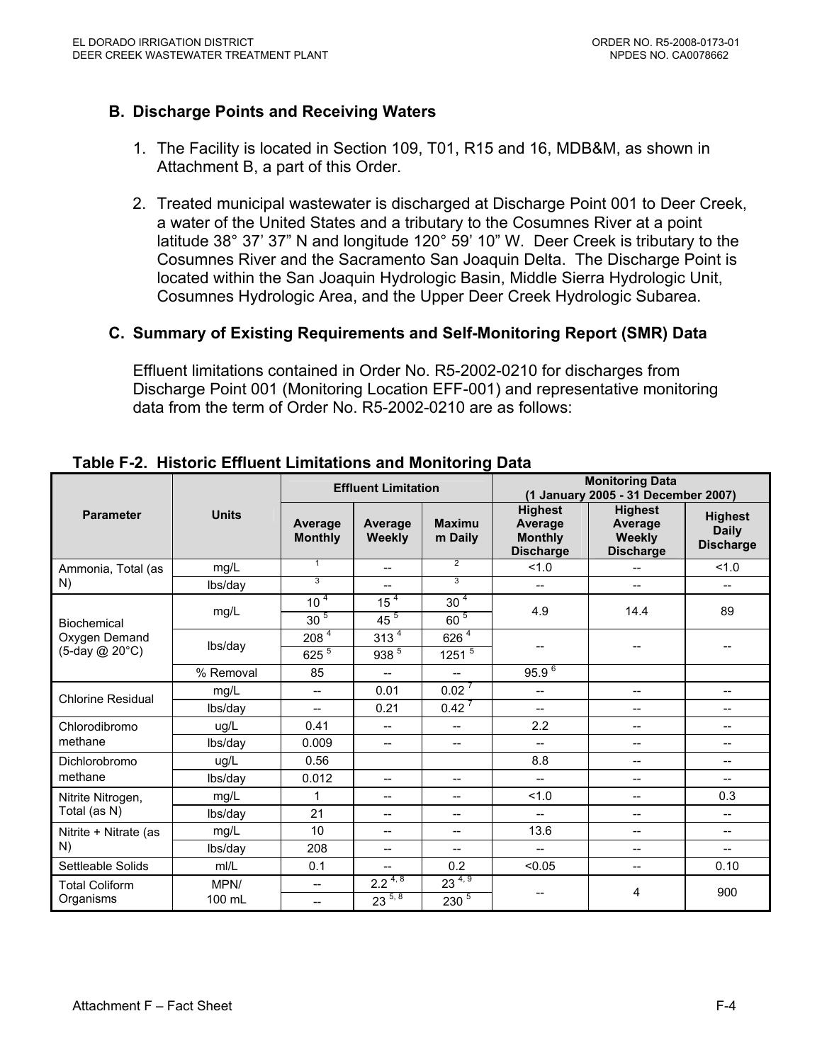### **B. Discharge Points and Receiving Waters**

- 1. The Facility is located in Section 109, T01, R15 and 16, MDB&M, as shown in Attachment B, a part of this Order.
- 2. Treated municipal wastewater is discharged at Discharge Point 001 to Deer Creek, a water of the United States and a tributary to the Cosumnes River at a point latitude 38° 37' 37" N and longitude 120° 59' 10" W. Deer Creek is tributary to the Cosumnes River and the Sacramento San Joaquin Delta. The Discharge Point is located within the San Joaquin Hydrologic Basin, Middle Sierra Hydrologic Unit, Cosumnes Hydrologic Area, and the Upper Deer Creek Hydrologic Subarea.

#### **C. Summary of Existing Requirements and Self-Monitoring Report (SMR) Data**

Effluent limitations contained in Order No. R5-2002-0210 for discharges from Discharge Point 001 (Monitoring Location EFF-001) and representative monitoring data from the term of Order No. R5-2002-0210 are as follows:

|                                                |              |                           | <b>Effluent Limitation</b> |                          | <b>Monitoring Data</b><br>(1 January 2005 - 31 December 2007)   |                                                         |                                                    |  |
|------------------------------------------------|--------------|---------------------------|----------------------------|--------------------------|-----------------------------------------------------------------|---------------------------------------------------------|----------------------------------------------------|--|
| <b>Parameter</b>                               | <b>Units</b> | Average<br><b>Monthly</b> | Average<br><b>Weekly</b>   | <b>Maximu</b><br>m Daily | <b>Highest</b><br>Average<br><b>Monthly</b><br><b>Discharge</b> | <b>Highest</b><br>Average<br>Weekly<br><b>Discharge</b> | <b>Highest</b><br><b>Daily</b><br><b>Discharge</b> |  |
| Ammonia, Total (as                             | mg/L         | 1                         | $\overline{a}$             | $\overline{2}$           | 1.0                                                             | $-$                                                     | 1.0                                                |  |
| N)                                             | lbs/day      | 3                         | --                         | 3                        | $-$                                                             | $-$                                                     | $-$                                                |  |
|                                                | mg/L         | 10 <sup>4</sup>           | 15 <sup>4</sup>            | 30 <sup>4</sup>          | 4.9                                                             | 14.4                                                    | 89                                                 |  |
| Biochemical<br>Oxygen Demand<br>(5-day @ 20°C) |              | 30 <sup>5</sup>           | $45^{\frac{5}{}}$          | $60^{5}$                 |                                                                 |                                                         |                                                    |  |
|                                                | lbs/day      | 208 <sup>4</sup>          | 313 <sup>4</sup>           | $626^{4}$                |                                                                 |                                                         |                                                    |  |
|                                                |              | $625^{5}$                 | 938 <sup>5</sup>           | $1251^{5}$               |                                                                 |                                                         |                                                    |  |
|                                                | % Removal    | 85                        | $\overline{\phantom{0}}$   | $-$                      | $95.9^{6}$                                                      |                                                         |                                                    |  |
| <b>Chlorine Residual</b>                       | mg/L         | $\overline{\phantom{a}}$  | 0.01                       | $0.02^{7}$               | $\overline{\phantom{a}}$                                        | $\overline{\phantom{a}}$                                | $-$                                                |  |
|                                                | lbs/day      | $\overline{\phantom{a}}$  | 0.21                       | $0.42^7$                 | $\overline{\phantom{a}}$                                        | $\qquad \qquad -$                                       | --                                                 |  |
| Chlorodibromo                                  | ug/L         | 0.41                      | $-$                        | $\overline{\phantom{a}}$ | 2.2                                                             | $\qquad \qquad -$                                       | --                                                 |  |
| methane                                        | lbs/day      | 0.009                     | $-$                        | $- -$                    | $-$                                                             | $--$                                                    | $- -$                                              |  |
| Dichlorobromo                                  | ug/L         | 0.56                      |                            |                          | 8.8                                                             | $\overline{\phantom{a}}$                                | $- -$                                              |  |
| methane                                        | lbs/day      | 0.012                     | $- -$                      | $- -$                    | $\qquad \qquad -$                                               | $\qquad \qquad -$                                       | $- -$                                              |  |
| Nitrite Nitrogen,                              | mg/L         | 1                         | $-$                        | $- -$                    | 1.0                                                             | $\qquad \qquad -$                                       | 0.3                                                |  |
| Total (as N)                                   | lbs/day      | 21                        | --                         | $- -$                    | $-$                                                             | $--$                                                    | $- -$                                              |  |
| Nitrite + Nitrate (as                          | mg/L         | 10                        | --                         | $- -$                    | 13.6                                                            | $--$                                                    | $- -$                                              |  |
| N)                                             | lbs/day      | 208                       | $-$                        | $- -$                    | $-$                                                             | $-$                                                     | $-$                                                |  |
| Settleable Solids                              | mI/L         | 0.1                       | --                         | 0.2                      | < 0.05                                                          | $--$                                                    | 0.10                                               |  |
| <b>Total Coliform</b>                          | MPN/         | $- -$                     | $2.2^{\frac{4}{6}}$        | $23^{4,9}$               |                                                                 | 4                                                       | 900                                                |  |
| Organisms                                      | 100 mL       | --                        | $23^{5,8}$                 | $230^{5}$                |                                                                 |                                                         |                                                    |  |

**Table F-2. Historic Effluent Limitations and Monitoring Data**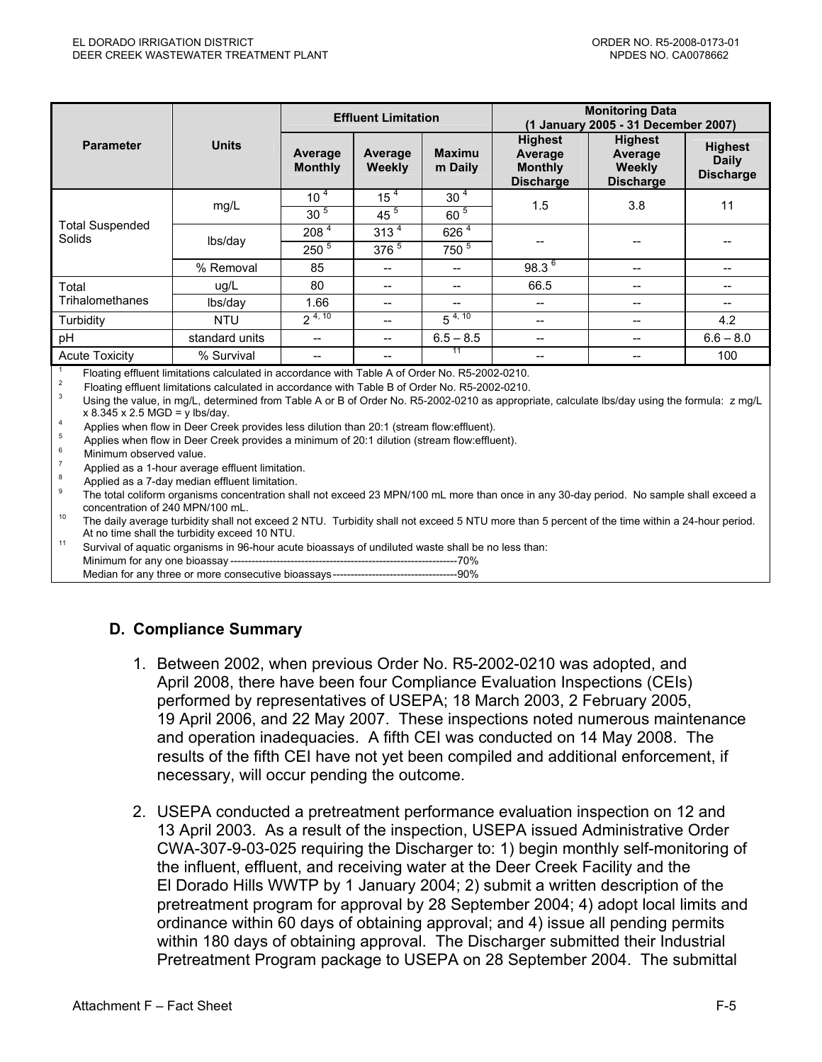|                                         |                |                           | <b>Effluent Limitation</b>            |                          |                                                                 | <b>Monitoring Data</b><br>(1 January 2005 - 31 December 2007) |                                                    |  |  |
|-----------------------------------------|----------------|---------------------------|---------------------------------------|--------------------------|-----------------------------------------------------------------|---------------------------------------------------------------|----------------------------------------------------|--|--|
| <b>Parameter</b>                        | <b>Units</b>   | Average<br><b>Monthly</b> | Average<br><b>Weekly</b>              | <b>Maximu</b><br>m Daily | <b>Highest</b><br>Average<br><b>Monthly</b><br><b>Discharge</b> | <b>Highest</b><br>Average<br>Weekly<br><b>Discharge</b>       | <b>Highest</b><br><b>Daily</b><br><b>Discharge</b> |  |  |
|                                         | mg/L           | 10 <sup>4</sup>           | 15 <sup>4</sup>                       | 30 <sup>4</sup>          | 1.5                                                             | 3.8                                                           | 11                                                 |  |  |
| <b>Total Suspended</b><br><b>Solids</b> |                | 30 <sup>5</sup>           | $45^{5}$                              | $60^{5}$                 |                                                                 |                                                               |                                                    |  |  |
|                                         | lbs/day        | 208 4                     | 313 <sup>4</sup>                      | 626 <sup>4</sup>         |                                                                 |                                                               |                                                    |  |  |
|                                         |                | $250^{5}$                 | $376^{5}$                             | 750 <sup>5</sup>         |                                                                 |                                                               |                                                    |  |  |
|                                         | % Removal      | 85                        | --                                    |                          | $98.3^{6}$                                                      | $-$                                                           | --                                                 |  |  |
| Total                                   | uq/L           | 80                        | $- -$                                 | $- -$                    | 66.5                                                            |                                                               | --                                                 |  |  |
| Trihalomethanes                         | lbs/day        | 1.66                      | $-$                                   | $- -$                    | --                                                              | $-$                                                           | $\hspace{0.05cm}$ – $\hspace{0.05cm}$              |  |  |
| Turbidity                               | <b>NTU</b>     | $2^{4,10}$                | $\hspace{0.05cm}$ – $\hspace{0.05cm}$ | $5^{4, 10}$              | --                                                              | $-$                                                           | 4.2                                                |  |  |
| pH                                      | standard units | --                        | $- -$                                 | $6.5 - 8.5$              | --                                                              |                                                               | $6.6 - 8.0$                                        |  |  |
| <b>Acute Toxicity</b>                   | % Survival     | --                        | $\hspace{0.05cm}$ – $\hspace{0.05cm}$ | 11                       | --                                                              |                                                               | 100                                                |  |  |

Floating effluent limitations calculated in accordance with Table A of Order No. R5-2002-0210.<br>
<sup>2</sup> Floating effluent limitations calculated in accordance with Table B of Order No. R5-2002-0210.<br>
<sup>3</sup> Using the value, in mg

x 8.345 x 2.5 MGD = y lbs/day.<br>
4 Applies when flow in Deer Creek provides less dilution than 20:1 (stream flow:effluent).<br>
5 Applies when flow in Deer Creek provides a minimum of 20:1 dilution (stream flow:effluent).<br>
6

The daily average turbidity shall not exceed 2 NTU. Turbidity shall not exceed 5 NTU more than 5 percent of the time within a 24-hour period. At no time shall the turbidity exceed 10 NTU.<br><sup>11</sup> Survival of aquatic organisms in 96-hour acute bioassays of undiluted waste shall be no less than:

Minimum for any one bioassay ----------------------------------------------------------------70%

Median for any three or more consecutive bioassays-----------------------------------90%

#### **D. Compliance Summary**

- 1. Between 2002, when previous Order No. R5-2002-0210 was adopted, and April 2008, there have been four Compliance Evaluation Inspections (CEIs) performed by representatives of USEPA; 18 March 2003, 2 February 2005, 19 April 2006, and 22 May 2007. These inspections noted numerous maintenance and operation inadequacies. A fifth CEI was conducted on 14 May 2008. The results of the fifth CEI have not yet been compiled and additional enforcement, if necessary, will occur pending the outcome.
- 2. USEPA conducted a pretreatment performance evaluation inspection on 12 and 13 April 2003. As a result of the inspection, USEPA issued Administrative Order CWA-307-9-03-025 requiring the Discharger to: 1) begin monthly self-monitoring of the influent, effluent, and receiving water at the Deer Creek Facility and the El Dorado Hills WWTP by 1 January 2004; 2) submit a written description of the pretreatment program for approval by 28 September 2004; 4) adopt local limits and ordinance within 60 days of obtaining approval; and 4) issue all pending permits within 180 days of obtaining approval. The Discharger submitted their Industrial Pretreatment Program package to USEPA on 28 September 2004. The submittal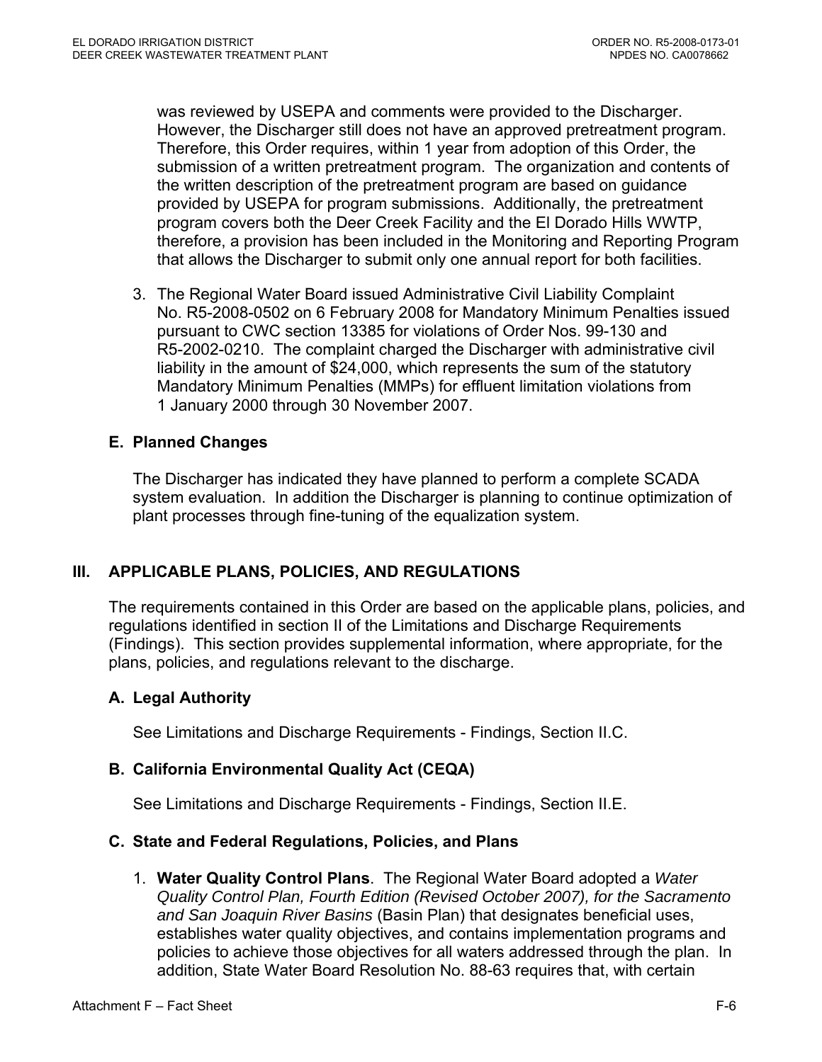was reviewed by USEPA and comments were provided to the Discharger. However, the Discharger still does not have an approved pretreatment program. Therefore, this Order requires, within 1 year from adoption of this Order, the submission of a written pretreatment program. The organization and contents of the written description of the pretreatment program are based on guidance provided by USEPA for program submissions. Additionally, the pretreatment program covers both the Deer Creek Facility and the El Dorado Hills WWTP, therefore, a provision has been included in the Monitoring and Reporting Program that allows the Discharger to submit only one annual report for both facilities.

3. The Regional Water Board issued Administrative Civil Liability Complaint No. R5-2008-0502 on 6 February 2008 for Mandatory Minimum Penalties issued pursuant to CWC section 13385 for violations of Order Nos. 99-130 and R5-2002-0210. The complaint charged the Discharger with administrative civil liability in the amount of \$24,000, which represents the sum of the statutory Mandatory Minimum Penalties (MMPs) for effluent limitation violations from 1 January 2000 through 30 November 2007.

# **E. Planned Changes**

The Discharger has indicated they have planned to perform a complete SCADA system evaluation. In addition the Discharger is planning to continue optimization of plant processes through fine-tuning of the equalization system.

# **III. APPLICABLE PLANS, POLICIES, AND REGULATIONS**

The requirements contained in this Order are based on the applicable plans, policies, and regulations identified in section II of the Limitations and Discharge Requirements (Findings). This section provides supplemental information, where appropriate, for the plans, policies, and regulations relevant to the discharge.

#### **A. Legal Authority**

See Limitations and Discharge Requirements - Findings, Section II.C.

#### **B. California Environmental Quality Act (CEQA)**

See Limitations and Discharge Requirements - Findings, Section II.E.

#### **C. State and Federal Regulations, Policies, and Plans**

1. **Water Quality Control Plans**. The Regional Water Board adopted a *Water Quality Control Plan, Fourth Edition (Revised October 2007), for the Sacramento and San Joaquin River Basins* (Basin Plan) that designates beneficial uses, establishes water quality objectives, and contains implementation programs and policies to achieve those objectives for all waters addressed through the plan. In addition, State Water Board Resolution No. 88-63 requires that, with certain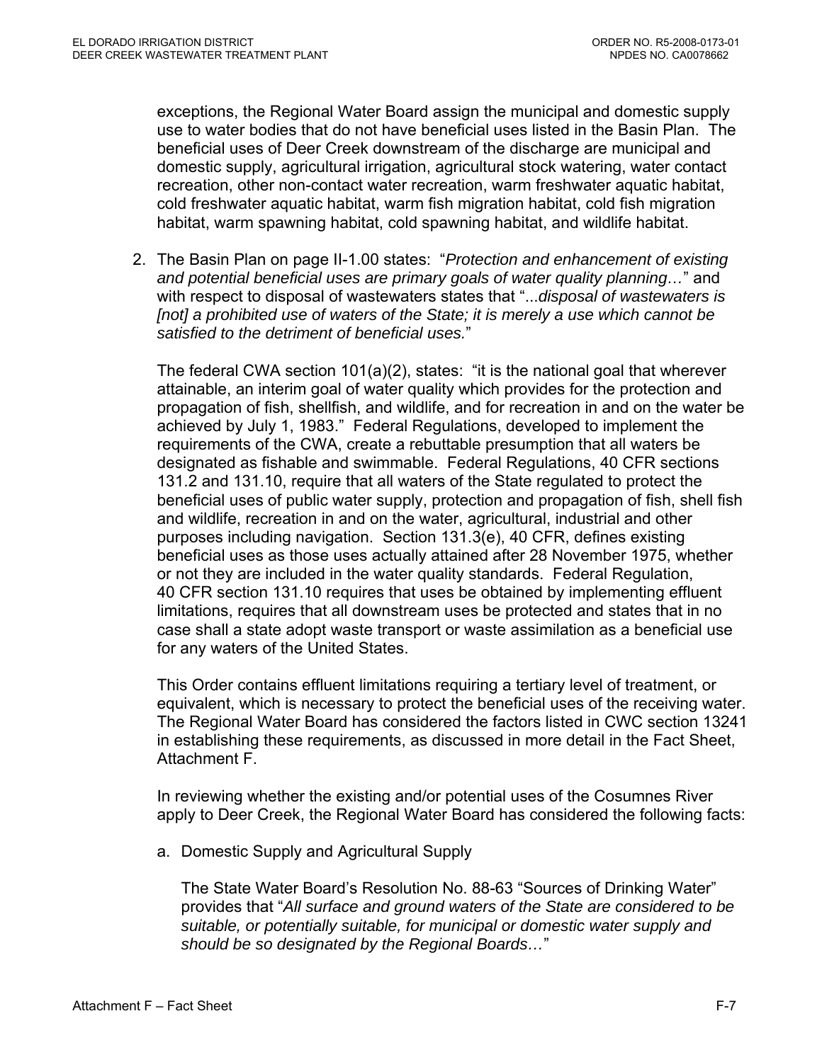exceptions, the Regional Water Board assign the municipal and domestic supply use to water bodies that do not have beneficial uses listed in the Basin Plan. The beneficial uses of Deer Creek downstream of the discharge are municipal and domestic supply, agricultural irrigation, agricultural stock watering, water contact recreation, other non-contact water recreation, warm freshwater aquatic habitat, cold freshwater aquatic habitat, warm fish migration habitat, cold fish migration habitat, warm spawning habitat, cold spawning habitat, and wildlife habitat.

2. The Basin Plan on page II-1.00 states: "*Protection and enhancement of existing and potential beneficial uses are primary goals of water quality planning…*" and with respect to disposal of wastewaters states that "...*disposal of wastewaters is [not] a prohibited use of waters of the State; it is merely a use which cannot be satisfied to the detriment of beneficial uses.*"

The federal CWA section 101(a)(2), states: "it is the national goal that wherever attainable, an interim goal of water quality which provides for the protection and propagation of fish, shellfish, and wildlife, and for recreation in and on the water be achieved by July 1, 1983." Federal Regulations, developed to implement the requirements of the CWA, create a rebuttable presumption that all waters be designated as fishable and swimmable. Federal Regulations, 40 CFR sections 131.2 and 131.10, require that all waters of the State regulated to protect the beneficial uses of public water supply, protection and propagation of fish, shell fish and wildlife, recreation in and on the water, agricultural, industrial and other purposes including navigation. Section 131.3(e), 40 CFR, defines existing beneficial uses as those uses actually attained after 28 November 1975, whether or not they are included in the water quality standards. Federal Regulation, 40 CFR section 131.10 requires that uses be obtained by implementing effluent limitations, requires that all downstream uses be protected and states that in no case shall a state adopt waste transport or waste assimilation as a beneficial use for any waters of the United States.

This Order contains effluent limitations requiring a tertiary level of treatment, or equivalent, which is necessary to protect the beneficial uses of the receiving water. The Regional Water Board has considered the factors listed in CWC section 13241 in establishing these requirements, as discussed in more detail in the Fact Sheet, Attachment F.

In reviewing whether the existing and/or potential uses of the Cosumnes River apply to Deer Creek, the Regional Water Board has considered the following facts:

a. Domestic Supply and Agricultural Supply

The State Water Board's Resolution No. 88-63 "Sources of Drinking Water" provides that "*All surface and ground waters of the State are considered to be suitable, or potentially suitable, for municipal or domestic water supply and should be so designated by the Regional Boards…*"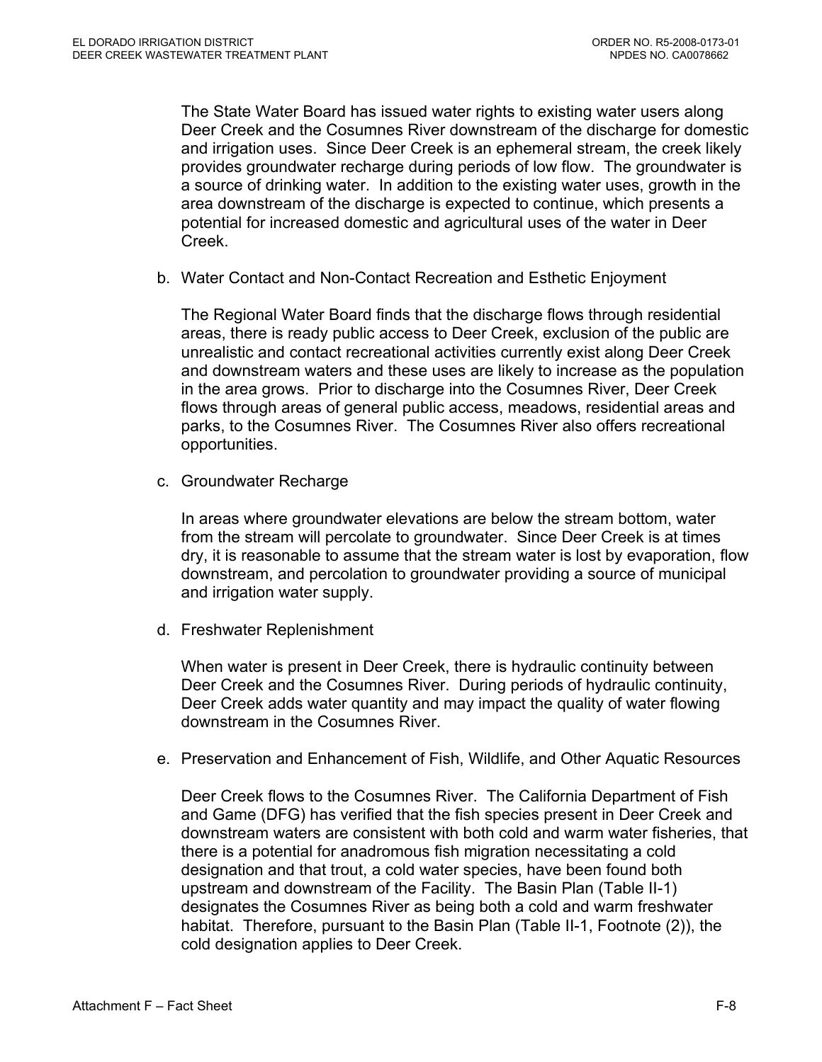The State Water Board has issued water rights to existing water users along Deer Creek and the Cosumnes River downstream of the discharge for domestic and irrigation uses. Since Deer Creek is an ephemeral stream, the creek likely provides groundwater recharge during periods of low flow. The groundwater is a source of drinking water. In addition to the existing water uses, growth in the area downstream of the discharge is expected to continue, which presents a potential for increased domestic and agricultural uses of the water in Deer Creek.

b. Water Contact and Non-Contact Recreation and Esthetic Enjoyment

The Regional Water Board finds that the discharge flows through residential areas, there is ready public access to Deer Creek, exclusion of the public are unrealistic and contact recreational activities currently exist along Deer Creek and downstream waters and these uses are likely to increase as the population in the area grows. Prior to discharge into the Cosumnes River, Deer Creek flows through areas of general public access, meadows, residential areas and parks, to the Cosumnes River. The Cosumnes River also offers recreational opportunities.

c. Groundwater Recharge

In areas where groundwater elevations are below the stream bottom, water from the stream will percolate to groundwater. Since Deer Creek is at times dry, it is reasonable to assume that the stream water is lost by evaporation, flow downstream, and percolation to groundwater providing a source of municipal and irrigation water supply.

d. Freshwater Replenishment

When water is present in Deer Creek, there is hydraulic continuity between Deer Creek and the Cosumnes River. During periods of hydraulic continuity, Deer Creek adds water quantity and may impact the quality of water flowing downstream in the Cosumnes River.

e. Preservation and Enhancement of Fish, Wildlife, and Other Aquatic Resources

Deer Creek flows to the Cosumnes River. The California Department of Fish and Game (DFG) has verified that the fish species present in Deer Creek and downstream waters are consistent with both cold and warm water fisheries, that there is a potential for anadromous fish migration necessitating a cold designation and that trout, a cold water species, have been found both upstream and downstream of the Facility. The Basin Plan (Table II-1) designates the Cosumnes River as being both a cold and warm freshwater habitat. Therefore, pursuant to the Basin Plan (Table II-1, Footnote (2)), the cold designation applies to Deer Creek.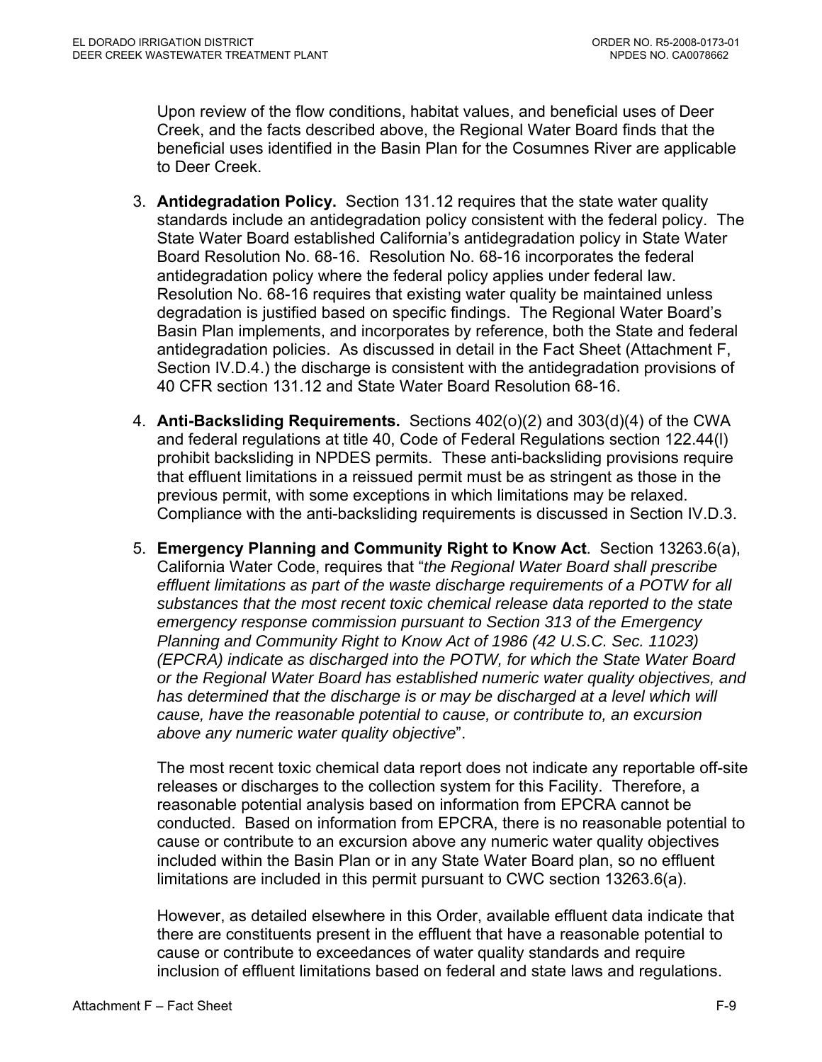Upon review of the flow conditions, habitat values, and beneficial uses of Deer Creek, and the facts described above, the Regional Water Board finds that the beneficial uses identified in the Basin Plan for the Cosumnes River are applicable to Deer Creek.

- 3. **Antidegradation Policy.** Section 131.12 requires that the state water quality standards include an antidegradation policy consistent with the federal policy. The State Water Board established California's antidegradation policy in State Water Board Resolution No. 68-16. Resolution No. 68-16 incorporates the federal antidegradation policy where the federal policy applies under federal law. Resolution No. 68-16 requires that existing water quality be maintained unless degradation is justified based on specific findings. The Regional Water Board's Basin Plan implements, and incorporates by reference, both the State and federal antidegradation policies. As discussed in detail in the Fact Sheet (Attachment F, Section IV.D.4.) the discharge is consistent with the antidegradation provisions of 40 CFR section 131.12 and State Water Board Resolution 68-16.
- 4. **Anti-Backsliding Requirements.** Sections 402(o)(2) and 303(d)(4) of the CWA and federal regulations at title 40, Code of Federal Regulations section 122.44(l) prohibit backsliding in NPDES permits. These anti-backsliding provisions require that effluent limitations in a reissued permit must be as stringent as those in the previous permit, with some exceptions in which limitations may be relaxed. Compliance with the anti-backsliding requirements is discussed in Section IV.D.3.
- 5. **Emergency Planning and Community Right to Know Act**. Section 13263.6(a), California Water Code, requires that "*the Regional Water Board shall prescribe effluent limitations as part of the waste discharge requirements of a POTW for all substances that the most recent toxic chemical release data reported to the state emergency response commission pursuant to Section 313 of the Emergency Planning and Community Right to Know Act of 1986 (42 U.S.C. Sec. 11023) (EPCRA) indicate as discharged into the POTW, for which the State Water Board or the Regional Water Board has established numeric water quality objectives, and*  has determined that the discharge is or may be discharged at a level which will *cause, have the reasonable potential to cause, or contribute to, an excursion above any numeric water quality objective*".

The most recent toxic chemical data report does not indicate any reportable off-site releases or discharges to the collection system for this Facility. Therefore, a reasonable potential analysis based on information from EPCRA cannot be conducted. Based on information from EPCRA, there is no reasonable potential to cause or contribute to an excursion above any numeric water quality objectives included within the Basin Plan or in any State Water Board plan, so no effluent limitations are included in this permit pursuant to CWC section 13263.6(a).

However, as detailed elsewhere in this Order, available effluent data indicate that there are constituents present in the effluent that have a reasonable potential to cause or contribute to exceedances of water quality standards and require inclusion of effluent limitations based on federal and state laws and regulations.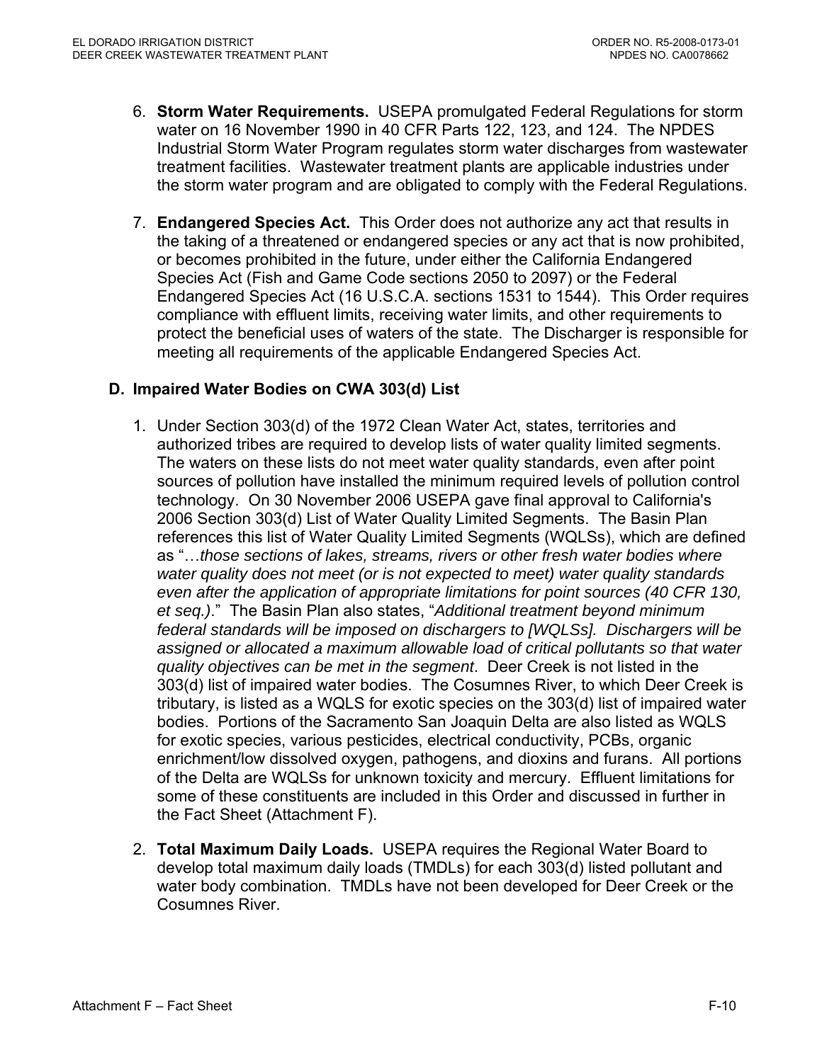- 6. **Storm Water Requirements.** USEPA promulgated Federal Regulations for storm water on 16 November 1990 in 40 CFR Parts 122, 123, and 124. The NPDES Industrial Storm Water Program regulates storm water discharges from wastewater treatment facilities. Wastewater treatment plants are applicable industries under the storm water program and are obligated to comply with the Federal Regulations.
- 7. **Endangered Species Act.** This Order does not authorize any act that results in the taking of a threatened or endangered species or any act that is now prohibited, or becomes prohibited in the future, under either the California Endangered Species Act (Fish and Game Code sections 2050 to 2097) or the Federal Endangered Species Act (16 U.S.C.A. sections 1531 to 1544). This Order requires compliance with effluent limits, receiving water limits, and other requirements to protect the beneficial uses of waters of the state. The Discharger is responsible for meeting all requirements of the applicable Endangered Species Act.

### **D. Impaired Water Bodies on CWA 303(d) List**

- 1. Under Section 303(d) of the 1972 Clean Water Act, states, territories and authorized tribes are required to develop lists of water quality limited segments. The waters on these lists do not meet water quality standards, even after point sources of pollution have installed the minimum required levels of pollution control technology. On 30 November 2006 USEPA gave final approval to California's 2006 Section 303(d) List of Water Quality Limited Segments. The Basin Plan references this list of Water Quality Limited Segments (WQLSs), which are defined as "…*those sections of lakes, streams, rivers or other fresh water bodies where water quality does not meet (or is not expected to meet) water quality standards even after the application of appropriate limitations for point sources (40 CFR 130, et seq.)*." The Basin Plan also states, "*Additional treatment beyond minimum federal standards will be imposed on dischargers to [WQLSs]. Dischargers will be assigned or allocated a maximum allowable load of critical pollutants so that water quality objectives can be met in the segment*. Deer Creek is not listed in the 303(d) list of impaired water bodies. The Cosumnes River, to which Deer Creek is tributary, is listed as a WQLS for exotic species on the 303(d) list of impaired water bodies. Portions of the Sacramento San Joaquin Delta are also listed as WQLS for exotic species, various pesticides, electrical conductivity, PCBs, organic enrichment/low dissolved oxygen, pathogens, and dioxins and furans. All portions of the Delta are WQLSs for unknown toxicity and mercury. Effluent limitations for some of these constituents are included in this Order and discussed in further in the Fact Sheet (Attachment F).
- 2. **Total Maximum Daily Loads.** USEPA requires the Regional Water Board to develop total maximum daily loads (TMDLs) for each 303(d) listed pollutant and water body combination. TMDLs have not been developed for Deer Creek or the Cosumnes River.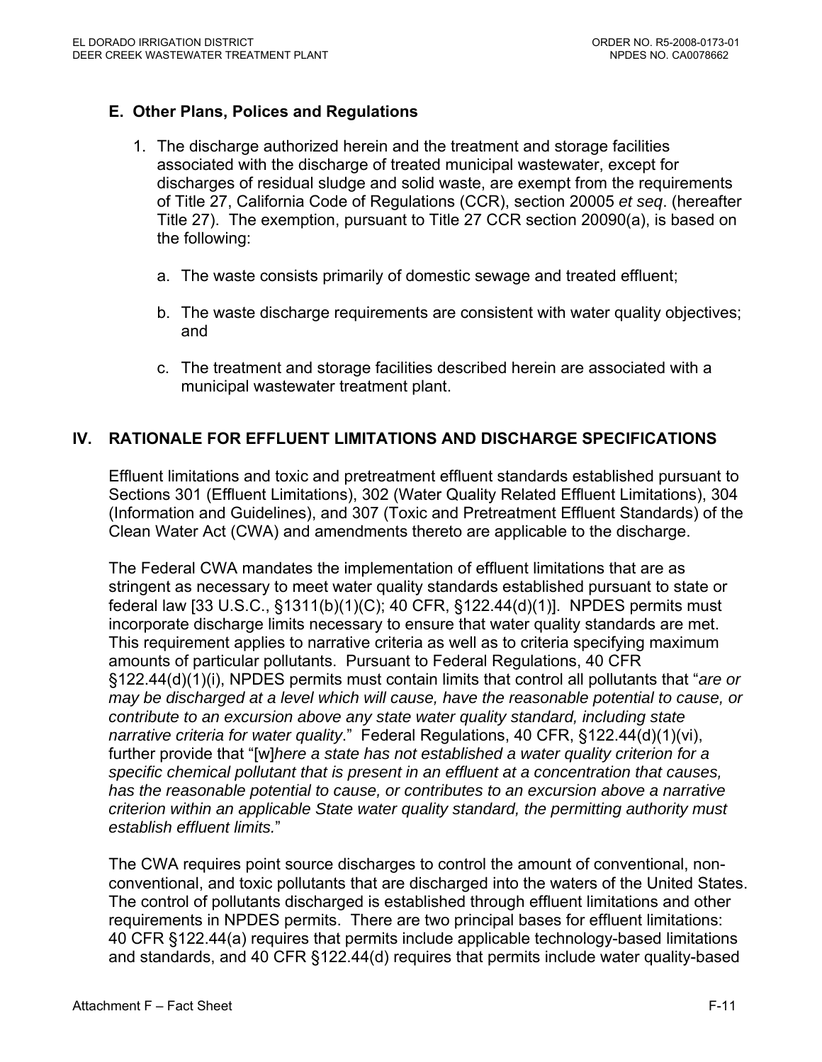# **E. Other Plans, Polices and Regulations**

- 1. The discharge authorized herein and the treatment and storage facilities associated with the discharge of treated municipal wastewater, except for discharges of residual sludge and solid waste, are exempt from the requirements of Title 27, California Code of Regulations (CCR), section 20005 *et seq*. (hereafter Title 27). The exemption, pursuant to Title 27 CCR section 20090(a), is based on the following:
	- a. The waste consists primarily of domestic sewage and treated effluent;
	- b. The waste discharge requirements are consistent with water quality objectives; and
	- c. The treatment and storage facilities described herein are associated with a municipal wastewater treatment plant.

### **IV. RATIONALE FOR EFFLUENT LIMITATIONS AND DISCHARGE SPECIFICATIONS**

Effluent limitations and toxic and pretreatment effluent standards established pursuant to Sections 301 (Effluent Limitations), 302 (Water Quality Related Effluent Limitations), 304 (Information and Guidelines), and 307 (Toxic and Pretreatment Effluent Standards) of the Clean Water Act (CWA) and amendments thereto are applicable to the discharge.

The Federal CWA mandates the implementation of effluent limitations that are as stringent as necessary to meet water quality standards established pursuant to state or federal law [33 U.S.C., §1311(b)(1)(C); 40 CFR, §122.44(d)(1)]. NPDES permits must incorporate discharge limits necessary to ensure that water quality standards are met. This requirement applies to narrative criteria as well as to criteria specifying maximum amounts of particular pollutants. Pursuant to Federal Regulations, 40 CFR §122.44(d)(1)(i), NPDES permits must contain limits that control all pollutants that "*are or may be discharged at a level which will cause, have the reasonable potential to cause, or contribute to an excursion above any state water quality standard, including state narrative criteria for water quality*." Federal Regulations, 40 CFR, §122.44(d)(1)(vi), further provide that "[w]*here a state has not established a water quality criterion for a specific chemical pollutant that is present in an effluent at a concentration that causes, has the reasonable potential to cause, or contributes to an excursion above a narrative criterion within an applicable State water quality standard, the permitting authority must establish effluent limits.*"

The CWA requires point source discharges to control the amount of conventional, nonconventional, and toxic pollutants that are discharged into the waters of the United States. The control of pollutants discharged is established through effluent limitations and other requirements in NPDES permits. There are two principal bases for effluent limitations: 40 CFR §122.44(a) requires that permits include applicable technology-based limitations and standards, and 40 CFR §122.44(d) requires that permits include water quality-based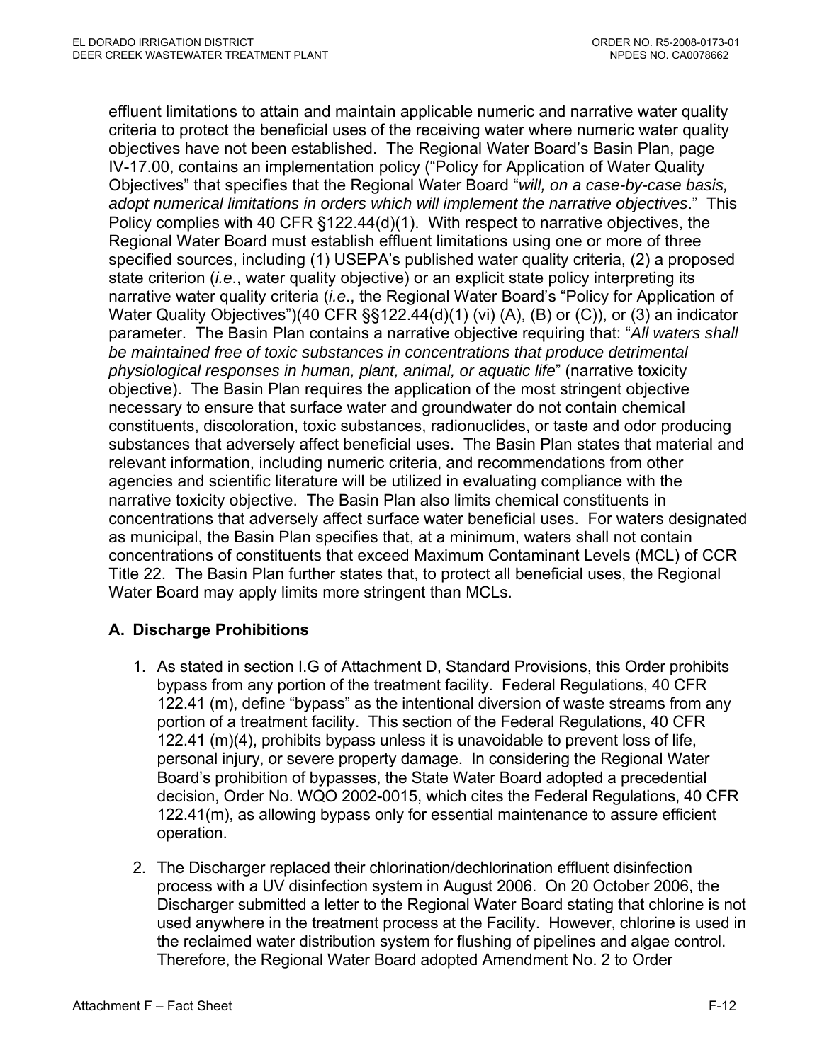effluent limitations to attain and maintain applicable numeric and narrative water quality criteria to protect the beneficial uses of the receiving water where numeric water quality objectives have not been established. The Regional Water Board's Basin Plan, page IV-17.00, contains an implementation policy ("Policy for Application of Water Quality Objectives" that specifies that the Regional Water Board "*will, on a case-by-case basis, adopt numerical limitations in orders which will implement the narrative objectives*." This Policy complies with 40 CFR §122.44(d)(1). With respect to narrative objectives, the Regional Water Board must establish effluent limitations using one or more of three specified sources, including (1) USEPA's published water quality criteria, (2) a proposed state criterion (*i.e*., water quality objective) or an explicit state policy interpreting its narrative water quality criteria (*i.e*., the Regional Water Board's "Policy for Application of Water Quality Objectives")(40 CFR §§122.44(d)(1) (vi) (A), (B) or (C)), or (3) an indicator parameter. The Basin Plan contains a narrative objective requiring that: "*All waters shall be maintained free of toxic substances in concentrations that produce detrimental physiological responses in human, plant, animal, or aquatic life*" (narrative toxicity objective). The Basin Plan requires the application of the most stringent objective necessary to ensure that surface water and groundwater do not contain chemical constituents, discoloration, toxic substances, radionuclides, or taste and odor producing substances that adversely affect beneficial uses. The Basin Plan states that material and relevant information, including numeric criteria, and recommendations from other agencies and scientific literature will be utilized in evaluating compliance with the narrative toxicity objective. The Basin Plan also limits chemical constituents in concentrations that adversely affect surface water beneficial uses. For waters designated as municipal, the Basin Plan specifies that, at a minimum, waters shall not contain concentrations of constituents that exceed Maximum Contaminant Levels (MCL) of CCR Title 22. The Basin Plan further states that, to protect all beneficial uses, the Regional Water Board may apply limits more stringent than MCLs.

# **A. Discharge Prohibitions**

- 1. As stated in section I.G of Attachment D, Standard Provisions, this Order prohibits bypass from any portion of the treatment facility. Federal Regulations, 40 CFR 122.41 (m), define "bypass" as the intentional diversion of waste streams from any portion of a treatment facility. This section of the Federal Regulations, 40 CFR 122.41 (m)(4), prohibits bypass unless it is unavoidable to prevent loss of life, personal injury, or severe property damage. In considering the Regional Water Board's prohibition of bypasses, the State Water Board adopted a precedential decision, Order No. WQO 2002-0015, which cites the Federal Regulations, 40 CFR 122.41(m), as allowing bypass only for essential maintenance to assure efficient operation.
- 2. The Discharger replaced their chlorination/dechlorination effluent disinfection process with a UV disinfection system in August 2006. On 20 October 2006, the Discharger submitted a letter to the Regional Water Board stating that chlorine is not used anywhere in the treatment process at the Facility. However, chlorine is used in the reclaimed water distribution system for flushing of pipelines and algae control. Therefore, the Regional Water Board adopted Amendment No. 2 to Order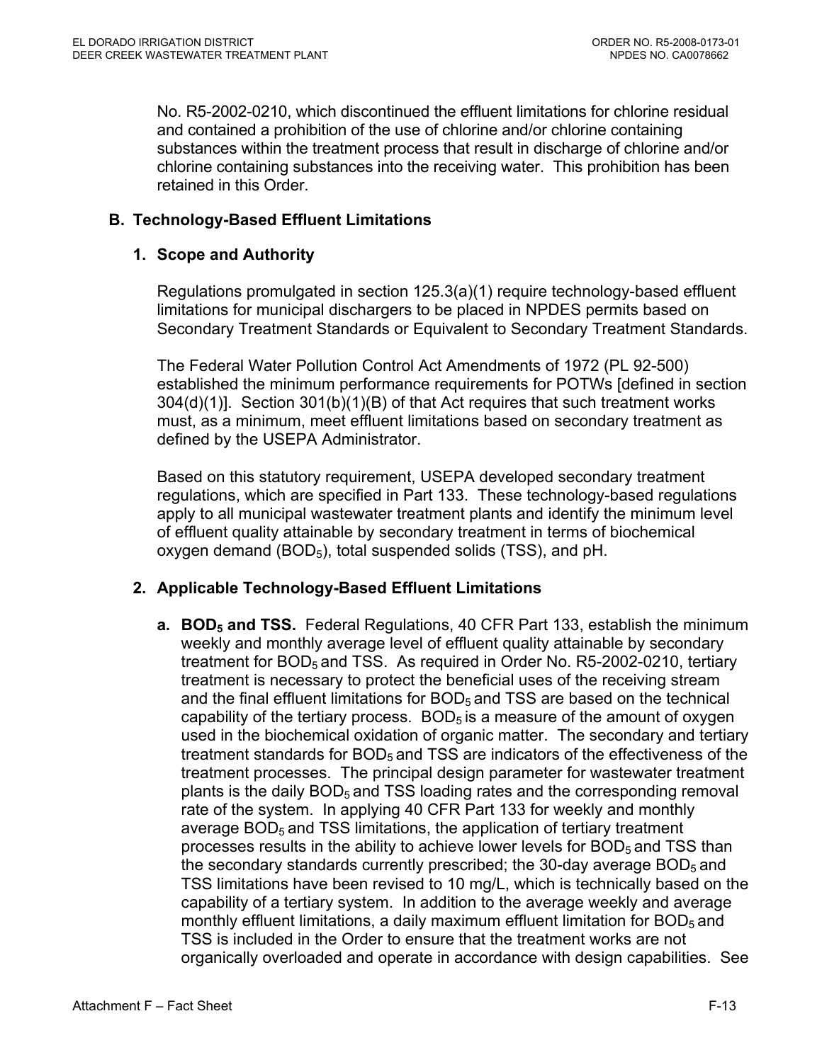No. R5-2002-0210, which discontinued the effluent limitations for chlorine residual and contained a prohibition of the use of chlorine and/or chlorine containing substances within the treatment process that result in discharge of chlorine and/or chlorine containing substances into the receiving water. This prohibition has been retained in this Order.

### **B. Technology-Based Effluent Limitations**

#### **1. Scope and Authority**

Regulations promulgated in section 125.3(a)(1) require technology-based effluent limitations for municipal dischargers to be placed in NPDES permits based on Secondary Treatment Standards or Equivalent to Secondary Treatment Standards.

The Federal Water Pollution Control Act Amendments of 1972 (PL 92-500) established the minimum performance requirements for POTWs [defined in section 304(d)(1)]. Section 301(b)(1)(B) of that Act requires that such treatment works must, as a minimum, meet effluent limitations based on secondary treatment as defined by the USEPA Administrator.

Based on this statutory requirement, USEPA developed secondary treatment regulations, which are specified in Part 133. These technology-based regulations apply to all municipal wastewater treatment plants and identify the minimum level of effluent quality attainable by secondary treatment in terms of biochemical oxygen demand  $(BOD<sub>5</sub>)$ , total suspended solids  $(TSS)$ , and pH.

#### **2. Applicable Technology-Based Effluent Limitations**

**a. BOD<sub>5</sub> and TSS.** Federal Regulations, 40 CFR Part 133, establish the minimum weekly and monthly average level of effluent quality attainable by secondary treatment for BOD<sub>5</sub> and TSS. As required in Order No. R5-2002-0210, tertiary treatment is necessary to protect the beneficial uses of the receiving stream and the final effluent limitations for  $BOD<sub>5</sub>$  and TSS are based on the technical capability of the tertiary process.  $BOD<sub>5</sub>$  is a measure of the amount of oxygen used in the biochemical oxidation of organic matter. The secondary and tertiary treatment standards for BOD<sub>5</sub> and TSS are indicators of the effectiveness of the treatment processes. The principal design parameter for wastewater treatment plants is the daily BOD<sub>5</sub> and TSS loading rates and the corresponding removal rate of the system. In applying 40 CFR Part 133 for weekly and monthly average  $BOD<sub>5</sub>$  and TSS limitations, the application of tertiary treatment processes results in the ability to achieve lower levels for  $BOD<sub>5</sub>$  and TSS than the secondary standards currently prescribed; the 30-day average  $BOD<sub>5</sub>$  and TSS limitations have been revised to 10 mg/L, which is technically based on the capability of a tertiary system. In addition to the average weekly and average monthly effluent limitations, a daily maximum effluent limitation for  $BOD<sub>5</sub>$  and TSS is included in the Order to ensure that the treatment works are not organically overloaded and operate in accordance with design capabilities. See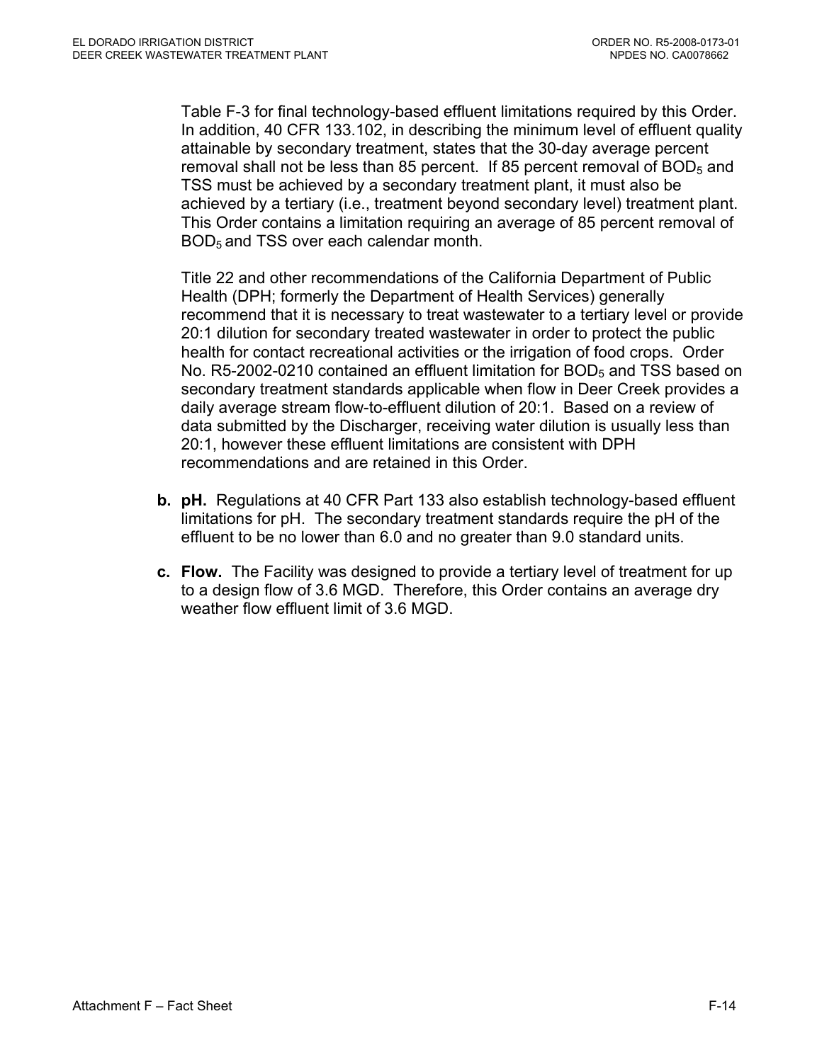Table F-3 for final technology-based effluent limitations required by this Order. In addition, 40 CFR 133.102, in describing the minimum level of effluent quality attainable by secondary treatment, states that the 30-day average percent removal shall not be less than 85 percent. If 85 percent removal of  $BOD<sub>5</sub>$  and TSS must be achieved by a secondary treatment plant, it must also be achieved by a tertiary (i.e., treatment beyond secondary level) treatment plant. This Order contains a limitation requiring an average of 85 percent removal of BOD5 and TSS over each calendar month.

Title 22 and other recommendations of the California Department of Public Health (DPH; formerly the Department of Health Services) generally recommend that it is necessary to treat wastewater to a tertiary level or provide 20:1 dilution for secondary treated wastewater in order to protect the public health for contact recreational activities or the irrigation of food crops. Order No.  $R5-2002-0210$  contained an effluent limitation for  $BOD<sub>5</sub>$  and TSS based on secondary treatment standards applicable when flow in Deer Creek provides a daily average stream flow-to-effluent dilution of 20:1. Based on a review of data submitted by the Discharger, receiving water dilution is usually less than 20:1, however these effluent limitations are consistent with DPH recommendations and are retained in this Order.

- **b. pH.** Regulations at 40 CFR Part 133 also establish technology-based effluent limitations for pH. The secondary treatment standards require the pH of the effluent to be no lower than 6.0 and no greater than 9.0 standard units.
- **c. Flow.** The Facility was designed to provide a tertiary level of treatment for up to a design flow of 3.6 MGD. Therefore, this Order contains an average dry weather flow effluent limit of 3.6 MGD.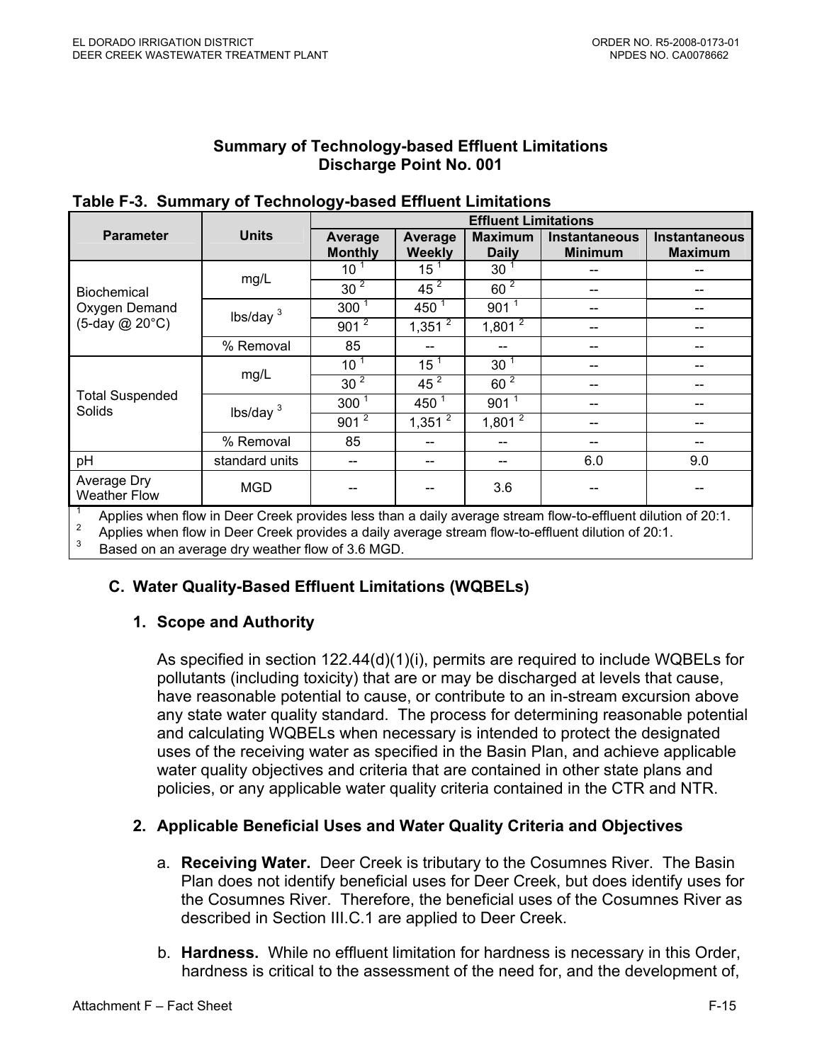#### **Summary of Technology-based Effluent Limitations Discharge Point No. 001**

|                                    |                | --                        | <b>Effluent Limitations</b> |                                |                                 |                                                                   |  |  |  |  |
|------------------------------------|----------------|---------------------------|-----------------------------|--------------------------------|---------------------------------|-------------------------------------------------------------------|--|--|--|--|
| <b>Parameter</b>                   | <b>Units</b>   | Average<br><b>Monthly</b> | Average<br><b>Weekly</b>    | <b>Maximum</b><br><b>Daily</b> | Instantaneous<br><b>Minimum</b> | Instantaneous<br><b>Maximum</b>                                   |  |  |  |  |
|                                    |                | 10 <sup>1</sup>           | 15 <sup>1</sup>             | 30 <sup>1</sup>                |                                 |                                                                   |  |  |  |  |
| Biochemical                        | mg/L           | 30 <sup>2</sup>           | 45 <sup>2</sup>             | 60 <sup>2</sup>                |                                 |                                                                   |  |  |  |  |
| Oxygen Demand                      | lbs/day $3$    | $300^1$                   | 450 $1$                     | 901 <sup>1</sup>               |                                 |                                                                   |  |  |  |  |
| (5-day @ 20°C)                     |                | $901^{2}$                 | $1,351^{2}$                 | $1,801^{2}$                    |                                 |                                                                   |  |  |  |  |
|                                    | % Removal      | 85                        |                             |                                |                                 |                                                                   |  |  |  |  |
|                                    |                | 10 <sup>1</sup>           | 15 <sup>1</sup>             | 30 <sup>1</sup>                |                                 |                                                                   |  |  |  |  |
|                                    | mg/L           | 30 <sup>2</sup>           | 45 <sup>2</sup>             | 60 <sup>2</sup>                |                                 |                                                                   |  |  |  |  |
| <b>Total Suspended</b><br>Solids   | lbs/day $3$    | 300 <sup>1</sup>          | 450 $1$                     | 901 <sup>1</sup>               |                                 |                                                                   |  |  |  |  |
|                                    |                | $901^{\frac{2}{2}}$       | $1,351^{2}$                 | $1,801^{2}$                    |                                 |                                                                   |  |  |  |  |
|                                    | % Removal      | 85                        |                             |                                |                                 |                                                                   |  |  |  |  |
| pH                                 | standard units | --                        |                             |                                | 6.0                             | 9.0                                                               |  |  |  |  |
| Average Dry<br><b>Weather Flow</b> | <b>MGD</b>     |                           |                             | 3.6                            |                                 |                                                                   |  |  |  |  |
|                                    |                |                           |                             |                                | $-$                             | $\sim$ $\sim$ $\sim$ $\sim$ $\sim$ $\sim$<br>$\sim$ $\sim$ $\sim$ |  |  |  |  |

#### **Table F-3. Summary of Technology-based Effluent Limitations**

<sup>1</sup> Applies when flow in Deer Creek provides less than a daily average stream flow-to-effluent dilution of 20:1.

2 Applies when flow in Deer Creek provides a daily average stream flow-to-effluent dilution of 20:1.

3 Based on an average dry weather flow of 3.6 MGD.

# **C. Water Quality-Based Effluent Limitations (WQBELs)**

# **1. Scope and Authority**

As specified in section 122.44(d)(1)(i), permits are required to include WQBELs for pollutants (including toxicity) that are or may be discharged at levels that cause, have reasonable potential to cause, or contribute to an in-stream excursion above any state water quality standard. The process for determining reasonable potential and calculating WQBELs when necessary is intended to protect the designated uses of the receiving water as specified in the Basin Plan, and achieve applicable water quality objectives and criteria that are contained in other state plans and policies, or any applicable water quality criteria contained in the CTR and NTR.

# **2. Applicable Beneficial Uses and Water Quality Criteria and Objectives**

- a. **Receiving Water.** Deer Creek is tributary to the Cosumnes River. The Basin Plan does not identify beneficial uses for Deer Creek, but does identify uses for the Cosumnes River. Therefore, the beneficial uses of the Cosumnes River as described in Section III.C.1 are applied to Deer Creek.
- b. **Hardness.** While no effluent limitation for hardness is necessary in this Order, hardness is critical to the assessment of the need for, and the development of,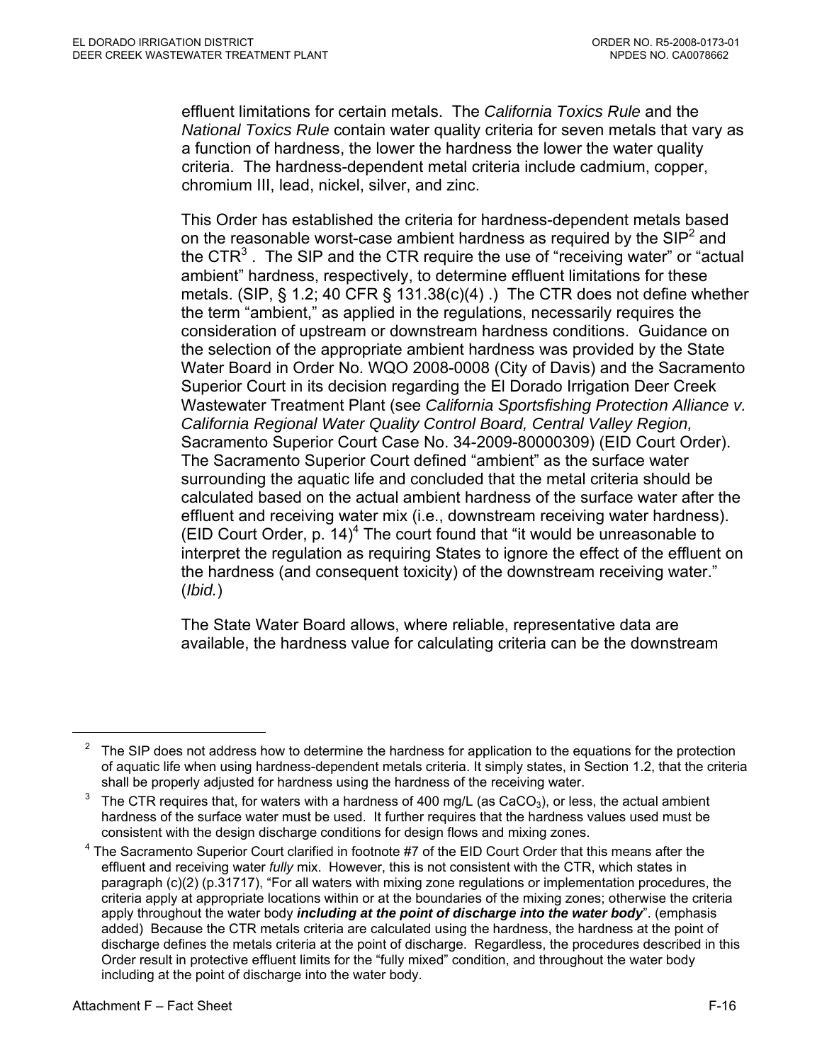effluent limitations for certain metals. The *California Toxics Rule* and the *National Toxics Rule* contain water quality criteria for seven metals that vary as a function of hardness, the lower the hardness the lower the water quality criteria. The hardness-dependent metal criteria include cadmium, copper, chromium III, lead, nickel, silver, and zinc.

This Order has established the criteria for hardness-dependent metals based on the reasonable worst-case ambient hardness as required by the SIP<sup>2</sup> and the CTR<sup>3</sup>. The SIP and the CTR require the use of "receiving water" or "actual ambient" hardness, respectively, to determine effluent limitations for these metals. (SIP, § 1.2; 40 CFR § 131.38(c)(4) .) The CTR does not define whether the term "ambient," as applied in the regulations, necessarily requires the consideration of upstream or downstream hardness conditions. Guidance on the selection of the appropriate ambient hardness was provided by the State Water Board in Order No. WQO 2008-0008 (City of Davis) and the Sacramento Superior Court in its decision regarding the El Dorado Irrigation Deer Creek Wastewater Treatment Plant (see *California Sportsfishing Protection Alliance v. California Regional Water Quality Control Board, Central Valley Region,*  Sacramento Superior Court Case No. 34-2009-80000309) (EID Court Order). The Sacramento Superior Court defined "ambient" as the surface water surrounding the aquatic life and concluded that the metal criteria should be calculated based on the actual ambient hardness of the surface water after the effluent and receiving water mix (i.e., downstream receiving water hardness). (EID Court Order,  $p. 14$ )<sup>4</sup> The court found that "it would be unreasonable to interpret the regulation as requiring States to ignore the effect of the effluent on the hardness (and consequent toxicity) of the downstream receiving water." (*Ibid.*)

The State Water Board allows, where reliable, representative data are available, the hardness value for calculating criteria can be the downstream

<sup>2</sup> The SIP does not address how to determine the hardness for application to the equations for the protection of aquatic life when using hardness-dependent metals criteria. It simply states, in Section 1.2, that the criteria shall be properly adjusted for hardness using the hardness of the receiving water.

<sup>3</sup> The CTR requires that, for waters with a hardness of 400 mg/L (as  $CaCO<sub>3</sub>$ ), or less, the actual ambient hardness of the surface water must be used. It further requires that the hardness values used must be consistent with the design discharge conditions for design flows and mixing zones.

<sup>4</sup> The Sacramento Superior Court clarified in footnote #7 of the EID Court Order that this means after the effluent and receiving water *fully* mix. However, this is not consistent with the CTR, which states in paragraph (c)(2) (p.31717), "For all waters with mixing zone regulations or implementation procedures, the criteria apply at appropriate locations within or at the boundaries of the mixing zones; otherwise the criteria apply throughout the water body *including at the point of discharge into the water body*". (emphasis added) Because the CTR metals criteria are calculated using the hardness, the hardness at the point of discharge defines the metals criteria at the point of discharge. Regardless, the procedures described in this Order result in protective effluent limits for the "fully mixed" condition, and throughout the water body including at the point of discharge into the water body.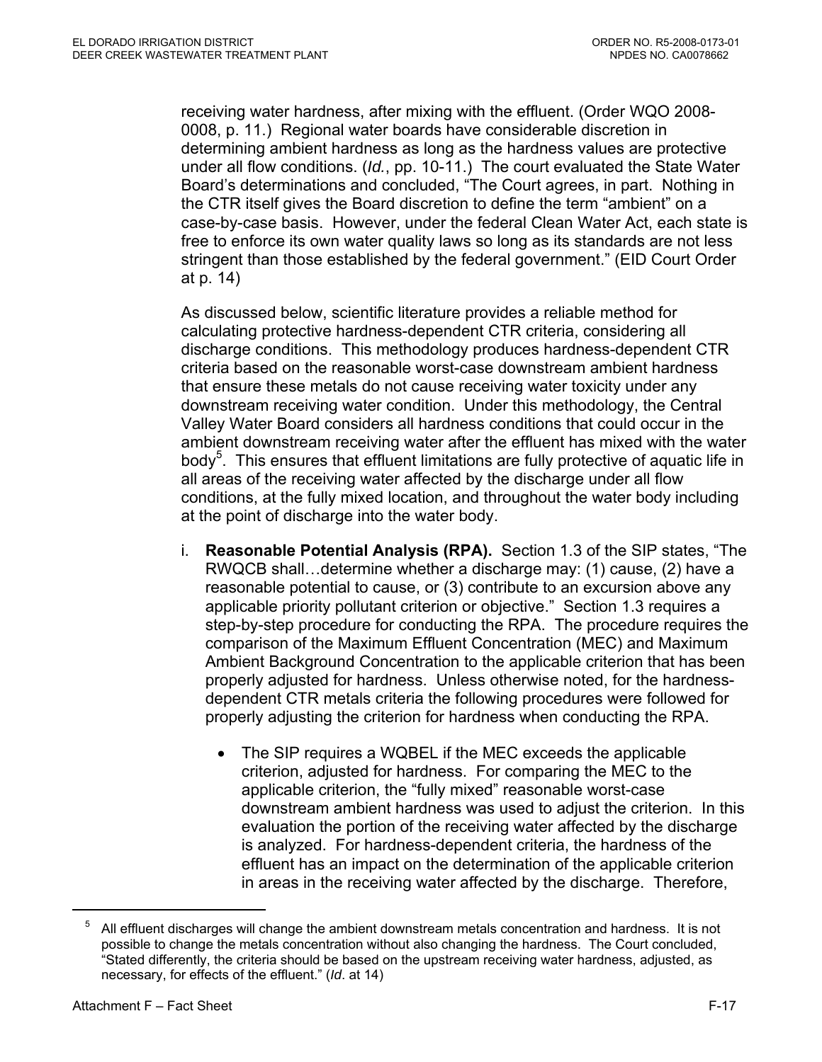receiving water hardness, after mixing with the effluent. (Order WQO 2008- 0008, p. 11.) Regional water boards have considerable discretion in determining ambient hardness as long as the hardness values are protective under all flow conditions. (*Id.*, pp. 10-11.) The court evaluated the State Water Board's determinations and concluded, "The Court agrees, in part. Nothing in the CTR itself gives the Board discretion to define the term "ambient" on a case-by-case basis. However, under the federal Clean Water Act, each state is free to enforce its own water quality laws so long as its standards are not less stringent than those established by the federal government." (EID Court Order at p. 14)

As discussed below, scientific literature provides a reliable method for calculating protective hardness-dependent CTR criteria, considering all discharge conditions. This methodology produces hardness-dependent CTR criteria based on the reasonable worst-case downstream ambient hardness that ensure these metals do not cause receiving water toxicity under any downstream receiving water condition. Under this methodology, the Central Valley Water Board considers all hardness conditions that could occur in the ambient downstream receiving water after the effluent has mixed with the water body<sup>5</sup>. This ensures that effluent limitations are fully protective of aquatic life in all areas of the receiving water affected by the discharge under all flow conditions, at the fully mixed location, and throughout the water body including at the point of discharge into the water body.

- i. **Reasonable Potential Analysis (RPA).** Section 1.3 of the SIP states, "The RWQCB shall…determine whether a discharge may: (1) cause, (2) have a reasonable potential to cause, or (3) contribute to an excursion above any applicable priority pollutant criterion or objective." Section 1.3 requires a step-by-step procedure for conducting the RPA. The procedure requires the comparison of the Maximum Effluent Concentration (MEC) and Maximum Ambient Background Concentration to the applicable criterion that has been properly adjusted for hardness. Unless otherwise noted, for the hardnessdependent CTR metals criteria the following procedures were followed for properly adjusting the criterion for hardness when conducting the RPA.
	- The SIP requires a WQBEL if the MEC exceeds the applicable criterion, adjusted for hardness. For comparing the MEC to the applicable criterion, the "fully mixed" reasonable worst-case downstream ambient hardness was used to adjust the criterion. In this evaluation the portion of the receiving water affected by the discharge is analyzed. For hardness-dependent criteria, the hardness of the effluent has an impact on the determination of the applicable criterion in areas in the receiving water affected by the discharge. Therefore,

 $5$  All effluent discharges will change the ambient downstream metals concentration and hardness. It is not possible to change the metals concentration without also changing the hardness. The Court concluded, "Stated differently, the criteria should be based on the upstream receiving water hardness, adjusted, as necessary, for effects of the effluent." (*Id*. at 14)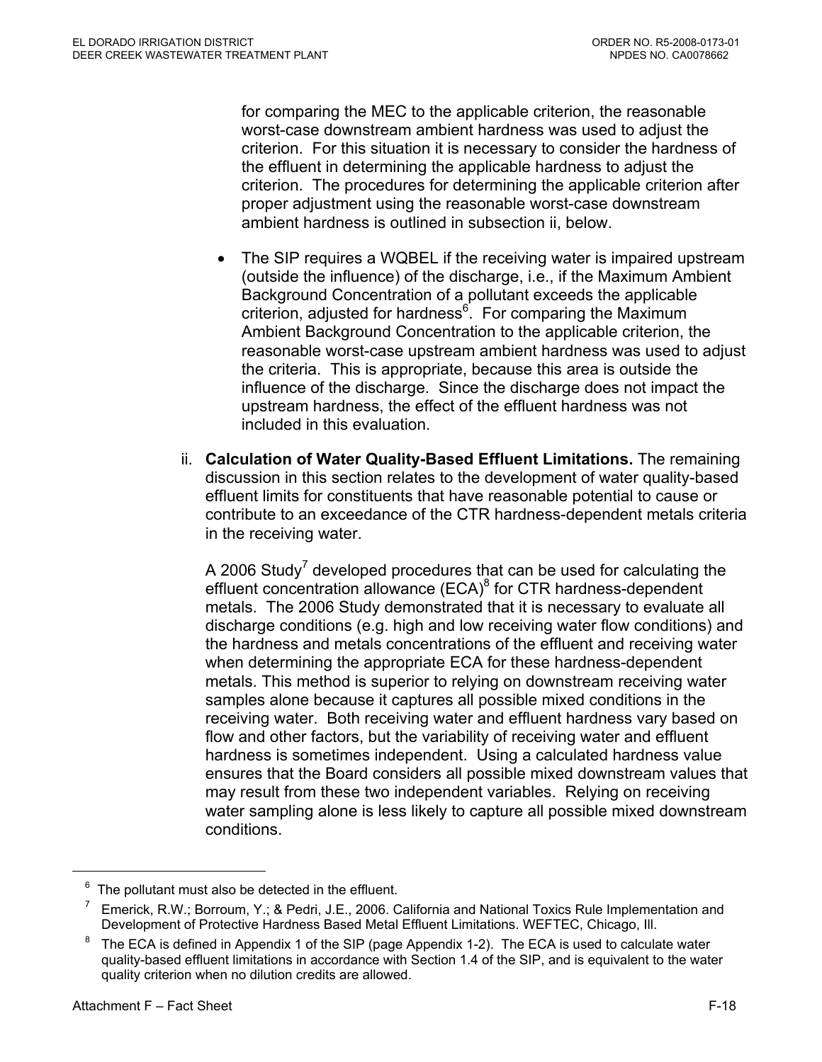for comparing the MEC to the applicable criterion, the reasonable worst-case downstream ambient hardness was used to adjust the criterion. For this situation it is necessary to consider the hardness of the effluent in determining the applicable hardness to adjust the criterion. The procedures for determining the applicable criterion after proper adjustment using the reasonable worst-case downstream ambient hardness is outlined in subsection ii, below.

- The SIP requires a WQBEL if the receiving water is impaired upstream (outside the influence) of the discharge, i.e., if the Maximum Ambient Background Concentration of a pollutant exceeds the applicable criterion, adjusted for hardness<sup>6</sup>. For comparing the Maximum Ambient Background Concentration to the applicable criterion, the reasonable worst-case upstream ambient hardness was used to adjust the criteria. This is appropriate, because this area is outside the influence of the discharge. Since the discharge does not impact the upstream hardness, the effect of the effluent hardness was not included in this evaluation.
- ii. **Calculation of Water Quality-Based Effluent Limitations.** The remaining discussion in this section relates to the development of water quality-based effluent limits for constituents that have reasonable potential to cause or contribute to an exceedance of the CTR hardness-dependent metals criteria in the receiving water.

A 2006 Study<sup>7</sup> developed procedures that can be used for calculating the effluent concentration allowance (ECA)<sup>8</sup> for CTR hardness-dependent metals. The 2006 Study demonstrated that it is necessary to evaluate all discharge conditions (e.g. high and low receiving water flow conditions) and the hardness and metals concentrations of the effluent and receiving water when determining the appropriate ECA for these hardness-dependent metals. This method is superior to relying on downstream receiving water samples alone because it captures all possible mixed conditions in the receiving water. Both receiving water and effluent hardness vary based on flow and other factors, but the variability of receiving water and effluent hardness is sometimes independent. Using a calculated hardness value ensures that the Board considers all possible mixed downstream values that may result from these two independent variables. Relying on receiving water sampling alone is less likely to capture all possible mixed downstream conditions.

 $6$  The pollutant must also be detected in the effluent.

<sup>7</sup> Emerick, R.W.; Borroum, Y.; & Pedri, J.E., 2006. California and National Toxics Rule Implementation and Development of Protective Hardness Based Metal Effluent Limitations. WEFTEC, Chicago, Ill.

<sup>8</sup> The ECA is defined in Appendix 1 of the SIP (page Appendix 1-2). The ECA is used to calculate water quality-based effluent limitations in accordance with Section 1.4 of the SIP, and is equivalent to the water quality criterion when no dilution credits are allowed.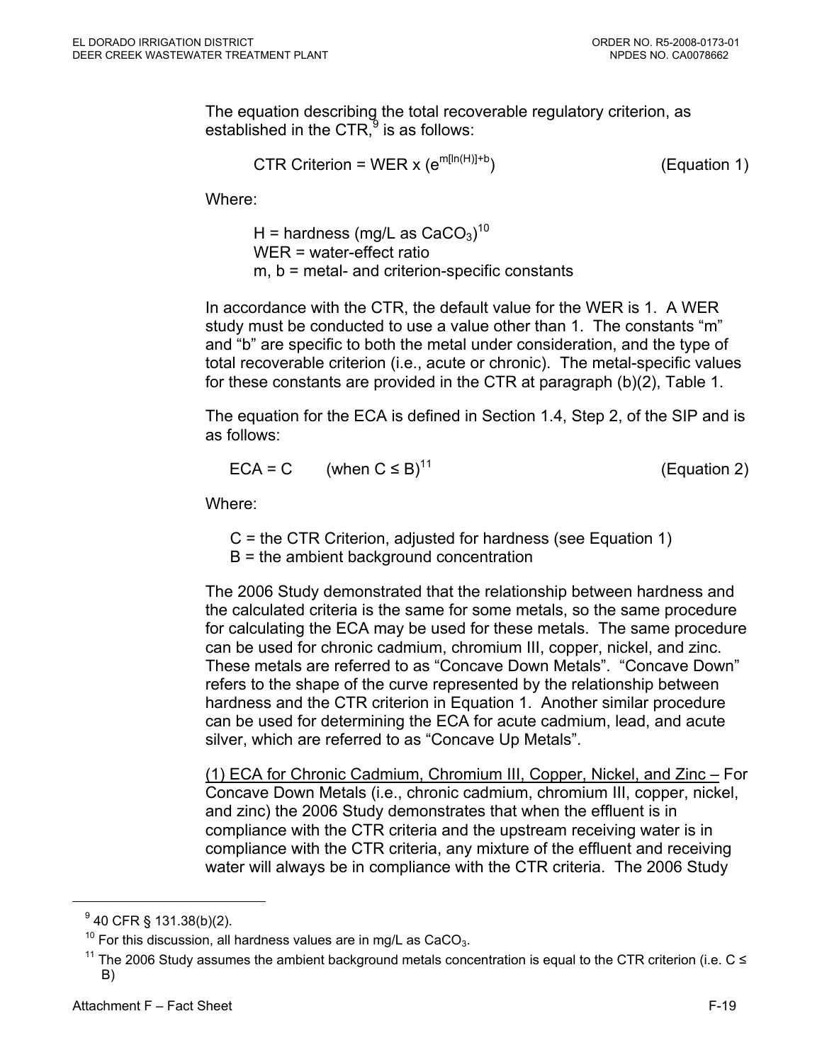The equation describing the total recoverable regulatory criterion, as established in the CTR, $9$  is as follows:

$$
CTR Criterion = WER x (e^{m[In(H)]+b})
$$
 (Equation 1)

Where:

H = hardness (mg/L as  $\mathrm{CaCO}_3)^{10}$ WER = water-effect ratio m, b = metal- and criterion-specific constants

In accordance with the CTR, the default value for the WER is 1. A WER study must be conducted to use a value other than 1. The constants "m" and "b" are specific to both the metal under consideration, and the type of total recoverable criterion (i.e., acute or chronic). The metal-specific values for these constants are provided in the CTR at paragraph (b)(2), Table 1.

The equation for the ECA is defined in Section 1.4, Step 2, of the SIP and is as follows:

$$
ECA = C \qquad \text{(when } C \leq B)^{11} \tag{Equation 2}
$$

Where:

C = the CTR Criterion, adjusted for hardness (see Equation 1) B = the ambient background concentration

The 2006 Study demonstrated that the relationship between hardness and the calculated criteria is the same for some metals, so the same procedure for calculating the ECA may be used for these metals. The same procedure can be used for chronic cadmium, chromium III, copper, nickel, and zinc. These metals are referred to as "Concave Down Metals". "Concave Down" refers to the shape of the curve represented by the relationship between hardness and the CTR criterion in Equation 1. Another similar procedure can be used for determining the ECA for acute cadmium, lead, and acute silver, which are referred to as "Concave Up Metals".

(1) ECA for Chronic Cadmium, Chromium III, Copper, Nickel, and Zinc – For Concave Down Metals (i.e., chronic cadmium, chromium III, copper, nickel, and zinc) the 2006 Study demonstrates that when the effluent is in compliance with the CTR criteria and the upstream receiving water is in compliance with the CTR criteria, any mixture of the effluent and receiving water will always be in compliance with the CTR criteria. The 2006 Study

1

 $^{9}$  40 CFR § 131.38(b)(2).

<sup>&</sup>lt;sup>10</sup> For this discussion, all hardness values are in mg/L as CaCO<sub>3</sub>.<br><sup>11</sup> The 2006 Study assumes the ambient background metals concentration is equal to the CTR criterion (i.e. C ≤ B)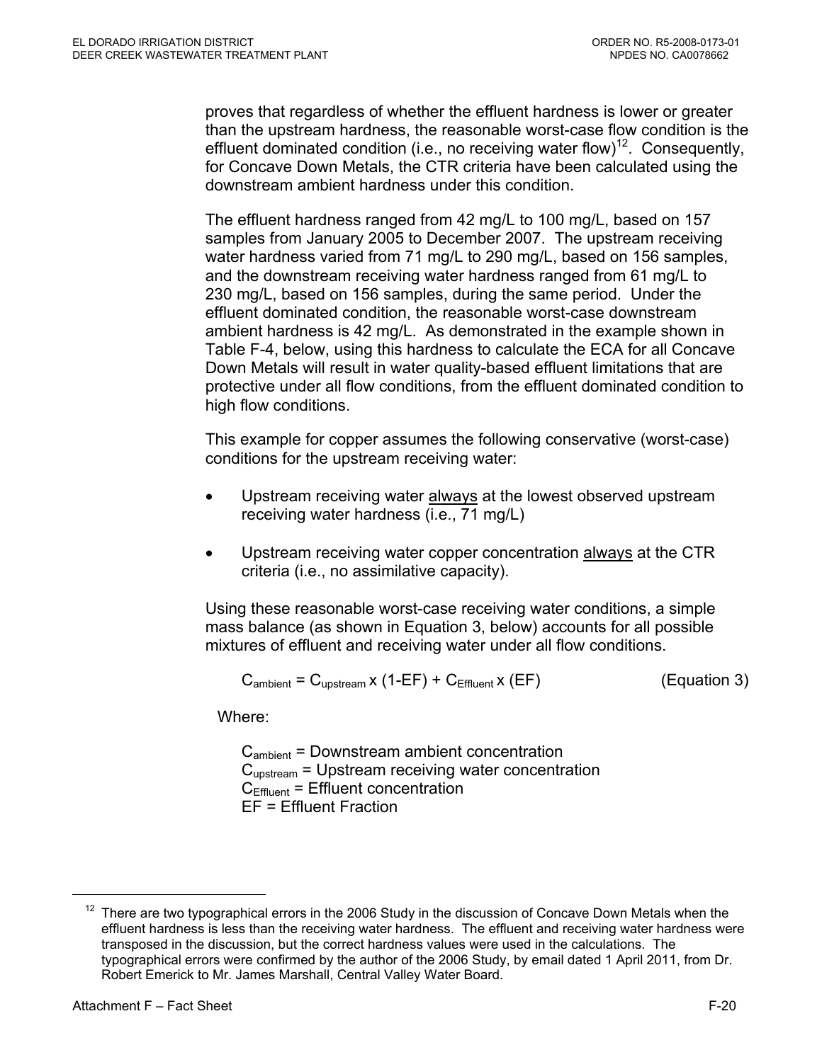proves that regardless of whether the effluent hardness is lower or greater than the upstream hardness, the reasonable worst-case flow condition is the effluent dominated condition (i.e., no receiving water flow)<sup>12</sup>. Consequently, for Concave Down Metals, the CTR criteria have been calculated using the downstream ambient hardness under this condition.

The effluent hardness ranged from 42 mg/L to 100 mg/L, based on 157 samples from January 2005 to December 2007. The upstream receiving water hardness varied from 71 mg/L to 290 mg/L, based on 156 samples, and the downstream receiving water hardness ranged from 61 mg/L to 230 mg/L, based on 156 samples, during the same period. Under the effluent dominated condition, the reasonable worst-case downstream ambient hardness is 42 mg/L. As demonstrated in the example shown in Table F-4, below, using this hardness to calculate the ECA for all Concave Down Metals will result in water quality-based effluent limitations that are protective under all flow conditions, from the effluent dominated condition to high flow conditions.

This example for copper assumes the following conservative (worst-case) conditions for the upstream receiving water:

- Upstream receiving water always at the lowest observed upstream receiving water hardness (i.e., 71 mg/L)
- Upstream receiving water copper concentration always at the CTR criteria (i.e., no assimilative capacity).

Using these reasonable worst-case receiving water conditions, a simple mass balance (as shown in Equation 3, below) accounts for all possible mixtures of effluent and receiving water under all flow conditions.

$$
C_{\text{ambient}} = C_{\text{upstream}} \times (1 - EF) + C_{\text{Effuent}} \times (EF)
$$

 $(Equation 3)$ 

Where:

Cambient = Downstream ambient concentration Cupstream = Upstream receiving water concentration  $C<sub>Effluent</sub> = Effluent concentration$ EF = Effluent Fraction

 $12$  There are two typographical errors in the 2006 Study in the discussion of Concave Down Metals when the effluent hardness is less than the receiving water hardness. The effluent and receiving water hardness were transposed in the discussion, but the correct hardness values were used in the calculations. The typographical errors were confirmed by the author of the 2006 Study, by email dated 1 April 2011, from Dr. Robert Emerick to Mr. James Marshall, Central Valley Water Board.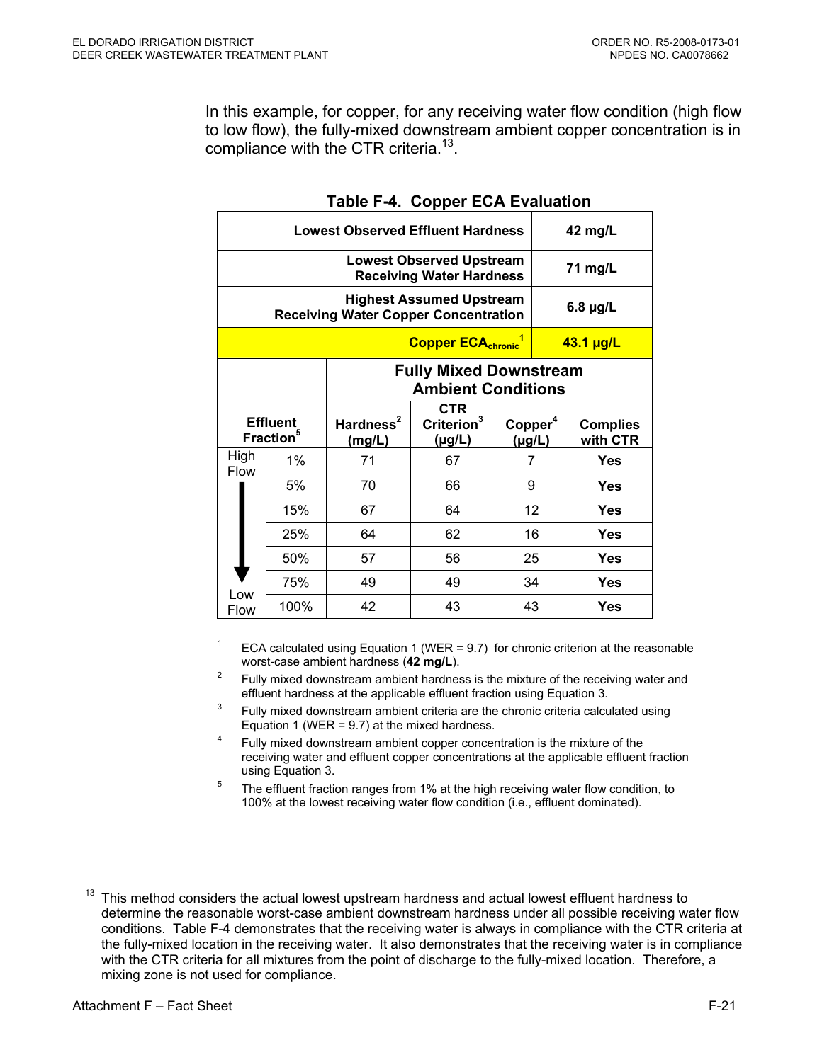In this example, for copper, for any receiving water flow condition (high flow to low flow), the fully-mixed downstream ambient copper concentration is in compliance with the CTR criteria.<sup>13</sup>.

| <b>Lowest Observed Effluent Hardness</b>                                       |                                                                                                                                  |        |                                                            |             |    | 42 mg/L                     |
|--------------------------------------------------------------------------------|----------------------------------------------------------------------------------------------------------------------------------|--------|------------------------------------------------------------|-------------|----|-----------------------------|
| <b>Lowest Observed Upstream</b><br><b>Receiving Water Hardness</b>             |                                                                                                                                  |        |                                                            |             |    | 71 mg/L                     |
| <b>Highest Assumed Upstream</b><br><b>Receiving Water Copper Concentration</b> |                                                                                                                                  |        |                                                            |             |    | $6.8 \mu g/L$               |
|                                                                                |                                                                                                                                  |        | <b>Copper ECA<sub>chronic</sub></b>                        |             |    | $43.1$ µg/L                 |
|                                                                                |                                                                                                                                  |        | <b>Fully Mixed Downstream</b><br><b>Ambient Conditions</b> |             |    |                             |
|                                                                                | <b>CTR</b><br>Criterion <sup>3</sup><br>Hardness <sup>2</sup><br><b>Effluent</b><br>Copper <sup>4</sup><br>Fraction <sup>5</sup> |        |                                                            |             |    |                             |
|                                                                                |                                                                                                                                  | (mg/L) | (µg/L)                                                     | $(\mu g/L)$ |    | <b>Complies</b><br>with CTR |
| High                                                                           | $1\%$                                                                                                                            | 71     | 67                                                         | 7           |    | Yes                         |
| <b>Flow</b>                                                                    | 5%                                                                                                                               | 70     | 66                                                         | 9           |    | Yes                         |
|                                                                                | 15%                                                                                                                              | 67     | 64                                                         |             | 12 | Yes                         |
|                                                                                | 25%                                                                                                                              | 64     | 62                                                         |             | 16 | Yes                         |
|                                                                                | 50%                                                                                                                              | 57     | 56                                                         | 25          |    | <b>Yes</b>                  |
| Low                                                                            | 75%                                                                                                                              | 49     | 49                                                         | 34          |    | Yes                         |

### **Table F-4. Copper ECA Evaluation**

<sup>1</sup> ECA calculated using Equation 1 (WER = 9.7) for chronic criterion at the reasonable worst-case ambient hardness (**42 mg/L**).

- Fully mixed downstream ambient hardness is the mixture of the receiving water and effluent hardness at the applicable effluent fraction using Equation 3.
- <sup>3</sup> Fully mixed downstream ambient criteria are the chronic criteria calculated using Equation 1. (WER = 9.7) at the mixed hardness.
- <sup>4</sup> Fully mixed downstream ambient copper concentration is the mixture of the receiving water and effluent copper concentrations at the applicable effluent fraction using Equation 3.
- $5$  The effluent fraction ranges from 1% at the high receiving water flow condition, to 100% at the lowest receiving water flow condition (i.e., effluent dominated).

 $13$  This method considers the actual lowest upstream hardness and actual lowest effluent hardness to determine the reasonable worst-case ambient downstream hardness under all possible receiving water flow conditions. Table F-4 demonstrates that the receiving water is always in compliance with the CTR criteria at the fully-mixed location in the receiving water. It also demonstrates that the receiving water is in compliance with the CTR criteria for all mixtures from the point of discharge to the fully-mixed location. Therefore, a mixing zone is not used for compliance.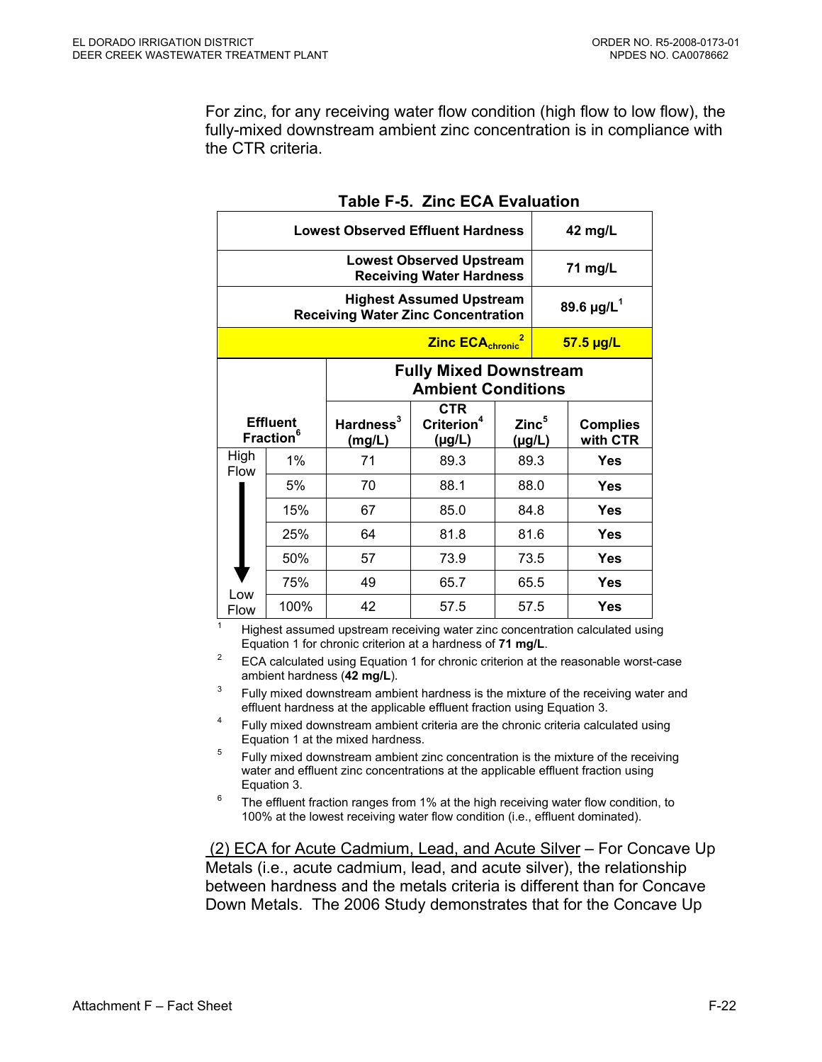For zinc, for any receiving water flow condition (high flow to low flow), the fully-mixed downstream ambient zinc concentration is in compliance with the CTR criteria.

| <b>Lowest Observed Effluent Hardness</b>                                     |                                                 |                                 |                                                |      |                             | 42 mg/L                     |
|------------------------------------------------------------------------------|-------------------------------------------------|---------------------------------|------------------------------------------------|------|-----------------------------|-----------------------------|
| <b>Lowest Observed Upstream</b><br><b>Receiving Water Hardness</b>           |                                                 |                                 |                                                |      |                             | 71 mg/L                     |
| <b>Highest Assumed Upstream</b><br><b>Receiving Water Zinc Concentration</b> |                                                 |                                 |                                                |      |                             | 89.6 $\mu$ g/L <sup>1</sup> |
|                                                                              |                                                 |                                 | <b>Zinc ECA<sub>chronic</sub></b>              |      |                             | 57.5 µg/L                   |
| <b>Fully Mixed Downstream</b><br><b>Ambient Conditions</b>                   |                                                 |                                 |                                                |      |                             |                             |
|                                                                              | <b>Effluent</b><br><b>Fraction</b> <sup>6</sup> | Hardness <sup>3</sup><br>(mg/L) | <b>CTR</b><br>Criterion <sup>4</sup><br>(µg/L) |      | $\mathsf{Zinc}^5$<br>(µg/L) | <b>Complies</b><br>with CTR |
| High<br><b>Flow</b>                                                          | $1\%$                                           | 71                              | 89.3                                           | 89.3 |                             | Yes                         |
|                                                                              | 5%                                              | 70                              | 88.1                                           | 88.0 |                             | Yes                         |
|                                                                              | 15%                                             | 67                              | 85.0                                           | 84.8 |                             | Yes                         |
|                                                                              | 25%                                             | 64                              | 81.8                                           | 81.6 |                             | Yes                         |
|                                                                              | 50%                                             | 57                              | 73.9                                           |      | 73.5                        | Yes                         |
|                                                                              | 75%                                             | 49                              | 65.7                                           | 65.5 |                             | Yes                         |
| Low                                                                          |                                                 |                                 |                                                |      |                             |                             |

### **Table F-5. Zinc ECA Evaluation**

1 Highest assumed upstream receiving water zinc concentration calculated using Equation 1 for chronic criterion at a hardness of **71 mg/L**.<br><sup>2</sup> ECA calculated using Equation 1 for chronic criterion at the reasonable worst-case

ambient hardness (42 mg/L).

Fully mixed downstream ambient hardness is the mixture of the receiving water and effluent hardness at the applicable effluent fraction using Equation 3.

- <sup>4</sup> Fully mixed downstream ambient criteria are the chronic criteria calculated using Equation 1 at the mixed hardness.
- $5$  Fully mixed downstream ambient zinc concentration is the mixture of the receiving water and effluent zinc concentrations at the applicable effluent fraction using
- Equation 3. Equation 3.<br><sup>6</sup> The effluent fraction ranges from 1% at the high receiving water flow condition, to 100% at the lowest receiving water flow condition (i.e., effluent dominated).

 (2) ECA for Acute Cadmium, Lead, and Acute Silver – For Concave Up Metals (i.e., acute cadmium, lead, and acute silver), the relationship between hardness and the metals criteria is different than for Concave Down Metals. The 2006 Study demonstrates that for the Concave Up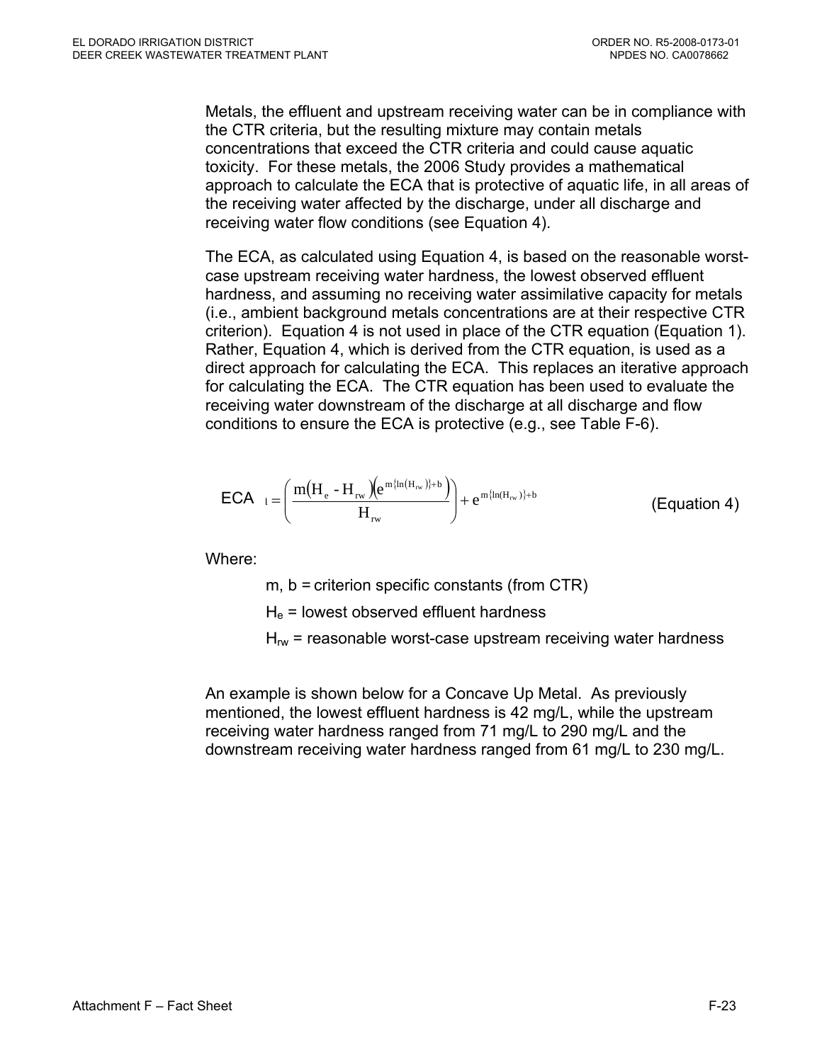Metals, the effluent and upstream receiving water can be in compliance with the CTR criteria, but the resulting mixture may contain metals concentrations that exceed the CTR criteria and could cause aquatic toxicity. For these metals, the 2006 Study provides a mathematical approach to calculate the ECA that is protective of aquatic life, in all areas of the receiving water affected by the discharge, under all discharge and receiving water flow conditions (see Equation 4).

The ECA, as calculated using Equation 4, is based on the reasonable worstcase upstream receiving water hardness, the lowest observed effluent hardness, and assuming no receiving water assimilative capacity for metals (i.e., ambient background metals concentrations are at their respective CTR criterion). Equation 4 is not used in place of the CTR equation (Equation 1). Rather, Equation 4, which is derived from the CTR equation, is used as a direct approach for calculating the ECA. This replaces an iterative approach for calculating the ECA. The CTR equation has been used to evaluate the receiving water downstream of the discharge at all discharge and flow conditions to ensure the ECA is protective (e.g., see Table F-6).

$$
\text{ECA}_{l} = \left(\frac{m(H_{e} - H_{rw})(e^{m\{ln(H_{rw})\}+b})}{H_{rw}}\right) + e^{m\{ln(H_{rw})\}+b}
$$
 (Equation 4)

Where:

m, b = criterion specific constants (from CTR)

 $H<sub>e</sub>$  = lowest observed effluent hardness

 $H_{rw}$  = reasonable worst-case upstream receiving water hardness

An example is shown below for a Concave Up Metal. As previously mentioned, the lowest effluent hardness is 42 mg/L, while the upstream receiving water hardness ranged from 71 mg/L to 290 mg/L and the downstream receiving water hardness ranged from 61 mg/L to 230 mg/L.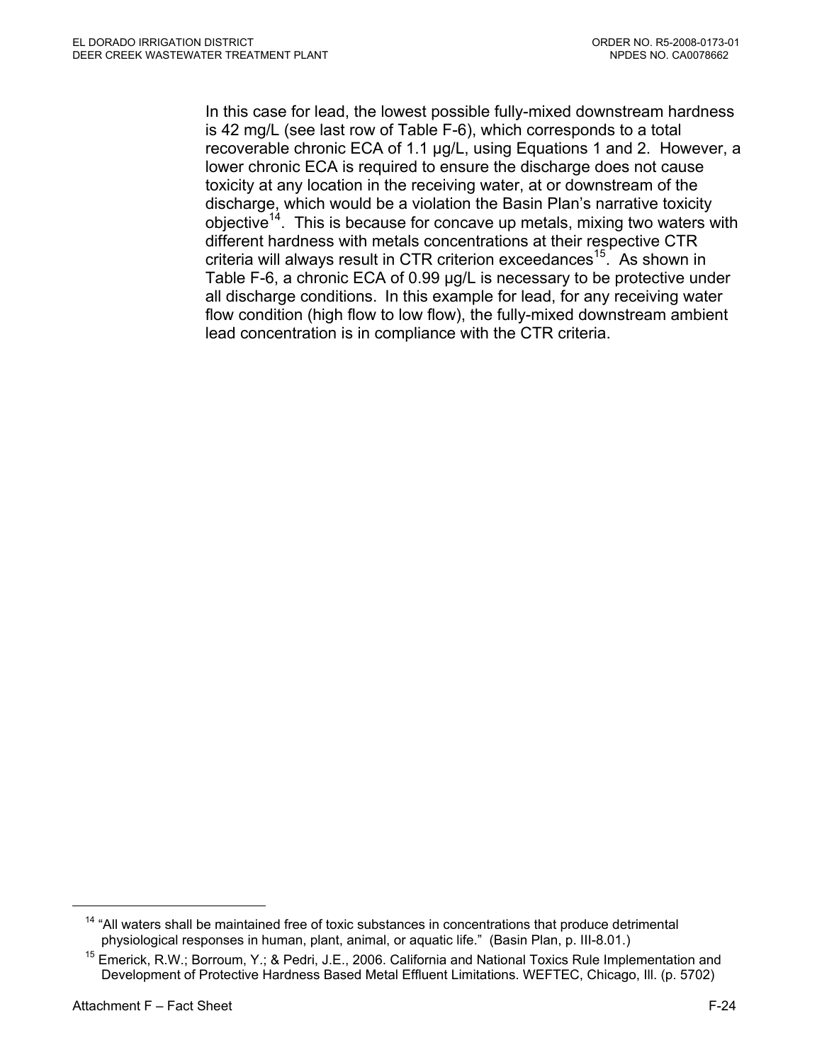In this case for lead, the lowest possible fully-mixed downstream hardness is 42 mg/L (see last row of Table F-6), which corresponds to a total recoverable chronic ECA of 1.1 µg/L, using Equations 1 and 2. However, a lower chronic ECA is required to ensure the discharge does not cause toxicity at any location in the receiving water, at or downstream of the discharge, which would be a violation the Basin Plan's narrative toxicity objective<sup>14</sup>. This is because for concave up metals, mixing two waters with different hardness with metals concentrations at their respective CTR criteria will always result in CTR criterion exceedances<sup>15</sup>. As shown in Table F-6, a chronic ECA of 0.99 µg/L is necessary to be protective under all discharge conditions. In this example for lead, for any receiving water flow condition (high flow to low flow), the fully-mixed downstream ambient lead concentration is in compliance with the CTR criteria.

 $14$  "All waters shall be maintained free of toxic substances in concentrations that produce detrimental physiological responses in human, plant, animal, or aquatic life." (Basin Plan, p. III-8.01.)

<sup>&</sup>lt;sup>15</sup> Emerick, R.W.; Borroum, Y.; & Pedri, J.E., 2006. California and National Toxics Rule Implementation and Development of Protective Hardness Based Metal Effluent Limitations. WEFTEC, Chicago, Ill. (p. 5702)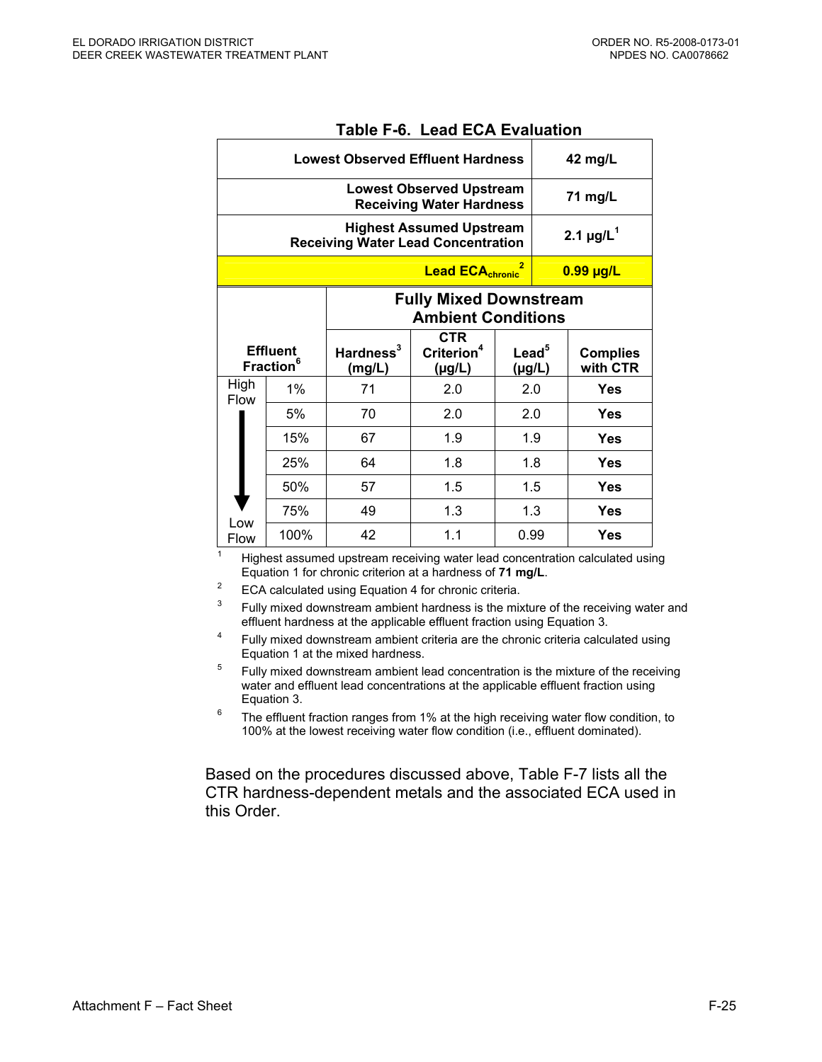|                                                                              | <b>Lowest Observed Effluent Hardness</b>        |                        |                                                                    |                     |     | 42 mg/L                     |
|------------------------------------------------------------------------------|-------------------------------------------------|------------------------|--------------------------------------------------------------------|---------------------|-----|-----------------------------|
|                                                                              |                                                 |                        | <b>Lowest Observed Upstream</b><br><b>Receiving Water Hardness</b> |                     |     | 71 mg/L                     |
| <b>Highest Assumed Upstream</b><br><b>Receiving Water Lead Concentration</b> |                                                 |                        |                                                                    |                     |     | 2.1 $\mu$ g/L <sup>1</sup>  |
|                                                                              | <b>Lead ECA<sub>chronic</sub></b>               |                        |                                                                    |                     |     | $0.99$ µg/L                 |
| <b>Fully Mixed Downstream</b><br><b>Ambient Conditions</b>                   |                                                 |                        |                                                                    |                     |     |                             |
|                                                                              | <b>Effluent</b><br><b>Fraction</b> <sup>6</sup> | Hardness $3$<br>(mg/L) | <b>CTR</b><br>Criterion <sup>4</sup><br>(µg/L)                     | Lead $^5$<br>(µg/L) |     | <b>Complies</b><br>with CTR |
| High<br><b>Flow</b>                                                          | $1\%$                                           | 71                     | 2.0                                                                | 2.0                 |     | <b>Yes</b>                  |
|                                                                              | 5%                                              | 70                     | 2.0                                                                | 2.0                 |     | <b>Yes</b>                  |
|                                                                              | 15%                                             | 67                     | 1.9                                                                | 1.9                 |     | <b>Yes</b>                  |
|                                                                              | 25%                                             | 64                     | 1.8                                                                | 1.8                 |     | <b>Yes</b>                  |
|                                                                              | 50%                                             | 57                     | 1.5                                                                | 1.5                 |     | <b>Yes</b>                  |
|                                                                              | 75%                                             | 49                     | 1.3                                                                |                     | 1.3 | <b>Yes</b>                  |
| Low<br><b>Flow</b>                                                           | 100%                                            | 42                     | 1.1                                                                | 0.99                |     | <b>Yes</b>                  |

#### **Table F-6. Lead ECA Evaluation**

Highest assumed upstream receiving water lead concentration calculated using<br>Equation 1 for chronic criterion at a hardness of 71 mg/L.

<sup>2</sup> ECA calculated using Equation 4 for chronic criteria.<br><sup>3</sup> Eulis mixed dovestream embient bardness is the mix

Fully mixed downstream ambient hardness is the mixture of the receiving water and effluent hardness at the applicable effluent fraction using Equation 3.

- <sup>4</sup> Fully mixed downstream ambient criteria are the chronic criteria calculated using Equation 1 at the mixed hardness.
- $5$  Fully mixed downstream ambient lead concentration is the mixture of the receiving water and effluent lead concentrations at the applicable effluent fraction using<br>Equation 3.
- $6$  The effluent fraction ranges from 1% at the high receiving water flow condition, to 100% at the lowest receiving water flow condition (i.e., effluent dominated).

Based on the procedures discussed above, Table F-7 lists all the CTR hardness-dependent metals and the associated ECA used in this Order.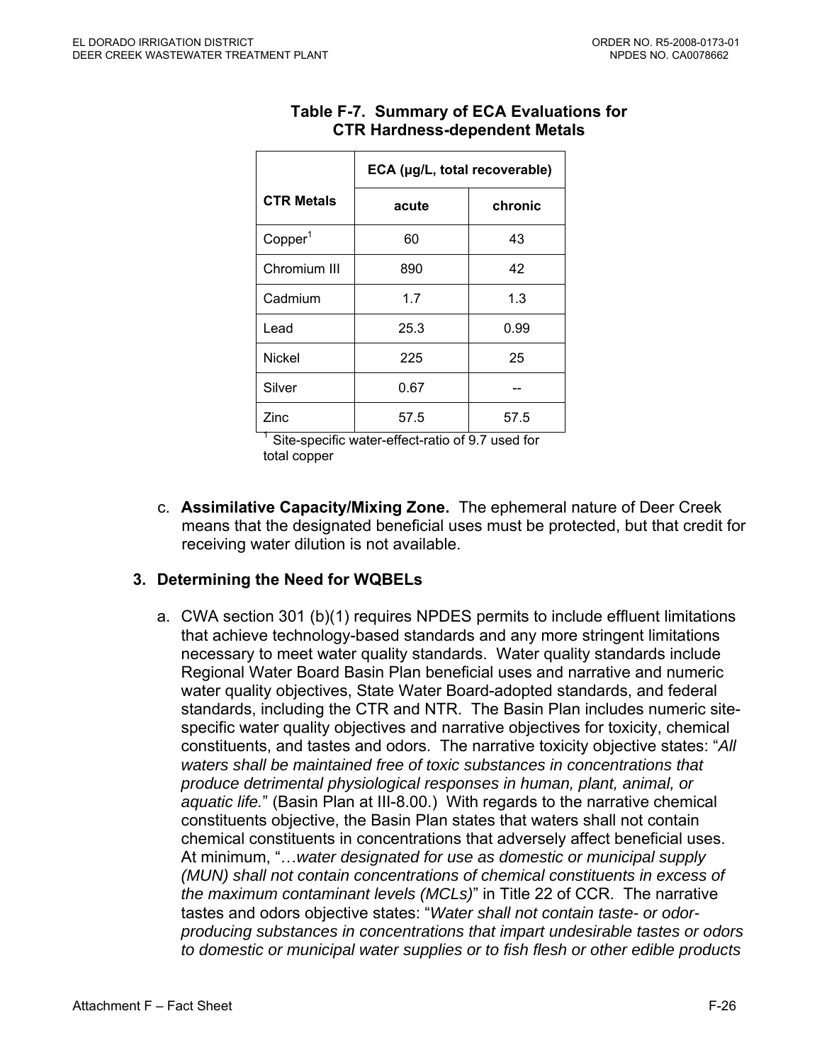|                     | ECA (µg/L, total recoverable) |         |  |  |  |  |
|---------------------|-------------------------------|---------|--|--|--|--|
| <b>CTR Metals</b>   | acute                         | chronic |  |  |  |  |
| Copper <sup>1</sup> | 60                            | 43      |  |  |  |  |
| Chromium III        | 890                           | 42      |  |  |  |  |
| Cadmium             | 1.7                           | 1.3     |  |  |  |  |
| Lead                | 25.3                          | 0.99    |  |  |  |  |
| <b>Nickel</b>       | 225                           | 25      |  |  |  |  |
| Silver              | 0.67                          |         |  |  |  |  |
| Zinc                | 57.5                          | 57.5    |  |  |  |  |

# **Table F-7. Summary of ECA Evaluations for CTR Hardness-dependent Metals**

Site-specific water-effect-ratio of 9.7 used for total copper

c. **Assimilative Capacity/Mixing Zone.** The ephemeral nature of Deer Creek means that the designated beneficial uses must be protected, but that credit for receiving water dilution is not available.

# **3. Determining the Need for WQBELs**

a. CWA section 301 (b)(1) requires NPDES permits to include effluent limitations that achieve technology-based standards and any more stringent limitations necessary to meet water quality standards. Water quality standards include Regional Water Board Basin Plan beneficial uses and narrative and numeric water quality objectives, State Water Board-adopted standards, and federal standards, including the CTR and NTR. The Basin Plan includes numeric sitespecific water quality objectives and narrative objectives for toxicity, chemical constituents, and tastes and odors. The narrative toxicity objective states: "*All waters shall be maintained free of toxic substances in concentrations that produce detrimental physiological responses in human, plant, animal, or aquatic life.*" (Basin Plan at III-8.00.) With regards to the narrative chemical constituents objective, the Basin Plan states that waters shall not contain chemical constituents in concentrations that adversely affect beneficial uses. At minimum, "…*water designated for use as domestic or municipal supply (MUN) shall not contain concentrations of chemical constituents in excess of the maximum contaminant levels (MCLs)*" in Title 22 of CCR. The narrative tastes and odors objective states: "*Water shall not contain taste- or odorproducing substances in concentrations that impart undesirable tastes or odors to domestic or municipal water supplies or to fish flesh or other edible products*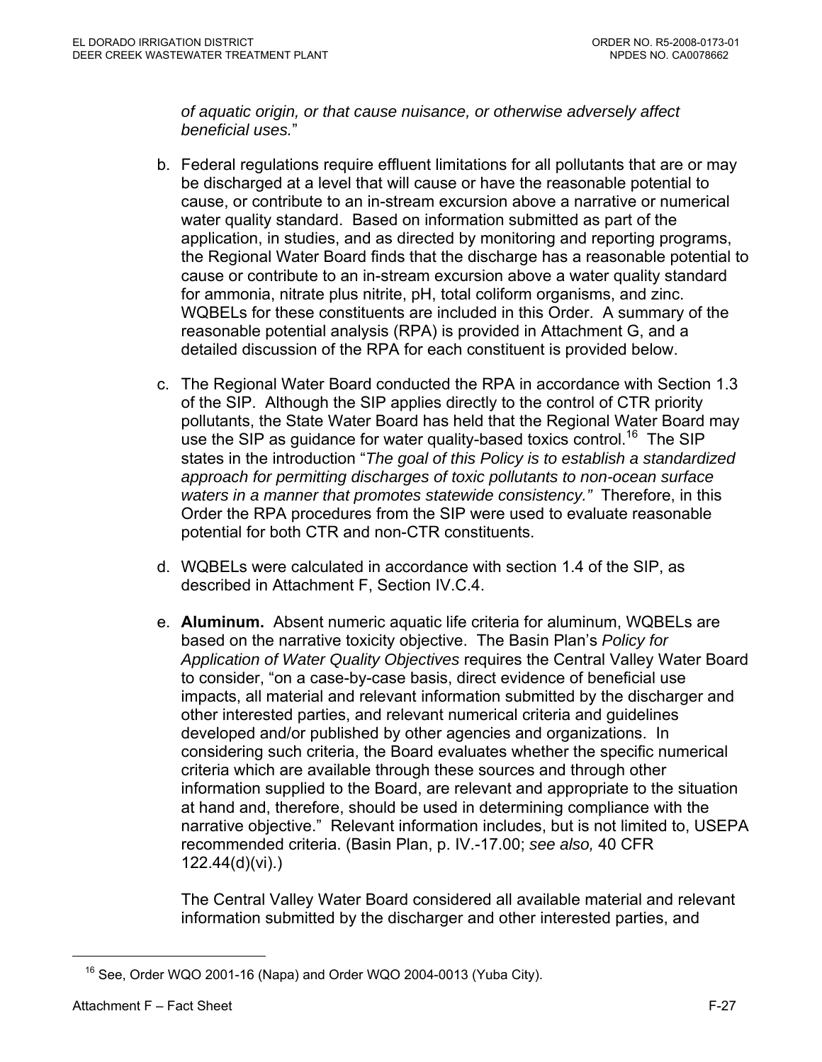*of aquatic origin, or that cause nuisance, or otherwise adversely affect beneficial uses.*"

- b. Federal regulations require effluent limitations for all pollutants that are or may be discharged at a level that will cause or have the reasonable potential to cause, or contribute to an in-stream excursion above a narrative or numerical water quality standard. Based on information submitted as part of the application, in studies, and as directed by monitoring and reporting programs, the Regional Water Board finds that the discharge has a reasonable potential to cause or contribute to an in-stream excursion above a water quality standard for ammonia, nitrate plus nitrite, pH, total coliform organisms, and zinc. WQBELs for these constituents are included in this Order. A summary of the reasonable potential analysis (RPA) is provided in Attachment G, and a detailed discussion of the RPA for each constituent is provided below.
- c. The Regional Water Board conducted the RPA in accordance with Section 1.3 of the SIP. Although the SIP applies directly to the control of CTR priority pollutants, the State Water Board has held that the Regional Water Board may use the SIP as guidance for water quality-based toxics control.<sup>16</sup> The SIP states in the introduction "*The goal of this Policy is to establish a standardized approach for permitting discharges of toxic pollutants to non-ocean surface waters in a manner that promotes statewide consistency."* Therefore, in this Order the RPA procedures from the SIP were used to evaluate reasonable potential for both CTR and non-CTR constituents.
- d. WQBELs were calculated in accordance with section 1.4 of the SIP, as described in Attachment F, Section IV.C.4.
- e. **Aluminum.** Absent numeric aquatic life criteria for aluminum, WQBELs are based on the narrative toxicity objective. The Basin Plan's *Policy for Application of Water Quality Objectives* requires the Central Valley Water Board to consider, "on a case-by-case basis, direct evidence of beneficial use impacts, all material and relevant information submitted by the discharger and other interested parties, and relevant numerical criteria and guidelines developed and/or published by other agencies and organizations. In considering such criteria, the Board evaluates whether the specific numerical criteria which are available through these sources and through other information supplied to the Board, are relevant and appropriate to the situation at hand and, therefore, should be used in determining compliance with the narrative objective." Relevant information includes, but is not limited to, USEPA recommended criteria. (Basin Plan, p. IV.-17.00; *see also,* 40 CFR 122.44(d)(vi).)

The Central Valley Water Board considered all available material and relevant information submitted by the discharger and other interested parties, and

1

 $16$  See, Order WQO 2001-16 (Napa) and Order WQO 2004-0013 (Yuba City).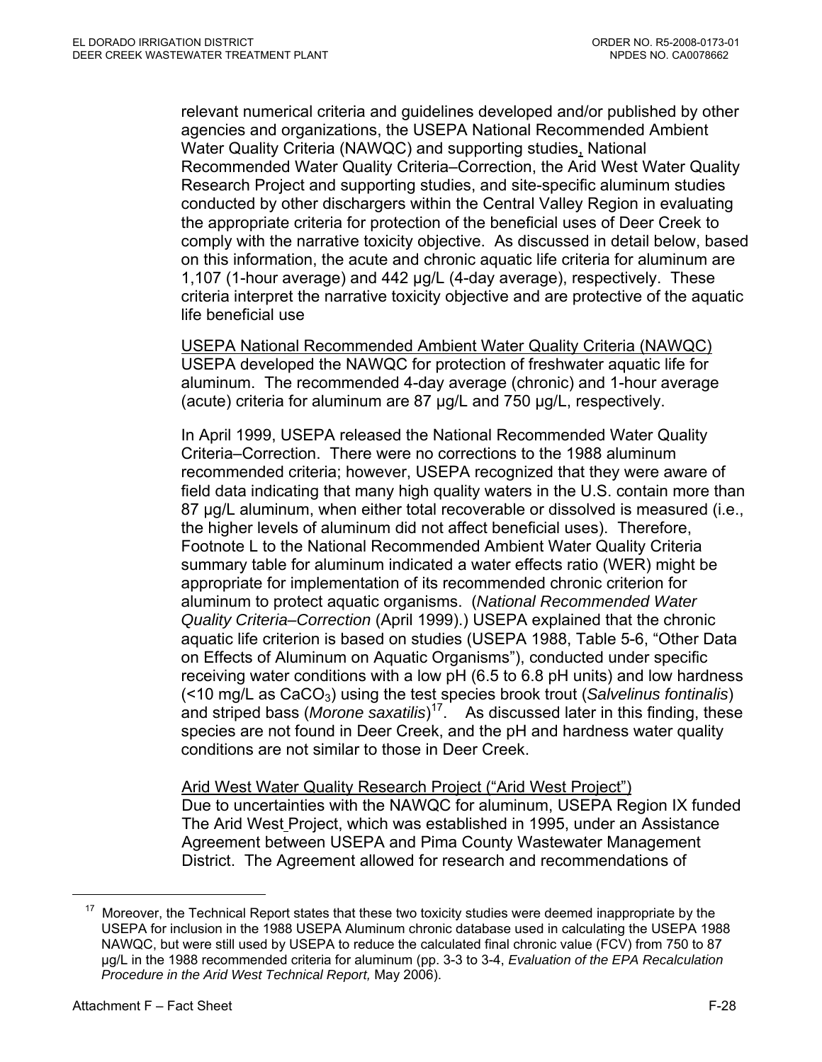relevant numerical criteria and guidelines developed and/or published by other agencies and organizations, the USEPA National Recommended Ambient Water Quality Criteria (NAWQC) and supporting studies, National Recommended Water Quality Criteria–Correction, the Arid West Water Quality Research Project and supporting studies, and site-specific aluminum studies conducted by other dischargers within the Central Valley Region in evaluating the appropriate criteria for protection of the beneficial uses of Deer Creek to comply with the narrative toxicity objective. As discussed in detail below, based on this information, the acute and chronic aquatic life criteria for aluminum are 1,107 (1-hour average) and 442 µg/L (4-day average), respectively. These criteria interpret the narrative toxicity objective and are protective of the aquatic life beneficial use

USEPA National Recommended Ambient Water Quality Criteria (NAWQC) USEPA developed the NAWQC for protection of freshwater aquatic life for aluminum. The recommended 4-day average (chronic) and 1-hour average (acute) criteria for aluminum are 87 µg/L and 750 µg/L, respectively.

In April 1999, USEPA released the National Recommended Water Quality Criteria–Correction. There were no corrections to the 1988 aluminum recommended criteria; however, USEPA recognized that they were aware of field data indicating that many high quality waters in the U.S. contain more than 87 µg/L aluminum, when either total recoverable or dissolved is measured (i.e., the higher levels of aluminum did not affect beneficial uses). Therefore, Footnote L to the National Recommended Ambient Water Quality Criteria summary table for aluminum indicated a water effects ratio (WER) might be appropriate for implementation of its recommended chronic criterion for aluminum to protect aquatic organisms. (*National Recommended Water Quality Criteria–Correction* (April 1999).) USEPA explained that the chronic aquatic life criterion is based on studies (USEPA 1988, Table 5-6, "Other Data on Effects of Aluminum on Aquatic Organisms"), conducted under specific receiving water conditions with a low pH (6.5 to 6.8 pH units) and low hardness (<10 mg/L as CaCO3) using the test species brook trout (*Salvelinus fontinalis*) and striped bass (*Morone saxatilis*) 17. As discussed later in this finding, these species are not found in Deer Creek, and the pH and hardness water quality conditions are not similar to those in Deer Creek.

Arid West Water Quality Research Project ("Arid West Project") Due to uncertainties with the NAWQC for aluminum, USEPA Region IX funded The Arid West Project, which was established in 1995, under an Assistance Agreement between USEPA and Pima County Wastewater Management District. The Agreement allowed for research and recommendations of

Moreover, the Technical Report states that these two toxicity studies were deemed inappropriate by the USEPA for inclusion in the 1988 USEPA Aluminum chronic database used in calculating the USEPA 1988 NAWQC, but were still used by USEPA to reduce the calculated final chronic value (FCV) from 750 to 87 µg/L in the 1988 recommended criteria for aluminum (pp. 3-3 to 3-4, *Evaluation of the EPA Recalculation Procedure in the Arid West Technical Report,* May 2006).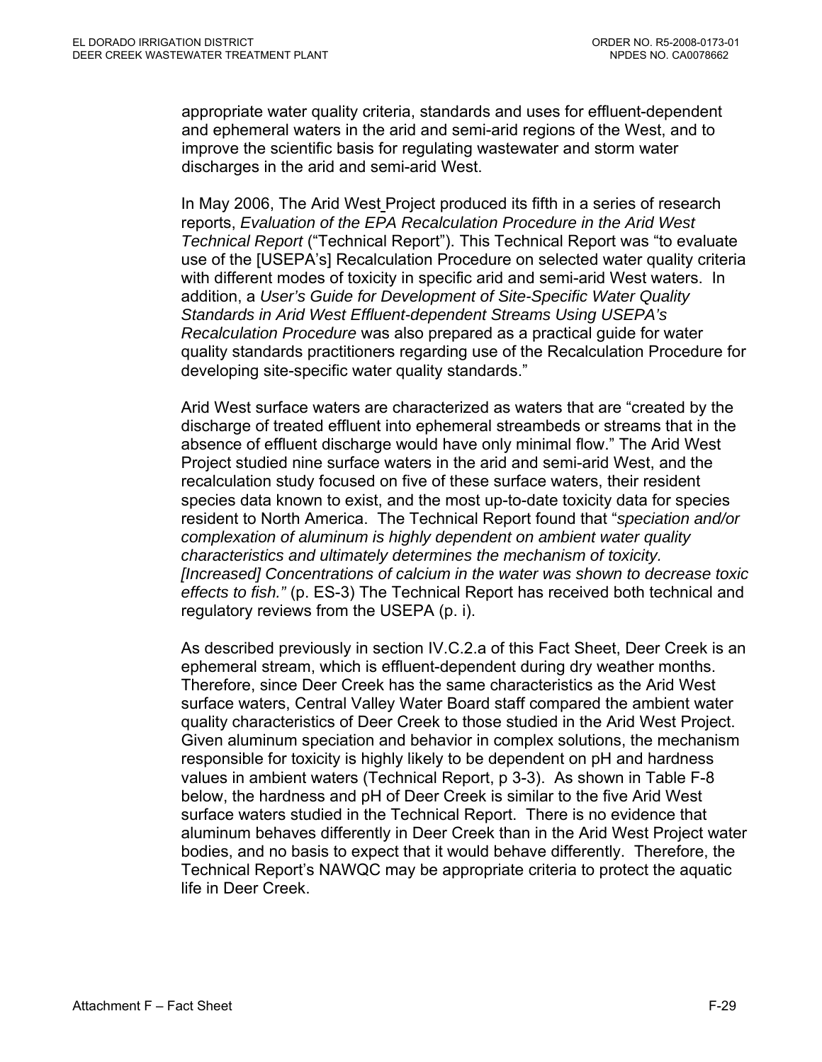appropriate water quality criteria, standards and uses for effluent-dependent and ephemeral waters in the arid and semi-arid regions of the West, and to improve the scientific basis for regulating wastewater and storm water discharges in the arid and semi-arid West.

In May 2006, The Arid West Project produced its fifth in a series of research reports, *Evaluation of the EPA Recalculation Procedure in the Arid West Technical Report* ("Technical Report"). This Technical Report was "to evaluate use of the [USEPA's] Recalculation Procedure on selected water quality criteria with different modes of toxicity in specific arid and semi-arid West waters. In addition, a *User's Guide for Development of Site-Specific Water Quality Standards in Arid West Effluent-dependent Streams Using USEPA's Recalculation Procedure* was also prepared as a practical guide for water quality standards practitioners regarding use of the Recalculation Procedure for developing site-specific water quality standards."

Arid West surface waters are characterized as waters that are "created by the discharge of treated effluent into ephemeral streambeds or streams that in the absence of effluent discharge would have only minimal flow." The Arid West Project studied nine surface waters in the arid and semi-arid West, and the recalculation study focused on five of these surface waters, their resident species data known to exist, and the most up-to-date toxicity data for species resident to North America. The Technical Report found that "*speciation and/or complexation of aluminum is highly dependent on ambient water quality characteristics and ultimately determines the mechanism of toxicity. [Increased] Concentrations of calcium in the water was shown to decrease toxic effects to fish."* (p. ES-3) The Technical Report has received both technical and regulatory reviews from the USEPA (p. i).

As described previously in section IV.C.2.a of this Fact Sheet, Deer Creek is an ephemeral stream, which is effluent-dependent during dry weather months. Therefore, since Deer Creek has the same characteristics as the Arid West surface waters, Central Valley Water Board staff compared the ambient water quality characteristics of Deer Creek to those studied in the Arid West Project. Given aluminum speciation and behavior in complex solutions, the mechanism responsible for toxicity is highly likely to be dependent on pH and hardness values in ambient waters (Technical Report, p 3-3). As shown in Table F-8 below, the hardness and pH of Deer Creek is similar to the five Arid West surface waters studied in the Technical Report. There is no evidence that aluminum behaves differently in Deer Creek than in the Arid West Project water bodies, and no basis to expect that it would behave differently. Therefore, the Technical Report's NAWQC may be appropriate criteria to protect the aquatic life in Deer Creek.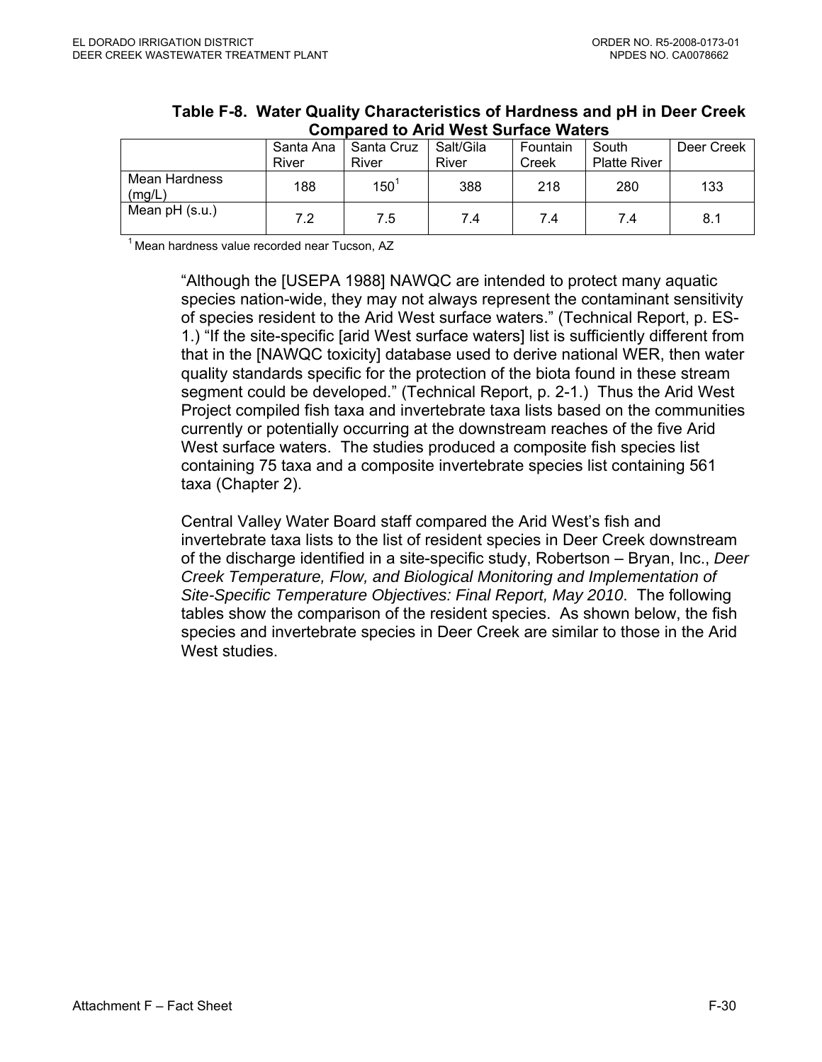|                         | TULINAI YA LU / 11 IA 11 YUL YAI IAYU 11 ALVI Y |                     |                    |                   |                              |            |  |  |  |  |
|-------------------------|-------------------------------------------------|---------------------|--------------------|-------------------|------------------------------|------------|--|--|--|--|
|                         | Santa Ana<br>River                              | Santa Cruz<br>River | Salt/Gila<br>River | Fountain<br>Creek | South<br><b>Platte River</b> | Deer Creek |  |  |  |  |
| Mean Hardness<br>(mg/L) | 188                                             | $150^{\degree}$     | 388                | 218               | 280                          | 133        |  |  |  |  |
| Mean $pH$ (s.u.)        | 7.2                                             | 7.5                 | 7.4                | 7.4               | 7.4                          | 8.1        |  |  |  |  |

### **Table F-8. Water Quality Characteristics of Hardness and pH in Deer Creek Compared to Arid West Surface Waters**

 $1$ Mean hardness value recorded near Tucson, AZ

"Although the [USEPA 1988] NAWQC are intended to protect many aquatic species nation-wide, they may not always represent the contaminant sensitivity of species resident to the Arid West surface waters." (Technical Report, p. ES-1.) "If the site-specific [arid West surface waters] list is sufficiently different from that in the [NAWQC toxicity] database used to derive national WER, then water quality standards specific for the protection of the biota found in these stream segment could be developed." (Technical Report, p. 2-1.) Thus the Arid West Project compiled fish taxa and invertebrate taxa lists based on the communities currently or potentially occurring at the downstream reaches of the five Arid West surface waters. The studies produced a composite fish species list containing 75 taxa and a composite invertebrate species list containing 561 taxa (Chapter 2).

Central Valley Water Board staff compared the Arid West's fish and invertebrate taxa lists to the list of resident species in Deer Creek downstream of the discharge identified in a site-specific study, Robertson – Bryan, Inc., *Deer Creek Temperature, Flow, and Biological Monitoring and Implementation of Site-Specific Temperature Objectives: Final Report, May 2010*. The following tables show the comparison of the resident species. As shown below, the fish species and invertebrate species in Deer Creek are similar to those in the Arid West studies.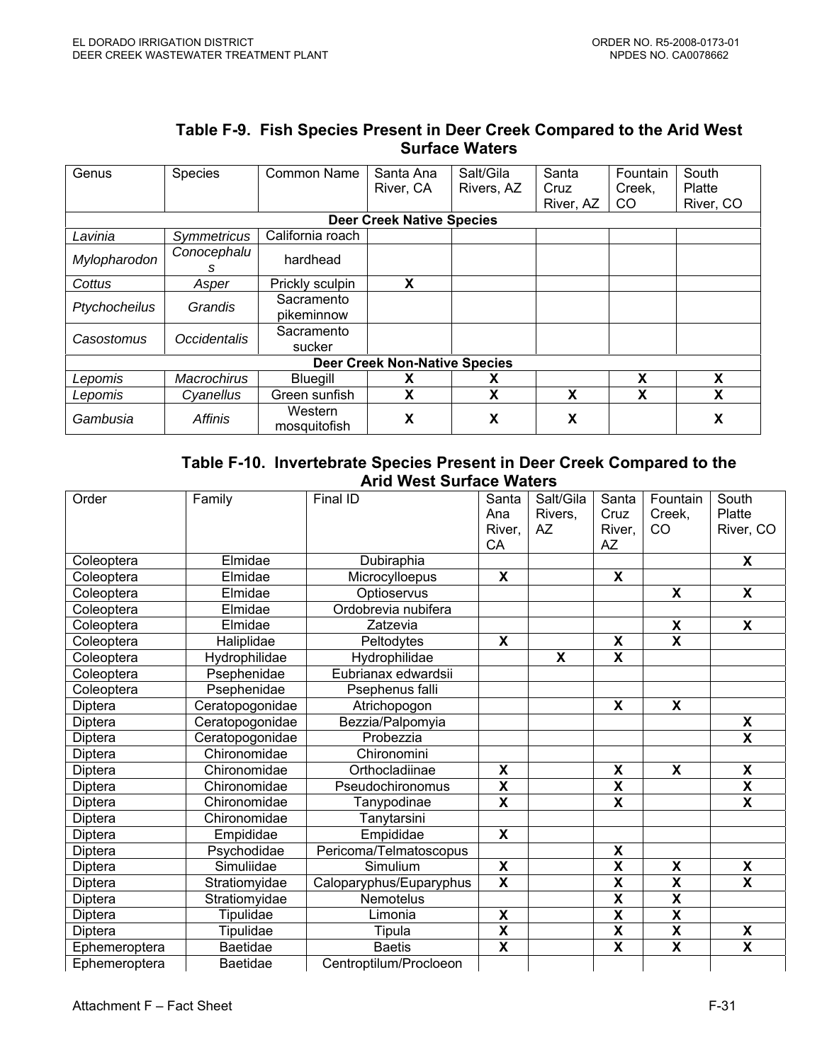| Genus         | Species             | Common Name             | Santa Ana                            | Salt/Gila  | Santa     | Fountain | South     |
|---------------|---------------------|-------------------------|--------------------------------------|------------|-----------|----------|-----------|
|               |                     |                         | River, CA                            | Rivers, AZ | Cruz      | Creek,   | Platte    |
|               |                     |                         |                                      |            | River, AZ | CO.      | River, CO |
|               |                     |                         | <b>Deer Creek Native Species</b>     |            |           |          |           |
| Lavinia       | Symmetricus         | California roach        |                                      |            |           |          |           |
| Mylopharodon  | Conocephalu<br>s    | hardhead                |                                      |            |           |          |           |
| Cottus        | Asper               | Prickly sculpin         | X                                    |            |           |          |           |
| Ptychocheilus | Grandis             | Sacramento              |                                      |            |           |          |           |
|               |                     | pikeminnow              |                                      |            |           |          |           |
| Casostomus    | <b>Occidentalis</b> | Sacramento              |                                      |            |           |          |           |
|               |                     | sucker                  |                                      |            |           |          |           |
|               |                     |                         | <b>Deer Creek Non-Native Species</b> |            |           |          |           |
| Lepomis       | <b>Macrochirus</b>  | <b>Bluegill</b>         | X                                    | x          |           | X        | X         |
| Lepomis       | Cyanellus           | Green sunfish           | X                                    | X          | X         | X        | X         |
| Gambusia      | <b>Affinis</b>      | Western<br>mosquitofish | X                                    | X          | X         |          | X         |

#### **Table F-9. Fish Species Present in Deer Creek Compared to the Arid West Surface Waters**

#### **Table F-10. Invertebrate Species Present in Deer Creek Compared to the Arid West Surface Waters**

| Order         | Family          | Final ID                | Santa<br>Ana<br>River,<br>CA | Salt/Gila<br>Rivers,<br>AZ. | Santa<br>Cruz<br>River,<br><b>AZ</b> | Fountain<br>Creek,<br>CO | South<br>Platte<br>River, CO |
|---------------|-----------------|-------------------------|------------------------------|-----------------------------|--------------------------------------|--------------------------|------------------------------|
| Coleoptera    | Elmidae         | Dubiraphia              |                              |                             |                                      |                          | $\overline{\mathbf{x}}$      |
| Coleoptera    | Elmidae         | Microcylloepus          | X                            |                             | $\overline{\mathbf{x}}$              |                          |                              |
| Coleoptera    | Elmidae         | Optioservus             |                              |                             |                                      | X                        | X                            |
| Coleoptera    | Elmidae         | Ordobrevia nubifera     |                              |                             |                                      |                          |                              |
| Coleoptera    | Elmidae         | Zatzevia                |                              |                             |                                      | X                        | $\overline{\mathbf{x}}$      |
| Coleoptera    | Haliplidae      | Peltodytes              | X                            |                             | $\boldsymbol{\mathsf{X}}$            | $\overline{\mathbf{x}}$  |                              |
| Coleoptera    | Hydrophilidae   | Hydrophilidae           |                              | $\overline{\mathbf{x}}$     | $\overline{\textsf{x}}$              |                          |                              |
| Coleoptera    | Psephenidae     | Eubrianax edwardsii     |                              |                             |                                      |                          |                              |
| Coleoptera    | Psephenidae     | Psephenus falli         |                              |                             |                                      |                          |                              |
| Diptera       | Ceratopogonidae | Atrichopogon            |                              |                             | X                                    | X                        |                              |
| Diptera       | Ceratopogonidae | Bezzia/Palpomyia        |                              |                             |                                      |                          | X                            |
| Diptera       | Ceratopogonidae | Probezzia               |                              |                             |                                      |                          | $\overline{\mathsf{x}}$      |
| Diptera       | Chironomidae    | Chironomini             |                              |                             |                                      |                          |                              |
| Diptera       | Chironomidae    | Orthocladiinae          | X                            |                             | X                                    | X                        | X                            |
| Diptera       | Chironomidae    | Pseudochironomus        | $\overline{\mathbf{X}}$      |                             | $\overline{\mathbf{x}}$              |                          | $\overline{\mathbf{X}}$      |
| Diptera       | Chironomidae    | Tanypodinae             | $\overline{\mathbf{x}}$      |                             | $\overline{\mathsf{x}}$              |                          | $\overline{\mathsf{x}}$      |
| Diptera       | Chironomidae    | Tanytarsini             |                              |                             |                                      |                          |                              |
| Diptera       | Empididae       | Empididae               | $\boldsymbol{\mathsf{X}}$    |                             |                                      |                          |                              |
| Diptera       | Psychodidae     | Pericoma/Telmatoscopus  |                              |                             | $\pmb{\mathsf{X}}$                   |                          |                              |
| Diptera       | Simuliidae      | Simulium                | X                            |                             | $\overline{\textbf{x}}$              | X                        | X                            |
| Diptera       | Stratiomyidae   | Caloparyphus/Euparyphus | $\overline{\mathbf{X}}$      |                             | $\overline{\textbf{x}}$              | $\overline{\textbf{x}}$  | $\overline{\mathsf{x}}$      |
| Diptera       | Stratiomyidae   | Nemotelus               |                              |                             | $\overline{\mathbf{x}}$              | $\overline{\mathbf{x}}$  |                              |
| Diptera       | Tipulidae       | Limonia                 | $\overline{\mathbf{x}}$      |                             | $\overline{\textsf{x}}$              | $\overline{\textbf{x}}$  |                              |
| Diptera       | Tipulidae       | Tipula                  | $\overline{\mathbf{x}}$      |                             | $\overline{\mathbf{X}}$              | $\overline{\mathbf{X}}$  | X                            |
| Ephemeroptera | <b>Baetidae</b> | <b>Baetis</b>           | $\overline{\mathbf{X}}$      |                             | $\overline{\textsf{x}}$              | $\overline{\textsf{x}}$  | $\overline{\mathsf{x}}$      |
| Ephemeroptera | <b>Baetidae</b> | Centroptilum/Procloeon  |                              |                             |                                      |                          |                              |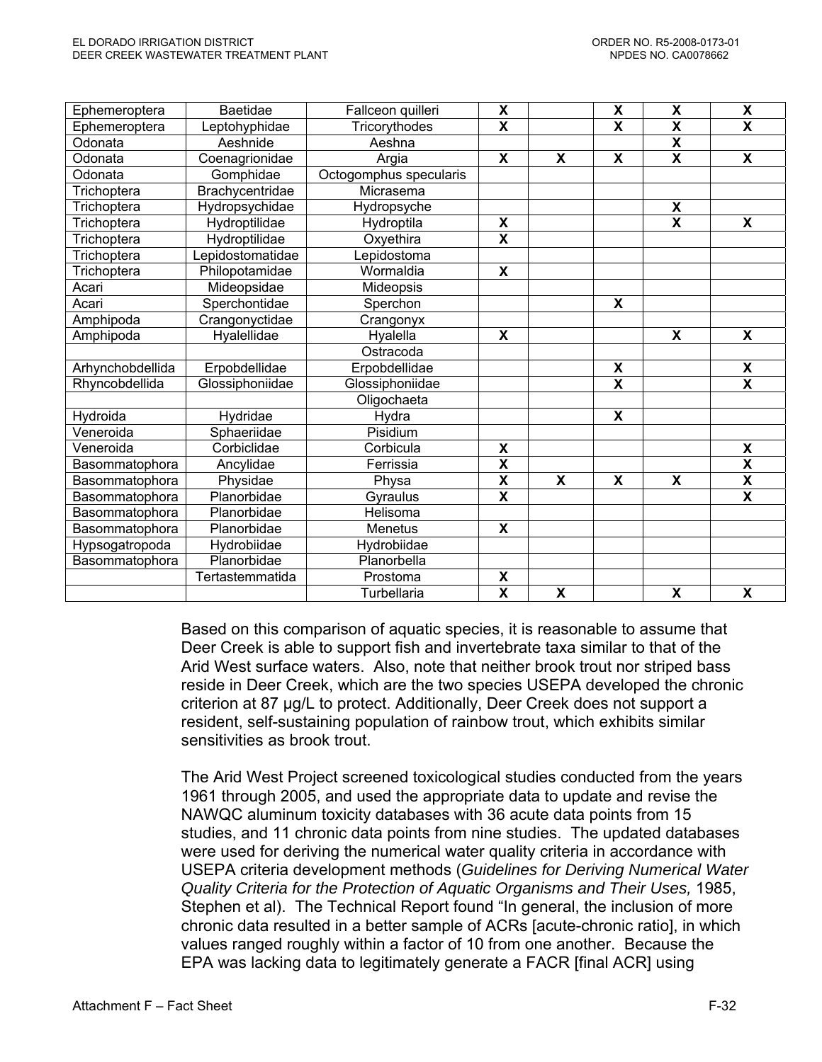| Ephemeroptera    | <b>Baetidae</b>  | Fallceon quilleri      | $\overline{\mathsf{x}}$   |                         | $\overline{\mathbf{x}}$ | $\overline{\mathbf{x}}$ | $\overline{\mathbf{X}}$   |
|------------------|------------------|------------------------|---------------------------|-------------------------|-------------------------|-------------------------|---------------------------|
| Ephemeroptera    | Leptohyphidae    | Tricorythodes          | $\overline{\mathsf{x}}$   |                         | $\overline{\mathbf{x}}$ | $\overline{\mathbf{x}}$ | X                         |
| Odonata          | Aeshnide         | Aeshna                 |                           |                         |                         | $\overline{\mathbf{X}}$ |                           |
| Odonata          | Coenagrionidae   | Argia                  | $\boldsymbol{\mathsf{X}}$ | X                       | X                       | $\overline{\mathbf{X}}$ | $\overline{\mathbf{x}}$   |
| Odonata          | Gomphidae        | Octogomphus specularis |                           |                         |                         |                         |                           |
| Trichoptera      | Brachycentridae  | Micrasema              |                           |                         |                         |                         |                           |
| Trichoptera      | Hydropsychidae   | Hydropsyche            |                           |                         |                         | $\overline{\mathbf{x}}$ |                           |
| Trichoptera      | Hydroptilidae    | Hydroptila             | X                         |                         |                         | $\overline{\mathbf{x}}$ | $\boldsymbol{\mathsf{X}}$ |
| Trichoptera      | Hydroptilidae    | Oxyethira              | $\overline{\mathsf{x}}$   |                         |                         |                         |                           |
| Trichoptera      | Lepidostomatidae | epidostoma             |                           |                         |                         |                         |                           |
| Trichoptera      | Philopotamidae   | Wormaldia              | $\boldsymbol{\mathsf{X}}$ |                         |                         |                         |                           |
| Acari            | Mideopsidae      | Mideopsis              |                           |                         |                         |                         |                           |
| Acari            | Sperchontidae    | Sperchon               |                           |                         | $\overline{\mathbf{x}}$ |                         |                           |
| Amphipoda        | Crangonyctidae   | Crangonyx              |                           |                         |                         |                         |                           |
| Amphipoda        | Hyalellidae      | Hyalella               | $\overline{\mathbf{X}}$   |                         |                         | X                       | $\overline{\mathbf{x}}$   |
|                  |                  | Ostracoda              |                           |                         |                         |                         |                           |
| Arhynchobdellida | Erpobdellidae    | Erpobdellidae          |                           |                         | X                       |                         | $\pmb{\mathsf{X}}$        |
| Rhyncobdellida   | Glossiphoniidae  | Glossiphoniidae        |                           |                         | $\overline{\mathsf{x}}$ |                         | $\overline{\mathbf{x}}$   |
|                  |                  | Oligochaeta            |                           |                         |                         |                         |                           |
| Hydroida         | Hydridae         | Hydra                  |                           |                         | X                       |                         |                           |
| Veneroida        | Sphaeriidae      | Pisidium               |                           |                         |                         |                         |                           |
| Veneroida        | Corbiclidae      | Corbicula              | X                         |                         |                         |                         | $\pmb{\chi}$              |
| Basommatophora   | Ancylidae        | Ferrissia              | $\overline{\mathbf{X}}$   |                         |                         |                         | $\overline{\mathbf{X}}$   |
| Basommatophora   | Physidae         | Physa                  | $\overline{\mathbf{x}}$   | $\overline{\mathbf{x}}$ | $\overline{\mathbf{x}}$ | $\overline{\mathbf{x}}$ | $\overline{\mathbf{X}}$   |
| Basommatophora   | Planorbidae      | Gyraulus               | $\overline{\mathbf{X}}$   |                         |                         |                         | $\overline{\mathbf{x}}$   |
| Basommatophora   | Planorbidae      | Helisoma               |                           |                         |                         |                         |                           |
| Basommatophora   | Planorbidae      | Menetus                | $\boldsymbol{\mathsf{X}}$ |                         |                         |                         |                           |
| Hypsogatropoda   | Hydrobiidae      | Hydrobiidae            |                           |                         |                         |                         |                           |
| Basommatophora   | Planorbidae      | Planorbella            |                           |                         |                         |                         |                           |
|                  | Tertastemmatida  | Prostoma               | χ                         |                         |                         |                         |                           |
|                  |                  | Turbellaria            | $\overline{\mathbf{X}}$   | $\overline{\mathbf{x}}$ |                         | $\overline{\mathbf{x}}$ | $\overline{\mathbf{x}}$   |

Based on this comparison of aquatic species, it is reasonable to assume that Deer Creek is able to support fish and invertebrate taxa similar to that of the Arid West surface waters. Also, note that neither brook trout nor striped bass reside in Deer Creek, which are the two species USEPA developed the chronic criterion at 87 µg/L to protect. Additionally, Deer Creek does not support a resident, self-sustaining population of rainbow trout, which exhibits similar sensitivities as brook trout.

The Arid West Project screened toxicological studies conducted from the years 1961 through 2005, and used the appropriate data to update and revise the NAWQC aluminum toxicity databases with 36 acute data points from 15 studies, and 11 chronic data points from nine studies. The updated databases were used for deriving the numerical water quality criteria in accordance with USEPA criteria development methods (*Guidelines for Deriving Numerical Water Quality Criteria for the Protection of Aquatic Organisms and Their Uses,* 1985, Stephen et al). The Technical Report found "In general, the inclusion of more chronic data resulted in a better sample of ACRs [acute-chronic ratio], in which values ranged roughly within a factor of 10 from one another. Because the EPA was lacking data to legitimately generate a FACR [final ACR] using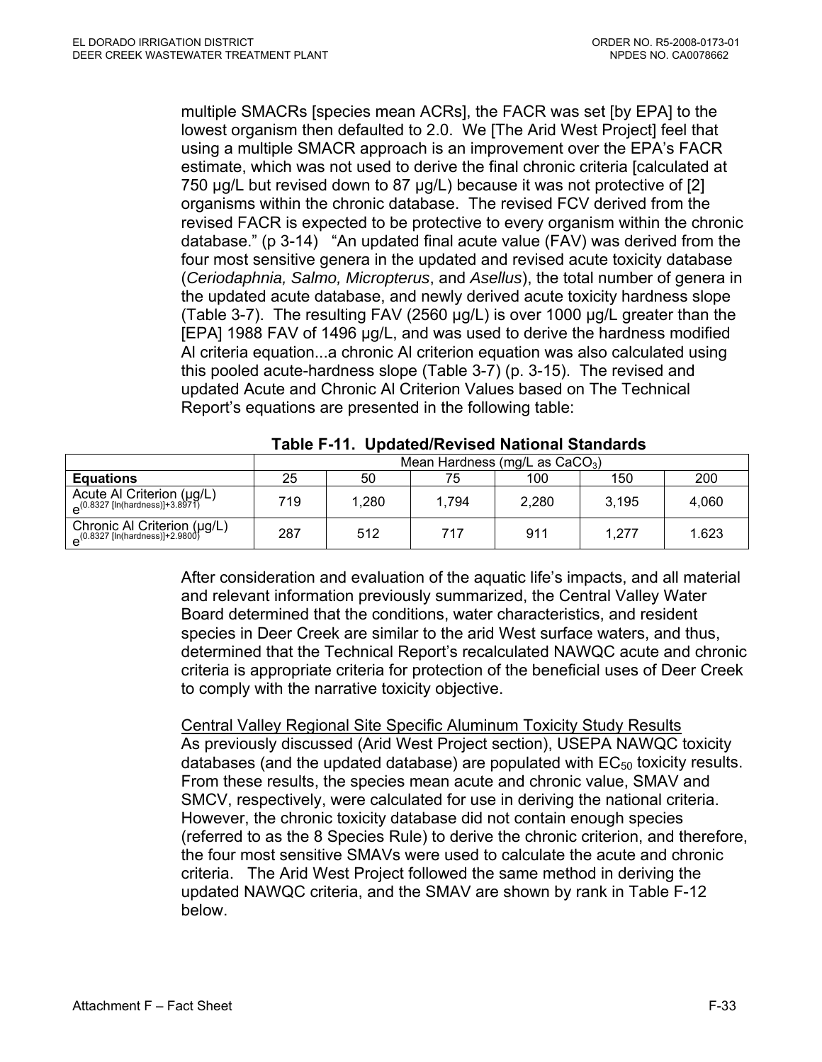multiple SMACRs [species mean ACRs], the FACR was set [by EPA] to the lowest organism then defaulted to 2.0. We [The Arid West Project] feel that using a multiple SMACR approach is an improvement over the EPA's FACR estimate, which was not used to derive the final chronic criteria [calculated at 750 µg/L but revised down to 87 µg/L) because it was not protective of [2] organisms within the chronic database. The revised FCV derived from the revised FACR is expected to be protective to every organism within the chronic database." (p 3-14) "An updated final acute value (FAV) was derived from the four most sensitive genera in the updated and revised acute toxicity database (*Ceriodaphnia, Salmo, Micropterus*, and *Asellus*), the total number of genera in the updated acute database, and newly derived acute toxicity hardness slope (Table 3-7). The resulting FAV (2560 µg/L) is over 1000 µg/L greater than the [EPA] 1988 FAV of 1496 µg/L, and was used to derive the hardness modified Al criteria equation...a chronic Al criterion equation was also calculated using this pooled acute-hardness slope (Table 3-7) (p. 3-15). The revised and updated Acute and Chronic Al Criterion Values based on The Technical Report's equations are presented in the following table:

|                                                                                   | Mean Hardness (mg/L as $CaCO3$ ) |       |       |       |       |       |
|-----------------------------------------------------------------------------------|----------------------------------|-------|-------|-------|-------|-------|
| <b>Equations</b>                                                                  | 25                               | 50    | 75    | 100   | 150   | 200   |
| Acute Al Criterion (µg/L)<br>$P^{(0.8327 \text{ [In} (hardness)]+3.8971)}$        | 719                              | 1,280 | 1.794 | 2.280 | 3,195 | 4,060 |
| Chronic Al Criterion (µg/L)<br>$e^{(0.8327 [\text{In}(\text{hardness})]+2.9800)}$ | 287                              | 512   | 717   | 911   | 1.277 | 1.623 |

# **Table F-11. Updated/Revised National Standards**

After consideration and evaluation of the aquatic life's impacts, and all material and relevant information previously summarized, the Central Valley Water Board determined that the conditions, water characteristics, and resident species in Deer Creek are similar to the arid West surface waters, and thus, determined that the Technical Report's recalculated NAWQC acute and chronic criteria is appropriate criteria for protection of the beneficial uses of Deer Creek to comply with the narrative toxicity objective.

Central Valley Regional Site Specific Aluminum Toxicity Study Results As previously discussed (Arid West Project section), USEPA NAWQC toxicity databases (and the updated database) are populated with  $EC_{50}$  toxicity results. From these results, the species mean acute and chronic value, SMAV and SMCV, respectively, were calculated for use in deriving the national criteria. However, the chronic toxicity database did not contain enough species (referred to as the 8 Species Rule) to derive the chronic criterion, and therefore, the four most sensitive SMAVs were used to calculate the acute and chronic criteria. The Arid West Project followed the same method in deriving the updated NAWQC criteria, and the SMAV are shown by rank in Table F-12 below.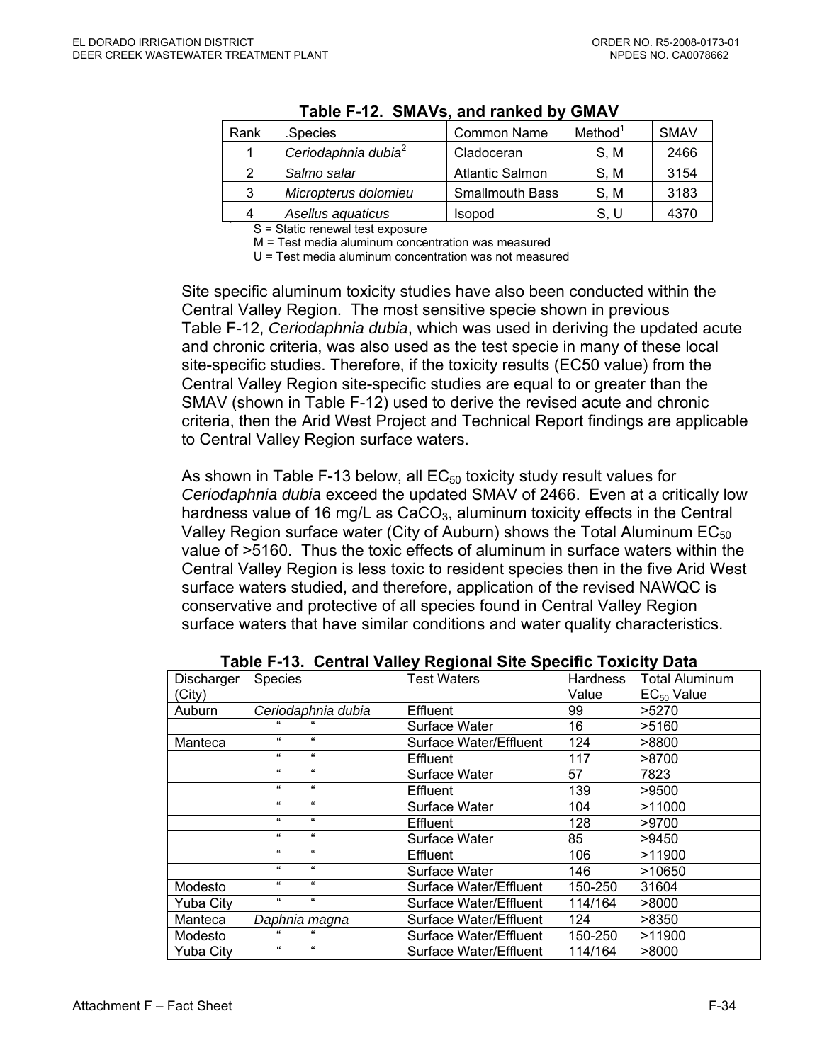| Rank                                            | .Species                        | <b>Common Name</b>     | Method <sup>1</sup> | <b>SMAV</b> |  |
|-------------------------------------------------|---------------------------------|------------------------|---------------------|-------------|--|
|                                                 | Ceriodaphnia dubia <sup>2</sup> | Cladoceran             | S, M                | 2466        |  |
| 2                                               | Salmo salar                     | <b>Atlantic Salmon</b> | S, M                | 3154        |  |
| 3                                               | Micropterus dolomieu            | <b>Smallmouth Bass</b> | S.M                 | 3183        |  |
| 4                                               | Asellus aquaticus               | <b>Isopod</b>          | S. U                | 4370        |  |
| $P =$ $P_{\text{total}}$ rangural test avagaura |                                 |                        |                     |             |  |

S = Static renewal test exposure

M = Test media aluminum concentration was measured

U = Test media aluminum concentration was not measured

Site specific aluminum toxicity studies have also been conducted within the Central Valley Region. The most sensitive specie shown in previous Table F-12, *Ceriodaphnia dubia*, which was used in deriving the updated acute and chronic criteria, was also used as the test specie in many of these local site-specific studies. Therefore, if the toxicity results (EC50 value) from the Central Valley Region site-specific studies are equal to or greater than the SMAV (shown in Table F-12) used to derive the revised acute and chronic criteria, then the Arid West Project and Technical Report findings are applicable to Central Valley Region surface waters.

As shown in Table F-13 below, all  $EC_{50}$  toxicity study result values for *Ceriodaphnia dubia* exceed the updated SMAV of 2466. Even at a critically low hardness value of 16 mg/L as  $CaCO<sub>3</sub>$ , aluminum toxicity effects in the Central Valley Region surface water (City of Auburn) shows the Total Aluminum  $EC_{50}$ value of >5160. Thus the toxic effects of aluminum in surface waters within the Central Valley Region is less toxic to resident species then in the five Arid West surface waters studied, and therefore, application of the revised NAWQC is conservative and protective of all species found in Central Valley Region surface waters that have similar conditions and water quality characteristics.

| Discharger       | Species                  | <b>Test Waters</b>     | Hardness | <b>Total Aluminum</b> |
|------------------|--------------------------|------------------------|----------|-----------------------|
| (City)           |                          |                        | Value    | $EC_{50}$ Value       |
| Auburn           | Ceriodaphnia dubia       | Effluent               | 99       | >5270                 |
|                  |                          | Surface Water          | 16       | >5160                 |
| Manteca          | $\epsilon$<br>$\epsilon$ | Surface Water/Effluent | 124      | >8800                 |
|                  | $\epsilon$<br>$\epsilon$ | Effluent               | 117      | >8700                 |
|                  | $\epsilon$<br>$\epsilon$ | Surface Water          | 57       | 7823                  |
|                  | $\epsilon$<br>$\epsilon$ | Effluent               | 139      | >9500                 |
|                  | $\epsilon$<br>$\epsilon$ | Surface Water          | 104      | >11000                |
|                  | $\epsilon$<br>$\epsilon$ | Effluent               | 128      | >9700                 |
|                  | $\epsilon$<br>$\epsilon$ | Surface Water          | 85       | >9450                 |
|                  | $\epsilon$<br>$\epsilon$ | Effluent               | 106      | >11900                |
|                  | $\epsilon$<br>$\epsilon$ | Surface Water          | 146      | >10650                |
| Modesto          | $\epsilon$<br>$\epsilon$ | Surface Water/Effluent | 150-250  | 31604                 |
| Yuba City        | $\epsilon$<br>$\epsilon$ | Surface Water/Effluent | 114/164  | >8000                 |
| Manteca          | Daphnia magna            | Surface Water/Effluent | 124      | >8350                 |
| Modesto          |                          | Surface Water/Effluent | 150-250  | >11900                |
| <b>Yuba City</b> | $\epsilon$<br>$\epsilon$ | Surface Water/Effluent | 114/164  | >8000                 |

**Table F-13. Central Valley Regional Site Specific Toxicity Data**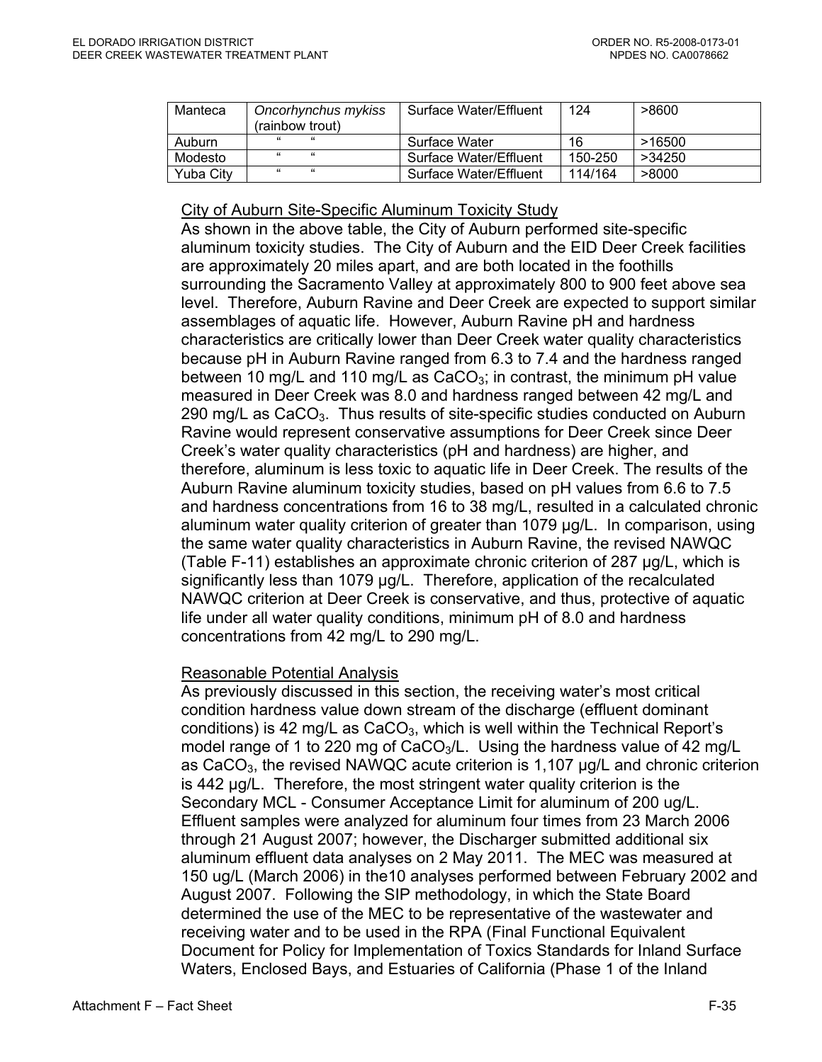| Manteca          | Oncorhynchus mykiss<br>(rainbow trout) | <b>Surface Water/Effluent</b> | 124     | >8600  |
|------------------|----------------------------------------|-------------------------------|---------|--------|
| Auburn           | "<br>$\epsilon$                        | Surface Water                 | 16      | >16500 |
| Modesto          | "<br>$\epsilon$                        | <b>Surface Water/Effluent</b> | 150-250 | >34250 |
| <b>Yuba City</b> | $^{16}$<br>$\epsilon$                  | Surface Water/Effluent        | 114/164 | >8000  |

#### City of Auburn Site-Specific Aluminum Toxicity Study

As shown in the above table, the City of Auburn performed site-specific aluminum toxicity studies. The City of Auburn and the EID Deer Creek facilities are approximately 20 miles apart, and are both located in the foothills surrounding the Sacramento Valley at approximately 800 to 900 feet above sea level. Therefore, Auburn Ravine and Deer Creek are expected to support similar assemblages of aquatic life. However, Auburn Ravine pH and hardness characteristics are critically lower than Deer Creek water quality characteristics because pH in Auburn Ravine ranged from 6.3 to 7.4 and the hardness ranged between 10 mg/L and 110 mg/L as  $CaCO<sub>3</sub>$ ; in contrast, the minimum pH value measured in Deer Creek was 8.0 and hardness ranged between 42 mg/L and 290 mg/L as CaCO<sub>3</sub>. Thus results of site-specific studies conducted on Auburn Ravine would represent conservative assumptions for Deer Creek since Deer Creek's water quality characteristics (pH and hardness) are higher, and therefore, aluminum is less toxic to aquatic life in Deer Creek. The results of the Auburn Ravine aluminum toxicity studies, based on pH values from 6.6 to 7.5 and hardness concentrations from 16 to 38 mg/L, resulted in a calculated chronic aluminum water quality criterion of greater than 1079 µg/L. In comparison, using the same water quality characteristics in Auburn Ravine, the revised NAWQC (Table F-11) establishes an approximate chronic criterion of 287 µg/L, which is significantly less than 1079 µg/L. Therefore, application of the recalculated NAWQC criterion at Deer Creek is conservative, and thus, protective of aquatic life under all water quality conditions, minimum pH of 8.0 and hardness concentrations from 42 mg/L to 290 mg/L.

#### Reasonable Potential Analysis

As previously discussed in this section, the receiving water's most critical condition hardness value down stream of the discharge (effluent dominant conditions) is 42 mg/L as  $CaCO<sub>3</sub>$ , which is well within the Technical Report's model range of 1 to 220 mg of CaCO<sub>3</sub>/L. Using the hardness value of 42 mg/L as  $CaCO<sub>3</sub>$ , the revised NAWQC acute criterion is 1,107  $\mu$ g/L and chronic criterion is 442 µg/L. Therefore, the most stringent water quality criterion is the Secondary MCL - Consumer Acceptance Limit for aluminum of 200 ug/L. Effluent samples were analyzed for aluminum four times from 23 March 2006 through 21 August 2007; however, the Discharger submitted additional six aluminum effluent data analyses on 2 May 2011. The MEC was measured at 150 ug/L (March 2006) in the10 analyses performed between February 2002 and August 2007. Following the SIP methodology, in which the State Board determined the use of the MEC to be representative of the wastewater and receiving water and to be used in the RPA (Final Functional Equivalent Document for Policy for Implementation of Toxics Standards for Inland Surface Waters, Enclosed Bays, and Estuaries of California (Phase 1 of the Inland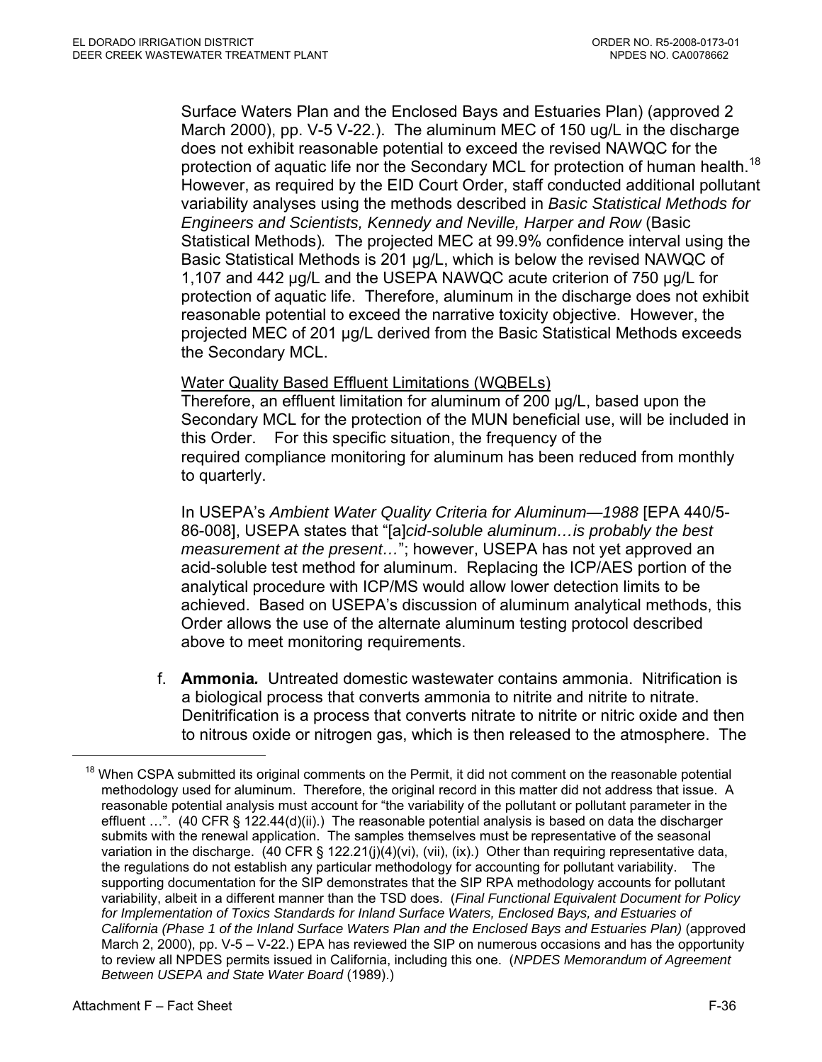Surface Waters Plan and the Enclosed Bays and Estuaries Plan) (approved 2 March 2000), pp. V-5 V-22.). The aluminum MEC of 150 ug/L in the discharge does not exhibit reasonable potential to exceed the revised NAWQC for the protection of aquatic life nor the Secondary MCL for protection of human health.<sup>18</sup> However, as required by the EID Court Order, staff conducted additional pollutant variability analyses using the methods described in *Basic Statistical Methods for Engineers and Scientists, Kennedy and Neville, Harper and Row* (Basic Statistical Methods)*.* The projected MEC at 99.9% confidence interval using the Basic Statistical Methods is 201 µg/L, which is below the revised NAWQC of 1,107 and 442 µg/L and the USEPA NAWQC acute criterion of 750 µg/L for protection of aquatic life. Therefore, aluminum in the discharge does not exhibit reasonable potential to exceed the narrative toxicity objective. However, the projected MEC of 201 µg/L derived from the Basic Statistical Methods exceeds the Secondary MCL.

#### Water Quality Based Effluent Limitations (WQBELs)

Therefore, an effluent limitation for aluminum of 200 µg/L, based upon the Secondary MCL for the protection of the MUN beneficial use, will be included in this Order. For this specific situation, the frequency of the required compliance monitoring for aluminum has been reduced from monthly to quarterly.

In USEPA's *Ambient Water Quality Criteria for Aluminum—1988* [EPA 440/5- 86-008], USEPA states that "[a]*cid-soluble aluminum…is probably the best measurement at the present…*"; however, USEPA has not yet approved an acid-soluble test method for aluminum. Replacing the ICP/AES portion of the analytical procedure with ICP/MS would allow lower detection limits to be achieved. Based on USEPA's discussion of aluminum analytical methods, this Order allows the use of the alternate aluminum testing protocol described above to meet monitoring requirements.

f. **Ammonia***.*Untreated domestic wastewater contains ammonia. Nitrification is a biological process that converts ammonia to nitrite and nitrite to nitrate. Denitrification is a process that converts nitrate to nitrite or nitric oxide and then to nitrous oxide or nitrogen gas, which is then released to the atmosphere. The

<sup>&</sup>lt;sup>18</sup> When CSPA submitted its original comments on the Permit, it did not comment on the reasonable potential methodology used for aluminum. Therefore, the original record in this matter did not address that issue. A reasonable potential analysis must account for "the variability of the pollutant or pollutant parameter in the effluent …". (40 CFR § 122.44(d)(ii).) The reasonable potential analysis is based on data the discharger submits with the renewal application. The samples themselves must be representative of the seasonal variation in the discharge. (40 CFR § 122.21(j)(4)(vi), (vii), (ix).) Other than requiring representative data, the regulations do not establish any particular methodology for accounting for pollutant variability. The supporting documentation for the SIP demonstrates that the SIP RPA methodology accounts for pollutant variability, albeit in a different manner than the TSD does. (*Final Functional Equivalent Document for Policy*  for Implementation of Toxics Standards for Inland Surface Waters, Enclosed Bays, and Estuaries of *California (Phase 1 of the Inland Surface Waters Plan and the Enclosed Bays and Estuaries Plan)* (approved March 2, 2000), pp. V-5 – V-22.) EPA has reviewed the SIP on numerous occasions and has the opportunity to review all NPDES permits issued in California, including this one. (*NPDES Memorandum of Agreement Between USEPA and State Water Board* (1989).)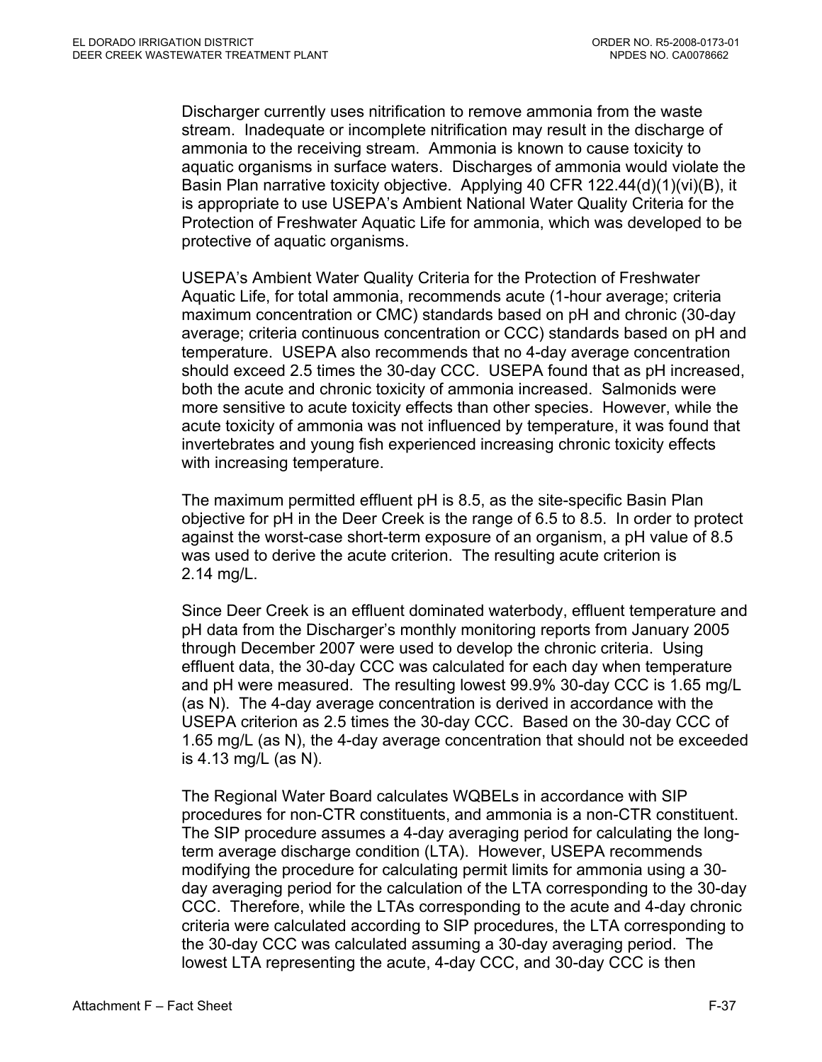Discharger currently uses nitrification to remove ammonia from the waste stream. Inadequate or incomplete nitrification may result in the discharge of ammonia to the receiving stream. Ammonia is known to cause toxicity to aquatic organisms in surface waters. Discharges of ammonia would violate the Basin Plan narrative toxicity objective. Applying 40 CFR 122.44(d)(1)(vi)(B), it is appropriate to use USEPA's Ambient National Water Quality Criteria for the Protection of Freshwater Aquatic Life for ammonia, which was developed to be protective of aquatic organisms.

USEPA's Ambient Water Quality Criteria for the Protection of Freshwater Aquatic Life, for total ammonia, recommends acute (1-hour average; criteria maximum concentration or CMC) standards based on pH and chronic (30-day average; criteria continuous concentration or CCC) standards based on pH and temperature. USEPA also recommends that no 4-day average concentration should exceed 2.5 times the 30-day CCC. USEPA found that as pH increased, both the acute and chronic toxicity of ammonia increased. Salmonids were more sensitive to acute toxicity effects than other species. However, while the acute toxicity of ammonia was not influenced by temperature, it was found that invertebrates and young fish experienced increasing chronic toxicity effects with increasing temperature.

The maximum permitted effluent pH is 8.5, as the site-specific Basin Plan objective for pH in the Deer Creek is the range of 6.5 to 8.5. In order to protect against the worst-case short-term exposure of an organism, a pH value of 8.5 was used to derive the acute criterion. The resulting acute criterion is 2.14 mg/L.

Since Deer Creek is an effluent dominated waterbody, effluent temperature and pH data from the Discharger's monthly monitoring reports from January 2005 through December 2007 were used to develop the chronic criteria. Using effluent data, the 30-day CCC was calculated for each day when temperature and pH were measured. The resulting lowest 99.9% 30-day CCC is 1.65 mg/L (as N). The 4-day average concentration is derived in accordance with the USEPA criterion as 2.5 times the 30-day CCC. Based on the 30-day CCC of 1.65 mg/L (as N), the 4-day average concentration that should not be exceeded is 4.13 mg/L (as N).

The Regional Water Board calculates WQBELs in accordance with SIP procedures for non-CTR constituents, and ammonia is a non-CTR constituent. The SIP procedure assumes a 4-day averaging period for calculating the longterm average discharge condition (LTA). However, USEPA recommends modifying the procedure for calculating permit limits for ammonia using a 30 day averaging period for the calculation of the LTA corresponding to the 30-day CCC. Therefore, while the LTAs corresponding to the acute and 4-day chronic criteria were calculated according to SIP procedures, the LTA corresponding to the 30-day CCC was calculated assuming a 30-day averaging period. The lowest LTA representing the acute, 4-day CCC, and 30-day CCC is then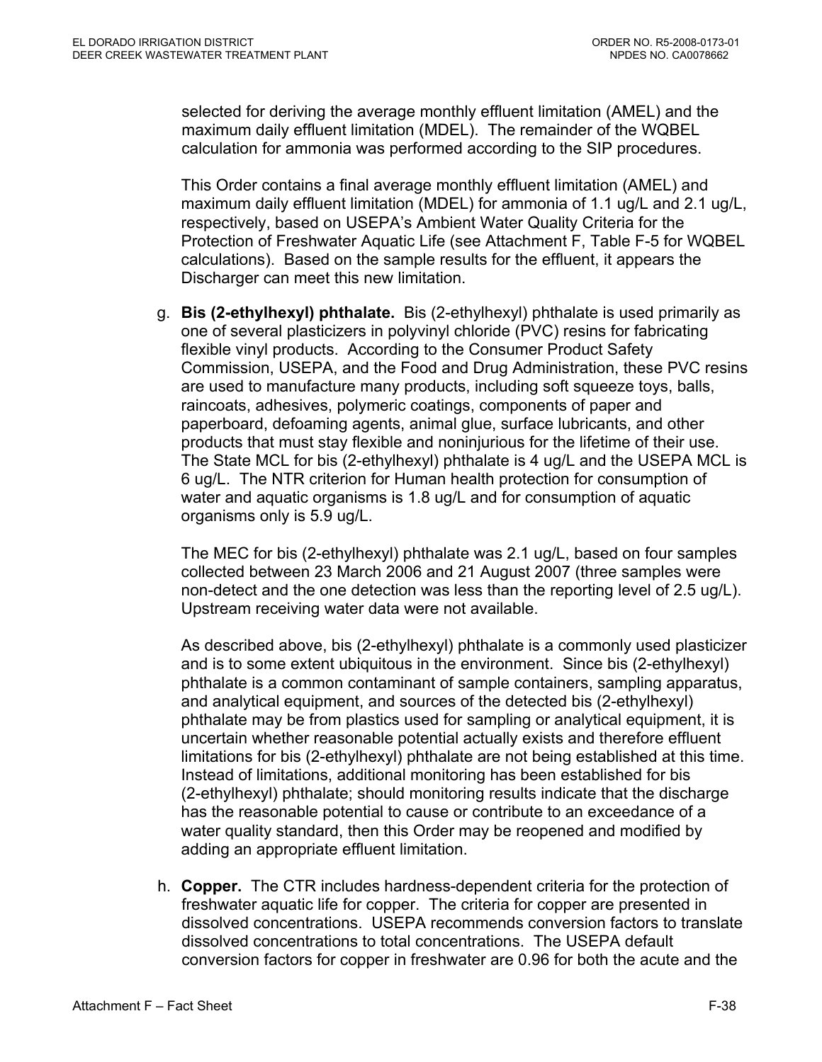selected for deriving the average monthly effluent limitation (AMEL) and the maximum daily effluent limitation (MDEL). The remainder of the WQBEL calculation for ammonia was performed according to the SIP procedures.

This Order contains a final average monthly effluent limitation (AMEL) and maximum daily effluent limitation (MDEL) for ammonia of 1.1 ug/L and 2.1 ug/L, respectively, based on USEPA's Ambient Water Quality Criteria for the Protection of Freshwater Aquatic Life (see Attachment F, Table F-5 for WQBEL calculations). Based on the sample results for the effluent, it appears the Discharger can meet this new limitation.

g. **Bis (2-ethylhexyl) phthalate.** Bis (2-ethylhexyl) phthalate is used primarily as one of several plasticizers in polyvinyl chloride (PVC) resins for fabricating flexible vinyl products. According to the Consumer Product Safety Commission, USEPA, and the Food and Drug Administration, these PVC resins are used to manufacture many products, including soft squeeze toys, balls, raincoats, adhesives, polymeric coatings, components of paper and paperboard, defoaming agents, animal glue, surface lubricants, and other products that must stay flexible and noninjurious for the lifetime of their use. The State MCL for bis (2-ethylhexyl) phthalate is 4 ug/L and the USEPA MCL is 6 ug/L. The NTR criterion for Human health protection for consumption of water and aquatic organisms is 1.8 ug/L and for consumption of aquatic organisms only is 5.9 ug/L.

The MEC for bis (2-ethylhexyl) phthalate was 2.1 ug/L, based on four samples collected between 23 March 2006 and 21 August 2007 (three samples were non-detect and the one detection was less than the reporting level of 2.5 ug/L). Upstream receiving water data were not available.

As described above, bis (2-ethylhexyl) phthalate is a commonly used plasticizer and is to some extent ubiquitous in the environment. Since bis (2-ethylhexyl) phthalate is a common contaminant of sample containers, sampling apparatus, and analytical equipment, and sources of the detected bis (2-ethylhexyl) phthalate may be from plastics used for sampling or analytical equipment, it is uncertain whether reasonable potential actually exists and therefore effluent limitations for bis (2-ethylhexyl) phthalate are not being established at this time. Instead of limitations, additional monitoring has been established for bis (2-ethylhexyl) phthalate; should monitoring results indicate that the discharge has the reasonable potential to cause or contribute to an exceedance of a water quality standard, then this Order may be reopened and modified by adding an appropriate effluent limitation.

h. **Copper.** The CTR includes hardness-dependent criteria for the protection of freshwater aquatic life for copper. The criteria for copper are presented in dissolved concentrations. USEPA recommends conversion factors to translate dissolved concentrations to total concentrations. The USEPA default conversion factors for copper in freshwater are 0.96 for both the acute and the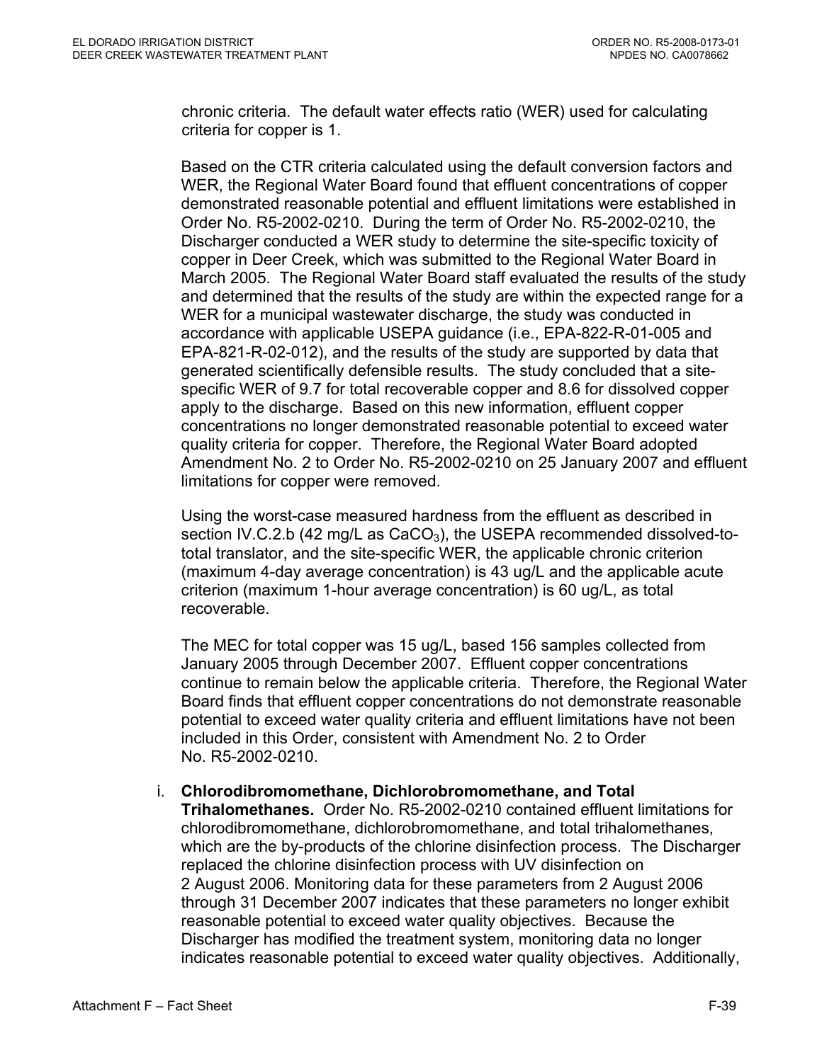chronic criteria. The default water effects ratio (WER) used for calculating criteria for copper is 1.

Based on the CTR criteria calculated using the default conversion factors and WER, the Regional Water Board found that effluent concentrations of copper demonstrated reasonable potential and effluent limitations were established in Order No. R5-2002-0210. During the term of Order No. R5-2002-0210, the Discharger conducted a WER study to determine the site-specific toxicity of copper in Deer Creek, which was submitted to the Regional Water Board in March 2005. The Regional Water Board staff evaluated the results of the study and determined that the results of the study are within the expected range for a WER for a municipal wastewater discharge, the study was conducted in accordance with applicable USEPA guidance (i.e., EPA-822-R-01-005 and EPA-821-R-02-012), and the results of the study are supported by data that generated scientifically defensible results. The study concluded that a sitespecific WER of 9.7 for total recoverable copper and 8.6 for dissolved copper apply to the discharge. Based on this new information, effluent copper concentrations no longer demonstrated reasonable potential to exceed water quality criteria for copper. Therefore, the Regional Water Board adopted Amendment No. 2 to Order No. R5-2002-0210 on 25 January 2007 and effluent limitations for copper were removed.

Using the worst-case measured hardness from the effluent as described in section IV.C.2.b (42 mg/L as  $CaCO<sub>3</sub>$ ), the USEPA recommended dissolved-tototal translator, and the site-specific WER, the applicable chronic criterion (maximum 4-day average concentration) is 43 ug/L and the applicable acute criterion (maximum 1-hour average concentration) is 60 ug/L, as total recoverable.

The MEC for total copper was 15 ug/L, based 156 samples collected from January 2005 through December 2007. Effluent copper concentrations continue to remain below the applicable criteria. Therefore, the Regional Water Board finds that effluent copper concentrations do not demonstrate reasonable potential to exceed water quality criteria and effluent limitations have not been included in this Order, consistent with Amendment No. 2 to Order No. R5-2002-0210.

# i. **Chlorodibromomethane, Dichlorobromomethane, and Total**

**Trihalomethanes.** Order No. R5-2002-0210 contained effluent limitations for chlorodibromomethane, dichlorobromomethane, and total trihalomethanes, which are the by-products of the chlorine disinfection process. The Discharger replaced the chlorine disinfection process with UV disinfection on 2 August 2006. Monitoring data for these parameters from 2 August 2006 through 31 December 2007 indicates that these parameters no longer exhibit reasonable potential to exceed water quality objectives. Because the Discharger has modified the treatment system, monitoring data no longer indicates reasonable potential to exceed water quality objectives. Additionally,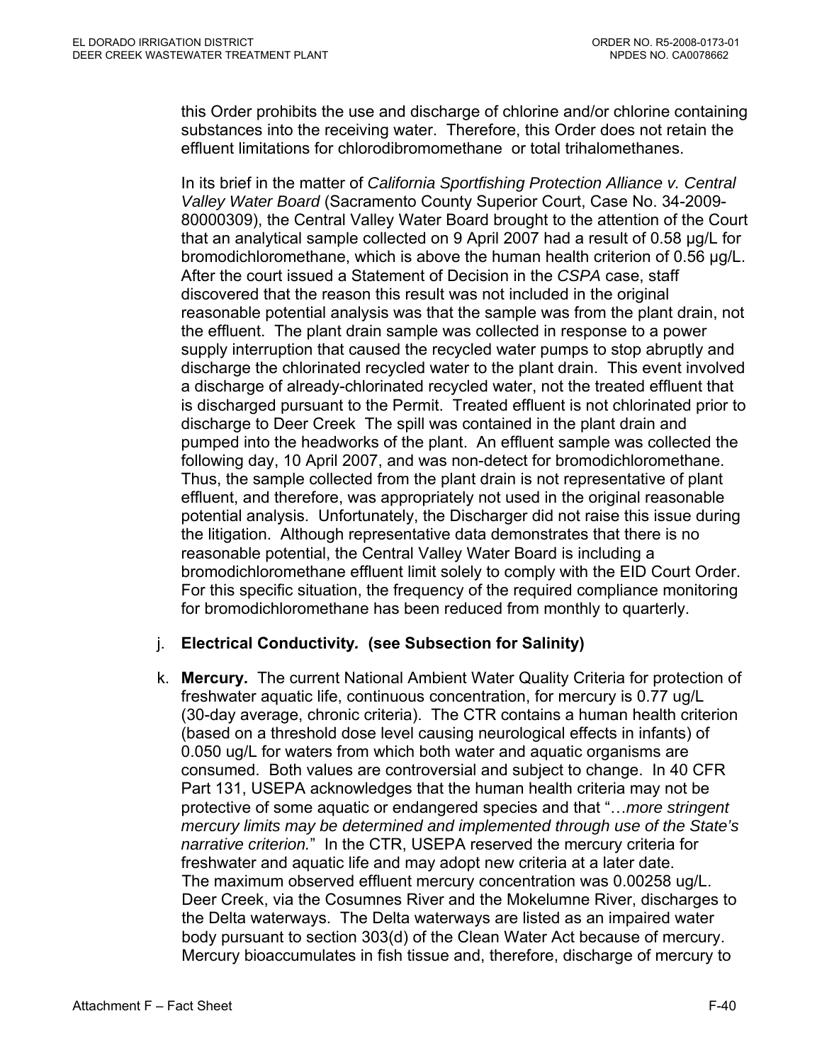this Order prohibits the use and discharge of chlorine and/or chlorine containing substances into the receiving water. Therefore, this Order does not retain the effluent limitations for chlorodibromomethane or total trihalomethanes.

In its brief in the matter of *California Sportfishing Protection Alliance v. Central Valley Water Board* (Sacramento County Superior Court, Case No. 34-2009- 80000309), the Central Valley Water Board brought to the attention of the Court that an analytical sample collected on 9 April 2007 had a result of 0.58 µg/L for bromodichloromethane, which is above the human health criterion of 0.56 µg/L. After the court issued a Statement of Decision in the *CSPA* case, staff discovered that the reason this result was not included in the original reasonable potential analysis was that the sample was from the plant drain, not the effluent. The plant drain sample was collected in response to a power supply interruption that caused the recycled water pumps to stop abruptly and discharge the chlorinated recycled water to the plant drain. This event involved a discharge of already-chlorinated recycled water, not the treated effluent that is discharged pursuant to the Permit. Treated effluent is not chlorinated prior to discharge to Deer Creek The spill was contained in the plant drain and pumped into the headworks of the plant. An effluent sample was collected the following day, 10 April 2007, and was non-detect for bromodichloromethane. Thus, the sample collected from the plant drain is not representative of plant effluent, and therefore, was appropriately not used in the original reasonable potential analysis. Unfortunately, the Discharger did not raise this issue during the litigation. Although representative data demonstrates that there is no reasonable potential, the Central Valley Water Board is including a bromodichloromethane effluent limit solely to comply with the EID Court Order. For this specific situation, the frequency of the required compliance monitoring for bromodichloromethane has been reduced from monthly to quarterly.

### j. **Electrical Conductivity***.* **(see Subsection for Salinity)**

k. **Mercury.** The current National Ambient Water Quality Criteria for protection of freshwater aquatic life, continuous concentration, for mercury is 0.77 ug/L (30-day average, chronic criteria). The CTR contains a human health criterion (based on a threshold dose level causing neurological effects in infants) of 0.050 ug/L for waters from which both water and aquatic organisms are consumed. Both values are controversial and subject to change. In 40 CFR Part 131, USEPA acknowledges that the human health criteria may not be protective of some aquatic or endangered species and that "…*more stringent mercury limits may be determined and implemented through use of the State's narrative criterion.*" In the CTR, USEPA reserved the mercury criteria for freshwater and aquatic life and may adopt new criteria at a later date. The maximum observed effluent mercury concentration was 0.00258 ug/L. Deer Creek, via the Cosumnes River and the Mokelumne River, discharges to the Delta waterways. The Delta waterways are listed as an impaired water body pursuant to section 303(d) of the Clean Water Act because of mercury. Mercury bioaccumulates in fish tissue and, therefore, discharge of mercury to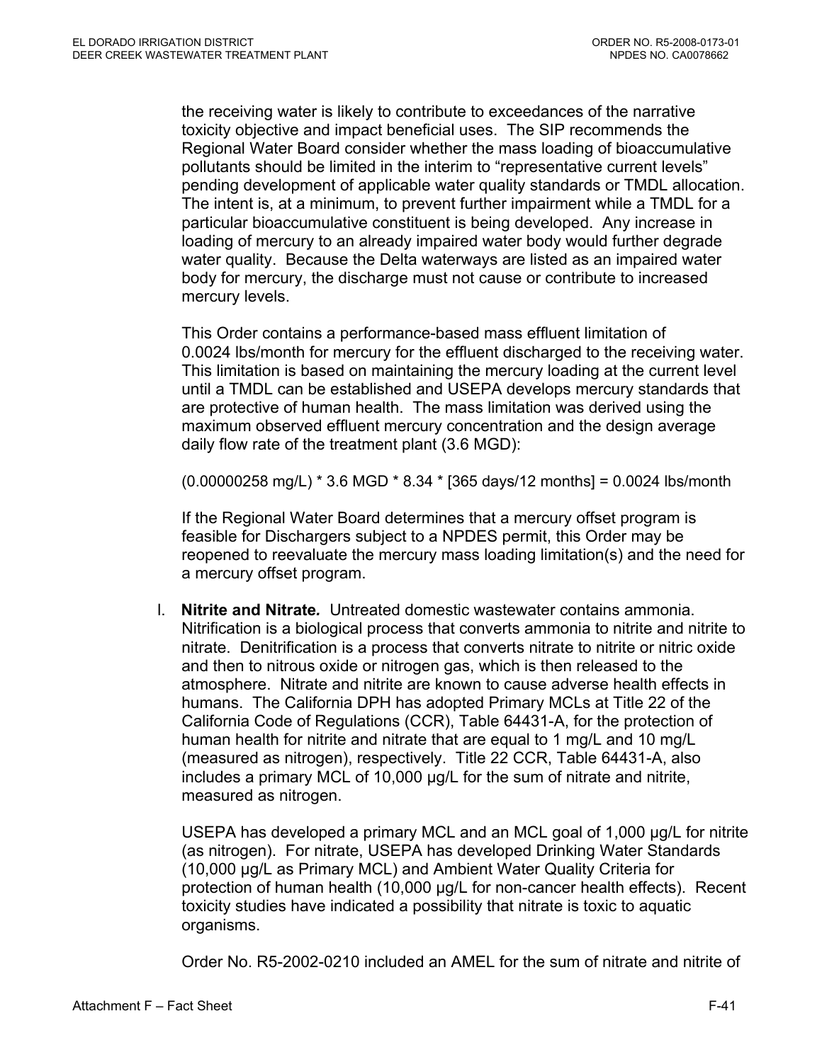the receiving water is likely to contribute to exceedances of the narrative toxicity objective and impact beneficial uses. The SIP recommends the Regional Water Board consider whether the mass loading of bioaccumulative pollutants should be limited in the interim to "representative current levels" pending development of applicable water quality standards or TMDL allocation. The intent is, at a minimum, to prevent further impairment while a TMDL for a particular bioaccumulative constituent is being developed. Any increase in loading of mercury to an already impaired water body would further degrade water quality. Because the Delta waterways are listed as an impaired water body for mercury, the discharge must not cause or contribute to increased mercury levels.

This Order contains a performance-based mass effluent limitation of 0.0024 lbs/month for mercury for the effluent discharged to the receiving water. This limitation is based on maintaining the mercury loading at the current level until a TMDL can be established and USEPA develops mercury standards that are protective of human health. The mass limitation was derived using the maximum observed effluent mercury concentration and the design average daily flow rate of the treatment plant (3.6 MGD):

(0.00000258 mg/L) \* 3.6 MGD \* 8.34 \* [365 days/12 months] = 0.0024 lbs/month

If the Regional Water Board determines that a mercury offset program is feasible for Dischargers subject to a NPDES permit, this Order may be reopened to reevaluate the mercury mass loading limitation(s) and the need for a mercury offset program.

l. **Nitrite and Nitrate***.* Untreated domestic wastewater contains ammonia. Nitrification is a biological process that converts ammonia to nitrite and nitrite to nitrate. Denitrification is a process that converts nitrate to nitrite or nitric oxide and then to nitrous oxide or nitrogen gas, which is then released to the atmosphere. Nitrate and nitrite are known to cause adverse health effects in humans. The California DPH has adopted Primary MCLs at Title 22 of the California Code of Regulations (CCR), Table 64431-A, for the protection of human health for nitrite and nitrate that are equal to 1 mg/L and 10 mg/L (measured as nitrogen), respectively. Title 22 CCR, Table 64431-A, also includes a primary MCL of 10,000 µg/L for the sum of nitrate and nitrite, measured as nitrogen.

USEPA has developed a primary MCL and an MCL goal of 1,000 µg/L for nitrite (as nitrogen). For nitrate, USEPA has developed Drinking Water Standards (10,000 µg/L as Primary MCL) and Ambient Water Quality Criteria for protection of human health (10,000 µg/L for non-cancer health effects). Recent toxicity studies have indicated a possibility that nitrate is toxic to aquatic organisms.

Order No. R5-2002-0210 included an AMEL for the sum of nitrate and nitrite of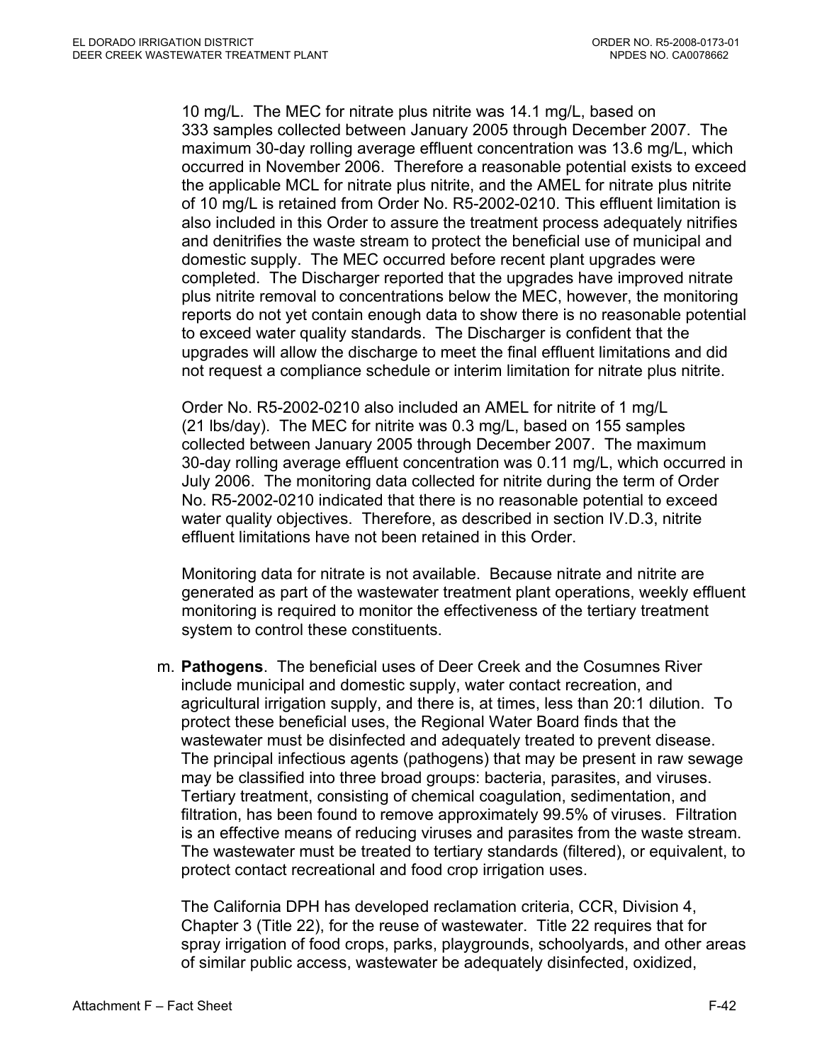10 mg/L. The MEC for nitrate plus nitrite was 14.1 mg/L, based on 333 samples collected between January 2005 through December 2007. The maximum 30-day rolling average effluent concentration was 13.6 mg/L, which occurred in November 2006. Therefore a reasonable potential exists to exceed the applicable MCL for nitrate plus nitrite, and the AMEL for nitrate plus nitrite of 10 mg/L is retained from Order No. R5-2002-0210. This effluent limitation is also included in this Order to assure the treatment process adequately nitrifies and denitrifies the waste stream to protect the beneficial use of municipal and domestic supply. The MEC occurred before recent plant upgrades were completed. The Discharger reported that the upgrades have improved nitrate plus nitrite removal to concentrations below the MEC, however, the monitoring reports do not yet contain enough data to show there is no reasonable potential to exceed water quality standards. The Discharger is confident that the upgrades will allow the discharge to meet the final effluent limitations and did not request a compliance schedule or interim limitation for nitrate plus nitrite.

Order No. R5-2002-0210 also included an AMEL for nitrite of 1 mg/L (21 lbs/day). The MEC for nitrite was 0.3 mg/L, based on 155 samples collected between January 2005 through December 2007. The maximum 30-day rolling average effluent concentration was 0.11 mg/L, which occurred in July 2006. The monitoring data collected for nitrite during the term of Order No. R5-2002-0210 indicated that there is no reasonable potential to exceed water quality objectives. Therefore, as described in section IV.D.3, nitrite effluent limitations have not been retained in this Order.

Monitoring data for nitrate is not available. Because nitrate and nitrite are generated as part of the wastewater treatment plant operations, weekly effluent monitoring is required to monitor the effectiveness of the tertiary treatment system to control these constituents.

m. **Pathogens**. The beneficial uses of Deer Creek and the Cosumnes River include municipal and domestic supply, water contact recreation, and agricultural irrigation supply, and there is, at times, less than 20:1 dilution. To protect these beneficial uses, the Regional Water Board finds that the wastewater must be disinfected and adequately treated to prevent disease. The principal infectious agents (pathogens) that may be present in raw sewage may be classified into three broad groups: bacteria, parasites, and viruses. Tertiary treatment, consisting of chemical coagulation, sedimentation, and filtration, has been found to remove approximately 99.5% of viruses. Filtration is an effective means of reducing viruses and parasites from the waste stream. The wastewater must be treated to tertiary standards (filtered), or equivalent, to protect contact recreational and food crop irrigation uses.

The California DPH has developed reclamation criteria, CCR, Division 4, Chapter 3 (Title 22), for the reuse of wastewater. Title 22 requires that for spray irrigation of food crops, parks, playgrounds, schoolyards, and other areas of similar public access, wastewater be adequately disinfected, oxidized,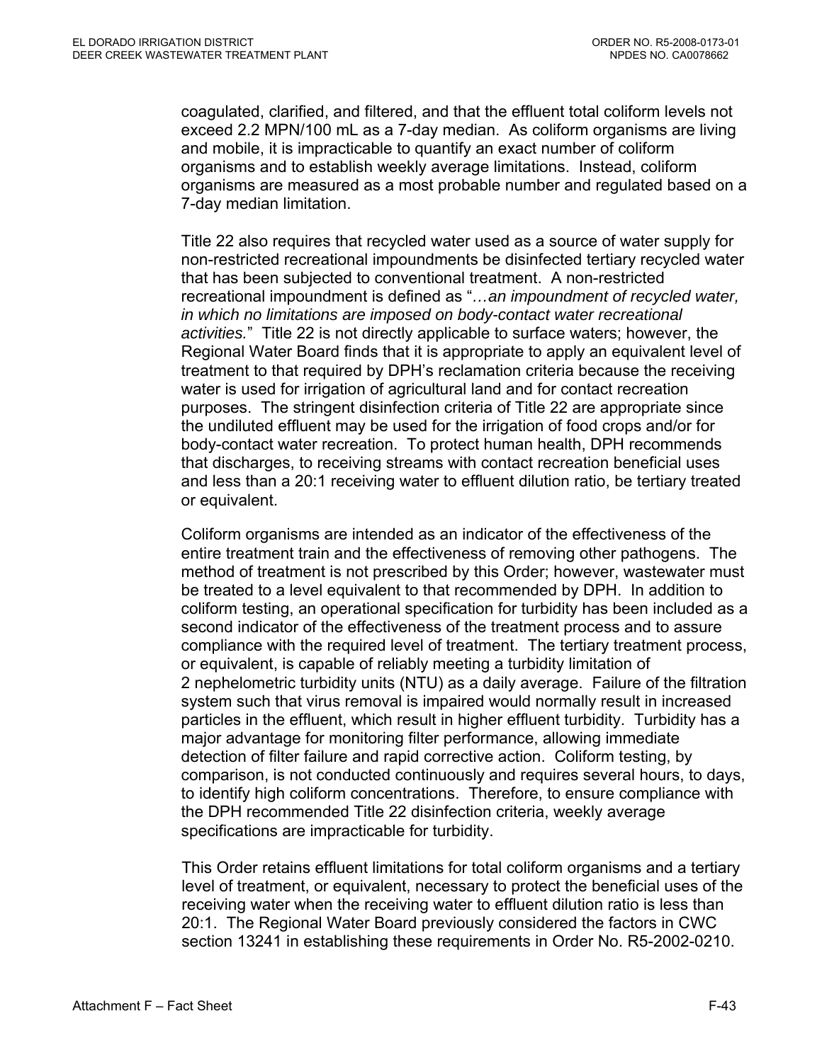coagulated, clarified, and filtered, and that the effluent total coliform levels not exceed 2.2 MPN/100 mL as a 7-day median. As coliform organisms are living and mobile, it is impracticable to quantify an exact number of coliform organisms and to establish weekly average limitations. Instead, coliform organisms are measured as a most probable number and regulated based on a 7-day median limitation.

Title 22 also requires that recycled water used as a source of water supply for non-restricted recreational impoundments be disinfected tertiary recycled water that has been subjected to conventional treatment. A non-restricted recreational impoundment is defined as "*…an impoundment of recycled water, in which no limitations are imposed on body-contact water recreational activities.*" Title 22 is not directly applicable to surface waters; however, the Regional Water Board finds that it is appropriate to apply an equivalent level of treatment to that required by DPH's reclamation criteria because the receiving water is used for irrigation of agricultural land and for contact recreation purposes. The stringent disinfection criteria of Title 22 are appropriate since the undiluted effluent may be used for the irrigation of food crops and/or for body-contact water recreation. To protect human health, DPH recommends that discharges, to receiving streams with contact recreation beneficial uses and less than a 20:1 receiving water to effluent dilution ratio, be tertiary treated or equivalent.

Coliform organisms are intended as an indicator of the effectiveness of the entire treatment train and the effectiveness of removing other pathogens. The method of treatment is not prescribed by this Order; however, wastewater must be treated to a level equivalent to that recommended by DPH. In addition to coliform testing, an operational specification for turbidity has been included as a second indicator of the effectiveness of the treatment process and to assure compliance with the required level of treatment. The tertiary treatment process, or equivalent, is capable of reliably meeting a turbidity limitation of 2 nephelometric turbidity units (NTU) as a daily average. Failure of the filtration system such that virus removal is impaired would normally result in increased particles in the effluent, which result in higher effluent turbidity. Turbidity has a major advantage for monitoring filter performance, allowing immediate detection of filter failure and rapid corrective action. Coliform testing, by comparison, is not conducted continuously and requires several hours, to days, to identify high coliform concentrations. Therefore, to ensure compliance with the DPH recommended Title 22 disinfection criteria, weekly average specifications are impracticable for turbidity.

This Order retains effluent limitations for total coliform organisms and a tertiary level of treatment, or equivalent, necessary to protect the beneficial uses of the receiving water when the receiving water to effluent dilution ratio is less than 20:1. The Regional Water Board previously considered the factors in CWC section 13241 in establishing these requirements in Order No. R5-2002-0210.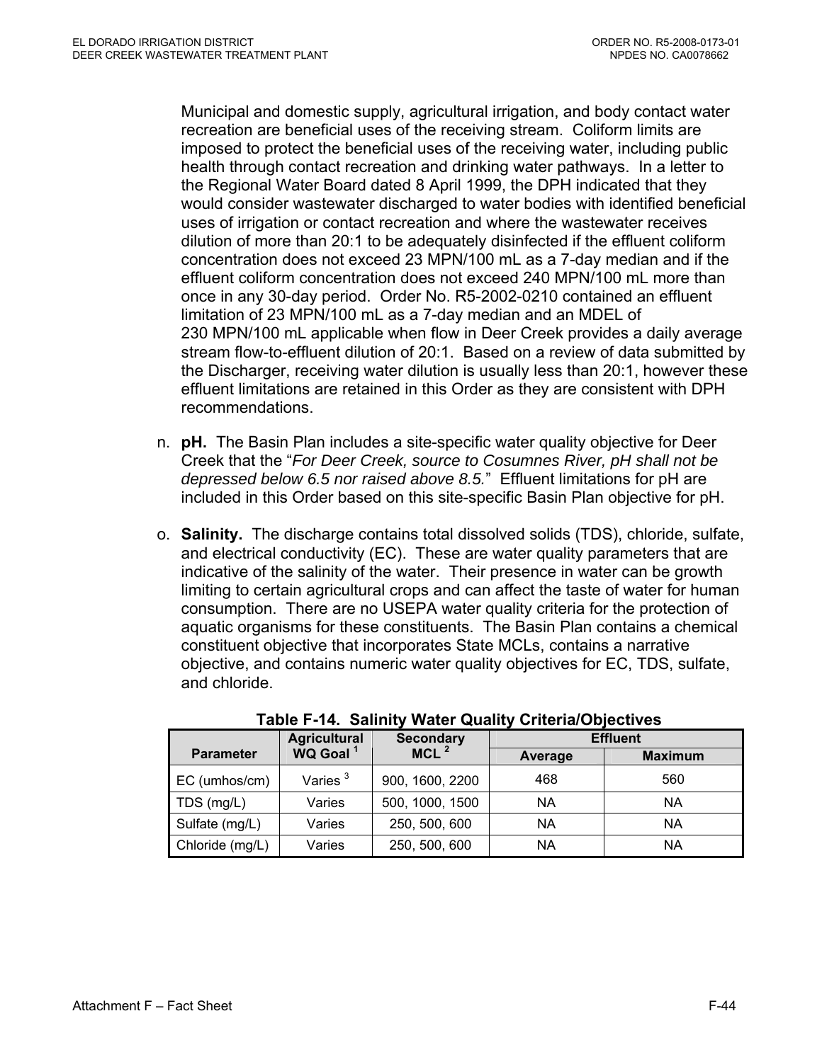Municipal and domestic supply, agricultural irrigation, and body contact water recreation are beneficial uses of the receiving stream. Coliform limits are imposed to protect the beneficial uses of the receiving water, including public health through contact recreation and drinking water pathways. In a letter to the Regional Water Board dated 8 April 1999, the DPH indicated that they would consider wastewater discharged to water bodies with identified beneficial uses of irrigation or contact recreation and where the wastewater receives dilution of more than 20:1 to be adequately disinfected if the effluent coliform concentration does not exceed 23 MPN/100 mL as a 7-day median and if the effluent coliform concentration does not exceed 240 MPN/100 mL more than once in any 30-day period. Order No. R5-2002-0210 contained an effluent limitation of 23 MPN/100 mL as a 7-day median and an MDEL of 230 MPN/100 mL applicable when flow in Deer Creek provides a daily average stream flow-to-effluent dilution of 20:1. Based on a review of data submitted by the Discharger, receiving water dilution is usually less than 20:1, however these effluent limitations are retained in this Order as they are consistent with DPH recommendations.

- n. **pH.** The Basin Plan includes a site-specific water quality objective for Deer Creek that the "*For Deer Creek, source to Cosumnes River, pH shall not be depressed below 6.5 nor raised above 8.5.*" Effluent limitations for pH are included in this Order based on this site-specific Basin Plan objective for pH.
- o. **Salinity.** The discharge contains total dissolved solids (TDS), chloride, sulfate, and electrical conductivity (EC). These are water quality parameters that are indicative of the salinity of the water. Their presence in water can be growth limiting to certain agricultural crops and can affect the taste of water for human consumption. There are no USEPA water quality criteria for the protection of aquatic organisms for these constituents. The Basin Plan contains a chemical constituent objective that incorporates State MCLs, contains a narrative objective, and contains numeric water quality objectives for EC, TDS, sulfate, and chloride.

|                  | <b>Agricultural</b>  | <b>Secondary</b> |           | <b>Effluent</b> |
|------------------|----------------------|------------------|-----------|-----------------|
| <b>Parameter</b> | WQ Goal <sup>1</sup> | MCL <sup>2</sup> | Average   | <b>Maximum</b>  |
| EC (umhos/cm)    | Varies $3$           | 900, 1600, 2200  | 468       | 560             |
| TDS (mg/L)       | Varies               | 500, 1000, 1500  | ΝA        | <b>NA</b>       |
| Sulfate (mg/L)   | Varies               | 250, 500, 600    | <b>NA</b> | <b>NA</b>       |
| Chloride (mg/L)  | Varies               | 250, 500, 600    | <b>NA</b> | <b>NA</b>       |

**Table F-14. Salinity Water Quality Criteria/Objectives**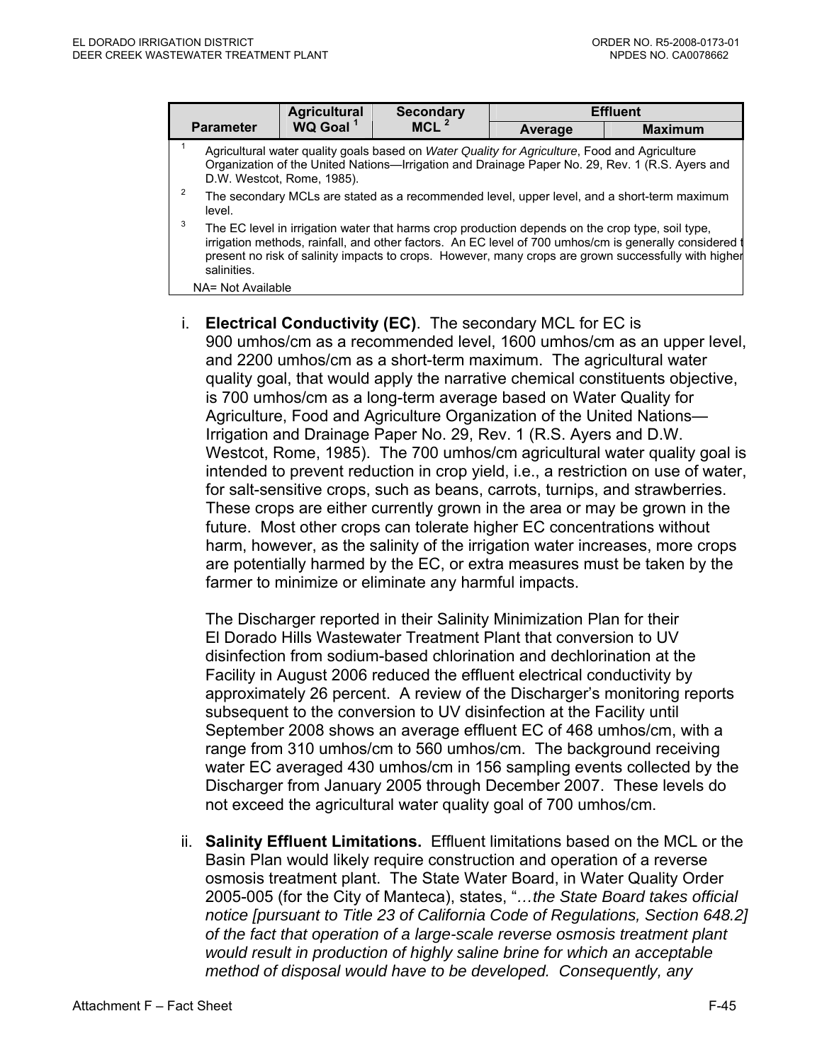|                                                                                                                                                                                                                                                                                                                                    | <b>Agricultural</b>  | <b>Secondary</b>                                                                                 |         | <b>Effluent</b>                                                                                                                                                                                                |  |  |
|------------------------------------------------------------------------------------------------------------------------------------------------------------------------------------------------------------------------------------------------------------------------------------------------------------------------------------|----------------------|--------------------------------------------------------------------------------------------------|---------|----------------------------------------------------------------------------------------------------------------------------------------------------------------------------------------------------------------|--|--|
| <b>Parameter</b>                                                                                                                                                                                                                                                                                                                   | WQ Goal <sup>1</sup> | $MCL$ <sup>2</sup>                                                                               | Average | <b>Maximum</b>                                                                                                                                                                                                 |  |  |
| Agricultural water quality goals based on Water Quality for Agriculture, Food and Agriculture<br>Organization of the United Nations—Irrigation and Drainage Paper No. 29, Rev. 1 (R.S. Ayers and<br>D.W. Westcot, Rome, 1985).<br>2<br>The secondary MCLs are stated as a recommended level, upper level, and a short-term maximum |                      |                                                                                                  |         |                                                                                                                                                                                                                |  |  |
| level.<br>3<br>salinities.                                                                                                                                                                                                                                                                                                         |                      | The EC level in irrigation water that harms crop production depends on the crop type, soil type, |         | irrigation methods, rainfall, and other factors. An EC level of 700 umhos/cm is generally considered (<br>present no risk of salinity impacts to crops. However, many crops are grown successfully with higher |  |  |
| NA= Not Available                                                                                                                                                                                                                                                                                                                  |                      |                                                                                                  |         |                                                                                                                                                                                                                |  |  |

i. **Electrical Conductivity (EC)**. The secondary MCL for EC is 900 umhos/cm as a recommended level, 1600 umhos/cm as an upper level, and 2200 umhos/cm as a short-term maximum. The agricultural water quality goal, that would apply the narrative chemical constituents objective, is 700 umhos/cm as a long-term average based on Water Quality for Agriculture, Food and Agriculture Organization of the United Nations— Irrigation and Drainage Paper No. 29, Rev. 1 (R.S. Ayers and D.W. Westcot, Rome, 1985). The 700 umhos/cm agricultural water quality goal is intended to prevent reduction in crop yield, i.e., a restriction on use of water, for salt-sensitive crops, such as beans, carrots, turnips, and strawberries. These crops are either currently grown in the area or may be grown in the future. Most other crops can tolerate higher EC concentrations without harm, however, as the salinity of the irrigation water increases, more crops are potentially harmed by the EC, or extra measures must be taken by the farmer to minimize or eliminate any harmful impacts.

The Discharger reported in their Salinity Minimization Plan for their El Dorado Hills Wastewater Treatment Plant that conversion to UV disinfection from sodium-based chlorination and dechlorination at the Facility in August 2006 reduced the effluent electrical conductivity by approximately 26 percent. A review of the Discharger's monitoring reports subsequent to the conversion to UV disinfection at the Facility until September 2008 shows an average effluent EC of 468 umhos/cm, with a range from 310 umhos/cm to 560 umhos/cm. The background receiving water EC averaged 430 umhos/cm in 156 sampling events collected by the Discharger from January 2005 through December 2007. These levels do not exceed the agricultural water quality goal of 700 umhos/cm.

ii. **Salinity Effluent Limitations.** Effluent limitations based on the MCL or the Basin Plan would likely require construction and operation of a reverse osmosis treatment plant. The State Water Board, in Water Quality Order 2005-005 (for the City of Manteca), states, "*…the State Board takes official notice [pursuant to Title 23 of California Code of Regulations, Section 648.2] of the fact that operation of a large-scale reverse osmosis treatment plant would result in production of highly saline brine for which an acceptable method of disposal would have to be developed. Consequently, any*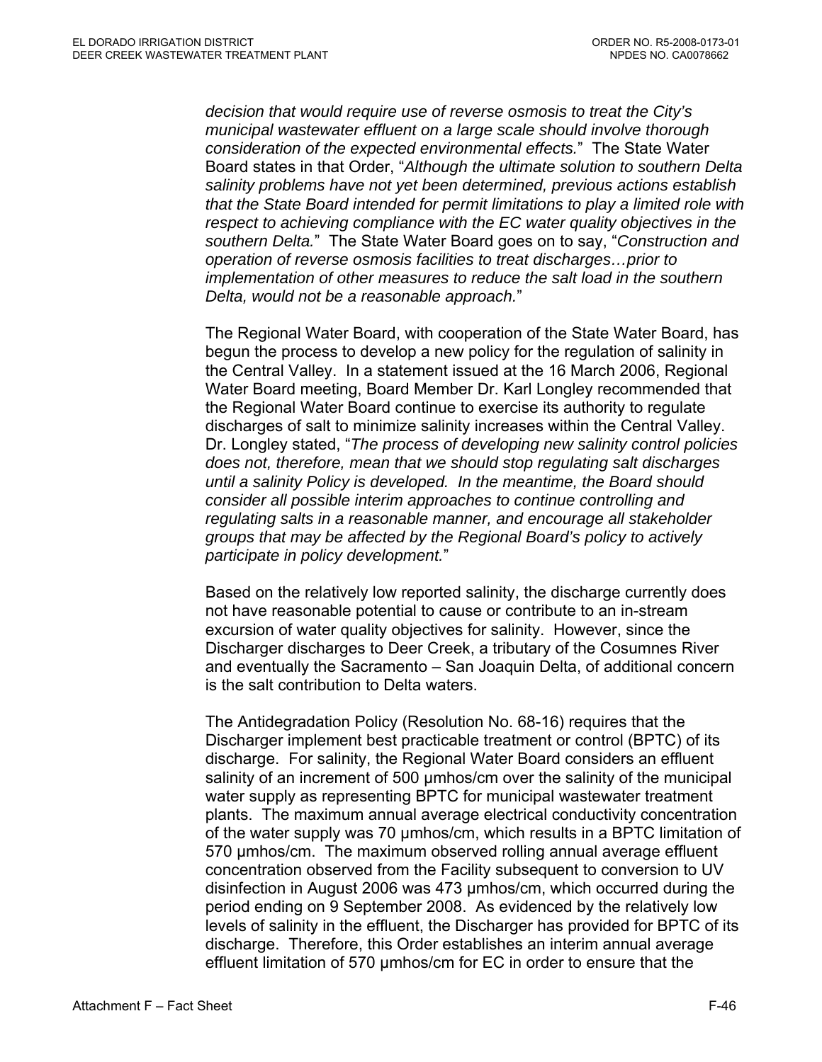*decision that would require use of reverse osmosis to treat the City's municipal wastewater effluent on a large scale should involve thorough consideration of the expected environmental effects.*" The State Water Board states in that Order, "*Although the ultimate solution to southern Delta salinity problems have not yet been determined, previous actions establish that the State Board intended for permit limitations to play a limited role with respect to achieving compliance with the EC water quality objectives in the southern Delta.*" The State Water Board goes on to say, "*Construction and operation of reverse osmosis facilities to treat discharges…prior to implementation of other measures to reduce the salt load in the southern Delta, would not be a reasonable approach.*"

The Regional Water Board, with cooperation of the State Water Board, has begun the process to develop a new policy for the regulation of salinity in the Central Valley. In a statement issued at the 16 March 2006, Regional Water Board meeting, Board Member Dr. Karl Longley recommended that the Regional Water Board continue to exercise its authority to regulate discharges of salt to minimize salinity increases within the Central Valley. Dr. Longley stated, "*The process of developing new salinity control policies does not, therefore, mean that we should stop regulating salt discharges until a salinity Policy is developed. In the meantime, the Board should consider all possible interim approaches to continue controlling and regulating salts in a reasonable manner, and encourage all stakeholder groups that may be affected by the Regional Board's policy to actively participate in policy development.*"

Based on the relatively low reported salinity, the discharge currently does not have reasonable potential to cause or contribute to an in-stream excursion of water quality objectives for salinity. However, since the Discharger discharges to Deer Creek, a tributary of the Cosumnes River and eventually the Sacramento – San Joaquin Delta, of additional concern is the salt contribution to Delta waters.

The Antidegradation Policy (Resolution No. 68-16) requires that the Discharger implement best practicable treatment or control (BPTC) of its discharge. For salinity, the Regional Water Board considers an effluent salinity of an increment of 500 umhos/cm over the salinity of the municipal water supply as representing BPTC for municipal wastewater treatment plants. The maximum annual average electrical conductivity concentration of the water supply was 70 µmhos/cm, which results in a BPTC limitation of 570 µmhos/cm. The maximum observed rolling annual average effluent concentration observed from the Facility subsequent to conversion to UV disinfection in August 2006 was 473 µmhos/cm, which occurred during the period ending on 9 September 2008. As evidenced by the relatively low levels of salinity in the effluent, the Discharger has provided for BPTC of its discharge. Therefore, this Order establishes an interim annual average effluent limitation of 570 µmhos/cm for EC in order to ensure that the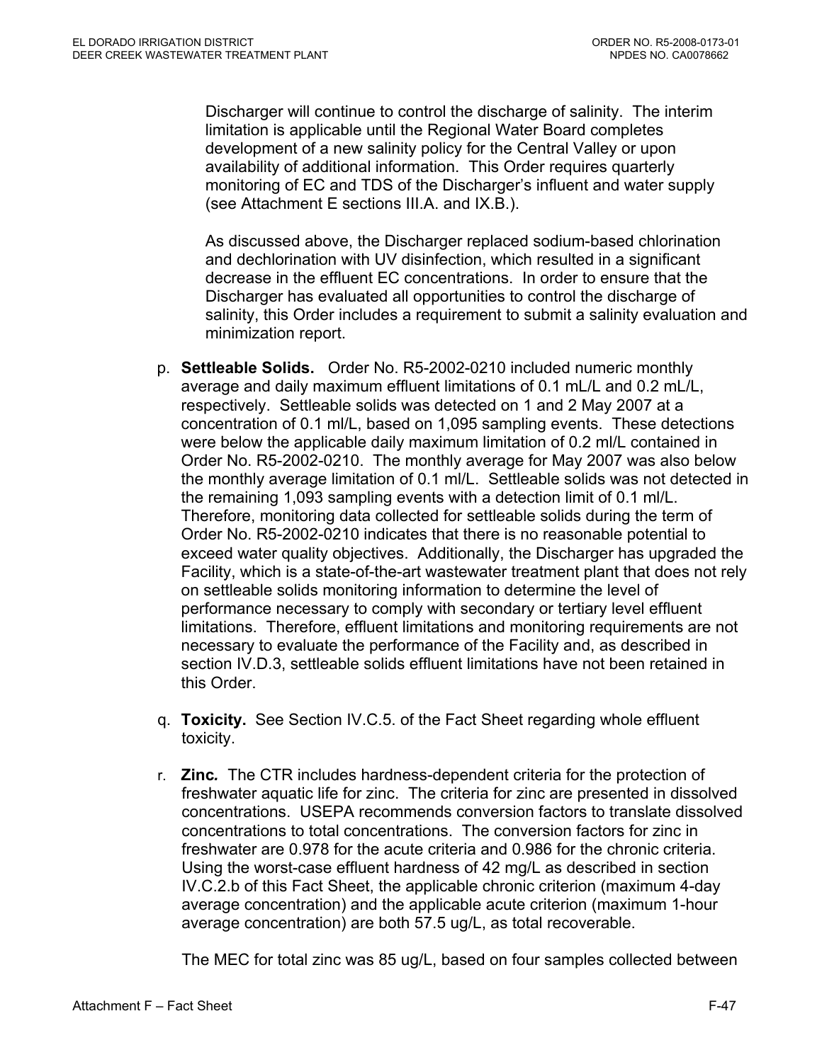Discharger will continue to control the discharge of salinity. The interim limitation is applicable until the Regional Water Board completes development of a new salinity policy for the Central Valley or upon availability of additional information. This Order requires quarterly monitoring of EC and TDS of the Discharger's influent and water supply (see Attachment E sections III.A. and IX.B.).

As discussed above, the Discharger replaced sodium-based chlorination and dechlorination with UV disinfection, which resulted in a significant decrease in the effluent EC concentrations. In order to ensure that the Discharger has evaluated all opportunities to control the discharge of salinity, this Order includes a requirement to submit a salinity evaluation and minimization report.

- p. **Settleable Solids.** Order No. R5-2002-0210 included numeric monthly average and daily maximum effluent limitations of 0.1 mL/L and 0.2 mL/L, respectively. Settleable solids was detected on 1 and 2 May 2007 at a concentration of 0.1 ml/L, based on 1,095 sampling events. These detections were below the applicable daily maximum limitation of 0.2 ml/L contained in Order No. R5-2002-0210. The monthly average for May 2007 was also below the monthly average limitation of 0.1 ml/L. Settleable solids was not detected in the remaining 1,093 sampling events with a detection limit of 0.1 ml/L. Therefore, monitoring data collected for settleable solids during the term of Order No. R5-2002-0210 indicates that there is no reasonable potential to exceed water quality objectives. Additionally, the Discharger has upgraded the Facility, which is a state-of-the-art wastewater treatment plant that does not rely on settleable solids monitoring information to determine the level of performance necessary to comply with secondary or tertiary level effluent limitations. Therefore, effluent limitations and monitoring requirements are not necessary to evaluate the performance of the Facility and, as described in section IV.D.3, settleable solids effluent limitations have not been retained in this Order.
- q. **Toxicity.** See Section IV.C.5. of the Fact Sheet regarding whole effluent toxicity.
- r. **Zinc***.* The CTR includes hardness-dependent criteria for the protection of freshwater aquatic life for zinc. The criteria for zinc are presented in dissolved concentrations. USEPA recommends conversion factors to translate dissolved concentrations to total concentrations. The conversion factors for zinc in freshwater are 0.978 for the acute criteria and 0.986 for the chronic criteria. Using the worst-case effluent hardness of 42 mg/L as described in section IV.C.2.b of this Fact Sheet, the applicable chronic criterion (maximum 4-day average concentration) and the applicable acute criterion (maximum 1-hour average concentration) are both 57.5 ug/L, as total recoverable.

The MEC for total zinc was 85 ug/L, based on four samples collected between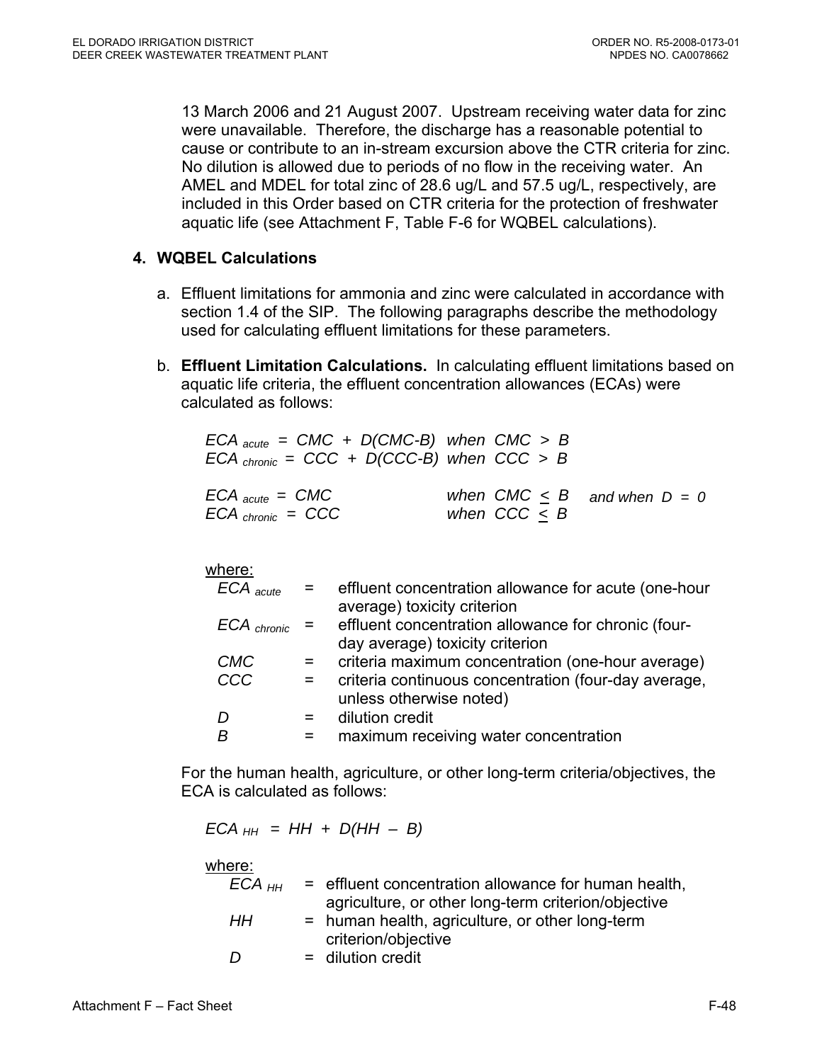13 March 2006 and 21 August 2007. Upstream receiving water data for zinc were unavailable. Therefore, the discharge has a reasonable potential to cause or contribute to an in-stream excursion above the CTR criteria for zinc. No dilution is allowed due to periods of no flow in the receiving water. An AMEL and MDEL for total zinc of 28.6 ug/L and 57.5 ug/L, respectively, are included in this Order based on CTR criteria for the protection of freshwater aquatic life (see Attachment F, Table F-6 for WQBEL calculations).

## **4. WQBEL Calculations**

- a. Effluent limitations for ammonia and zinc were calculated in accordance with section 1.4 of the SIP. The following paragraphs describe the methodology used for calculating effluent limitations for these parameters.
- b. **Effluent Limitation Calculations.** In calculating effluent limitations based on aquatic life criteria, the effluent concentration allowances (ECAs) were calculated as follows:

| $ECA$ <sub>acute</sub> = CMC + D(CMC-B) when CMC > B<br>$ECA_{chronic} = CCC + D(CCC-B)$ when $CCC > B$ |                |                                    |
|---------------------------------------------------------------------------------------------------------|----------------|------------------------------------|
| $ECA$ acute $=$ CMC<br>$ECA$ chronic = $CCC$                                                            | when $CCC < B$ | when $CMC \leq B$ and when $D = 0$ |

### where:

| $ECA$ $_{acute}$  | $=$ | effluent concentration allowance for acute (one-hour |
|-------------------|-----|------------------------------------------------------|
|                   |     | average) toxicity criterion                          |
| $ECA$ chronic $=$ |     | effluent concentration allowance for chronic (four-  |
|                   |     | day average) toxicity criterion                      |
| <b>CMC</b>        | $=$ | criteria maximum concentration (one-hour average)    |
| CCC               | $=$ | criteria continuous concentration (four-day average, |
|                   |     | unless otherwise noted)                              |
|                   |     | dilution credit                                      |
|                   |     | maximum receiving water concentration                |

For the human health, agriculture, or other long-term criteria/objectives, the ECA is calculated as follows:

 $ECA_{HH} = HH + D(HH - B)$ 

where:

| ECA <sub>нн</sub> | $=$ effluent concentration allowance for human health, |  |
|-------------------|--------------------------------------------------------|--|
|                   | agriculture, or other long-term criterion/objective    |  |
| HH                | = human health, agriculture, or other long-term        |  |
|                   | criterion/objective                                    |  |
| D                 | $=$ dilution credit                                    |  |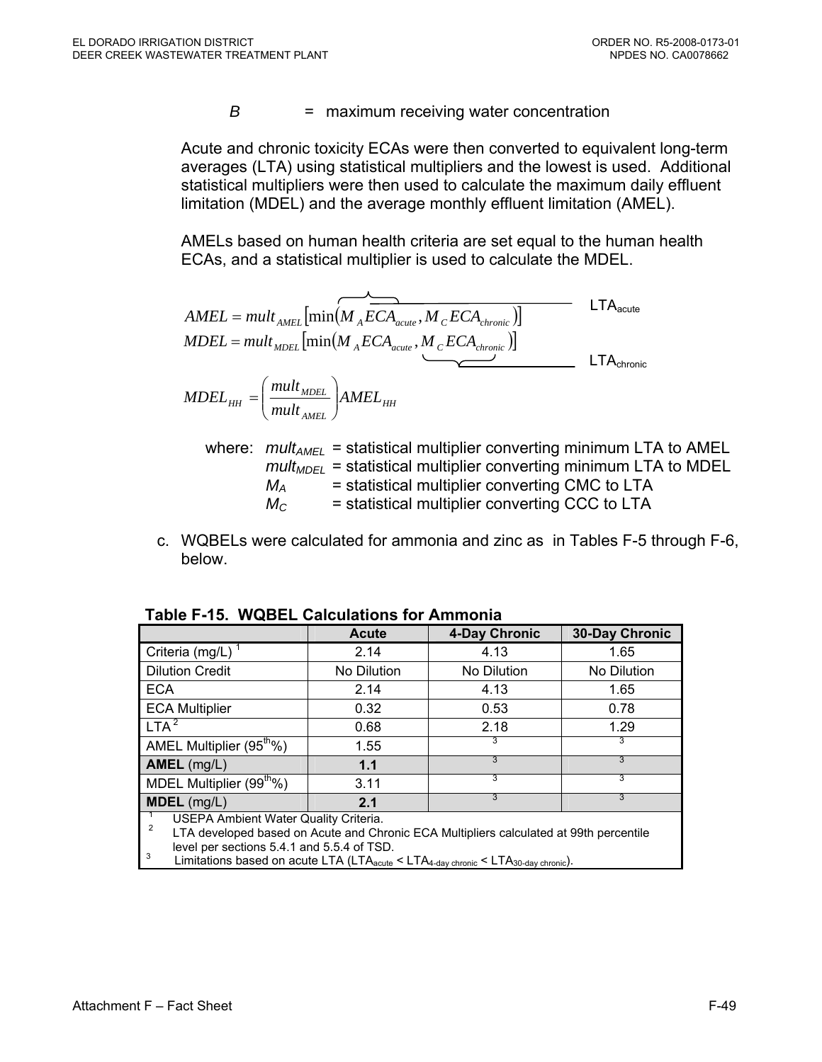*B* = maximum receiving water concentration

Acute and chronic toxicity ECAs were then converted to equivalent long-term averages (LTA) using statistical multipliers and the lowest is used. Additional statistical multipliers were then used to calculate the maximum daily effluent limitation (MDEL) and the average monthly effluent limitation (AMEL).

AMELs based on human health criteria are set equal to the human health ECAs, and a statistical multiplier is used to calculate the MDEL.

$$
AMEL = mult_{AMEL} \left[ min(M_{A}ECA_{acute}, M_{C}ECA_{chronic}) \right]
$$
\n
$$
MDEL = mult_{MDEL} \left[ min(M_{A}ECA_{acute}, M_{C}ECA_{chronic}) \right]
$$
\n
$$
MDEL_{HH} = \left( \frac{mult_{MDEL}}{mult_{AMEL}} \right) AMEL_{HH}
$$
\n
$$
MDEL_{HH} = \left( \frac{mult_{MDEL}}{mult_{AMEL}} \right) AMEL_{HH}
$$
\n
$$
MDEL_{HH} = \left( \frac{mult_{MDEL}}{mult_{AMEL}} \right) AMEL_{HH}
$$
\n
$$
MDEL_{HH} = \left( \frac{mult_{MDEL}}{mult_{AMEL}} \right) AMEL_{HH}
$$

where:  $mult_{AMEL}$  = statistical multiplier converting minimum LTA to AMEL  $mult<sub>MDEL</sub>$  = statistical multiplier converting minimum LTA to MDEL  $M_A$  = statistical multiplier converting CMC to LTA  $M<sub>C</sub>$  = statistical multiplier converting CCC to LTA

c. WQBELs were calculated for ammonia and zinc as in Tables F-5 through F-6, below.

|                                                                                                                                                   | Acute       | 4-Day Chronic | 30-Day Chronic |  |  |  |  |
|---------------------------------------------------------------------------------------------------------------------------------------------------|-------------|---------------|----------------|--|--|--|--|
| Criteria (mg/L)                                                                                                                                   | 2.14        | 4.13          | 1.65           |  |  |  |  |
| <b>Dilution Credit</b>                                                                                                                            | No Dilution | No Dilution   | No Dilution    |  |  |  |  |
| <b>ECA</b>                                                                                                                                        | 2.14        | 4.13          | 1.65           |  |  |  |  |
| <b>ECA Multiplier</b>                                                                                                                             | 0.32        | 0.53          | 0.78           |  |  |  |  |
| LTA <sup>2</sup>                                                                                                                                  | 0.68        | 2.18          | 1.29           |  |  |  |  |
| AMEL Multiplier (95 <sup>th</sup> %)                                                                                                              | 1.55        | 3             | 3              |  |  |  |  |
| AMEL (mg/L)                                                                                                                                       | 1.1         | 3             | 3              |  |  |  |  |
| MDEL Multiplier (99 <sup>th</sup> %)                                                                                                              | 3.11        | 3             | 3              |  |  |  |  |
| <b>MDEL</b> (mg/L)                                                                                                                                | 2.1         | 3             | 3              |  |  |  |  |
| USEPA Ambient Water Quality Criteria.<br>$\overline{2}$<br>LTA developed based on Acute and Chronic ECA Multipliers calculated at 99th percentile |             |               |                |  |  |  |  |

**Table F-15. WQBEL Calculations for Ammonia** 

level per sections 5.4.1 and 5.5.4 of TSD.<br> $\frac{3}{2}$  limitations based an equital TA (LTA)

Limitations based on acute LTA (LTA $_{\text{acute}}$  < LTA $_{\text{4-day chronic}}$  < LTA $_{\text{30-day chronic}}$ ).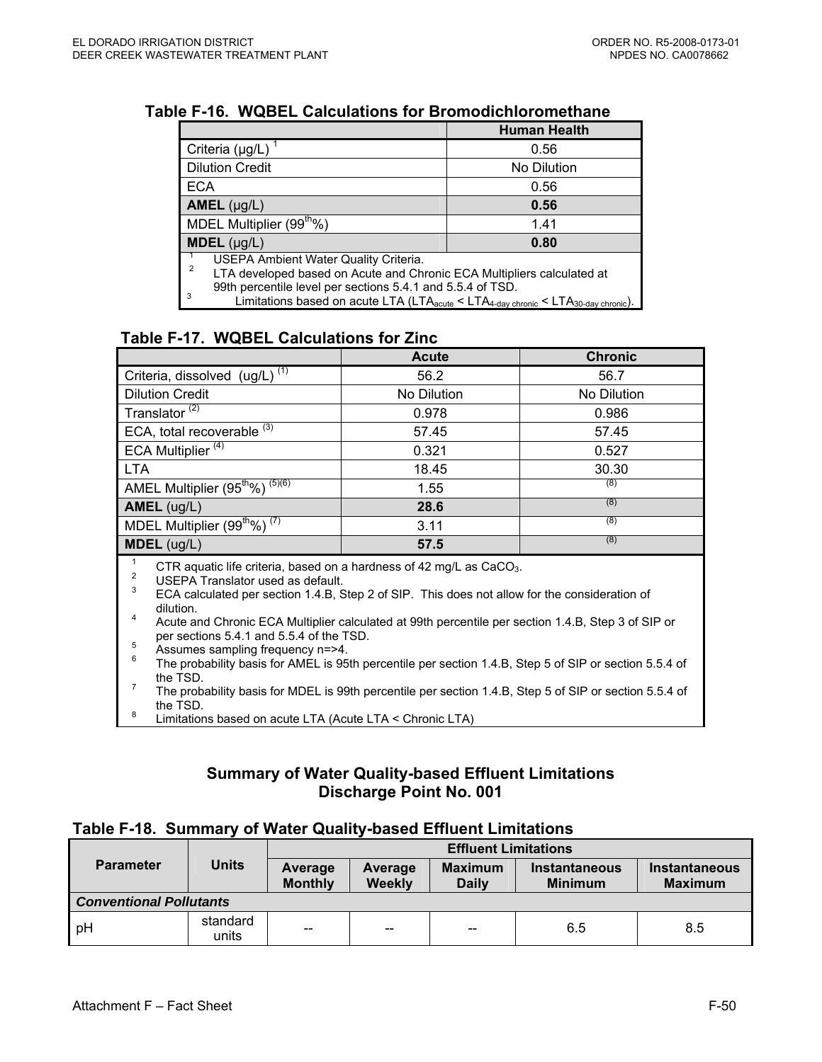|                                                                                                                                                                                                                                                                                                                   | <b>Human Health</b> |  |  |
|-------------------------------------------------------------------------------------------------------------------------------------------------------------------------------------------------------------------------------------------------------------------------------------------------------------------|---------------------|--|--|
| Criteria (µg/L)                                                                                                                                                                                                                                                                                                   | 0.56                |  |  |
| <b>Dilution Credit</b>                                                                                                                                                                                                                                                                                            | No Dilution         |  |  |
| <b>ECA</b>                                                                                                                                                                                                                                                                                                        | 0.56                |  |  |
| AMEL $(\mu g/L)$                                                                                                                                                                                                                                                                                                  | 0.56                |  |  |
| MDEL Multiplier (99 <sup>th</sup> %)                                                                                                                                                                                                                                                                              | 1.41                |  |  |
| $MDEL$ (µg/L)                                                                                                                                                                                                                                                                                                     | 0.80                |  |  |
| USEPA Ambient Water Quality Criteria.<br>2<br>LTA developed based on Acute and Chronic ECA Multipliers calculated at<br>99th percentile level per sections 5.4.1 and 5.5.4 of TSD.<br>3<br>Limitations based on acute LTA (LTA <sub>acute</sub> < LTA <sub>4-day chronic</sub> < LTA <sub>30-day chronic</sub> ). |                     |  |  |

#### **Table F-16. WQBEL Calculations for Bromodichloromethane**

## **Table F-17. WQBEL Calculations for Zinc**

|                                                                                                                                                                                                                                                                                                                                                                                                         | <b>Acute</b> | <b>Chronic</b> |  |  |  |
|---------------------------------------------------------------------------------------------------------------------------------------------------------------------------------------------------------------------------------------------------------------------------------------------------------------------------------------------------------------------------------------------------------|--------------|----------------|--|--|--|
| Criteria, dissolved (ug/L) <sup>(1)</sup>                                                                                                                                                                                                                                                                                                                                                               | 56.2         | 56.7           |  |  |  |
| <b>Dilution Credit</b>                                                                                                                                                                                                                                                                                                                                                                                  | No Dilution  | No Dilution    |  |  |  |
| Translator <sup>(2)</sup>                                                                                                                                                                                                                                                                                                                                                                               | 0.978        | 0.986          |  |  |  |
| ECA, total recoverable <sup>(3)</sup>                                                                                                                                                                                                                                                                                                                                                                   | 57.45        | 57.45          |  |  |  |
| ECA Multiplier $\overline{^{(4)}}$                                                                                                                                                                                                                                                                                                                                                                      | 0.321        | 0.527          |  |  |  |
| <b>LTA</b>                                                                                                                                                                                                                                                                                                                                                                                              | 18.45        | 30.30          |  |  |  |
| AMEL Multiplier (95 <sup>th</sup> %) <sup>(5)(6)</sup>                                                                                                                                                                                                                                                                                                                                                  | 1.55         | (8)            |  |  |  |
| AMEL (ug/L)                                                                                                                                                                                                                                                                                                                                                                                             | 28.6         | (8)            |  |  |  |
| MDEL Multiplier (99 <sup>th</sup> %) <sup>(7)</sup>                                                                                                                                                                                                                                                                                                                                                     | 3.11         | (8)            |  |  |  |
| $MDEL$ (ug/L)                                                                                                                                                                                                                                                                                                                                                                                           | 57.5         | (8)            |  |  |  |
| CTR aquatic life criteria, based on a hardness of 42 mg/L as $CaCO3$ .<br>$\overline{2}$<br>USEPA Translator used as default.<br>3<br>ECA calculated per section 1.4.B, Step 2 of SIP. This does not allow for the consideration of<br>dilution.<br>4<br>Acute and Chronic ECA Multiplier calculated at 99th percentile per section 1.4.B, Step 3 of SIP or<br>per sections 5.4.1 and 5.5.4 of the TSD. |              |                |  |  |  |

- 
- <sup>5</sup><br><sup>6</sup> The probability basis for AMEL is 95th percentile per section 1.4.B, Step 5 of SIP or section 5.5.4 of<br>the TSD.
- The probability basis for MDEL is 99th percentile per section 1.4.B, Step 5 of SIP or section 5.5.4 of the TSD.
- $8$  Limitations based on acute LTA (Acute LTA < Chronic LTA)

### **Summary of Water Quality-based Effluent Limitations Discharge Point No. 001**

#### **Table F-18. Summary of Water Quality-based Effluent Limitations**

|                  |                                | <b>Effluent Limitations</b> |                          |                                |                                        |                                 |  |
|------------------|--------------------------------|-----------------------------|--------------------------|--------------------------------|----------------------------------------|---------------------------------|--|
| <b>Parameter</b> | <b>Units</b>                   | Average<br><b>Monthly</b>   | Average<br><b>Weekly</b> | <b>Maximum</b><br><b>Daily</b> | <b>Instantaneous</b><br><b>Minimum</b> | Instantaneous<br><b>Maximum</b> |  |
|                  | <b>Conventional Pollutants</b> |                             |                          |                                |                                        |                                 |  |
| pH               | standard<br>units              | --                          | $-$                      | --                             | 6.5                                    | 8.5                             |  |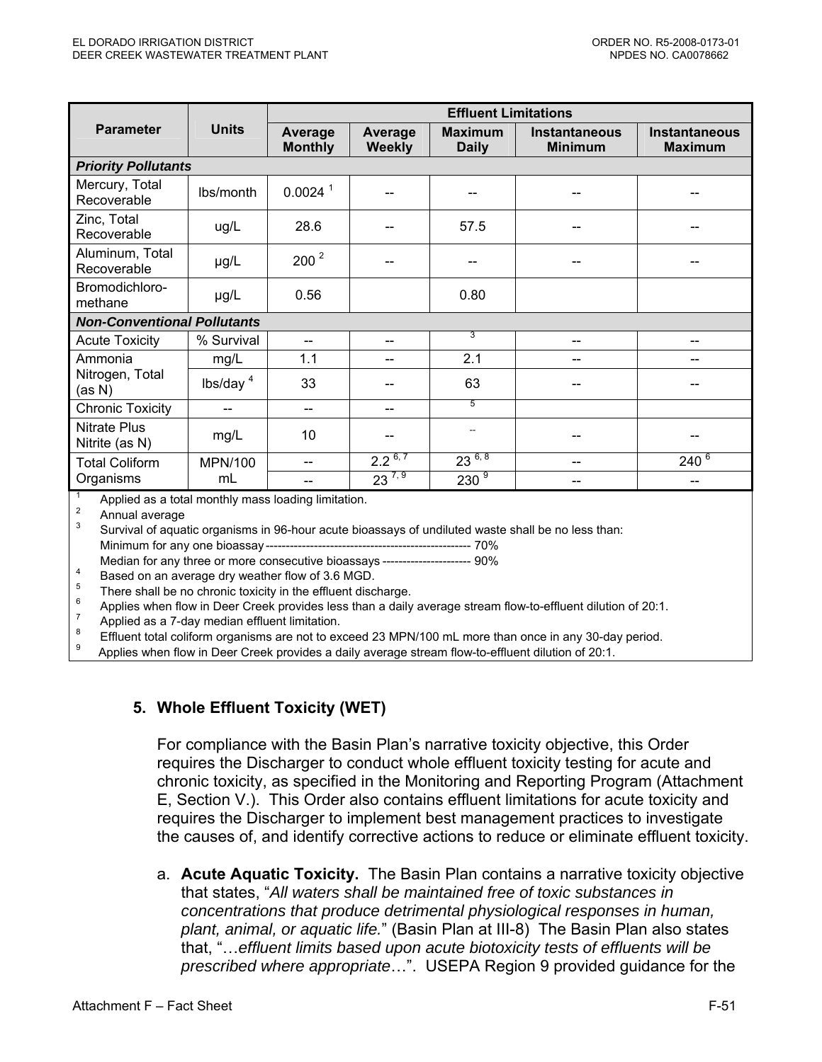|                                       |                            | <b>Effluent Limitations</b> |                          |                                |                                        |                                        |  |  |
|---------------------------------------|----------------------------|-----------------------------|--------------------------|--------------------------------|----------------------------------------|----------------------------------------|--|--|
| <b>Parameter</b>                      | <b>Units</b>               | Average<br><b>Monthly</b>   | Average<br><b>Weekly</b> | <b>Maximum</b><br><b>Daily</b> | <b>Instantaneous</b><br><b>Minimum</b> | <b>Instantaneous</b><br><b>Maximum</b> |  |  |
|                                       | <b>Priority Pollutants</b> |                             |                          |                                |                                        |                                        |  |  |
| Mercury, Total<br>Recoverable         | lbs/month                  | $0.0024$ <sup>1</sup>       |                          |                                |                                        |                                        |  |  |
| Zinc, Total<br>Recoverable            | ug/L                       | 28.6                        |                          | 57.5                           |                                        |                                        |  |  |
| Aluminum, Total<br>Recoverable        | µg/L                       | $200^2$                     |                          |                                |                                        |                                        |  |  |
| Bromodichloro-<br>methane             | µg/L                       | 0.56                        |                          | 0.80                           |                                        |                                        |  |  |
| <b>Non-Conventional Pollutants</b>    |                            |                             |                          |                                |                                        |                                        |  |  |
| <b>Acute Toxicity</b>                 | % Survival                 | --                          | --                       | 3                              | --                                     | --                                     |  |  |
| Ammonia                               | mg/L                       | 1.1                         |                          | 2.1                            |                                        |                                        |  |  |
| Nitrogen, Total<br>(as N)             | lbs/day $4$                | 33                          |                          | 63                             |                                        |                                        |  |  |
| <b>Chronic Toxicity</b>               | --                         | --                          | --                       | $\overline{5}$                 |                                        |                                        |  |  |
| <b>Nitrate Plus</b><br>Nitrite (as N) | mg/L                       | 10                          |                          | --                             |                                        |                                        |  |  |
| <b>Total Coliform</b>                 | <b>MPN/100</b>             |                             | $2.2^{6,7}$              | $23^{6,8}$                     |                                        | $240^{6}$                              |  |  |
| Organisms                             | mL                         |                             | $23^{7,9}$               | $230^{9}$                      |                                        |                                        |  |  |

<sup>1</sup> Applied as a total monthly mass loading limitation.

<sup>2</sup> Annual average<br><sup>3</sup> Survival of aquatic organisms in 96-hour acute bioassays of undiluted waste shall be no less than:

Minimum for any one bioassay --------------------------------------------------- 70%

Based on an average dry weather flow of 3.6 MGD.<br>
There shall be no chronic toxicity in the effluent discharge.<br>
Applies when flow in Deer Creek provides less than a daily average stream flow-to-effluent dilution of 20:1.

Applied as a 7-day median effluent limitation.<br>Effluent total coliform organisms are not to exceed 23 MPN/100 mL more than once in any 30-day period. 8

Effect to the more to exceed 23 MPN/100 mL more than once in any 30-day period. 9 Applies when flow in Deer Creek provides a daily average stream flow-to-effluent dilution of 20:1.

### **5. Whole Effluent Toxicity (WET)**

For compliance with the Basin Plan's narrative toxicity objective, this Order requires the Discharger to conduct whole effluent toxicity testing for acute and chronic toxicity, as specified in the Monitoring and Reporting Program (Attachment E, Section V.). This Order also contains effluent limitations for acute toxicity and requires the Discharger to implement best management practices to investigate the causes of, and identify corrective actions to reduce or eliminate effluent toxicity.

a. **Acute Aquatic Toxicity.** The Basin Plan contains a narrative toxicity objective that states, "*All waters shall be maintained free of toxic substances in concentrations that produce detrimental physiological responses in human, plant, animal, or aquatic life.*" (Basin Plan at III-8) The Basin Plan also states that, "…*effluent limits based upon acute biotoxicity tests of effluents will be prescribed where appropriate*…". USEPA Region 9 provided guidance for the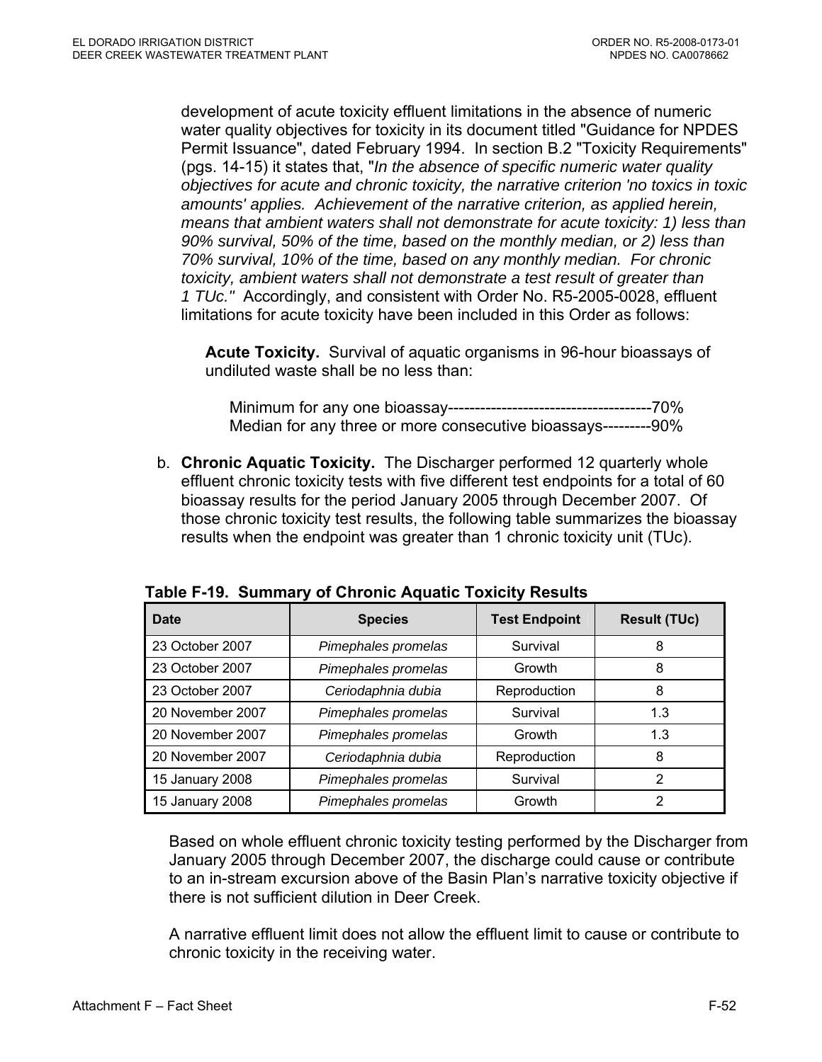development of acute toxicity effluent limitations in the absence of numeric water quality objectives for toxicity in its document titled "Guidance for NPDES Permit Issuance", dated February 1994. In section B.2 "Toxicity Requirements" (pgs. 14-15) it states that, "*In the absence of specific numeric water quality objectives for acute and chronic toxicity, the narrative criterion 'no toxics in toxic amounts' applies. Achievement of the narrative criterion, as applied herein, means that ambient waters shall not demonstrate for acute toxicity: 1) less than 90% survival, 50% of the time, based on the monthly median, or 2) less than 70% survival, 10% of the time, based on any monthly median. For chronic toxicity, ambient waters shall not demonstrate a test result of greater than 1 TUc."* Accordingly, and consistent with Order No. R5-2005-0028, effluent limitations for acute toxicity have been included in this Order as follows:

**Acute Toxicity.** Survival of aquatic organisms in 96-hour bioassays of undiluted waste shall be no less than:

Minimum for any one bioassay--------------------------------------70% Median for any three or more consecutive bioassays---------90%

b. **Chronic Aquatic Toxicity.** The Discharger performed 12 quarterly whole effluent chronic toxicity tests with five different test endpoints for a total of 60 bioassay results for the period January 2005 through December 2007. Of those chronic toxicity test results, the following table summarizes the bioassay results when the endpoint was greater than 1 chronic toxicity unit (TUc).

| Date             | <b>Species</b>      | <b>Test Endpoint</b> | <b>Result (TUc)</b> |
|------------------|---------------------|----------------------|---------------------|
| 23 October 2007  | Pimephales promelas | Survival             | 8                   |
| 23 October 2007  | Pimephales promelas | Growth               | 8                   |
| 23 October 2007  | Ceriodaphnia dubia  | Reproduction         | 8                   |
| 20 November 2007 | Pimephales promelas | Survival             | 1.3                 |
| 20 November 2007 | Pimephales promelas | Growth               | 1.3                 |
| 20 November 2007 | Ceriodaphnia dubia  | Reproduction         | 8                   |
| 15 January 2008  | Pimephales promelas | Survival             | 2                   |
| 15 January 2008  | Pimephales promelas | Growth               | 2                   |

**Table F-19. Summary of Chronic Aquatic Toxicity Results** 

Based on whole effluent chronic toxicity testing performed by the Discharger from January 2005 through December 2007, the discharge could cause or contribute to an in-stream excursion above of the Basin Plan's narrative toxicity objective if there is not sufficient dilution in Deer Creek.

A narrative effluent limit does not allow the effluent limit to cause or contribute to chronic toxicity in the receiving water.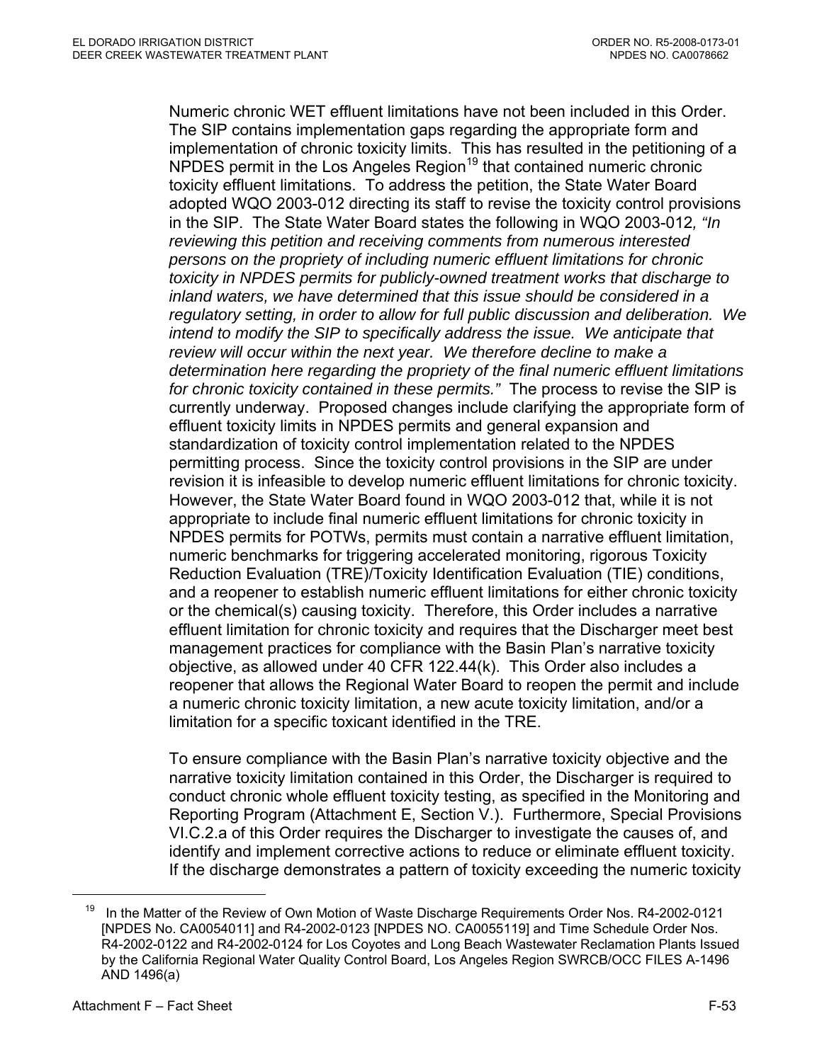Numeric chronic WET effluent limitations have not been included in this Order. The SIP contains implementation gaps regarding the appropriate form and implementation of chronic toxicity limits. This has resulted in the petitioning of a NPDES permit in the Los Angeles Region<sup>19</sup> that contained numeric chronic toxicity effluent limitations. To address the petition, the State Water Board adopted WQO 2003-012 directing its staff to revise the toxicity control provisions in the SIP. The State Water Board states the following in WQO 2003-012*, "In reviewing this petition and receiving comments from numerous interested persons on the propriety of including numeric effluent limitations for chronic toxicity in NPDES permits for publicly-owned treatment works that discharge to inland waters, we have determined that this issue should be considered in a regulatory setting, in order to allow for full public discussion and deliberation. We intend to modify the SIP to specifically address the issue. We anticipate that review will occur within the next year. We therefore decline to make a determination here regarding the propriety of the final numeric effluent limitations for chronic toxicity contained in these permits."* The process to revise the SIP is currently underway. Proposed changes include clarifying the appropriate form of effluent toxicity limits in NPDES permits and general expansion and standardization of toxicity control implementation related to the NPDES permitting process. Since the toxicity control provisions in the SIP are under revision it is infeasible to develop numeric effluent limitations for chronic toxicity. However, the State Water Board found in WQO 2003-012 that, while it is not appropriate to include final numeric effluent limitations for chronic toxicity in NPDES permits for POTWs, permits must contain a narrative effluent limitation, numeric benchmarks for triggering accelerated monitoring, rigorous Toxicity Reduction Evaluation (TRE)/Toxicity Identification Evaluation (TIE) conditions, and a reopener to establish numeric effluent limitations for either chronic toxicity or the chemical(s) causing toxicity. Therefore, this Order includes a narrative effluent limitation for chronic toxicity and requires that the Discharger meet best management practices for compliance with the Basin Plan's narrative toxicity objective, as allowed under 40 CFR 122.44(k). This Order also includes a reopener that allows the Regional Water Board to reopen the permit and include a numeric chronic toxicity limitation, a new acute toxicity limitation, and/or a limitation for a specific toxicant identified in the TRE.

To ensure compliance with the Basin Plan's narrative toxicity objective and the narrative toxicity limitation contained in this Order, the Discharger is required to conduct chronic whole effluent toxicity testing, as specified in the Monitoring and Reporting Program (Attachment E, Section V.). Furthermore, Special Provisions VI.C.2.a of this Order requires the Discharger to investigate the causes of, and identify and implement corrective actions to reduce or eliminate effluent toxicity. If the discharge demonstrates a pattern of toxicity exceeding the numeric toxicity

 $\overline{a}$ 

<sup>&</sup>lt;sup>19</sup> In the Matter of the Review of Own Motion of Waste Discharge Requirements Order Nos. R4-2002-0121 [NPDES No. CA0054011] and R4-2002-0123 [NPDES NO. CA0055119] and Time Schedule Order Nos. R4-2002-0122 and R4-2002-0124 for Los Coyotes and Long Beach Wastewater Reclamation Plants Issued by the California Regional Water Quality Control Board, Los Angeles Region SWRCB/OCC FILES A-1496 AND 1496(a)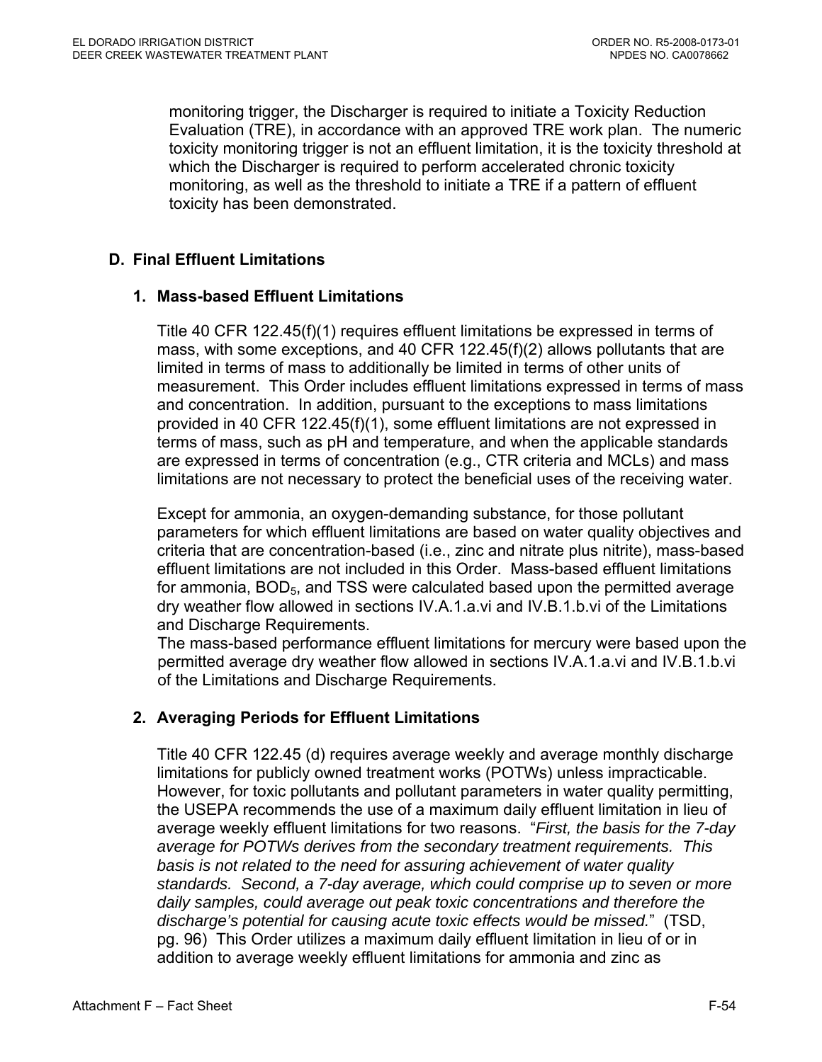monitoring trigger, the Discharger is required to initiate a Toxicity Reduction Evaluation (TRE), in accordance with an approved TRE work plan. The numeric toxicity monitoring trigger is not an effluent limitation, it is the toxicity threshold at which the Discharger is required to perform accelerated chronic toxicity monitoring, as well as the threshold to initiate a TRE if a pattern of effluent toxicity has been demonstrated.

## **D. Final Effluent Limitations**

### **1. Mass-based Effluent Limitations**

Title 40 CFR 122.45(f)(1) requires effluent limitations be expressed in terms of mass, with some exceptions, and 40 CFR 122.45(f)(2) allows pollutants that are limited in terms of mass to additionally be limited in terms of other units of measurement. This Order includes effluent limitations expressed in terms of mass and concentration. In addition, pursuant to the exceptions to mass limitations provided in 40 CFR 122.45(f)(1), some effluent limitations are not expressed in terms of mass, such as pH and temperature, and when the applicable standards are expressed in terms of concentration (e.g., CTR criteria and MCLs) and mass limitations are not necessary to protect the beneficial uses of the receiving water.

Except for ammonia, an oxygen-demanding substance, for those pollutant parameters for which effluent limitations are based on water quality objectives and criteria that are concentration-based (i.e., zinc and nitrate plus nitrite), mass-based effluent limitations are not included in this Order. Mass-based effluent limitations for ammonia, BOD<sub>5</sub>, and TSS were calculated based upon the permitted average dry weather flow allowed in sections IV.A.1.a.vi and IV.B.1.b.vi of the Limitations and Discharge Requirements.

The mass-based performance effluent limitations for mercury were based upon the permitted average dry weather flow allowed in sections IV.A.1.a.vi and IV.B.1.b.vi of the Limitations and Discharge Requirements.

### **2. Averaging Periods for Effluent Limitations**

Title 40 CFR 122.45 (d) requires average weekly and average monthly discharge limitations for publicly owned treatment works (POTWs) unless impracticable. However, for toxic pollutants and pollutant parameters in water quality permitting, the USEPA recommends the use of a maximum daily effluent limitation in lieu of average weekly effluent limitations for two reasons. "*First, the basis for the 7-day average for POTWs derives from the secondary treatment requirements. This basis is not related to the need for assuring achievement of water quality standards. Second, a 7-day average, which could comprise up to seven or more daily samples, could average out peak toxic concentrations and therefore the discharge's potential for causing acute toxic effects would be missed.*" (TSD, pg. 96) This Order utilizes a maximum daily effluent limitation in lieu of or in addition to average weekly effluent limitations for ammonia and zinc as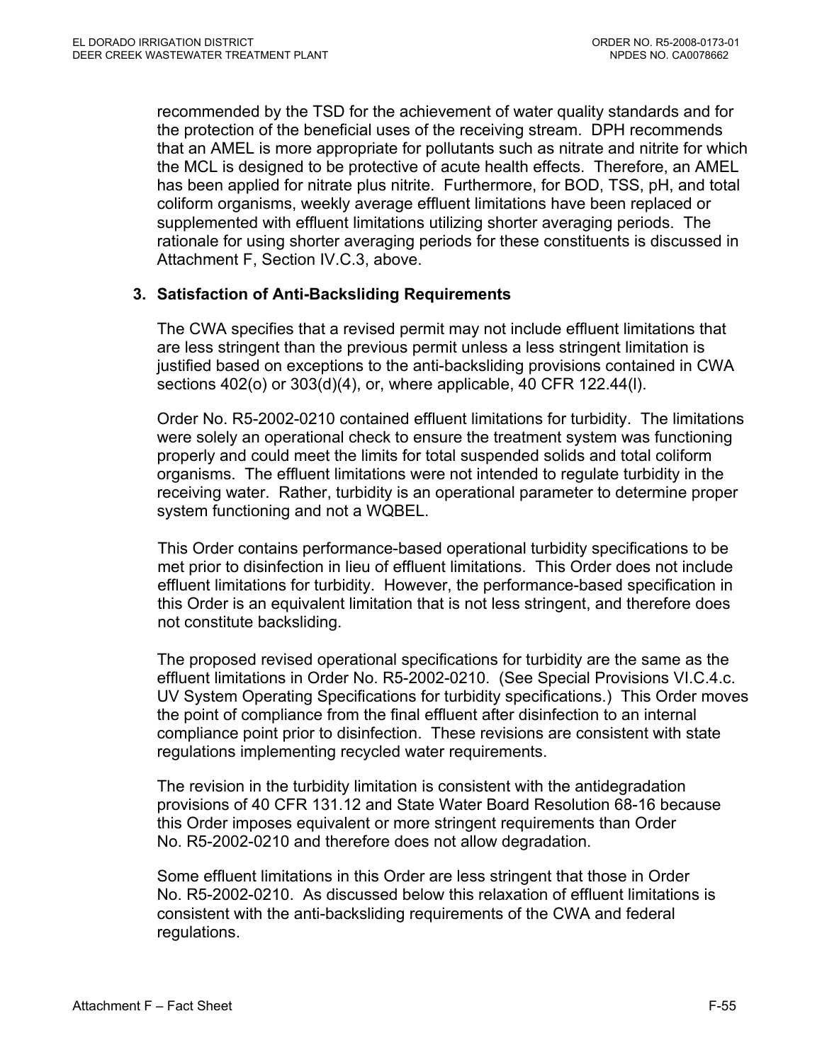recommended by the TSD for the achievement of water quality standards and for the protection of the beneficial uses of the receiving stream. DPH recommends that an AMEL is more appropriate for pollutants such as nitrate and nitrite for which the MCL is designed to be protective of acute health effects. Therefore, an AMEL has been applied for nitrate plus nitrite. Furthermore, for BOD, TSS, pH, and total coliform organisms, weekly average effluent limitations have been replaced or supplemented with effluent limitations utilizing shorter averaging periods. The rationale for using shorter averaging periods for these constituents is discussed in Attachment F, Section IV.C.3, above.

## **3. Satisfaction of Anti-Backsliding Requirements**

The CWA specifies that a revised permit may not include effluent limitations that are less stringent than the previous permit unless a less stringent limitation is justified based on exceptions to the anti-backsliding provisions contained in CWA sections 402(o) or 303(d)(4), or, where applicable, 40 CFR 122.44(l).

Order No. R5-2002-0210 contained effluent limitations for turbidity. The limitations were solely an operational check to ensure the treatment system was functioning properly and could meet the limits for total suspended solids and total coliform organisms. The effluent limitations were not intended to regulate turbidity in the receiving water. Rather, turbidity is an operational parameter to determine proper system functioning and not a WQBEL.

This Order contains performance-based operational turbidity specifications to be met prior to disinfection in lieu of effluent limitations. This Order does not include effluent limitations for turbidity. However, the performance-based specification in this Order is an equivalent limitation that is not less stringent, and therefore does not constitute backsliding.

The proposed revised operational specifications for turbidity are the same as the effluent limitations in Order No. R5-2002-0210. (See Special Provisions VI.C.4.c. UV System Operating Specifications for turbidity specifications.) This Order moves the point of compliance from the final effluent after disinfection to an internal compliance point prior to disinfection. These revisions are consistent with state regulations implementing recycled water requirements.

The revision in the turbidity limitation is consistent with the antidegradation provisions of 40 CFR 131.12 and State Water Board Resolution 68-16 because this Order imposes equivalent or more stringent requirements than Order No. R5-2002-0210 and therefore does not allow degradation.

Some effluent limitations in this Order are less stringent that those in Order No. R5-2002-0210. As discussed below this relaxation of effluent limitations is consistent with the anti-backsliding requirements of the CWA and federal regulations.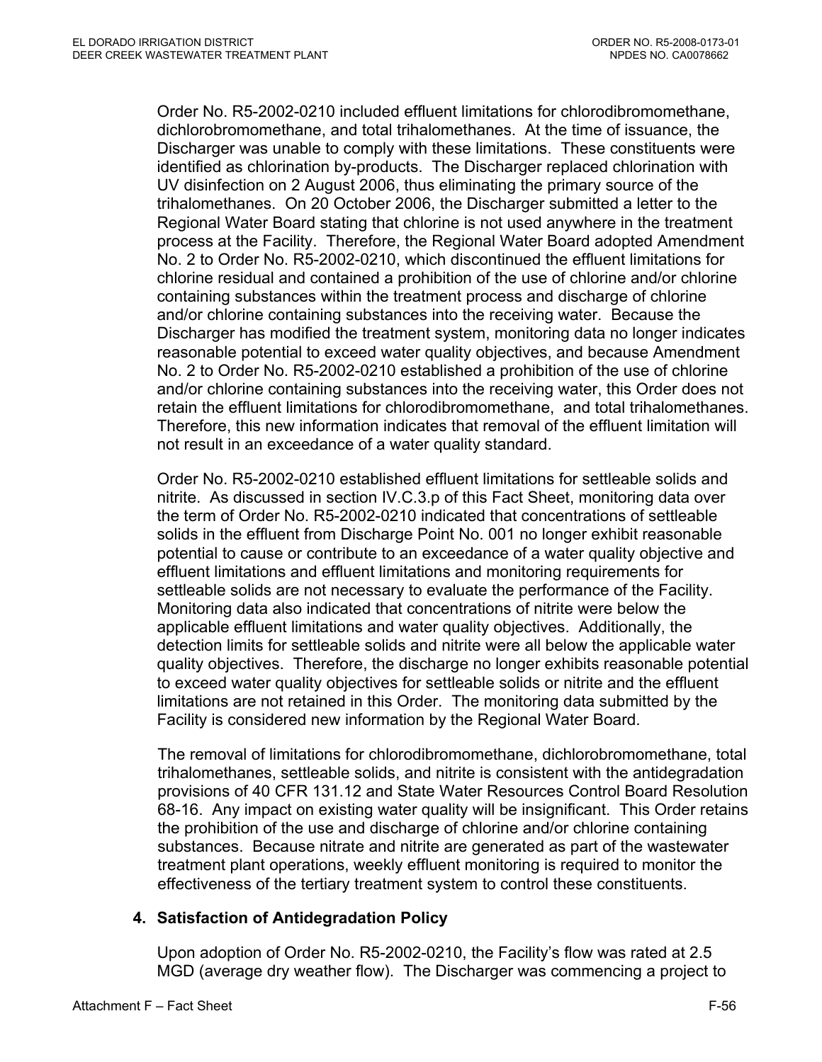Order No. R5-2002-0210 included effluent limitations for chlorodibromomethane, dichlorobromomethane, and total trihalomethanes. At the time of issuance, the Discharger was unable to comply with these limitations. These constituents were identified as chlorination by-products. The Discharger replaced chlorination with UV disinfection on 2 August 2006, thus eliminating the primary source of the trihalomethanes. On 20 October 2006, the Discharger submitted a letter to the Regional Water Board stating that chlorine is not used anywhere in the treatment process at the Facility. Therefore, the Regional Water Board adopted Amendment No. 2 to Order No. R5-2002-0210, which discontinued the effluent limitations for chlorine residual and contained a prohibition of the use of chlorine and/or chlorine containing substances within the treatment process and discharge of chlorine and/or chlorine containing substances into the receiving water. Because the Discharger has modified the treatment system, monitoring data no longer indicates reasonable potential to exceed water quality objectives, and because Amendment No. 2 to Order No. R5-2002-0210 established a prohibition of the use of chlorine and/or chlorine containing substances into the receiving water, this Order does not retain the effluent limitations for chlorodibromomethane, and total trihalomethanes. Therefore, this new information indicates that removal of the effluent limitation will not result in an exceedance of a water quality standard.

Order No. R5-2002-0210 established effluent limitations for settleable solids and nitrite. As discussed in section IV.C.3.p of this Fact Sheet, monitoring data over the term of Order No. R5-2002-0210 indicated that concentrations of settleable solids in the effluent from Discharge Point No. 001 no longer exhibit reasonable potential to cause or contribute to an exceedance of a water quality objective and effluent limitations and effluent limitations and monitoring requirements for settleable solids are not necessary to evaluate the performance of the Facility. Monitoring data also indicated that concentrations of nitrite were below the applicable effluent limitations and water quality objectives. Additionally, the detection limits for settleable solids and nitrite were all below the applicable water quality objectives. Therefore, the discharge no longer exhibits reasonable potential to exceed water quality objectives for settleable solids or nitrite and the effluent limitations are not retained in this Order. The monitoring data submitted by the Facility is considered new information by the Regional Water Board.

The removal of limitations for chlorodibromomethane, dichlorobromomethane, total trihalomethanes, settleable solids, and nitrite is consistent with the antidegradation provisions of 40 CFR 131.12 and State Water Resources Control Board Resolution 68-16. Any impact on existing water quality will be insignificant. This Order retains the prohibition of the use and discharge of chlorine and/or chlorine containing substances. Because nitrate and nitrite are generated as part of the wastewater treatment plant operations, weekly effluent monitoring is required to monitor the effectiveness of the tertiary treatment system to control these constituents.

# **4. Satisfaction of Antidegradation Policy**

Upon adoption of Order No. R5-2002-0210, the Facility's flow was rated at 2.5 MGD (average dry weather flow). The Discharger was commencing a project to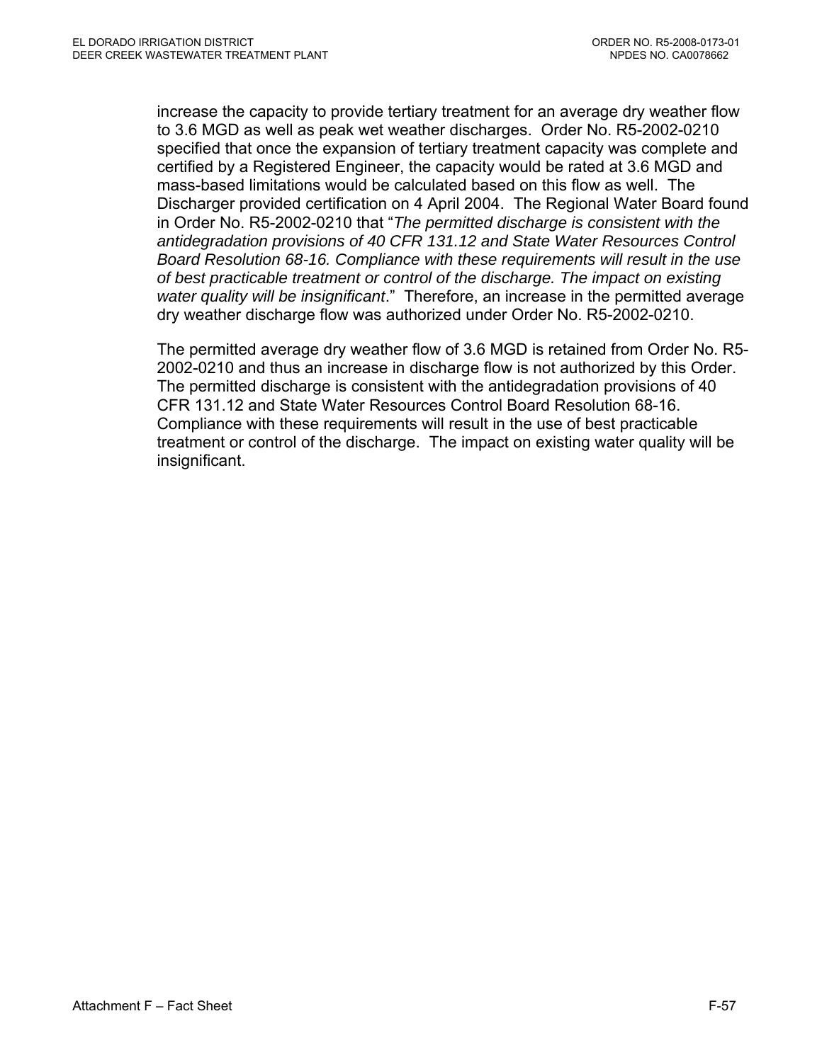increase the capacity to provide tertiary treatment for an average dry weather flow to 3.6 MGD as well as peak wet weather discharges. Order No. R5-2002-0210 specified that once the expansion of tertiary treatment capacity was complete and certified by a Registered Engineer, the capacity would be rated at 3.6 MGD and mass-based limitations would be calculated based on this flow as well. The Discharger provided certification on 4 April 2004. The Regional Water Board found in Order No. R5-2002-0210 that "*The permitted discharge is consistent with the antidegradation provisions of 40 CFR 131.12 and State Water Resources Control Board Resolution 68-16. Compliance with these requirements will result in the use of best practicable treatment or control of the discharge. The impact on existing water quality will be insignificant*." Therefore, an increase in the permitted average dry weather discharge flow was authorized under Order No. R5-2002-0210.

The permitted average dry weather flow of 3.6 MGD is retained from Order No. R5- 2002-0210 and thus an increase in discharge flow is not authorized by this Order. The permitted discharge is consistent with the antidegradation provisions of 40 CFR 131.12 and State Water Resources Control Board Resolution 68-16. Compliance with these requirements will result in the use of best practicable treatment or control of the discharge. The impact on existing water quality will be insignificant.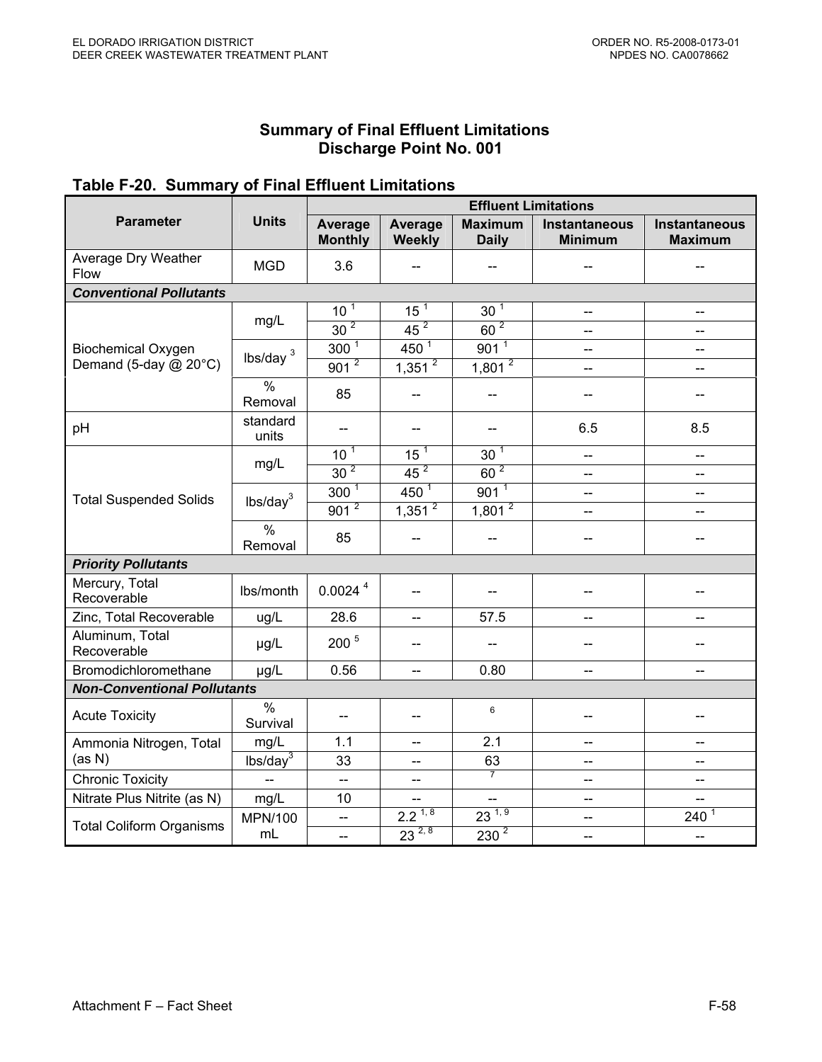#### **Summary of Final Effluent Limitations Discharge Point No. 001**

## **Table F-20. Summary of Final Effluent Limitations**

|                                    |                           | <b>Effluent Limitations</b> |                          |                                |                                       |                                        |  |
|------------------------------------|---------------------------|-----------------------------|--------------------------|--------------------------------|---------------------------------------|----------------------------------------|--|
| <b>Parameter</b>                   | <b>Units</b>              | Average<br><b>Monthly</b>   | Average<br>Weekly        | <b>Maximum</b><br><b>Daily</b> | Instantaneous<br><b>Minimum</b>       | <b>Instantaneous</b><br><b>Maximum</b> |  |
| Average Dry Weather<br>Flow        | <b>MGD</b>                | 3.6                         |                          | --                             |                                       | $-$                                    |  |
| <b>Conventional Pollutants</b>     |                           |                             |                          |                                |                                       |                                        |  |
|                                    | mg/L                      | $10^{1}$                    | 15 <sup>1</sup>          | 30 <sup>7</sup>                | $\overline{\phantom{a}}$              | $\overline{\phantom{a}}$               |  |
|                                    |                           | 30 <sup>2</sup>             | $\overline{45^2}$        | $60^2$                         | --                                    | $-$                                    |  |
| <b>Biochemical Oxygen</b>          | lbs/day $3$               | 300 <sup>1</sup>            | $450^{1}$                | $901^{1}$                      | --                                    | $\overline{\phantom{a}}$               |  |
| Demand (5-day @ 20°C)              |                           | 901 <sup>2</sup>            | $1,351$ <sup>2</sup>     | 1,801 <sup>2</sup>             | --                                    | $\overline{\phantom{a}}$               |  |
|                                    | $\frac{0}{0}$<br>Removal  | 85                          |                          | $-$                            |                                       |                                        |  |
| pH                                 | standard<br>units         | $\overline{\phantom{a}}$    | $-$                      | --                             | 6.5                                   | 8.5                                    |  |
|                                    | mg/L                      | 10 <sup>1</sup>             | 15 <sup>1</sup>          | 30 <sup>1</sup>                | --                                    | $\overline{a}$                         |  |
|                                    |                           | 30 <sup>2</sup>             | 45 <sup>2</sup>          | 60 <sup>2</sup>                | --                                    | $\overline{\phantom{a}}$               |  |
| <b>Total Suspended Solids</b>      | lbs/day <sup>3</sup>      | $300^{1}$                   | $450^{1}$                | $901^{1}$                      | $\overline{\phantom{a}}$              | $\overline{\phantom{a}}$               |  |
|                                    |                           | $901^{2}$                   | $1,351^{2}$              | $1,801^{2}$                    | --                                    | $\overline{\phantom{a}}$               |  |
|                                    | %<br>Removal              | 85                          |                          | --                             | --                                    | $\overline{a}$                         |  |
| <b>Priority Pollutants</b>         |                           |                             |                          |                                |                                       |                                        |  |
| Mercury, Total<br>Recoverable      | Ibs/month                 | 0.0024 <sup>4</sup>         | $-$                      |                                |                                       |                                        |  |
| Zinc, Total Recoverable            | ug/L                      | 28.6                        | $\overline{\phantom{a}}$ | 57.5                           | $\hspace{0.05cm}$ – $\hspace{0.05cm}$ | $-$                                    |  |
| Aluminum, Total<br>Recoverable     | µg/L                      | 200 <sup>5</sup>            | $-$                      | --                             |                                       |                                        |  |
| Bromodichloromethane               | µg/L                      | 0.56                        | $\overline{a}$           | 0.80                           | $-$                                   | $\overline{a}$                         |  |
| <b>Non-Conventional Pollutants</b> |                           |                             |                          |                                |                                       |                                        |  |
| <b>Acute Toxicity</b>              | $\frac{0}{0}$<br>Survival | $\overline{\phantom{a}}$    | $-$                      | $6\phantom{1}$                 | --                                    |                                        |  |
| Ammonia Nitrogen, Total            | mg/L                      | 1.1                         | --                       | 2.1                            | --                                    | $\overline{a}$                         |  |
| (as N)                             | $lbs/day^3$               | 33                          | $-$                      | 63                             | --                                    | $\overline{a}$                         |  |
| <b>Chronic Toxicity</b>            | $\overline{a}$            | $\overline{a}$              | --                       | $\overline{7}$                 | --                                    | $\overline{\phantom{a}}$               |  |
| Nitrate Plus Nitrite (as N)        | mg/L                      | 10                          | --                       | --                             | --                                    | $\qquad \qquad -$                      |  |
| <b>Total Coliform Organisms</b>    | MPN/100                   | $\overline{\phantom{a}}$    | $2.2^{\frac{1}{3}8}$     | $23^{1,9}$                     | $\overline{\phantom{a}}$              | 240 <sup>1</sup>                       |  |
|                                    | mL                        | $\overline{a}$              | $23^{2,8}$               | $230^{2}$                      | --                                    | $\mathbf{L}$                           |  |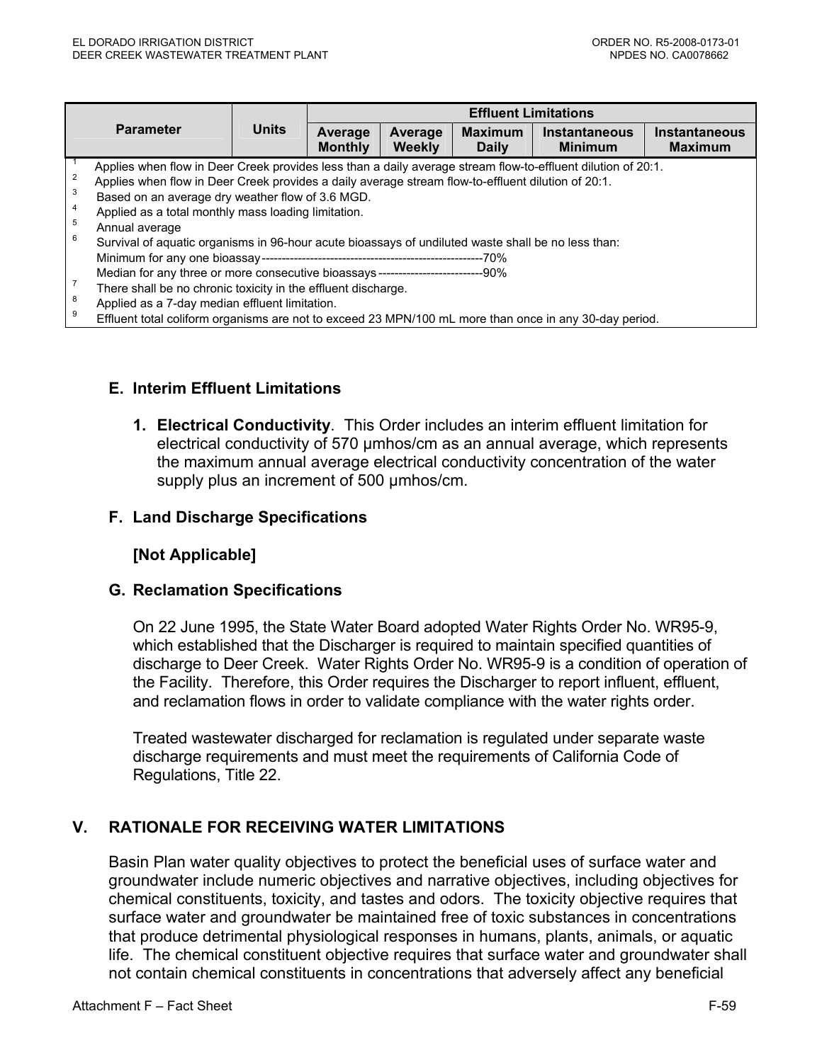|                                    |                                                                                                                                                                                                                                                                                                                                                                                                                                                       |              | <b>Effluent Limitations</b> |                   |                                |                                        |                                 |  |
|------------------------------------|-------------------------------------------------------------------------------------------------------------------------------------------------------------------------------------------------------------------------------------------------------------------------------------------------------------------------------------------------------------------------------------------------------------------------------------------------------|--------------|-----------------------------|-------------------|--------------------------------|----------------------------------------|---------------------------------|--|
| <b>Parameter</b>                   |                                                                                                                                                                                                                                                                                                                                                                                                                                                       | <b>Units</b> | Average<br><b>Monthly</b>   | Average<br>Weekly | <b>Maximum</b><br><b>Daily</b> | <b>Instantaneous</b><br><b>Minimum</b> | Instantaneous<br><b>Maximum</b> |  |
| $\overline{2}$<br>3<br>4<br>5<br>6 | Applies when flow in Deer Creek provides less than a daily average stream flow-to-effluent dilution of 20:1.<br>Applies when flow in Deer Creek provides a daily average stream flow-to-effluent dilution of 20:1.<br>Based on an average dry weather flow of 3.6 MGD.<br>Applied as a total monthly mass loading limitation.<br>Annual average<br>Survival of aquatic organisms in 96-hour acute bioassays of undiluted waste shall be no less than: |              |                             |                   |                                |                                        |                                 |  |
| 8<br>9                             | Median for any three or more consecutive bioassays -------------------------------90%<br>There shall be no chronic toxicity in the effluent discharge.<br>Applied as a 7-day median effluent limitation.<br>Effluent total coliform organisms are not to exceed 23 MPN/100 mL more than once in any 30-day period.                                                                                                                                    |              |                             |                   |                                |                                        |                                 |  |

## **E. Interim Effluent Limitations**

**1. Electrical Conductivity**. This Order includes an interim effluent limitation for electrical conductivity of 570 µmhos/cm as an annual average, which represents the maximum annual average electrical conductivity concentration of the water supply plus an increment of 500 umhos/cm.

### **F. Land Discharge Specifications**

#### **[Not Applicable]**

### **G. Reclamation Specifications**

On 22 June 1995, the State Water Board adopted Water Rights Order No. WR95-9, which established that the Discharger is required to maintain specified quantities of discharge to Deer Creek. Water Rights Order No. WR95-9 is a condition of operation of the Facility. Therefore, this Order requires the Discharger to report influent, effluent, and reclamation flows in order to validate compliance with the water rights order.

Treated wastewater discharged for reclamation is regulated under separate waste discharge requirements and must meet the requirements of California Code of Regulations, Title 22.

## **V. RATIONALE FOR RECEIVING WATER LIMITATIONS**

Basin Plan water quality objectives to protect the beneficial uses of surface water and groundwater include numeric objectives and narrative objectives, including objectives for chemical constituents, toxicity, and tastes and odors. The toxicity objective requires that surface water and groundwater be maintained free of toxic substances in concentrations that produce detrimental physiological responses in humans, plants, animals, or aquatic life. The chemical constituent objective requires that surface water and groundwater shall not contain chemical constituents in concentrations that adversely affect any beneficial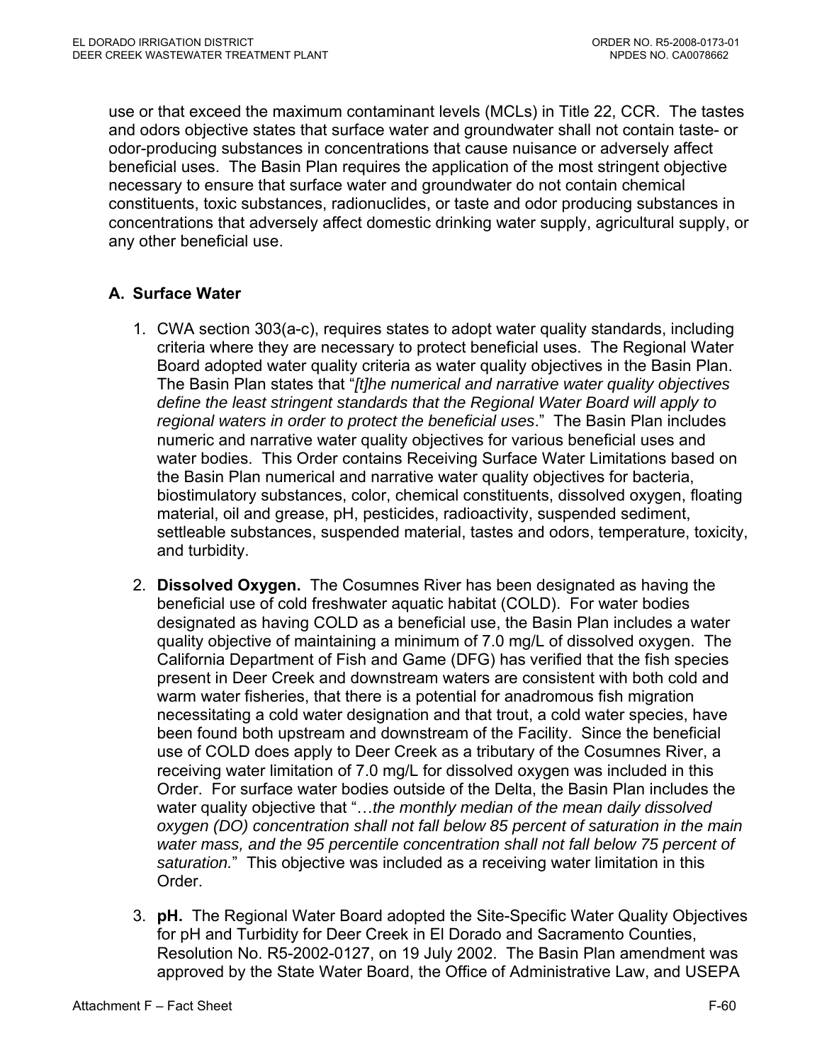use or that exceed the maximum contaminant levels (MCLs) in Title 22, CCR. The tastes and odors objective states that surface water and groundwater shall not contain taste- or odor-producing substances in concentrations that cause nuisance or adversely affect beneficial uses. The Basin Plan requires the application of the most stringent objective necessary to ensure that surface water and groundwater do not contain chemical constituents, toxic substances, radionuclides, or taste and odor producing substances in concentrations that adversely affect domestic drinking water supply, agricultural supply, or any other beneficial use.

# **A. Surface Water**

- 1. CWA section 303(a-c), requires states to adopt water quality standards, including criteria where they are necessary to protect beneficial uses. The Regional Water Board adopted water quality criteria as water quality objectives in the Basin Plan. The Basin Plan states that "*[t]he numerical and narrative water quality objectives define the least stringent standards that the Regional Water Board will apply to regional waters in order to protect the beneficial uses*." The Basin Plan includes numeric and narrative water quality objectives for various beneficial uses and water bodies. This Order contains Receiving Surface Water Limitations based on the Basin Plan numerical and narrative water quality objectives for bacteria, biostimulatory substances, color, chemical constituents, dissolved oxygen, floating material, oil and grease, pH, pesticides, radioactivity, suspended sediment, settleable substances, suspended material, tastes and odors, temperature, toxicity, and turbidity.
- 2. **Dissolved Oxygen.** The Cosumnes River has been designated as having the beneficial use of cold freshwater aquatic habitat (COLD). For water bodies designated as having COLD as a beneficial use, the Basin Plan includes a water quality objective of maintaining a minimum of 7.0 mg/L of dissolved oxygen. The California Department of Fish and Game (DFG) has verified that the fish species present in Deer Creek and downstream waters are consistent with both cold and warm water fisheries, that there is a potential for anadromous fish migration necessitating a cold water designation and that trout, a cold water species, have been found both upstream and downstream of the Facility. Since the beneficial use of COLD does apply to Deer Creek as a tributary of the Cosumnes River, a receiving water limitation of 7.0 mg/L for dissolved oxygen was included in this Order. For surface water bodies outside of the Delta, the Basin Plan includes the water quality objective that "…*the monthly median of the mean daily dissolved oxygen (DO) concentration shall not fall below 85 percent of saturation in the main*  water mass, and the 95 percentile concentration shall not fall below 75 percent of *saturation.*" This objective was included as a receiving water limitation in this Order.
- 3. **pH.** The Regional Water Board adopted the Site-Specific Water Quality Objectives for pH and Turbidity for Deer Creek in El Dorado and Sacramento Counties, Resolution No. R5-2002-0127, on 19 July 2002. The Basin Plan amendment was approved by the State Water Board, the Office of Administrative Law, and USEPA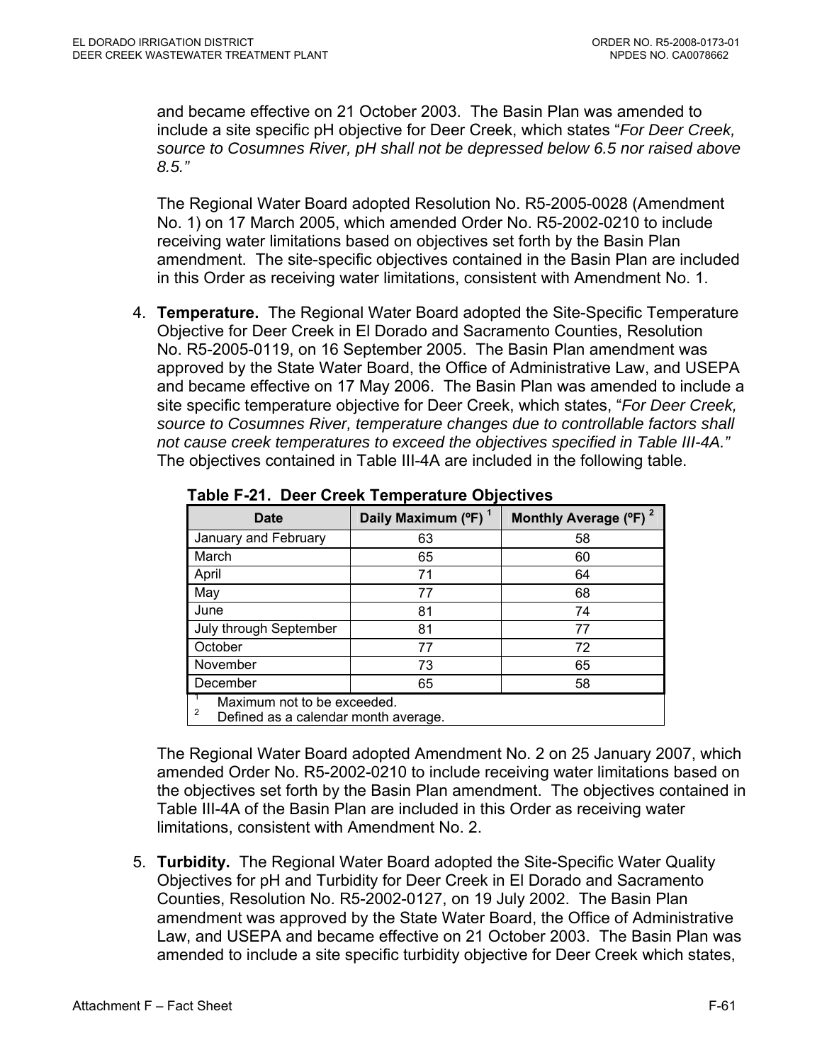and became effective on 21 October 2003. The Basin Plan was amended to include a site specific pH objective for Deer Creek, which states "*For Deer Creek, source to Cosumnes River, pH shall not be depressed below 6.5 nor raised above 8.5."*

The Regional Water Board adopted Resolution No. R5-2005-0028 (Amendment No. 1) on 17 March 2005, which amended Order No. R5-2002-0210 to include receiving water limitations based on objectives set forth by the Basin Plan amendment. The site-specific objectives contained in the Basin Plan are included in this Order as receiving water limitations, consistent with Amendment No. 1.

4. **Temperature.** The Regional Water Board adopted the Site-Specific Temperature Objective for Deer Creek in El Dorado and Sacramento Counties, Resolution No. R5-2005-0119, on 16 September 2005. The Basin Plan amendment was approved by the State Water Board, the Office of Administrative Law, and USEPA and became effective on 17 May 2006. The Basin Plan was amended to include a site specific temperature objective for Deer Creek, which states, "*For Deer Creek, source to Cosumnes River, temperature changes due to controllable factors shall not cause creek temperatures to exceed the objectives specified in Table III-4A."*  The objectives contained in Table III-4A are included in the following table.

| <b>Date</b>                                                              | Daily Maximum (°F) <sup>1</sup> | Monthly Average (°F) <sup>2</sup> |  |  |
|--------------------------------------------------------------------------|---------------------------------|-----------------------------------|--|--|
| January and February                                                     | 63                              | 58                                |  |  |
| March                                                                    | 65                              | 60                                |  |  |
| April                                                                    | 71                              | 64                                |  |  |
| May                                                                      | 77                              | 68                                |  |  |
| June                                                                     | 81                              | 74                                |  |  |
| July through September                                                   | 81                              | 77                                |  |  |
| October                                                                  | 77                              | 72                                |  |  |
| November                                                                 | 73                              | 65                                |  |  |
| December                                                                 | 65                              | 58                                |  |  |
| Maximum not to be exceeded.<br>2<br>Defined as a calendar month average. |                                 |                                   |  |  |

**Table F-21. Deer Creek Temperature Objectives** 

The Regional Water Board adopted Amendment No. 2 on 25 January 2007, which amended Order No. R5-2002-0210 to include receiving water limitations based on the objectives set forth by the Basin Plan amendment. The objectives contained in Table III-4A of the Basin Plan are included in this Order as receiving water limitations, consistent with Amendment No. 2.

5. **Turbidity.** The Regional Water Board adopted the Site-Specific Water Quality Objectives for pH and Turbidity for Deer Creek in El Dorado and Sacramento Counties, Resolution No. R5-2002-0127, on 19 July 2002. The Basin Plan amendment was approved by the State Water Board, the Office of Administrative Law, and USEPA and became effective on 21 October 2003. The Basin Plan was amended to include a site specific turbidity objective for Deer Creek which states,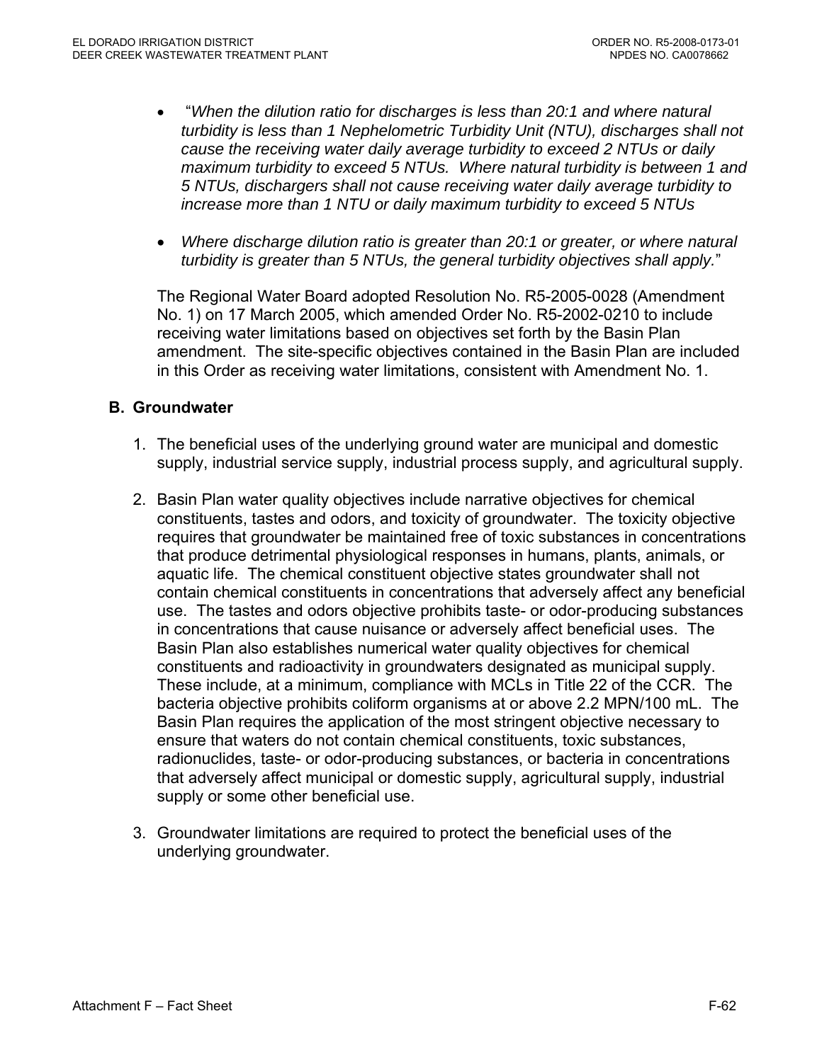- "*When the dilution ratio for discharges is less than 20:1 and where natural turbidity is less than 1 Nephelometric Turbidity Unit (NTU), discharges shall not cause the receiving water daily average turbidity to exceed 2 NTUs or daily maximum turbidity to exceed 5 NTUs. Where natural turbidity is between 1 and 5 NTUs, dischargers shall not cause receiving water daily average turbidity to increase more than 1 NTU or daily maximum turbidity to exceed 5 NTUs*
- *Where discharge dilution ratio is greater than 20:1 or greater, or where natural turbidity is greater than 5 NTUs, the general turbidity objectives shall apply.*"

The Regional Water Board adopted Resolution No. R5-2005-0028 (Amendment No. 1) on 17 March 2005, which amended Order No. R5-2002-0210 to include receiving water limitations based on objectives set forth by the Basin Plan amendment. The site-specific objectives contained in the Basin Plan are included in this Order as receiving water limitations, consistent with Amendment No. 1.

### **B. Groundwater**

- 1. The beneficial uses of the underlying ground water are municipal and domestic supply, industrial service supply, industrial process supply, and agricultural supply.
- 2. Basin Plan water quality objectives include narrative objectives for chemical constituents, tastes and odors, and toxicity of groundwater. The toxicity objective requires that groundwater be maintained free of toxic substances in concentrations that produce detrimental physiological responses in humans, plants, animals, or aquatic life. The chemical constituent objective states groundwater shall not contain chemical constituents in concentrations that adversely affect any beneficial use. The tastes and odors objective prohibits taste- or odor-producing substances in concentrations that cause nuisance or adversely affect beneficial uses. The Basin Plan also establishes numerical water quality objectives for chemical constituents and radioactivity in groundwaters designated as municipal supply. These include, at a minimum, compliance with MCLs in Title 22 of the CCR. The bacteria objective prohibits coliform organisms at or above 2.2 MPN/100 mL. The Basin Plan requires the application of the most stringent objective necessary to ensure that waters do not contain chemical constituents, toxic substances, radionuclides, taste- or odor-producing substances, or bacteria in concentrations that adversely affect municipal or domestic supply, agricultural supply, industrial supply or some other beneficial use.
- 3. Groundwater limitations are required to protect the beneficial uses of the underlying groundwater.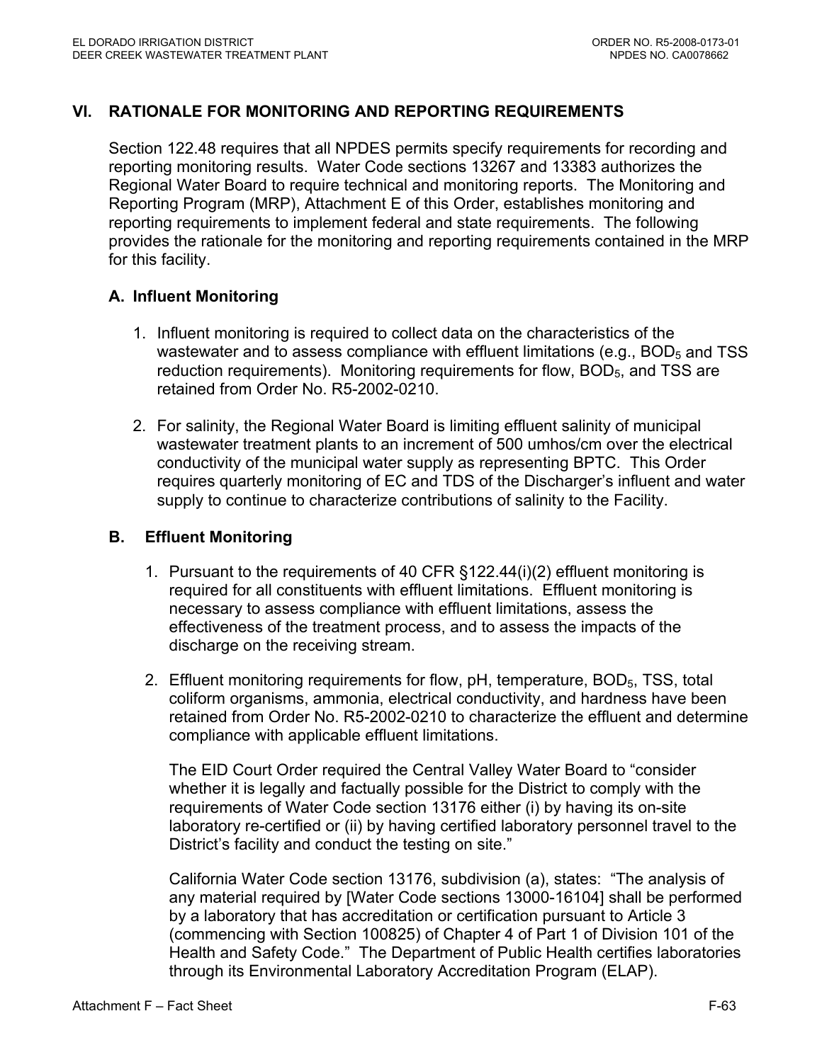## **VI. RATIONALE FOR MONITORING AND REPORTING REQUIREMENTS**

Section 122.48 requires that all NPDES permits specify requirements for recording and reporting monitoring results. Water Code sections 13267 and 13383 authorizes the Regional Water Board to require technical and monitoring reports. The Monitoring and Reporting Program (MRP), Attachment E of this Order, establishes monitoring and reporting requirements to implement federal and state requirements. The following provides the rationale for the monitoring and reporting requirements contained in the MRP for this facility.

### **A. Influent Monitoring**

- 1. Influent monitoring is required to collect data on the characteristics of the wastewater and to assess compliance with effluent limitations (e.g.,  $BOD<sub>5</sub>$  and TSS reduction requirements). Monitoring requirements for flow,  $BOD<sub>5</sub>$ , and TSS are retained from Order No. R5-2002-0210.
- 2. For salinity, the Regional Water Board is limiting effluent salinity of municipal wastewater treatment plants to an increment of 500 umhos/cm over the electrical conductivity of the municipal water supply as representing BPTC. This Order requires quarterly monitoring of EC and TDS of the Discharger's influent and water supply to continue to characterize contributions of salinity to the Facility.

### **B. Effluent Monitoring**

- 1. Pursuant to the requirements of 40 CFR §122.44(i)(2) effluent monitoring is required for all constituents with effluent limitations. Effluent monitoring is necessary to assess compliance with effluent limitations, assess the effectiveness of the treatment process, and to assess the impacts of the discharge on the receiving stream.
- 2. Effluent monitoring requirements for flow, pH, temperature, BOD<sub>5</sub>, TSS, total coliform organisms, ammonia, electrical conductivity, and hardness have been retained from Order No. R5-2002-0210 to characterize the effluent and determine compliance with applicable effluent limitations.

The EID Court Order required the Central Valley Water Board to "consider whether it is legally and factually possible for the District to comply with the requirements of Water Code section 13176 either (i) by having its on-site laboratory re-certified or (ii) by having certified laboratory personnel travel to the District's facility and conduct the testing on site."

California Water Code section 13176, subdivision (a), states: "The analysis of any material required by [Water Code sections 13000-16104] shall be performed by a laboratory that has accreditation or certification pursuant to Article 3 (commencing with Section 100825) of Chapter 4 of Part 1 of Division 101 of the Health and Safety Code." The Department of Public Health certifies laboratories through its Environmental Laboratory Accreditation Program (ELAP).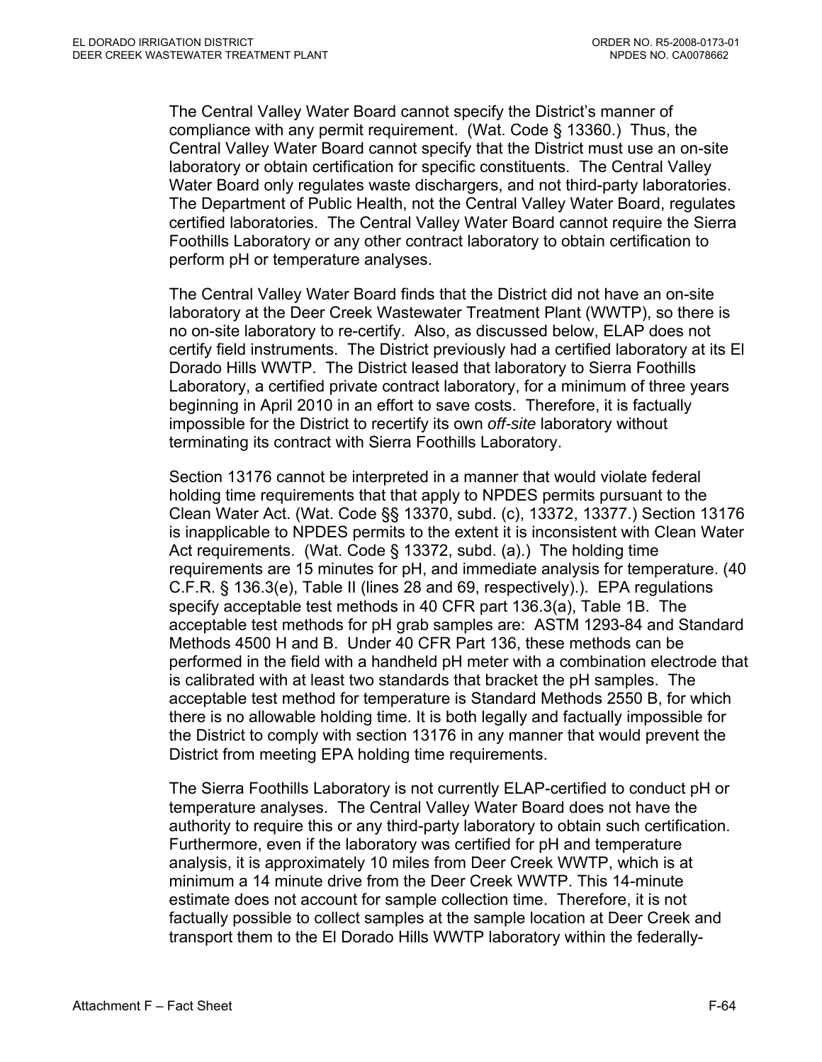The Central Valley Water Board cannot specify the District's manner of compliance with any permit requirement. (Wat. Code § 13360.) Thus, the Central Valley Water Board cannot specify that the District must use an on-site laboratory or obtain certification for specific constituents. The Central Valley Water Board only regulates waste dischargers, and not third-party laboratories. The Department of Public Health, not the Central Valley Water Board, regulates certified laboratories. The Central Valley Water Board cannot require the Sierra Foothills Laboratory or any other contract laboratory to obtain certification to perform pH or temperature analyses.

The Central Valley Water Board finds that the District did not have an on-site laboratory at the Deer Creek Wastewater Treatment Plant (WWTP), so there is no on-site laboratory to re-certify. Also, as discussed below, ELAP does not certify field instruments. The District previously had a certified laboratory at its El Dorado Hills WWTP. The District leased that laboratory to Sierra Foothills Laboratory, a certified private contract laboratory, for a minimum of three years beginning in April 2010 in an effort to save costs. Therefore, it is factually impossible for the District to recertify its own *off-site* laboratory without terminating its contract with Sierra Foothills Laboratory.

Section 13176 cannot be interpreted in a manner that would violate federal holding time requirements that that apply to NPDES permits pursuant to the Clean Water Act. (Wat. Code §§ 13370, subd. (c), 13372, 13377.) Section 13176 is inapplicable to NPDES permits to the extent it is inconsistent with Clean Water Act requirements. (Wat. Code § 13372, subd. (a).) The holding time requirements are 15 minutes for pH, and immediate analysis for temperature. (40 C.F.R. § 136.3(e), Table II (lines 28 and 69, respectively).). EPA regulations specify acceptable test methods in 40 CFR part 136.3(a), Table 1B. The acceptable test methods for pH grab samples are: ASTM 1293-84 and Standard Methods 4500 H and B. Under 40 CFR Part 136, these methods can be performed in the field with a handheld pH meter with a combination electrode that is calibrated with at least two standards that bracket the pH samples. The acceptable test method for temperature is Standard Methods 2550 B, for which there is no allowable holding time. It is both legally and factually impossible for the District to comply with section 13176 in any manner that would prevent the District from meeting EPA holding time requirements.

The Sierra Foothills Laboratory is not currently ELAP-certified to conduct pH or temperature analyses. The Central Valley Water Board does not have the authority to require this or any third-party laboratory to obtain such certification. Furthermore, even if the laboratory was certified for pH and temperature analysis, it is approximately 10 miles from Deer Creek WWTP, which is at minimum a 14 minute drive from the Deer Creek WWTP. This 14-minute estimate does not account for sample collection time. Therefore, it is not factually possible to collect samples at the sample location at Deer Creek and transport them to the El Dorado Hills WWTP laboratory within the federally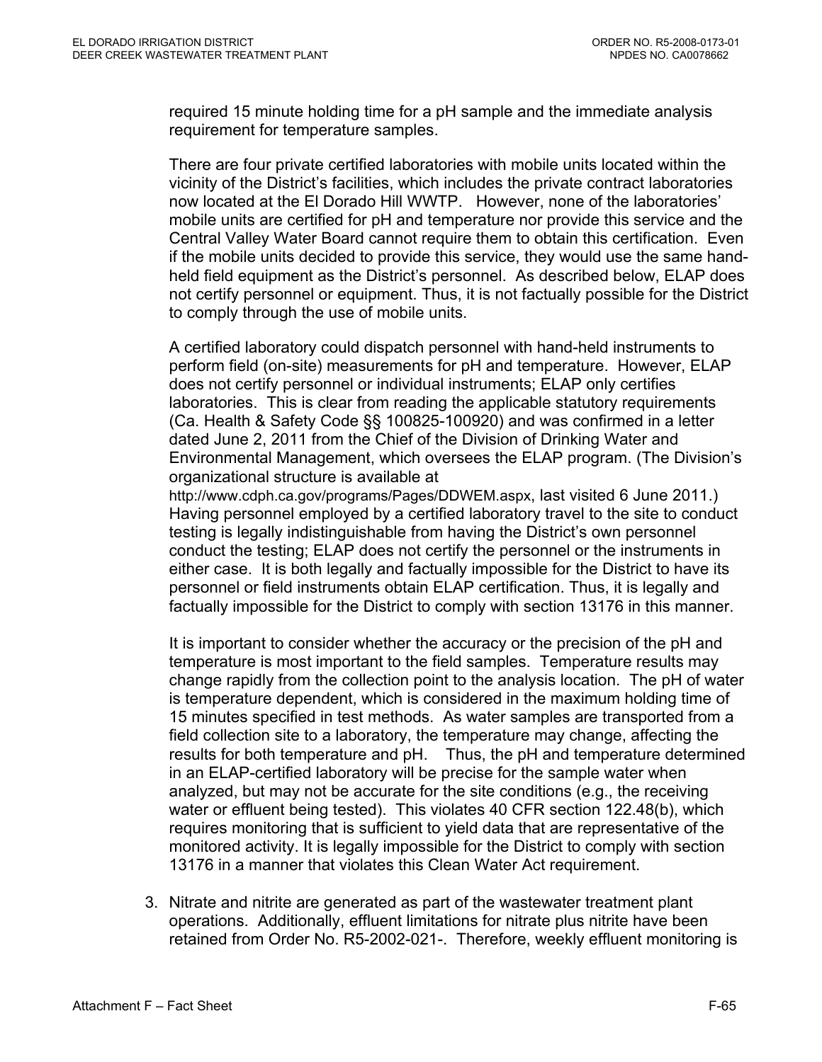required 15 minute holding time for a pH sample and the immediate analysis requirement for temperature samples.

There are four private certified laboratories with mobile units located within the vicinity of the District's facilities, which includes the private contract laboratories now located at the El Dorado Hill WWTP. However, none of the laboratories' mobile units are certified for pH and temperature nor provide this service and the Central Valley Water Board cannot require them to obtain this certification. Even if the mobile units decided to provide this service, they would use the same handheld field equipment as the District's personnel. As described below, ELAP does not certify personnel or equipment. Thus, it is not factually possible for the District to comply through the use of mobile units.

A certified laboratory could dispatch personnel with hand-held instruments to perform field (on-site) measurements for pH and temperature. However, ELAP does not certify personnel or individual instruments; ELAP only certifies laboratories. This is clear from reading the applicable statutory requirements (Ca. Health & Safety Code §§ 100825-100920) and was confirmed in a letter dated June 2, 2011 from the Chief of the Division of Drinking Water and Environmental Management, which oversees the ELAP program. (The Division's organizational structure is available at

http://www.cdph.ca.gov/programs/Pages/DDWEM.aspx, last visited 6 June 2011.) Having personnel employed by a certified laboratory travel to the site to conduct testing is legally indistinguishable from having the District's own personnel conduct the testing; ELAP does not certify the personnel or the instruments in either case. It is both legally and factually impossible for the District to have its personnel or field instruments obtain ELAP certification. Thus, it is legally and factually impossible for the District to comply with section 13176 in this manner.

It is important to consider whether the accuracy or the precision of the pH and temperature is most important to the field samples. Temperature results may change rapidly from the collection point to the analysis location. The pH of water is temperature dependent, which is considered in the maximum holding time of 15 minutes specified in test methods. As water samples are transported from a field collection site to a laboratory, the temperature may change, affecting the results for both temperature and pH. Thus, the pH and temperature determined in an ELAP-certified laboratory will be precise for the sample water when analyzed, but may not be accurate for the site conditions (e.g., the receiving water or effluent being tested). This violates 40 CFR section 122.48(b), which requires monitoring that is sufficient to yield data that are representative of the monitored activity. It is legally impossible for the District to comply with section 13176 in a manner that violates this Clean Water Act requirement.

3. Nitrate and nitrite are generated as part of the wastewater treatment plant operations. Additionally, effluent limitations for nitrate plus nitrite have been retained from Order No. R5-2002-021-. Therefore, weekly effluent monitoring is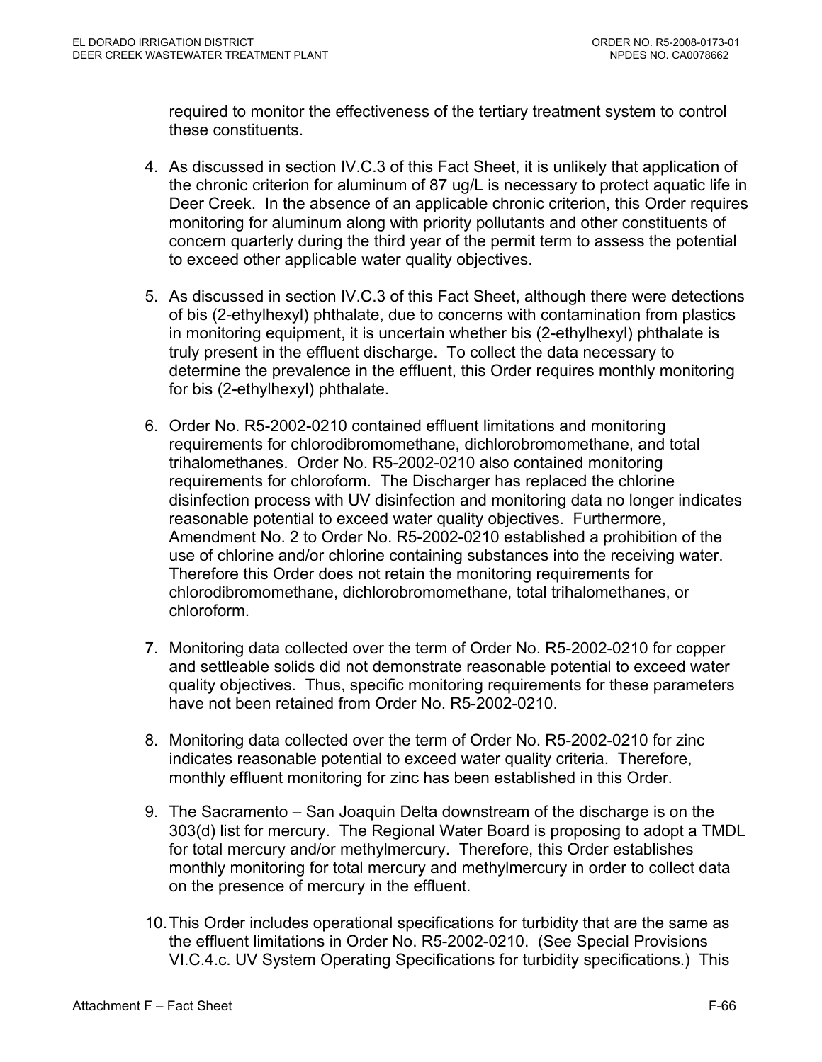required to monitor the effectiveness of the tertiary treatment system to control these constituents.

- 4. As discussed in section IV.C.3 of this Fact Sheet, it is unlikely that application of the chronic criterion for aluminum of 87 ug/L is necessary to protect aquatic life in Deer Creek. In the absence of an applicable chronic criterion, this Order requires monitoring for aluminum along with priority pollutants and other constituents of concern quarterly during the third year of the permit term to assess the potential to exceed other applicable water quality objectives.
- 5. As discussed in section IV.C.3 of this Fact Sheet, although there were detections of bis (2-ethylhexyl) phthalate, due to concerns with contamination from plastics in monitoring equipment, it is uncertain whether bis (2-ethylhexyl) phthalate is truly present in the effluent discharge. To collect the data necessary to determine the prevalence in the effluent, this Order requires monthly monitoring for bis (2-ethylhexyl) phthalate.
- 6. Order No. R5-2002-0210 contained effluent limitations and monitoring requirements for chlorodibromomethane, dichlorobromomethane, and total trihalomethanes. Order No. R5-2002-0210 also contained monitoring requirements for chloroform. The Discharger has replaced the chlorine disinfection process with UV disinfection and monitoring data no longer indicates reasonable potential to exceed water quality objectives. Furthermore, Amendment No. 2 to Order No. R5-2002-0210 established a prohibition of the use of chlorine and/or chlorine containing substances into the receiving water. Therefore this Order does not retain the monitoring requirements for chlorodibromomethane, dichlorobromomethane, total trihalomethanes, or chloroform.
- 7. Monitoring data collected over the term of Order No. R5-2002-0210 for copper and settleable solids did not demonstrate reasonable potential to exceed water quality objectives. Thus, specific monitoring requirements for these parameters have not been retained from Order No. R5-2002-0210.
- 8. Monitoring data collected over the term of Order No. R5-2002-0210 for zinc indicates reasonable potential to exceed water quality criteria. Therefore, monthly effluent monitoring for zinc has been established in this Order.
- 9. The Sacramento San Joaquin Delta downstream of the discharge is on the 303(d) list for mercury. The Regional Water Board is proposing to adopt a TMDL for total mercury and/or methylmercury. Therefore, this Order establishes monthly monitoring for total mercury and methylmercury in order to collect data on the presence of mercury in the effluent.
- 10. This Order includes operational specifications for turbidity that are the same as the effluent limitations in Order No. R5-2002-0210. (See Special Provisions VI.C.4.c. UV System Operating Specifications for turbidity specifications.) This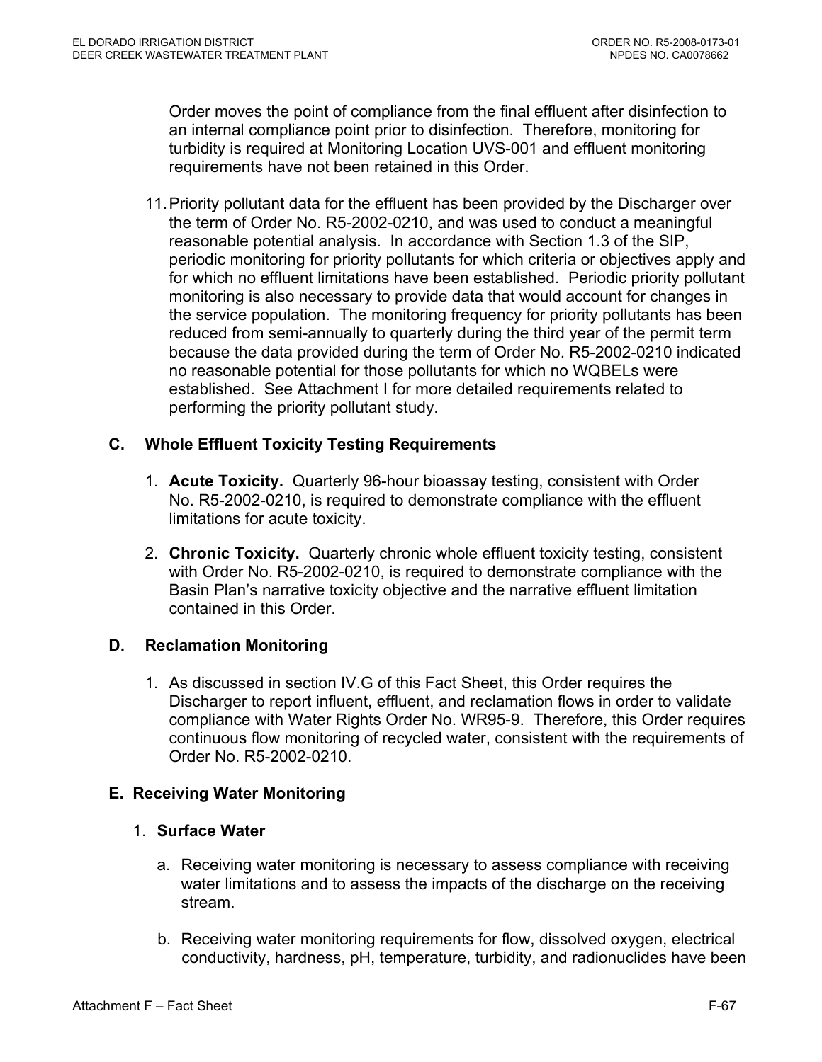Order moves the point of compliance from the final effluent after disinfection to an internal compliance point prior to disinfection. Therefore, monitoring for turbidity is required at Monitoring Location UVS-001 and effluent monitoring requirements have not been retained in this Order.

11. Priority pollutant data for the effluent has been provided by the Discharger over the term of Order No. R5-2002-0210, and was used to conduct a meaningful reasonable potential analysis. In accordance with Section 1.3 of the SIP, periodic monitoring for priority pollutants for which criteria or objectives apply and for which no effluent limitations have been established. Periodic priority pollutant monitoring is also necessary to provide data that would account for changes in the service population. The monitoring frequency for priority pollutants has been reduced from semi-annually to quarterly during the third year of the permit term because the data provided during the term of Order No. R5-2002-0210 indicated no reasonable potential for those pollutants for which no WQBELs were established. See Attachment I for more detailed requirements related to performing the priority pollutant study.

## **C. Whole Effluent Toxicity Testing Requirements**

- 1. **Acute Toxicity.** Quarterly 96-hour bioassay testing, consistent with Order No. R5-2002-0210, is required to demonstrate compliance with the effluent limitations for acute toxicity.
- 2. **Chronic Toxicity.** Quarterly chronic whole effluent toxicity testing, consistent with Order No. R5-2002-0210, is required to demonstrate compliance with the Basin Plan's narrative toxicity objective and the narrative effluent limitation contained in this Order.

# **D. Reclamation Monitoring**

1. As discussed in section IV.G of this Fact Sheet, this Order requires the Discharger to report influent, effluent, and reclamation flows in order to validate compliance with Water Rights Order No. WR95-9. Therefore, this Order requires continuous flow monitoring of recycled water, consistent with the requirements of Order No. R5-2002-0210.

# **E. Receiving Water Monitoring**

- 1. **Surface Water** 
	- a. Receiving water monitoring is necessary to assess compliance with receiving water limitations and to assess the impacts of the discharge on the receiving stream.
	- b. Receiving water monitoring requirements for flow, dissolved oxygen, electrical conductivity, hardness, pH, temperature, turbidity, and radionuclides have been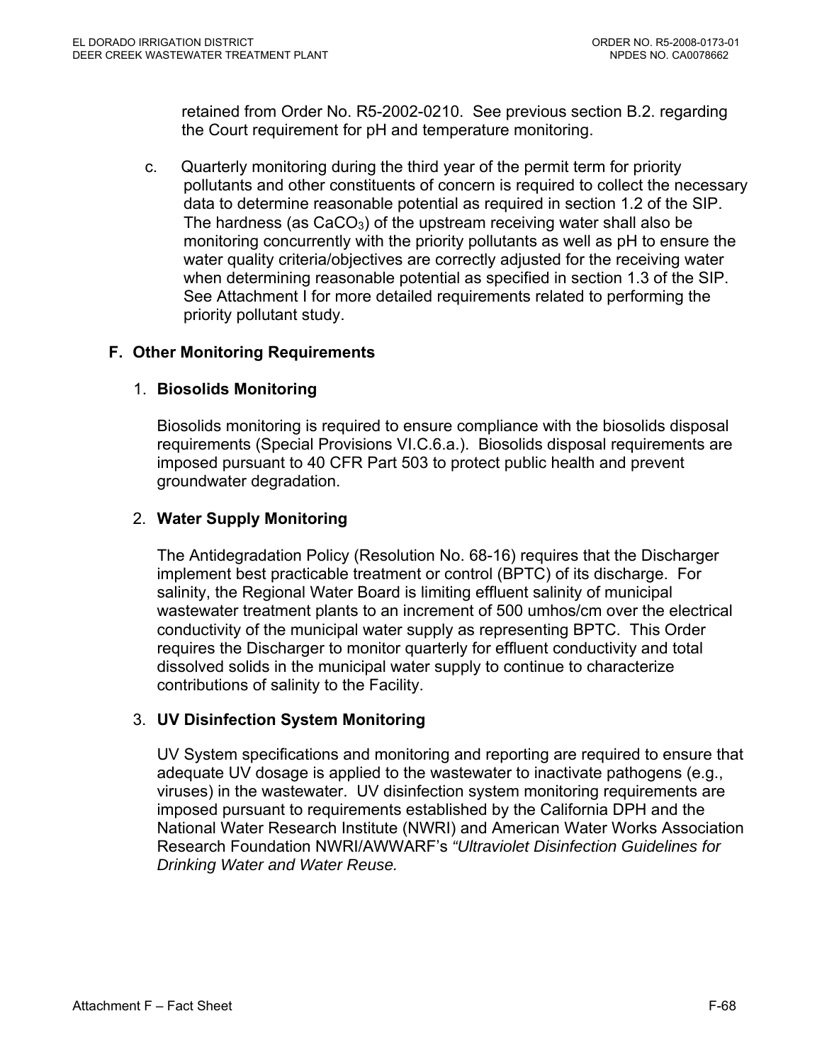retained from Order No. R5-2002-0210. See previous section B.2. regarding the Court requirement for pH and temperature monitoring.

c. Quarterly monitoring during the third year of the permit term for priority pollutants and other constituents of concern is required to collect the necessary data to determine reasonable potential as required in section 1.2 of the SIP. The hardness (as  $CaCO<sub>3</sub>$ ) of the upstream receiving water shall also be monitoring concurrently with the priority pollutants as well as pH to ensure the water quality criteria/objectives are correctly adjusted for the receiving water when determining reasonable potential as specified in section 1.3 of the SIP. See Attachment I for more detailed requirements related to performing the priority pollutant study.

# **F. Other Monitoring Requirements**

### 1. **Biosolids Monitoring**

Biosolids monitoring is required to ensure compliance with the biosolids disposal requirements (Special Provisions VI.C.6.a.). Biosolids disposal requirements are imposed pursuant to 40 CFR Part 503 to protect public health and prevent groundwater degradation.

## 2. **Water Supply Monitoring**

The Antidegradation Policy (Resolution No. 68-16) requires that the Discharger implement best practicable treatment or control (BPTC) of its discharge. For salinity, the Regional Water Board is limiting effluent salinity of municipal wastewater treatment plants to an increment of 500 umhos/cm over the electrical conductivity of the municipal water supply as representing BPTC. This Order requires the Discharger to monitor quarterly for effluent conductivity and total dissolved solids in the municipal water supply to continue to characterize contributions of salinity to the Facility.

### 3. **UV Disinfection System Monitoring**

UV System specifications and monitoring and reporting are required to ensure that adequate UV dosage is applied to the wastewater to inactivate pathogens (e.g., viruses) in the wastewater. UV disinfection system monitoring requirements are imposed pursuant to requirements established by the California DPH and the National Water Research Institute (NWRI) and American Water Works Association Research Foundation NWRI/AWWARF's *"Ultraviolet Disinfection Guidelines for Drinking Water and Water Reuse.*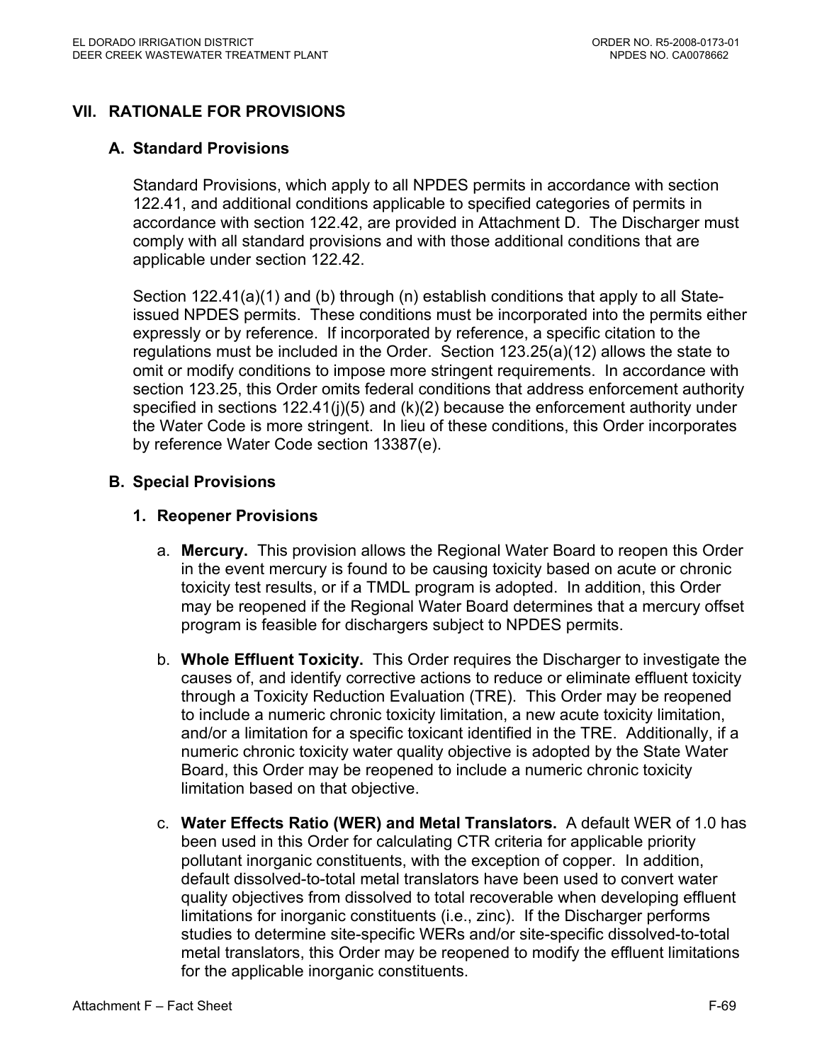# **VII. RATIONALE FOR PROVISIONS**

## **A. Standard Provisions**

Standard Provisions, which apply to all NPDES permits in accordance with section 122.41, and additional conditions applicable to specified categories of permits in accordance with section 122.42, are provided in Attachment D. The Discharger must comply with all standard provisions and with those additional conditions that are applicable under section 122.42.

Section 122.41(a)(1) and (b) through (n) establish conditions that apply to all Stateissued NPDES permits. These conditions must be incorporated into the permits either expressly or by reference. If incorporated by reference, a specific citation to the regulations must be included in the Order. Section 123.25(a)(12) allows the state to omit or modify conditions to impose more stringent requirements. In accordance with section 123.25, this Order omits federal conditions that address enforcement authority specified in sections 122.41(j)(5) and (k)(2) because the enforcement authority under the Water Code is more stringent. In lieu of these conditions, this Order incorporates by reference Water Code section 13387(e).

## **B. Special Provisions**

## **1. Reopener Provisions**

- a. **Mercury.** This provision allows the Regional Water Board to reopen this Order in the event mercury is found to be causing toxicity based on acute or chronic toxicity test results, or if a TMDL program is adopted. In addition, this Order may be reopened if the Regional Water Board determines that a mercury offset program is feasible for dischargers subject to NPDES permits.
- b. **Whole Effluent Toxicity.** This Order requires the Discharger to investigate the causes of, and identify corrective actions to reduce or eliminate effluent toxicity through a Toxicity Reduction Evaluation (TRE). This Order may be reopened to include a numeric chronic toxicity limitation, a new acute toxicity limitation, and/or a limitation for a specific toxicant identified in the TRE. Additionally, if a numeric chronic toxicity water quality objective is adopted by the State Water Board, this Order may be reopened to include a numeric chronic toxicity limitation based on that objective.
- c. **Water Effects Ratio (WER) and Metal Translators.** A default WER of 1.0 has been used in this Order for calculating CTR criteria for applicable priority pollutant inorganic constituents, with the exception of copper.In addition, default dissolved-to-total metal translators have been used to convert water quality objectives from dissolved to total recoverable when developing effluent limitations for inorganic constituents (i.e., zinc). If the Discharger performs studies to determine site-specific WERs and/or site-specific dissolved-to-total metal translators, this Order may be reopened to modify the effluent limitations for the applicable inorganic constituents.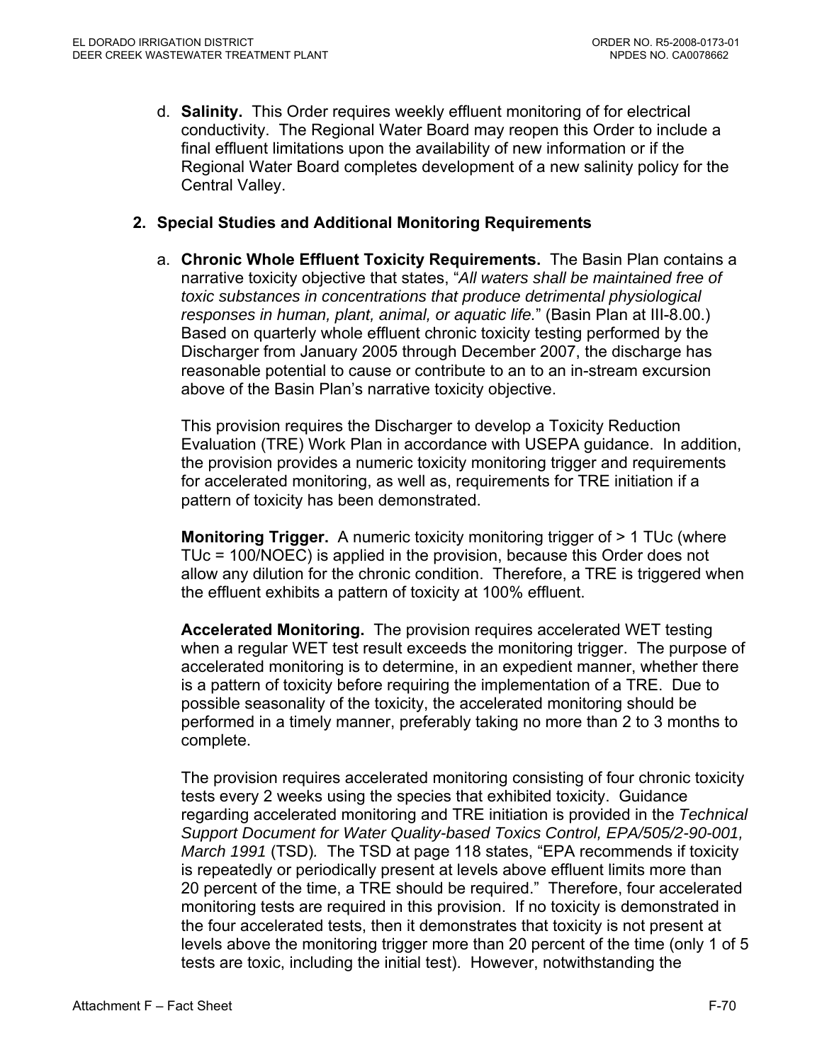d. **Salinity.** This Order requires weekly effluent monitoring of for electrical conductivity. The Regional Water Board may reopen this Order to include a final effluent limitations upon the availability of new information or if the Regional Water Board completes development of a new salinity policy for the Central Valley.

## **2. Special Studies and Additional Monitoring Requirements**

a. **Chronic Whole Effluent Toxicity Requirements.** The Basin Plan contains a narrative toxicity objective that states, "*All waters shall be maintained free of toxic substances in concentrations that produce detrimental physiological responses in human, plant, animal, or aquatic life.*" (Basin Plan at III-8.00.) Based on quarterly whole effluent chronic toxicity testing performed by the Discharger from January 2005 through December 2007, the discharge has reasonable potential to cause or contribute to an to an in-stream excursion above of the Basin Plan's narrative toxicity objective.

This provision requires the Discharger to develop a Toxicity Reduction Evaluation (TRE) Work Plan in accordance with USEPA guidance. In addition, the provision provides a numeric toxicity monitoring trigger and requirements for accelerated monitoring, as well as, requirements for TRE initiation if a pattern of toxicity has been demonstrated.

**Monitoring Trigger.** A numeric toxicity monitoring trigger of > 1 TUc (where TUc = 100/NOEC) is applied in the provision, because this Order does not allow any dilution for the chronic condition. Therefore, a TRE is triggered when the effluent exhibits a pattern of toxicity at 100% effluent.

**Accelerated Monitoring.** The provision requires accelerated WET testing when a regular WET test result exceeds the monitoring trigger. The purpose of accelerated monitoring is to determine, in an expedient manner, whether there is a pattern of toxicity before requiring the implementation of a TRE. Due to possible seasonality of the toxicity, the accelerated monitoring should be performed in a timely manner, preferably taking no more than 2 to 3 months to complete.

The provision requires accelerated monitoring consisting of four chronic toxicity tests every 2 weeks using the species that exhibited toxicity. Guidance regarding accelerated monitoring and TRE initiation is provided in the *Technical Support Document for Water Quality-based Toxics Control, EPA/505/2-90-001, March 1991* (TSD)*.* The TSD at page 118 states, "EPA recommends if toxicity is repeatedly or periodically present at levels above effluent limits more than 20 percent of the time, a TRE should be required." Therefore, four accelerated monitoring tests are required in this provision. If no toxicity is demonstrated in the four accelerated tests, then it demonstrates that toxicity is not present at levels above the monitoring trigger more than 20 percent of the time (only 1 of 5 tests are toxic, including the initial test). However, notwithstanding the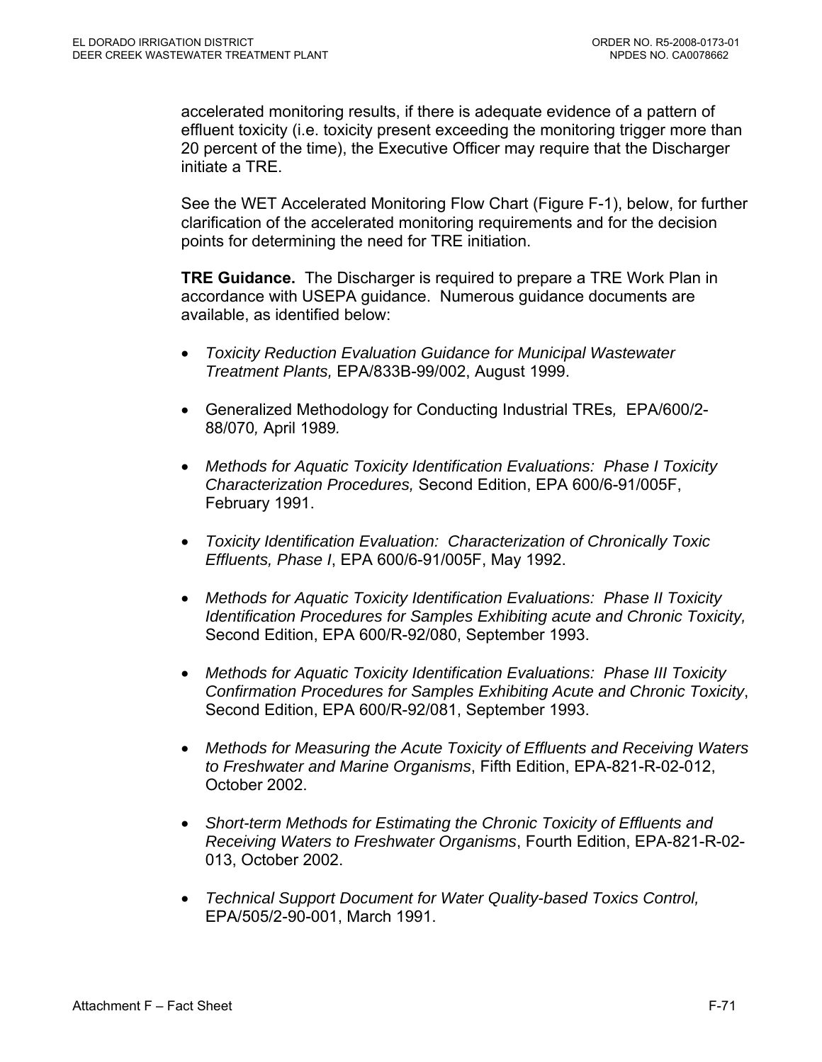accelerated monitoring results, if there is adequate evidence of a pattern of effluent toxicity (i.e. toxicity present exceeding the monitoring trigger more than 20 percent of the time), the Executive Officer may require that the Discharger initiate a TRE.

See the WET Accelerated Monitoring Flow Chart (Figure F-1), below, for further clarification of the accelerated monitoring requirements and for the decision points for determining the need for TRE initiation.

**TRE Guidance.** The Discharger is required to prepare a TRE Work Plan in accordance with USEPA guidance. Numerous guidance documents are available, as identified below:

- *Toxicity Reduction Evaluation Guidance for Municipal Wastewater Treatment Plants,* EPA/833B-99/002, August 1999.
- Generalized Methodology for Conducting Industrial TREs*,* EPA/600/2- 88/070*,* April 1989*.*
- *Methods for Aquatic Toxicity Identification Evaluations: Phase I Toxicity Characterization Procedures,* Second Edition, EPA 600/6-91/005F, February 1991.
- *Toxicity Identification Evaluation: Characterization of Chronically Toxic Effluents, Phase I*, EPA 600/6-91/005F, May 1992.
- *Methods for Aquatic Toxicity Identification Evaluations: Phase II Toxicity Identification Procedures for Samples Exhibiting acute and Chronic Toxicity,*  Second Edition, EPA 600/R-92/080, September 1993.
- *Methods for Aquatic Toxicity Identification Evaluations: Phase III Toxicity Confirmation Procedures for Samples Exhibiting Acute and Chronic Toxicity*, Second Edition, EPA 600/R-92/081, September 1993.
- *Methods for Measuring the Acute Toxicity of Effluents and Receiving Waters to Freshwater and Marine Organisms*, Fifth Edition, EPA-821-R-02-012, October 2002.
- *Short-term Methods for Estimating the Chronic Toxicity of Effluents and Receiving Waters to Freshwater Organisms*, Fourth Edition, EPA-821-R-02- 013, October 2002.
- *Technical Support Document for Water Quality-based Toxics Control,*  EPA/505/2-90-001, March 1991.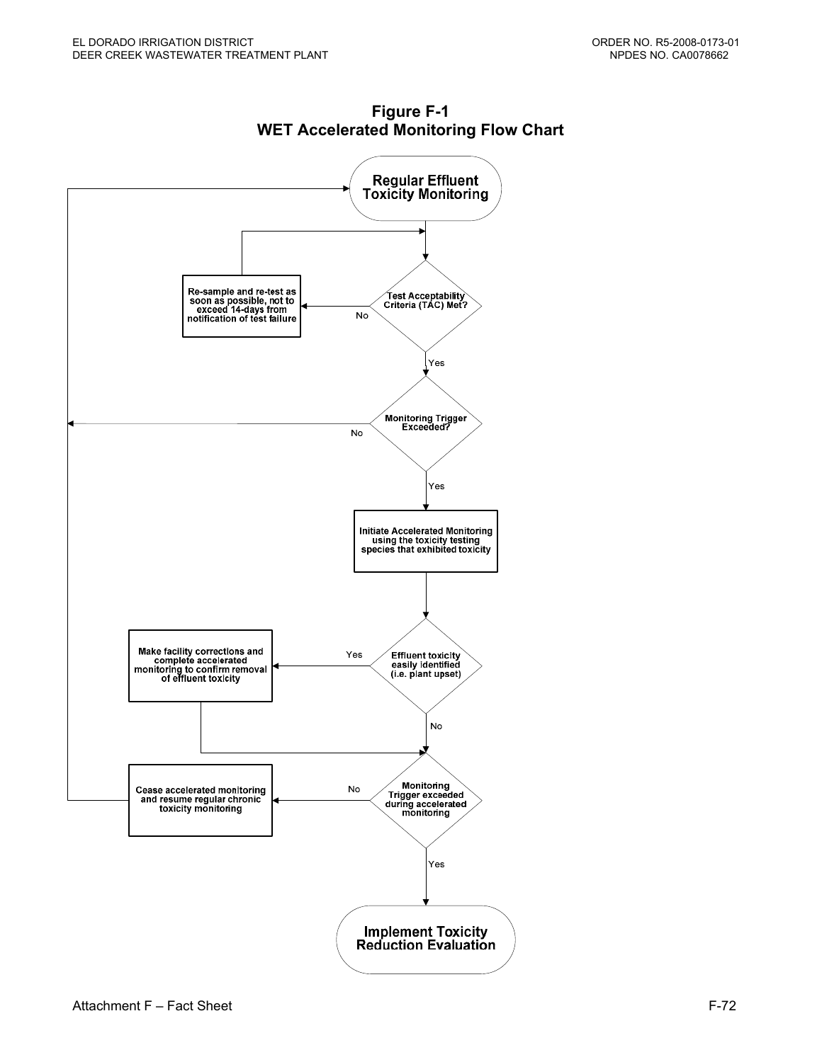

**Figure F-1 WET Accelerated Monitoring Flow Chart**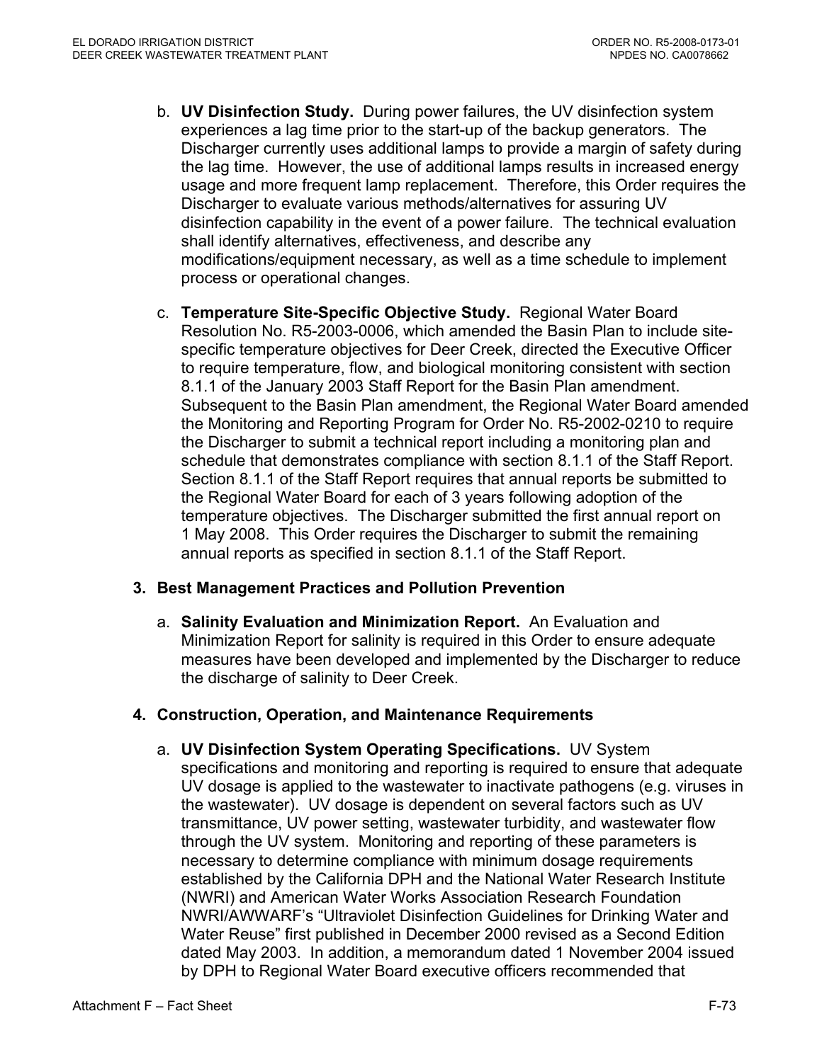- b. **UV Disinfection Study.** During power failures, the UV disinfection system experiences a lag time prior to the start-up of the backup generators. The Discharger currently uses additional lamps to provide a margin of safety during the lag time. However, the use of additional lamps results in increased energy usage and more frequent lamp replacement. Therefore, this Order requires the Discharger to evaluate various methods/alternatives for assuring UV disinfection capability in the event of a power failure. The technical evaluation shall identify alternatives, effectiveness, and describe any modifications/equipment necessary, as well as a time schedule to implement process or operational changes.
- c. **Temperature Site-Specific Objective Study.** Regional Water Board Resolution No. R5-2003-0006, which amended the Basin Plan to include sitespecific temperature objectives for Deer Creek, directed the Executive Officer to require temperature, flow, and biological monitoring consistent with section 8.1.1 of the January 2003 Staff Report for the Basin Plan amendment. Subsequent to the Basin Plan amendment, the Regional Water Board amended the Monitoring and Reporting Program for Order No. R5-2002-0210 to require the Discharger to submit a technical report including a monitoring plan and schedule that demonstrates compliance with section 8.1.1 of the Staff Report. Section 8.1.1 of the Staff Report requires that annual reports be submitted to the Regional Water Board for each of 3 years following adoption of the temperature objectives. The Discharger submitted the first annual report on 1 May 2008. This Order requires the Discharger to submit the remaining annual reports as specified in section 8.1.1 of the Staff Report.

## **3. Best Management Practices and Pollution Prevention**

a. **Salinity Evaluation and Minimization Report.** An Evaluation and Minimization Report for salinity is required in this Order to ensure adequate measures have been developed and implemented by the Discharger to reduce the discharge of salinity to Deer Creek.

## **4. Construction, Operation, and Maintenance Requirements**

a. **UV Disinfection System Operating Specifications.** UV System specifications and monitoring and reporting is required to ensure that adequate UV dosage is applied to the wastewater to inactivate pathogens (e.g. viruses in the wastewater). UV dosage is dependent on several factors such as UV transmittance, UV power setting, wastewater turbidity, and wastewater flow through the UV system. Monitoring and reporting of these parameters is necessary to determine compliance with minimum dosage requirements established by the California DPH and the National Water Research Institute (NWRI) and American Water Works Association Research Foundation NWRI/AWWARF's "Ultraviolet Disinfection Guidelines for Drinking Water and Water Reuse" first published in December 2000 revised as a Second Edition dated May 2003. In addition, a memorandum dated 1 November 2004 issued by DPH to Regional Water Board executive officers recommended that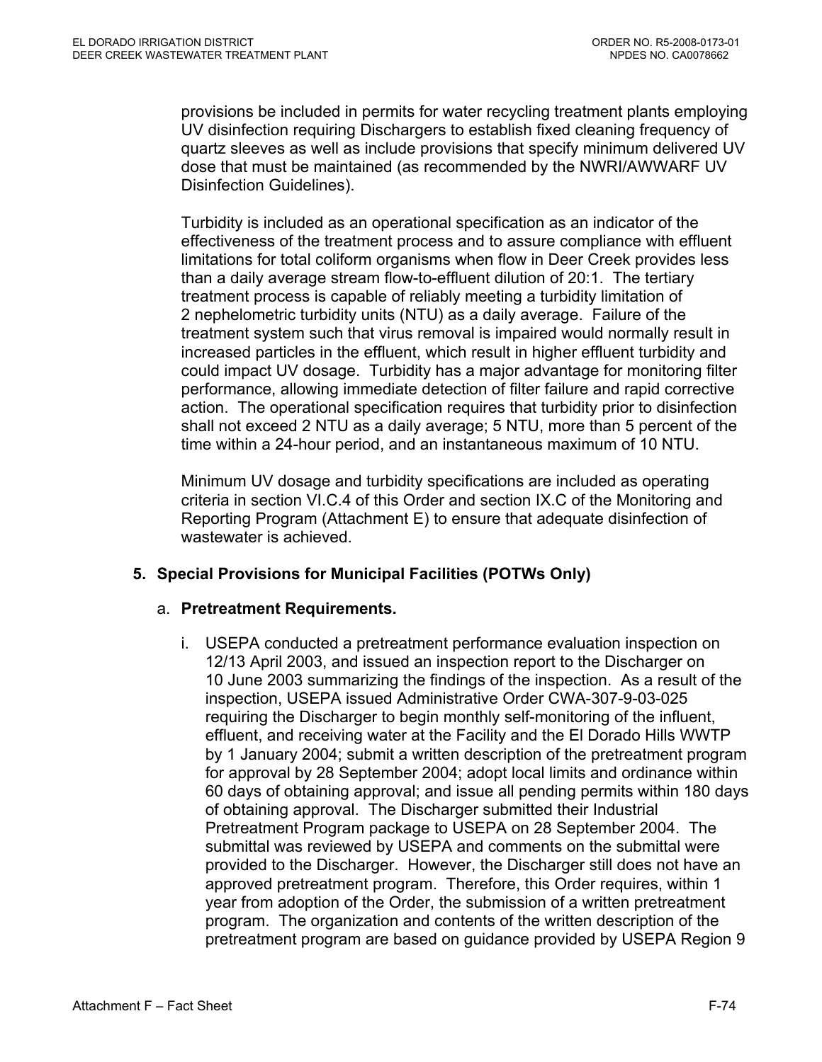provisions be included in permits for water recycling treatment plants employing UV disinfection requiring Dischargers to establish fixed cleaning frequency of quartz sleeves as well as include provisions that specify minimum delivered UV dose that must be maintained (as recommended by the NWRI/AWWARF UV Disinfection Guidelines).

Turbidity is included as an operational specification as an indicator of the effectiveness of the treatment process and to assure compliance with effluent limitations for total coliform organisms when flow in Deer Creek provides less than a daily average stream flow-to-effluent dilution of 20:1. The tertiary treatment process is capable of reliably meeting a turbidity limitation of 2 nephelometric turbidity units (NTU) as a daily average. Failure of the treatment system such that virus removal is impaired would normally result in increased particles in the effluent, which result in higher effluent turbidity and could impact UV dosage. Turbidity has a major advantage for monitoring filter performance, allowing immediate detection of filter failure and rapid corrective action. The operational specification requires that turbidity prior to disinfection shall not exceed 2 NTU as a daily average; 5 NTU, more than 5 percent of the time within a 24-hour period, and an instantaneous maximum of 10 NTU.

Minimum UV dosage and turbidity specifications are included as operating criteria in section VI.C.4 of this Order and section IX.C of the Monitoring and Reporting Program (Attachment E) to ensure that adequate disinfection of wastewater is achieved.

# **5. Special Provisions for Municipal Facilities (POTWs Only)**

## a. **Pretreatment Requirements.**

i. USEPA conducted a pretreatment performance evaluation inspection on 12/13 April 2003, and issued an inspection report to the Discharger on 10 June 2003 summarizing the findings of the inspection. As a result of the inspection, USEPA issued Administrative Order CWA-307-9-03-025 requiring the Discharger to begin monthly self-monitoring of the influent, effluent, and receiving water at the Facility and the El Dorado Hills WWTP by 1 January 2004; submit a written description of the pretreatment program for approval by 28 September 2004; adopt local limits and ordinance within 60 days of obtaining approval; and issue all pending permits within 180 days of obtaining approval. The Discharger submitted their Industrial Pretreatment Program package to USEPA on 28 September 2004. The submittal was reviewed by USEPA and comments on the submittal were provided to the Discharger. However, the Discharger still does not have an approved pretreatment program. Therefore, this Order requires, within 1 year from adoption of the Order, the submission of a written pretreatment program. The organization and contents of the written description of the pretreatment program are based on guidance provided by USEPA Region 9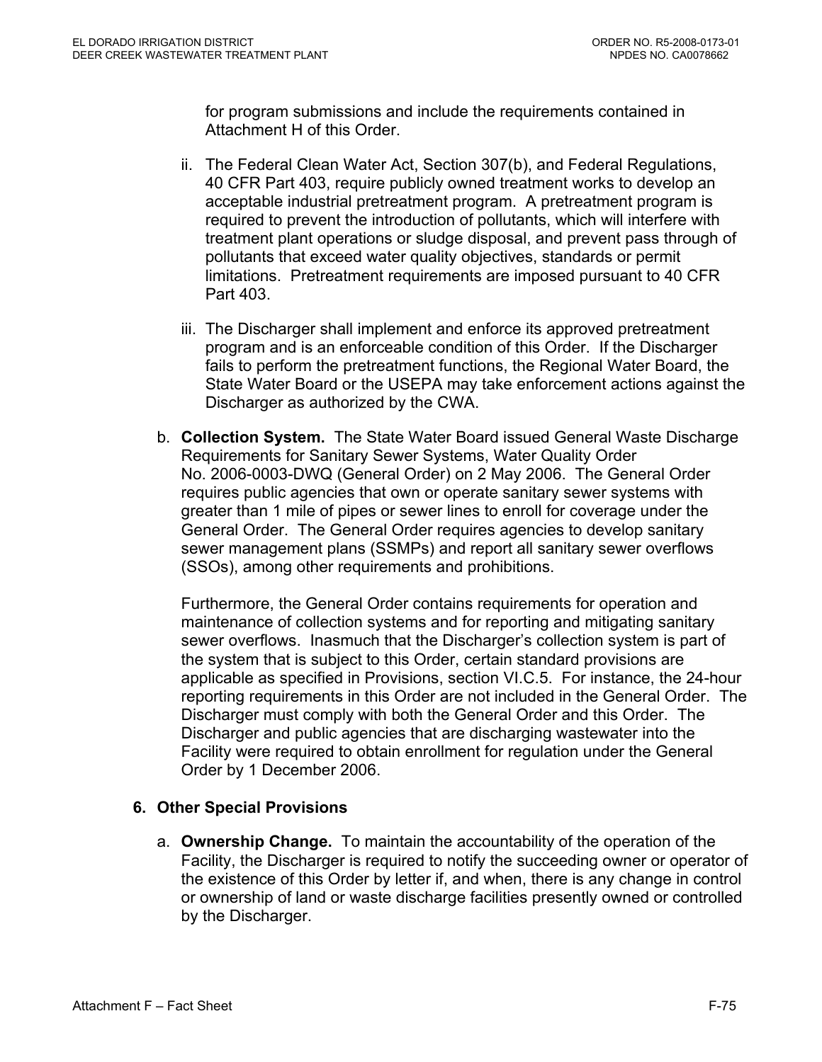for program submissions and include the requirements contained in Attachment H of this Order.

- ii. The Federal Clean Water Act, Section 307(b), and Federal Regulations, 40 CFR Part 403, require publicly owned treatment works to develop an acceptable industrial pretreatment program. A pretreatment program is required to prevent the introduction of pollutants, which will interfere with treatment plant operations or sludge disposal, and prevent pass through of pollutants that exceed water quality objectives, standards or permit limitations. Pretreatment requirements are imposed pursuant to 40 CFR Part 403.
- iii. The Discharger shall implement and enforce its approved pretreatment program and is an enforceable condition of this Order. If the Discharger fails to perform the pretreatment functions, the Regional Water Board, the State Water Board or the USEPA may take enforcement actions against the Discharger as authorized by the CWA.
- b. **Collection System.** The State Water Board issued General Waste Discharge Requirements for Sanitary Sewer Systems, Water Quality Order No. 2006-0003-DWQ (General Order) on 2 May 2006. The General Order requires public agencies that own or operate sanitary sewer systems with greater than 1 mile of pipes or sewer lines to enroll for coverage under the General Order. The General Order requires agencies to develop sanitary sewer management plans (SSMPs) and report all sanitary sewer overflows (SSOs), among other requirements and prohibitions.

Furthermore, the General Order contains requirements for operation and maintenance of collection systems and for reporting and mitigating sanitary sewer overflows. Inasmuch that the Discharger's collection system is part of the system that is subject to this Order, certain standard provisions are applicable as specified in Provisions, section VI.C.5. For instance, the 24-hour reporting requirements in this Order are not included in the General Order. The Discharger must comply with both the General Order and this Order. The Discharger and public agencies that are discharging wastewater into the Facility were required to obtain enrollment for regulation under the General Order by 1 December 2006.

# **6. Other Special Provisions**

a. **Ownership Change.** To maintain the accountability of the operation of the Facility, the Discharger is required to notify the succeeding owner or operator of the existence of this Order by letter if, and when, there is any change in control or ownership of land or waste discharge facilities presently owned or controlled by the Discharger.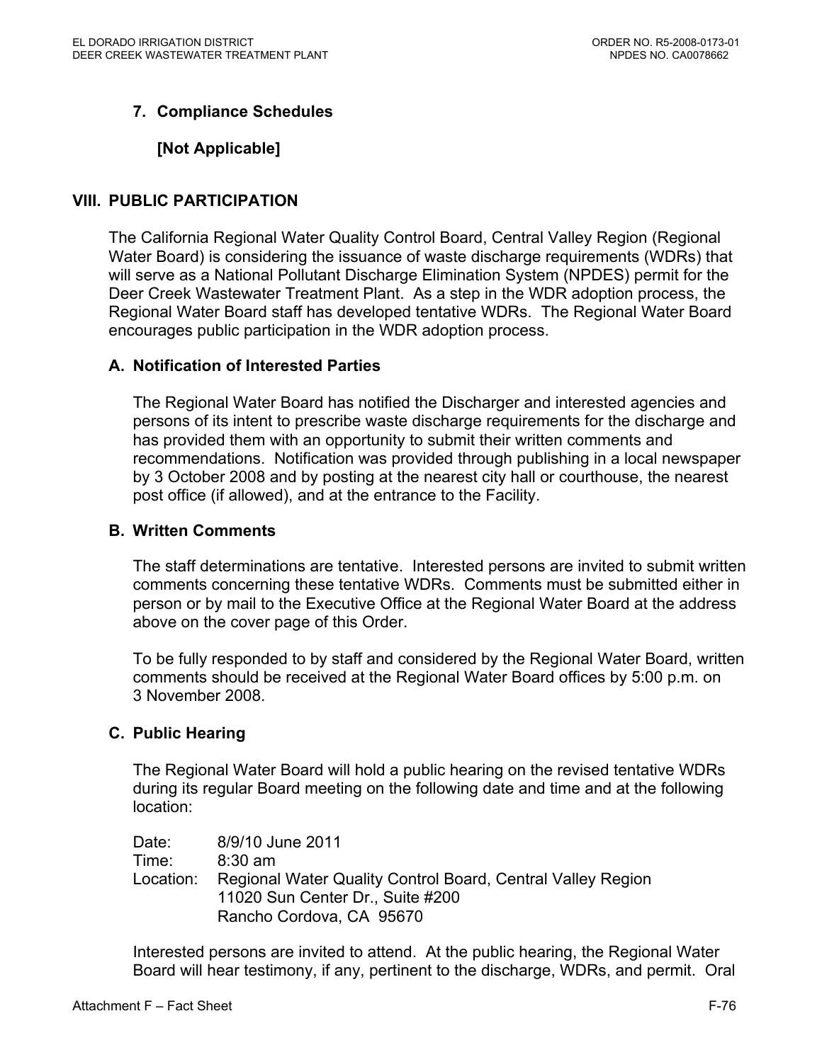# **7. Compliance Schedules**

## **[Not Applicable]**

#### **VIII. PUBLIC PARTICIPATION**

The California Regional Water Quality Control Board, Central Valley Region (Regional Water Board) is considering the issuance of waste discharge requirements (WDRs) that will serve as a National Pollutant Discharge Elimination System (NPDES) permit for the Deer Creek Wastewater Treatment Plant. As a step in the WDR adoption process, the Regional Water Board staff has developed tentative WDRs. The Regional Water Board encourages public participation in the WDR adoption process.

#### **A. Notification of Interested Parties**

The Regional Water Board has notified the Discharger and interested agencies and persons of its intent to prescribe waste discharge requirements for the discharge and has provided them with an opportunity to submit their written comments and recommendations. Notification was provided through publishing in a local newspaper by 3 October 2008 and by posting at the nearest city hall or courthouse, the nearest post office (if allowed), and at the entrance to the Facility.

#### **B. Written Comments**

The staff determinations are tentative. Interested persons are invited to submit written comments concerning these tentative WDRs. Comments must be submitted either in person or by mail to the Executive Office at the Regional Water Board at the address above on the cover page of this Order.

To be fully responded to by staff and considered by the Regional Water Board, written comments should be received at the Regional Water Board offices by 5:00 p.m. on 3 November 2008.

#### **C. Public Hearing**

The Regional Water Board will hold a public hearing on the revised tentative WDRs during its regular Board meeting on the following date and time and at the following location:

Date: 8/9/10 June 2011 Time: 8:30 am Location: Regional Water Quality Control Board, Central Valley Region 11020 Sun Center Dr., Suite #200 Rancho Cordova, CA 95670

Interested persons are invited to attend. At the public hearing, the Regional Water Board will hear testimony, if any, pertinent to the discharge, WDRs, and permit. Oral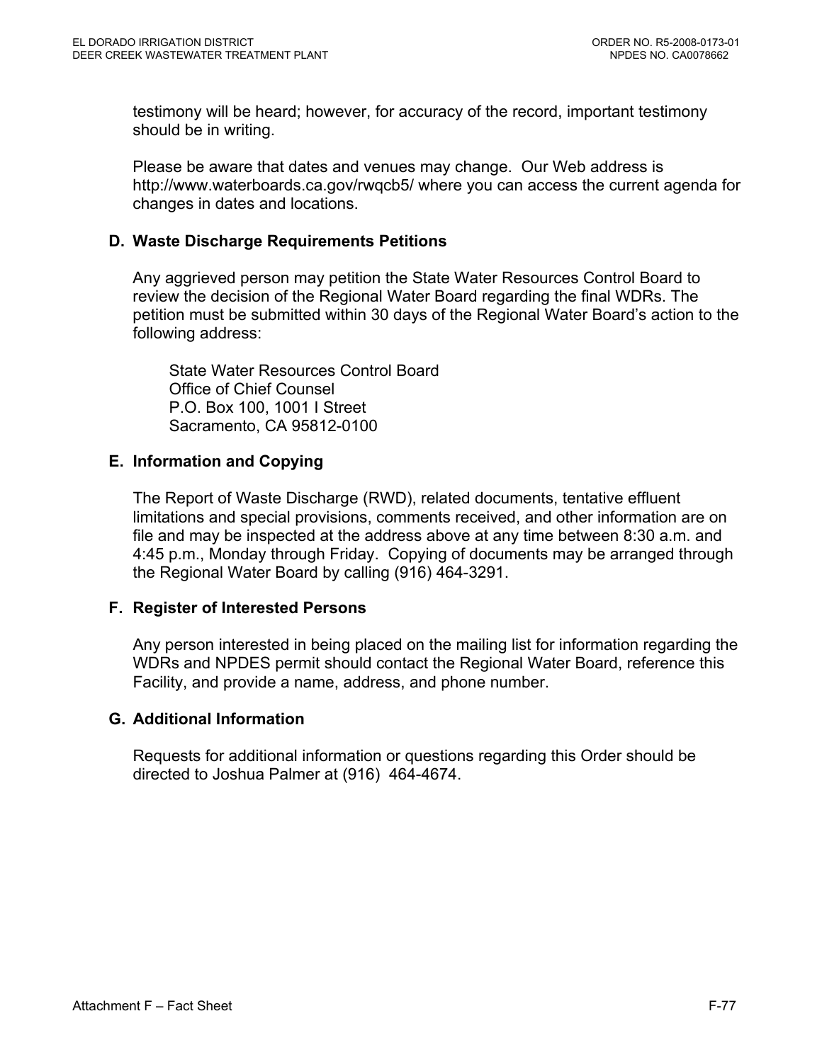testimony will be heard; however, for accuracy of the record, important testimony should be in writing.

Please be aware that dates and venues may change. Our Web address is http://www.waterboards.ca.gov/rwqcb5/ where you can access the current agenda for changes in dates and locations.

## **D. Waste Discharge Requirements Petitions**

Any aggrieved person may petition the State Water Resources Control Board to review the decision of the Regional Water Board regarding the final WDRs. The petition must be submitted within 30 days of the Regional Water Board's action to the following address:

State Water Resources Control Board Office of Chief Counsel P.O. Box 100, 1001 I Street Sacramento, CA 95812-0100

## **E. Information and Copying**

The Report of Waste Discharge (RWD), related documents, tentative effluent limitations and special provisions, comments received, and other information are on file and may be inspected at the address above at any time between 8:30 a.m. and 4:45 p.m., Monday through Friday. Copying of documents may be arranged through the Regional Water Board by calling (916) 464-3291.

## **F. Register of Interested Persons**

Any person interested in being placed on the mailing list for information regarding the WDRs and NPDES permit should contact the Regional Water Board, reference this Facility, and provide a name, address, and phone number.

## **G. Additional Information**

Requests for additional information or questions regarding this Order should be directed to Joshua Palmer at (916) 464-4674.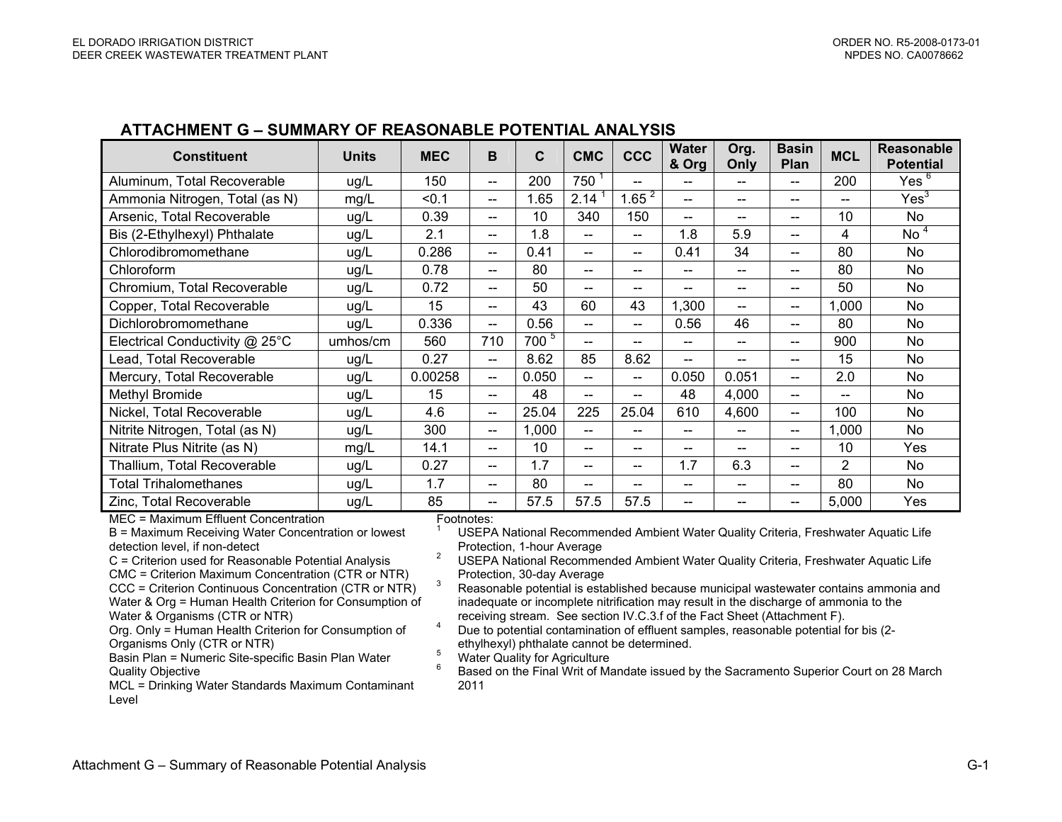#### **ATTACHMENT G – SUMMARY OF REASONABLE POTENTIAL ANALYSIS**

| <b>Constituent</b>             | <b>Units</b> | <b>MEC</b> | B                             | C       | <b>CMC</b>               | <b>CCC</b>               | <b>Water</b><br>& Org                 | Org.<br>Only | <b>Basin</b><br>Plan                           | <b>MCL</b>     | <b>Reasonable</b><br><b>Potential</b> |
|--------------------------------|--------------|------------|-------------------------------|---------|--------------------------|--------------------------|---------------------------------------|--------------|------------------------------------------------|----------------|---------------------------------------|
| Aluminum, Total Recoverable    | ug/L         | 150        | $\qquad \qquad -$             | 200     | 750                      | $\hspace{0.05cm}$        | --                                    | --           | --                                             | 200            | Yes $6$                               |
| Ammonia Nitrogen, Total (as N) | mg/L         | < 0.1      | --                            | 1.65    | 2.14                     | 1.65 $^{2}$              | --                                    | --           | --                                             | --             | Yes <sup>3</sup>                      |
| Arsenic, Total Recoverable     | ug/L         | 0.39       | $\overline{\phantom{a}}$      | 10      | 340                      | 150                      | $\qquad \qquad -$                     | $- -$        | $\hspace{0.1mm}-\hspace{0.1mm}-\hspace{0.1mm}$ | 10             | No                                    |
| Bis (2-Ethylhexyl) Phthalate   | ug/L         | 2.1        | $- -$                         | 1.8     | $\overline{\phantom{a}}$ | $\hspace{0.05cm}$        | 1.8                                   | 5.9          | $- -$                                          | 4              | No <sup>4</sup>                       |
| Chlorodibromomethane           | ug/L         | 0.286      | $\qquad \qquad -$             | 0.41    | $\hspace{0.05cm}$        | $\overline{\phantom{a}}$ | 0.41                                  | 34           | $- -$                                          | 80             | No                                    |
| Chloroform                     | ug/L         | 0.78       | $- -$                         | 80      | $- -$                    | $-$                      | --                                    | $-$          | $\overline{\phantom{a}}$                       | 80             | No                                    |
| Chromium, Total Recoverable    | ug/L         | 0.72       | $-$                           | 50      | $\overline{\phantom{a}}$ | --                       | --                                    | --           | --                                             | 50             | No                                    |
| Copper, Total Recoverable      | ug/L         | 15         | $\qquad \qquad \qquad -$      | 43      | 60                       | 43                       | 1,300                                 | --           | $\overline{\phantom{a}}$                       | 1,000          | No                                    |
| Dichlorobromomethane           | ug/L         | 0.336      | $\overline{\phantom{a}}$      | 0.56    | $- -$                    | $\hspace{0.05cm}$        | 0.56                                  | 46           | $- -$                                          | 80             | No                                    |
| Electrical Conductivity @ 25°C | umhos/cm     | 560        | 710                           | $700^5$ | $- -$                    | $-$                      | $-$                                   | $-$          | $\hspace{0.05cm}$                              | 900            | No                                    |
| Lead, Total Recoverable        | ug/L         | 0.27       | $-$                           | 8.62    | 85                       | 8.62                     | --                                    | $-$          | $\qquad \qquad \qquad -$                       | 15             | No                                    |
| Mercury, Total Recoverable     | ug/L         | 0.00258    | $-$                           | 0.050   | $- -$                    | $\overline{\phantom{a}}$ | 0.050                                 | 0.051        | $\hspace{0.05cm}$                              | 2.0            | No                                    |
| Methyl Bromide                 | ug/L         | 15         | $\qquad \qquad -$             | 48      | $\hspace{0.05cm}$        | $- -$                    | 48                                    | 4,000        | $\hspace{0.1mm}-\hspace{0.1mm}-\hspace{0.1mm}$ | --             | <b>No</b>                             |
| Nickel, Total Recoverable      | ug/L         | 4.6        | $- -$                         | 25.04   | 225                      | 25.04                    | 610                                   | 4,600        | $- -$                                          | 100            | No                                    |
| Nitrite Nitrogen, Total (as N) | ug/L         | 300        | $\qquad \qquad \qquad \qquad$ | 1,000   | $\overline{\phantom{a}}$ | $\overline{\phantom{0}}$ | --                                    | $-$          | $\overline{\phantom{a}}$                       | 1,000          | No                                    |
| Nitrate Plus Nitrite (as N)    | mg/L         | 14.1       | $-$                           | 10      | $\overline{\phantom{a}}$ | $-$                      | $\hspace{0.05cm}$ – $\hspace{0.05cm}$ | --           | --                                             | 10             | Yes                                   |
| Thallium, Total Recoverable    | ug/L         | 0.27       | $-$                           | 1.7     | $- -$                    | $-$                      | 1.7                                   | 6.3          | $\overline{\phantom{a}}$                       | $\overline{2}$ | No                                    |
| <b>Total Trihalomethanes</b>   | ug/L         | 1.7        | --                            | 80      | $-$                      | --                       |                                       | $-$          | --                                             | 80             | No                                    |
| Zinc, Total Recoverable        | ug/L         | 85         | $\qquad \qquad -$             | 57.5    | 57.5                     | 57.5                     | $- -$                                 | $- -$        | $\hspace{0.1mm}-\hspace{0.1mm}-\hspace{0.1mm}$ | 5,000          | Yes                                   |

MEC = Maximum Effluent Concentration

B = Maximum Receiving Water Concentration or lowest detection level, if non-detect

C = Criterion used for Reasonable Potential Analysis CMC = Criterion Maximum Concentration (CTR or NTR) CCC = Criterion Continuous Concentration (CTR or NTR) Water & Org = Human Health Criterion for Consumption of Water & Organisms (CTR or NTR)

Org. Only = Human Health Criterion for Consumption of Organisms Only (CTR or NTR)

Basin Plan = Numeric Site-specific Basin Plan Water Quality Objective

MCL = Drinking Water Standards Maximum Contaminant Level

Footnotes:

USEPA National Recommended Ambient Water Quality Criteria, Freshwater Aquatic Life<br>Protection, 1-hour Average

<sup>2</sup> USEPA National Recommended Ambient Water Quality Criteria, Freshwater Aquatic Life Protection, 30-day Average 3<br>3 Reasonable potential is established because municipal wastewater contains ammonia and

inadequate or incomplete nitrification may result in the discharge of ammonia to the receiving stream. See section IV.C.3.f of the Fact Sheet (Attachment F).

Freceiving stream. See section IV.C.3. of the Fact Sheet (Attachment F).<br><sup>4</sup> Due to potential contamination of effluent samples, reasonable potential for bis (2-

ethylhexyl) phthalate cannot be determined.<br>
<sup>5</sup> Water Quality for Agriculture<br>
<sup>6</sup> Based on the Final Writ of Mandate issued by the Sacramento Superior Court on 28 March 2011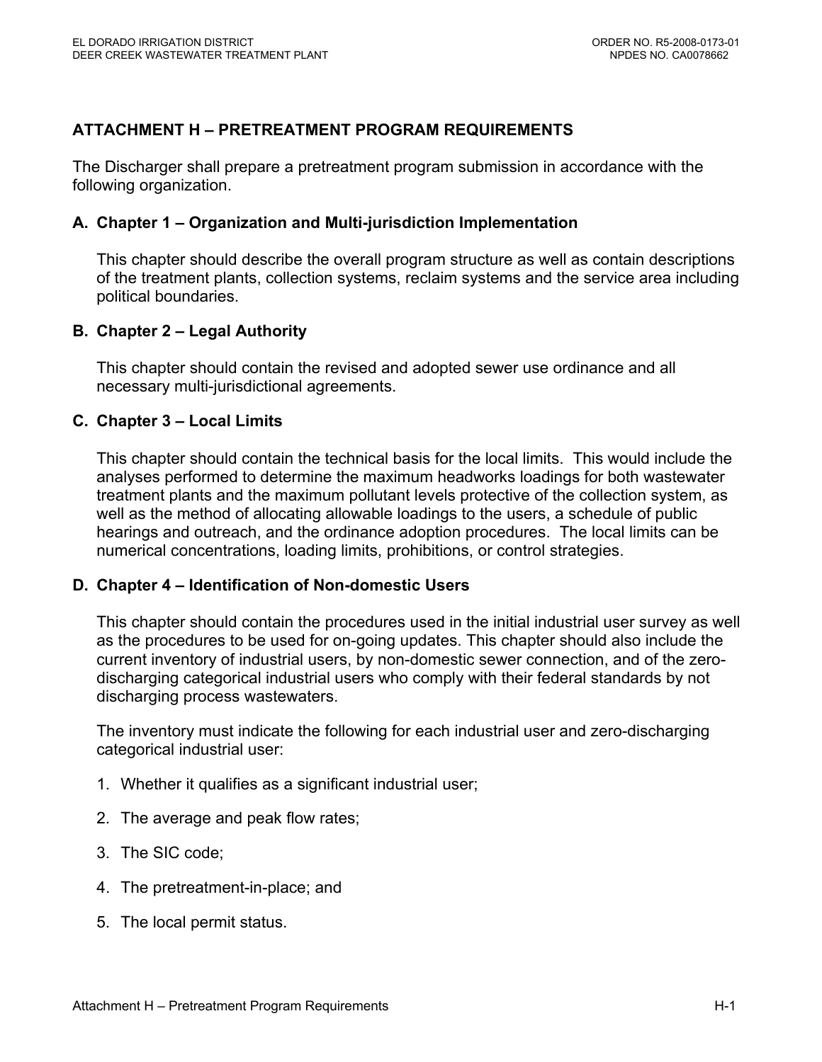# **ATTACHMENT H – PRETREATMENT PROGRAM REQUIREMENTS**

The Discharger shall prepare a pretreatment program submission in accordance with the following organization.

#### **A. Chapter 1 – Organization and Multi-jurisdiction Implementation**

This chapter should describe the overall program structure as well as contain descriptions of the treatment plants, collection systems, reclaim systems and the service area including political boundaries.

## **B. Chapter 2 – Legal Authority**

This chapter should contain the revised and adopted sewer use ordinance and all necessary multi-jurisdictional agreements.

#### **C. Chapter 3 – Local Limits**

This chapter should contain the technical basis for the local limits. This would include the analyses performed to determine the maximum headworks loadings for both wastewater treatment plants and the maximum pollutant levels protective of the collection system, as well as the method of allocating allowable loadings to the users, a schedule of public hearings and outreach, and the ordinance adoption procedures. The local limits can be numerical concentrations, loading limits, prohibitions, or control strategies.

## **D. Chapter 4 – Identification of Non-domestic Users**

This chapter should contain the procedures used in the initial industrial user survey as well as the procedures to be used for on-going updates. This chapter should also include the current inventory of industrial users, by non-domestic sewer connection, and of the zerodischarging categorical industrial users who comply with their federal standards by not discharging process wastewaters.

The inventory must indicate the following for each industrial user and zero-discharging categorical industrial user:

- 1. Whether it qualifies as a significant industrial user;
- 2. The average and peak flow rates;
- 3. The SIC code;
- 4. The pretreatment-in-place; and
- 5. The local permit status.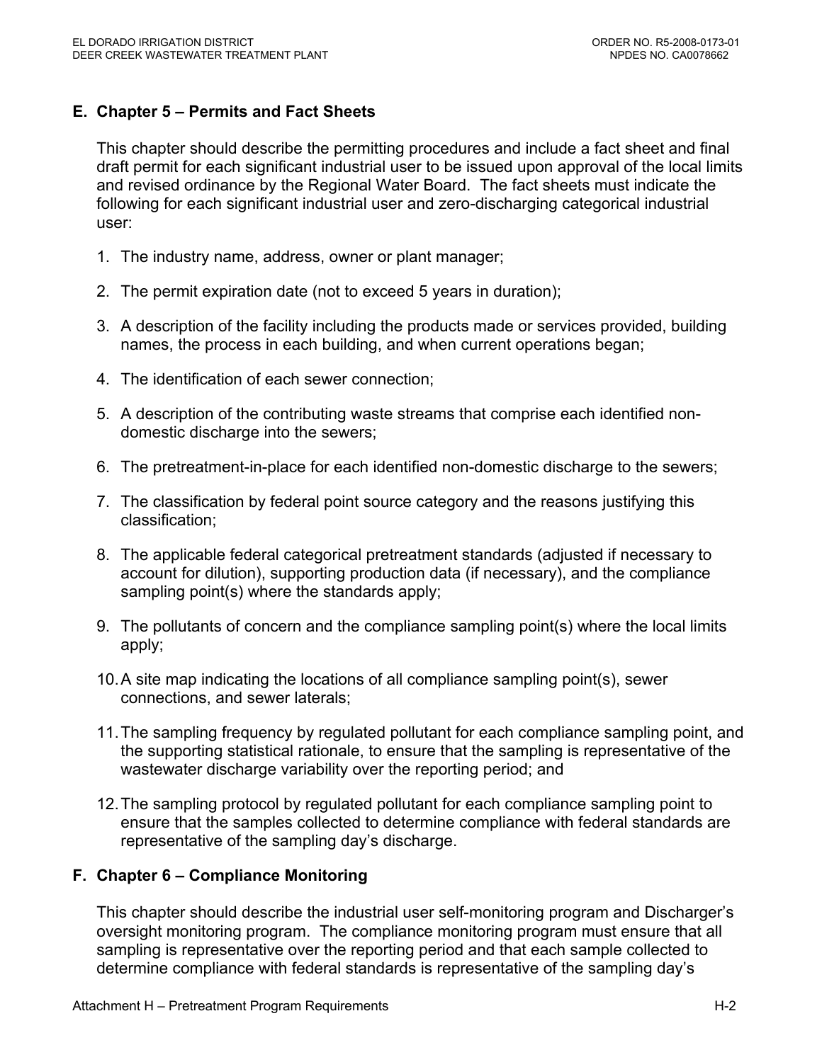# **E. Chapter 5 – Permits and Fact Sheets**

This chapter should describe the permitting procedures and include a fact sheet and final draft permit for each significant industrial user to be issued upon approval of the local limits and revised ordinance by the Regional Water Board. The fact sheets must indicate the following for each significant industrial user and zero-discharging categorical industrial user:

- 1. The industry name, address, owner or plant manager;
- 2. The permit expiration date (not to exceed 5 years in duration);
- 3. A description of the facility including the products made or services provided, building names, the process in each building, and when current operations began;
- 4. The identification of each sewer connection;
- 5. A description of the contributing waste streams that comprise each identified nondomestic discharge into the sewers;
- 6. The pretreatment-in-place for each identified non-domestic discharge to the sewers;
- 7. The classification by federal point source category and the reasons justifying this classification;
- 8. The applicable federal categorical pretreatment standards (adjusted if necessary to account for dilution), supporting production data (if necessary), and the compliance sampling point(s) where the standards apply;
- 9. The pollutants of concern and the compliance sampling point(s) where the local limits apply;
- 10. A site map indicating the locations of all compliance sampling point(s), sewer connections, and sewer laterals;
- 11. The sampling frequency by regulated pollutant for each compliance sampling point, and the supporting statistical rationale, to ensure that the sampling is representative of the wastewater discharge variability over the reporting period; and
- 12. The sampling protocol by regulated pollutant for each compliance sampling point to ensure that the samples collected to determine compliance with federal standards are representative of the sampling day's discharge.

## **F. Chapter 6 – Compliance Monitoring**

This chapter should describe the industrial user self-monitoring program and Discharger's oversight monitoring program. The compliance monitoring program must ensure that all sampling is representative over the reporting period and that each sample collected to determine compliance with federal standards is representative of the sampling day's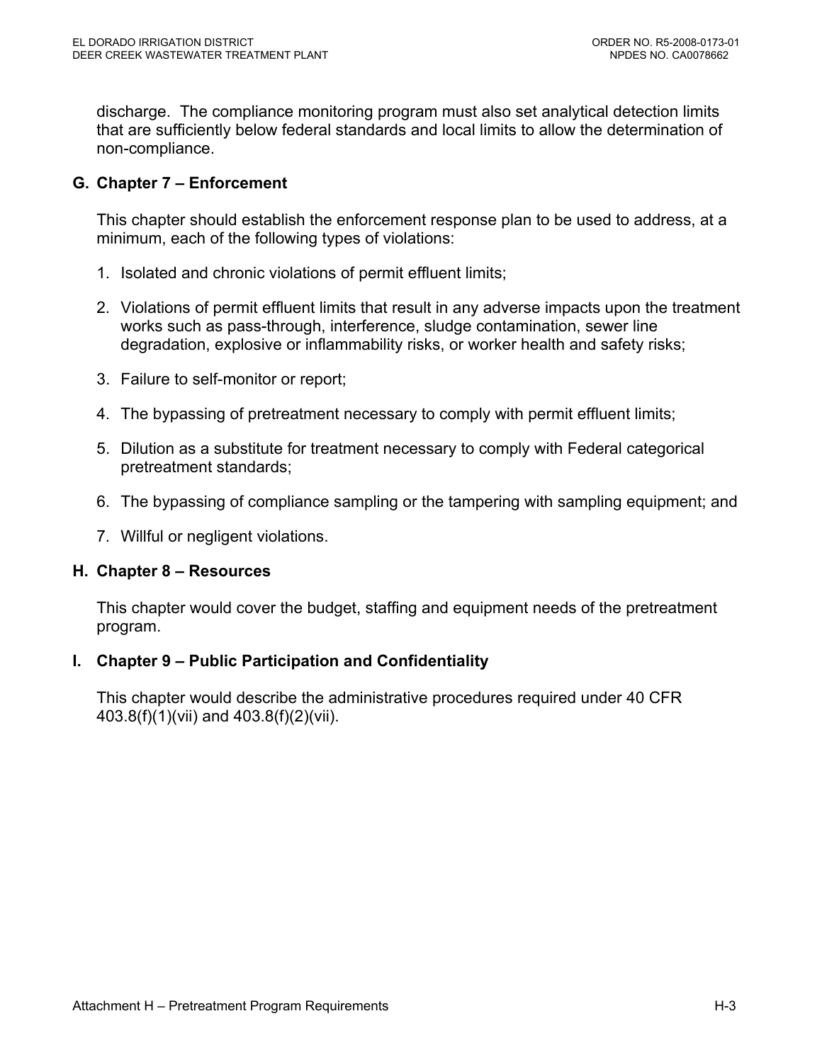discharge. The compliance monitoring program must also set analytical detection limits that are sufficiently below federal standards and local limits to allow the determination of non-compliance.

# **G. Chapter 7 – Enforcement**

This chapter should establish the enforcement response plan to be used to address, at a minimum, each of the following types of violations:

- 1. Isolated and chronic violations of permit effluent limits;
- 2. Violations of permit effluent limits that result in any adverse impacts upon the treatment works such as pass-through, interference, sludge contamination, sewer line degradation, explosive or inflammability risks, or worker health and safety risks;
- 3. Failure to self-monitor or report;
- 4. The bypassing of pretreatment necessary to comply with permit effluent limits;
- 5. Dilution as a substitute for treatment necessary to comply with Federal categorical pretreatment standards;
- 6. The bypassing of compliance sampling or the tampering with sampling equipment; and
- 7. Willful or negligent violations.

# **H. Chapter 8 – Resources**

This chapter would cover the budget, staffing and equipment needs of the pretreatment program.

# **I. Chapter 9 – Public Participation and Confidentiality**

This chapter would describe the administrative procedures required under 40 CFR 403.8(f)(1)(vii) and 403.8(f)(2)(vii).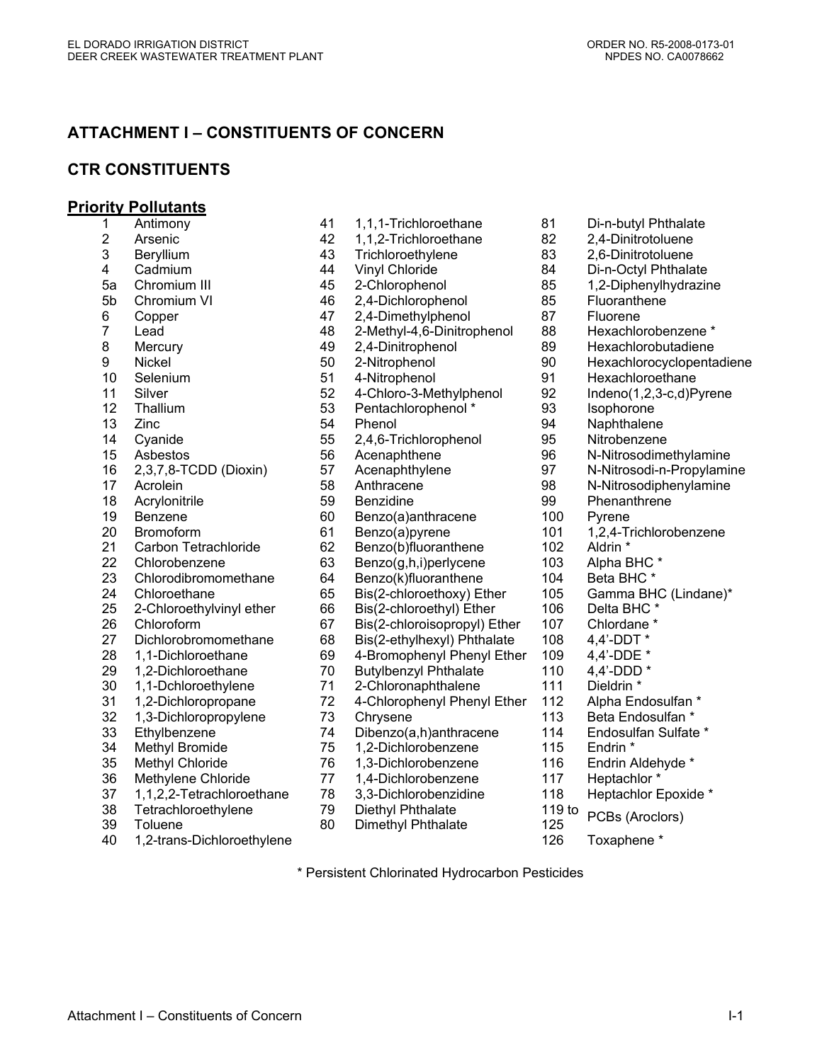# **ATTACHMENT I – CONSTITUENTS OF CONCERN**

## **CTR CONSTITUENTS**

#### **Priority Pollutants**

| 1                    | Antimony                                                  |
|----------------------|-----------------------------------------------------------|
| $\overline{2}$       | Arsenic                                                   |
| 3                    | Beryllium                                                 |
| 4                    | Cadmium                                                   |
| 5a                   | Chromium III                                              |
| 5b                   | Chromium VI                                               |
| 6                    | Copper                                                    |
| $\overline{7}$       | Lead                                                      |
| 8                    | Mercury                                                   |
| 9                    | Nickel                                                    |
| 10                   | Selenium                                                  |
| 11                   | Silver                                                    |
| 12 <sub>2</sub>      | Thallium                                                  |
| 13                   | Zinc                                                      |
| 14                   | Cyanide                                                   |
| 15                   | Asbestos                                                  |
| 16                   | 2,3,7,8-TCDD (Dioxin)                                     |
| 17                   | Acrolein                                                  |
| 18                   | Acrylonitrile                                             |
| 19                   | <b>Benzene</b>                                            |
| 20                   | Bromoform                                                 |
| 21                   | <b>Carbon Tetrachloride</b>                               |
| 22                   | Chlorobenzene                                             |
| 23                   | Chlorodibromomethane                                      |
| 24                   | Chloroethane                                              |
| 25                   | 2-Chloroethylvinyl ether                                  |
| 26                   | Chloroform                                                |
| 27                   | Dichlorobromomethane                                      |
| 28                   | 1,1-Dichloroethane                                        |
| 29                   | 1,2-Dichloroethane                                        |
| 30                   | 1,1-Dchloroethylene                                       |
| 31                   | 1,2-Dichloropropane                                       |
| 32                   | 1,3-Dichloropropylene                                     |
| 33                   | Ethylbenzene                                              |
| 34                   | <b>Methyl Bromide</b>                                     |
| 35                   | <b>Methyl Chloride</b>                                    |
| 36                   | Methylene Chloride                                        |
| 37                   | 1,1,2,2-Tetrachloroethane                                 |
| 38                   | Tetrachloroethylene                                       |
| 39<br>$\overline{ }$ | Toluene<br>Diebleseethule<br>$\Lambda$ $\Omega$ $\Lambda$ |

- 51 4-Nitrophenol 91 Hexachloroethane 12 12 Thallian Pentachlorophenol \* 12 12 18 Isophorone<br>12 Thenol 194 Naphthalene Phenol 94 Naphthalene 55 2,4,6-Trichlorophenol 95 Nitrobenzene 18 Benzidine 18 Acrylonic 199 Phenanthrene 60 Benzo(a)anthracene 100 Pyrene 61 Benzo(a)pyrene 101 1,2,4-Trichlorobenzene 62 Benzo(b)fluoranthene 102 Aldrin \* 63 Benzo(g,h,i)perlycene 103 Alpha BHC \* 64 Benzo(k)fluoranthene 104 Beta BHC \* 66 Bis(2-chloroethyl) Ether 106 Delta BHC \* 67 Bis(2-chloroisopropyl) Ether 107 Chlordane \* 68 Bis(2-ethylhexyl) Phthalate 108 4,4'-DDT \* 69 4-Bromophenyl Phenyl Ether 109 4,4'-DDE \* 70 Butylbenzyl Phthalate 110 4,4'-DDD \* 71 2-Chloronaphthalene 111 Dieldrin \* 72 4-Chlorophenyl Phenyl Ether 112 Alpha Endosulfan \* 73 Chrysene 113 Beta Endosulfan \* 33 Ethylbenzene 74 Dibenzo(a,h)anthracene 114 Endosulfan Sulfate \* 34 Methyl Bromide 75 1,2-Dichlorobenzene 115 Endrin \* 76 1,3-Dichlorobenzene 116 Endrin Aldehyde \* 77 1.4-Dichlorobenzene 117 Heptachlor \* 78 3,3-Dichlorobenzidine 118 Heptachlor Epoxide \*
- 79 Diethyl Phthalate 119 to
- 29 Dietriyi Filmalate<br>30 Dimethyl Phthalate 125 PCBs (Aroclors)
- 40 1,2-trans-Dichloroethylene 126 Toxaphene \*

- 1 Antimony 41 1,1,1-Trichloroethane 81 Di-n-butyl Phthalate 42 1,1,2-Trichloroethane 82 2,4-Dinitrotoluene 43 Trichloroethylene 83 2,6-Dinitrotoluene 44 Vinyl Chloride 84 Di-n-Octyl Phthalate 45 2-Chlorophenol 85 1,2-Diphenylhydrazine 46 2,4-Dichlorophenol 85 Fluoranthene 47 2,4-Dimethylphenol 87 Fluorene<br>48 2-Methyl-4,6-Dinitrophenol 88 Hexachlorobenzene \* 2-Methyl-4,6-Dinitrophenol 49 2,4-Dinitrophenol 89 Hexachlorobutadiene 50 2-Nitrophenol 90 Hexachlorocyclopentadiene<br>
51 4-Nitrophenol 91 Hexachloroethane 52 4-Chloro-3-Methylphenol 92 Indeno(1,2,3-c,d)Pyrene 56 Acenaphthene 96 N-Nitrosodimethylamine 57 Acenaphthylene 97 N-Nitrosodi-n-Propylamine 17 17 58 Anthracene 17 17 98 N-Nitrosodiphenylamine<br>17 Benzidine 17 99 Phenanthrene 65 Bis(2-chloroethoxy) Ether 105 Gamma BHC (Lindane)\*
	- -

\* Persistent Chlorinated Hydrocarbon Pesticides